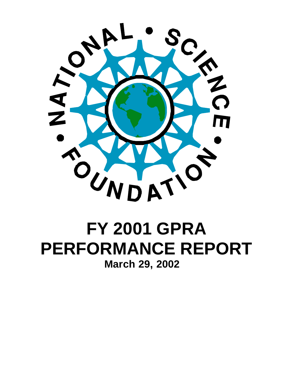

# **FY 2001 GPRA PERFORMANCE REPORT March 29, 2002**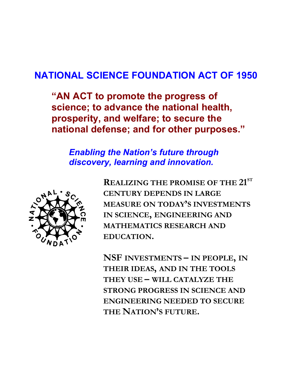# **NATIONAL SCIENCE FOUNDATION ACT OF 1950**

**"AN ACT to promote the progress of science; to advance the national health, prosperity, and welfare; to secure the national defense; and for other purposes."**

*Enabling the Nation's future through discovery, learning and innovation.*



**REALIZING THE PROMISE OF THE 21ST CENTURY DEPENDS IN LARGE MEASURE ON TODAY'S INVESTMENTS IN SCIENCE, ENGINEERING AND MATHEMATICS RESEARCH AND EDUCATION.**

**NSF INVESTMENTS – IN PEOPLE, IN THEIR IDEAS, AND IN THE TOOLS THEY USE – WILL CATALYZE THE STRONG PROGRESS IN SCIENCE AND ENGINEERING NEEDED TO SECURE THE NATION'S FUTURE.**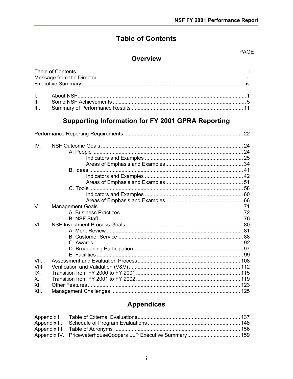# **Table of Contents**

# PAGE

# **Overview**

| $\mathbf{L}$ |                                                   |  |
|--------------|---------------------------------------------------|--|
| $\Pi$ .      |                                                   |  |
| III.         |                                                   |  |
|              | Supporting Information for FY 2001 GPRA Reporting |  |
|              |                                                   |  |
| IV.          |                                                   |  |
|              |                                                   |  |
|              |                                                   |  |
|              |                                                   |  |

| V.    |  |
|-------|--|
|       |  |
|       |  |
| VI.   |  |
|       |  |
|       |  |
|       |  |
|       |  |
|       |  |
| VII.  |  |
| VIII. |  |
| IX.   |  |
| X.    |  |
| XI.   |  |
| XII.  |  |

# **Appendices**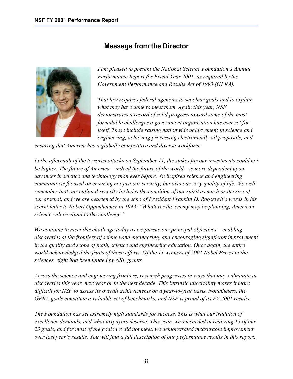# **Message from the Director**

<span id="page-3-0"></span>

*I am pleased to present the National Science Foundation's Annual Performance Report for Fiscal Year 2001, as required by the Government Performance and Results Act of 1993 (GPRA).*

*That law requires federal agencies to set clear goals and to explain what they have done to meet them. Again this year, NSF demonstrates a record of solid progress toward some of the most formidable challenges a government organization has ever set for itself. These include raising nationwide achievement in science and engineering, achieving processing electronically all proposals, and*

*ensuring that America has a globally competitive and diverse workforce.*

*In the aftermath of the terrorist attacks on September 11, the stakes for our investments could not be higher. The future of America – indeed the future of the world – is more dependent upon advances in science and technology than ever before. An inspired science and engineering community is focused on ensuring not just our security, but also our very quality of life. We well remember that our national security includes the condition of our spirit as much as the size of our arsenal, and we are heartened by the echo of President Franklin D. Roosevelt's words in his secret letter to Robert Oppenheimer in 1943: "Whatever the enemy may be planning, American science will be equal to the challenge."*

*We continue to meet this challenge today as we pursue our principal objectives – enabling discoveries at the frontiers of science and engineering, and encouraging significant improvement in the quality and scope of math, science and engineering education. Once again, the entire world acknowledged the fruits of those efforts. Of the 11 winners of 2001 Nobel Prizes in the sciences, eight had been funded by NSF grants.*

*Across the science and engineering frontiers, research progresses in ways that may culminate in discoveries this year, next year or in the next decade. This intrinsic uncertainty makes it more difficult for NSF to assess its overall achievements on a year-to-year basis. Nonetheless, the GPRA goals constitute a valuable set of benchmarks, and NSF is proud of its FY 2001 results.*

*The Foundation has set extremely high standards for success. This is what our tradition of excellence demands, and what taxpayers deserve. This year, we succeeded in realizing 15 of our 23 goals, and for most of the goals we did not meet, we demonstrated measurable improvement over last year's results. You will find a full description of our performance results in this report,*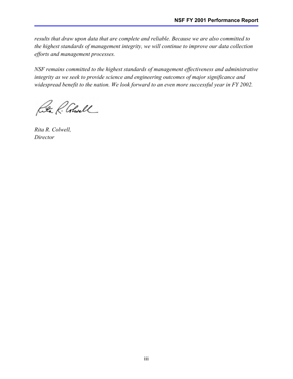*results that draw upon data that are complete and reliable. Because we are also committed to the highest standards of management integrity, we will continue to improve our data collection efforts and management processes.*

*NSF remains committed to the highest standards of management effectiveness and administrative integrity as we seek to provide science and engineering outcomes of major significance and widespread benefit to the nation. We look forward to an even more successful year in FY 2002.*

Re R. Colwell

*Rita R. Colwell, Director*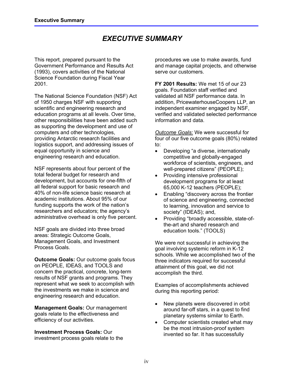# *EXECUTIVE SUMMARY*

<span id="page-5-0"></span>This report, prepared pursuant to the Government Performance and Results Act (1993), covers activities of the National Science Foundation during Fiscal Year 2001.

The National Science Foundation (NSF) Act of 1950 charges NSF with supporting scientific and engineering research and education programs at all levels. Over time, other responsibilities have been added such as supporting the development and use of computers and other technologies, providing Antarctic research facilities and logistics support, and addressing issues of equal opportunity in science and engineering research and education.

NSF represents about four percent of the total federal budget for research and development, but accounts for one-fifth of all federal support for basic research and 40% of non-life science basic research at academic institutions. About 95% of our funding supports the work of the nation's researchers and educators; the agency's administrative overhead is only five percent.

NSF goals are divided into three broad areas: Strategic Outcome Goals, Management Goals, and Investment Process Goals.

**Outcome Goals:** Our outcome goals focus on PEOPLE, IDEAS, and TOOLS and concern the practical, concrete, long-term results of NSF grants and programs. They represent what we seek to accomplish with the investments we make in science and engineering research and education.

**Management Goals:** Our management goals relate to the effectiveness and efficiency of our activities.

**Investment Process Goals:** Our investment process goals relate to the procedures we use to make awards, fund and manage capital projects, and otherwise serve our customers.

**FY 2001 Results:** We met 15 of our 23 goals. Foundation staff verified and validated all NSF performance data. In addition, PricewaterhouseCoopers LLP, an independent examiner engaged by NSF, verified and validated selected performance information and data.

*Outcome Goals:* We were successful for four of our five outcome goals (80%) related to:

- Developing "a diverse, internationally competitive and globally-engaged workforce of scientists, engineers, and well-prepared citizens" (PEOPLE);
- Providing intensive professional development programs for at least 65,000 K-12 teachers (PEOPLE);
- Enabling "discovery across the frontier of science and engineering, connected to learning, innovation and service to society" (IDEAS); and,
- Providing "broadly accessible, state-ofthe-art and shared research and education tools." (TOOLS)

We were not successful in achieving the goal involving systemic reform in K-12 schools. While we accomplished two of the three indicators required for successful attainment of this goal, we did not accomplish the third.

Examples of accomplishments achieved during this reporting period:

- New planets were discovered in orbit around far-off stars, in a quest to find planetary systems similar to Earth.
- Computer scientists created what may be the most intrusion-proof system invented so far. It has successfully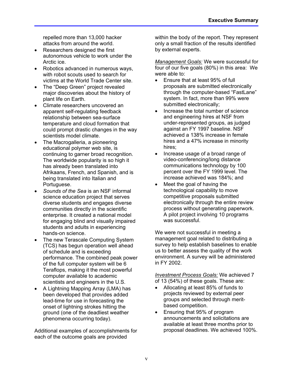repelled more than 13,000 hacker attacks from around the world.

- Researchers designed the first autonomous vehicle to work under the Arctic ice.
- Robotics advanced in numerous ways, with robot scouts used to search for victims at the World Trade Center site.
- The "Deep Green" project revealed major discoveries about the history of plant life on Earth.
- Climate researchers uncovered an apparent self-regulating feedback relationship between sea-surface temperature and cloud formation that could prompt drastic changes in the way scientists model climate.
- The Macrogalleria, a pioneering educational polymer web site, is continuing to garner broad recognition. The worldwide popularity is so high it has already been translated into Afrikaans, French, and Spanish, and is being translated into Italian and Portuguese.
- *Sounds of the Sea* is an NSF informal science education project that serves diverse students and engages diverse communities directly in the scientific enterprise*.* It created a national model for engaging blind and visually impaired students and adults in experiencing hands-on science.
- The new Terascale Computing System (TCS) has begun operation well ahead of schedule and is exceeding performance. The combined peak power of the full computer system will be 6 Teraflops, making it the most powerful computer available to academic scientists and engineers in the U.S.
- A Lightning Mapping Array (LMA) has been developed that provides added lead-time for use in forecasting the onset of lightning strokes hitting the ground (one of the deadliest weather phenomena occurring today).

Additional examples of accomplishments for each of the outcome goals are provided

within the body of the report. They represent only a small fraction of the results identified by external experts.

*Management Goals:* We were successful for four of our five goals (80%) in this area: We were able to:

- Ensure that at least 95% of full proposals are submitted electronically through the computer-based "FastLane" system. In fact, more than 99% were submitted electronically;
- Increase the total number of science and engineering hires at NSF from under-represented groups, as judged against an FY 1997 baseline. NSF achieved a 138% increase in female hires and a 47% increase in minority hires;
- Increase usage of a broad range of video-conferencing/long distance communications technology by 100 percent over the FY 1999 level. The increase achieved was 184%; and
- Meet the goal of having the technological capability to move competitive proposals submitted electronically through the entire review process without generating paperwork. A pilot project involving 10 programs was successful.

We were not successful in meeting a management goal related to distributing a survey to help establish baselines to enable us to better assess the quality of the work environment. A survey will be administered in FY 2002.

*Investment Process Goals:* We achieved 7 of 13 (54%) of these goals. These are:

- Allocating at least 85% of funds to projects reviewed by external peer groups and selected through meritbased competition.
- Ensuring that 95% of program announcements and solicitations are available at least three months prior to proposal deadlines. We achieved 100%.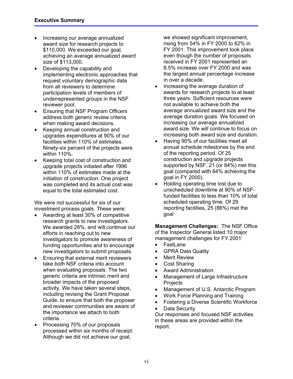- Increasing our average annualized award size for research projects to \$110,000. We exceeded our goal, achieving an average annualized award size of \$113,000.
- Developing the capability and implementing electronic approaches that request voluntary demographic data from all reviewers to determine participation levels of members of underrepresented groups in the NSF reviewer pool.
- Ensuring that NSF Program Officers address both generic review criteria when making award decisions.
- Keeping annual construction and upgrades expenditures at 90% of our facilities within 110% of estimates. Ninety-six percent of the projects were within 110%.
- Keeping total cost of construction and upgrade projects initiated after 1996 within 110% of estimates made at the initiation of construction. One project was completed and its actual cost was equal to the total estimated cost.

We were not successful for six of our investment process goals. These were:

- Awarding at least 30% of competitive research grants to new investigators. We awarded 28%, and will continue our efforts in reaching out to new investigators to promote awareness of funding opportunities and to encourage new investigators to submit proposals.
- Ensuring that external merit reviewers take *both* NSF criteria into account when evaluating proposals. The two generic criteria are intrinsic merit and broader impacts of the proposed activity. We have taken several steps, including revising the Grant Proposal Guide, to ensure that both the proposer and reviewer communities are aware of the importance we attach to both criteria.
- Processing 70% of our proposals processed within six months of receipt. Although we did not achieve our goal,

we showed significant improvement, rising from 54% in FY 2000 to 62% in FY 2001. This improvement took place even though the number of proposals received in FY 2001 represented an 8.5% increase over FY 2000 and was the largest annual percentage increase in over a decade.

- Increasing the average duration of awards for research projects to at least three years. Sufficient resources were not available to achieve both the average annualized award size and the average duration goals. We focused on increasing our average annualized award size. We will continue to focus on increasing both award size and duration.
- Having 90% of our facilities meet all annual schedule milestones by the end of the reporting period. Of 25 construction and upgrade projects supported by NSF, 21 (or 84%) met this goal (compared with 64% achieving the goal in FY 2000).
- Holding operating time lost due to unscheduled downtime at 90% of NSFfunded facilities to less than 10% of total scheduled operating time. Of 29 reporting facilities, 25 (86%) met the goal

**Management Challenges:** The NSF Office of the Inspector General listed 10 major management challenges for FY 2001:

- FastLane
- GPRA Data Quality
- **Merit Review**
- Cost Sharing
- Award Administration
- Management of Large Infrastructure **Projects**
- Management of U.S. Antarctic Program
- Work Force Planning and Training
- Fostering a Diverse Scientific Workforce Data Security

Our responses and focused NSF activities in these areas are provided within the report.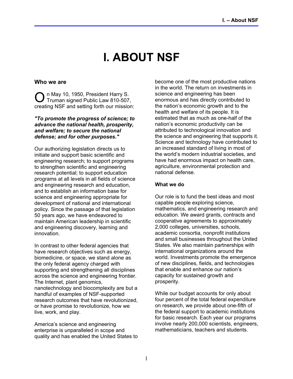# **I. ABOUT NSF**

#### <span id="page-8-0"></span>**Who we are**

n May 10, 1950, President Harry S. Truman signed Public Law 810-507, creating NSF and setting forth our mission: O

#### *"To promote the progress of science; to advance the national health, prosperity, and welfare; to secure the national defense; and for other purposes."*

Our authorizing legislation directs us to initiate and support basic scientific and engineering research; to support programs to strengthen scientific and engineering research potential; to support education programs at all levels in all fields of science and engineering research and education, and to establish an information base for science and engineering appropriate for development of national and international policy. Since the passage of that legislation 50 years ago, we have endeavored to maintain American leadership in scientific and engineering discovery, learning and innovation.

In contrast to other federal agencies that have research objectives such as energy, biomedicine, or space, we stand alone as the only federal agency charged with supporting and strengthening all disciplines across the science and engineering frontier. The Internet, plant genomics, nanotechnology and biocomplexity are but a handful of examples of NSF-supported research outcomes that have revolutionized, or have promise to revolutionize, how we live, work, and play.

America's science and engineering enterprise is unparalleled in scope and quality and has enabled the United States to become one of the most productive nations in the world. The return on investments in science and engineering has been enormous and has directly contributed to the nation's economic growth and to the health and welfare of its people. It is estimated that as much as one-half of the nation's economic productivity can be attributed to technological innovation and the science and engineering that supports it. Science and technology have contributed to an increased standard of living in most of the world's modern industrial societies, and have had enormous impact on health care, agriculture, environmental protection and national defense.

## **What we do**

Our role is to fund the best ideas and most capable people exploring science, mathematics, and engineering research and education. We award grants, contracts and cooperative agreements to approximately 2,000 colleges, universities, schools, academic consortia, nonprofit institutions and small businesses throughout the United States. We also maintain partnerships with international organizations around the world. Investments promote the emergence of new disciplines, fields, and technologies that enable and enhance our nation's capacity for sustained growth and prosperity.

While our budget accounts for only about four percent of the total federal expenditure on research, we provide about one-fifth of the federal support to academic institutions for basic research. Each year our programs involve nearly 200,000 scientists, engineers, mathematicians, teachers and students.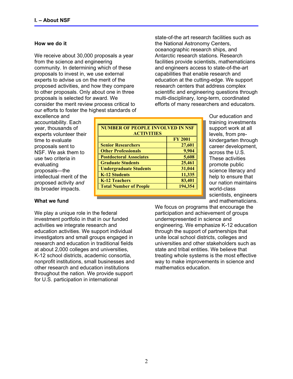#### **How we do it**

We receive about 30,000 proposals a year from the science and engineering community. In determining which of these proposals to invest in, we use external experts to advise us on the merit of the proposed activities, and how they compare to other proposals. Only about one in three proposals is selected for award. We consider the merit review process critical to our efforts to foster the highest standards of

excellence and accountability. Each year, thousands of experts volunteer their time to evaluate proposals sent to NSF. We ask them to use two criteria in evaluating proposals—the intellectual merit of the proposed activity *and* its broader impacts.

## **What we fund**

We play a unique role in the federal investment portfolio in that in our funded activities we integrate research and education activities. We support individual investigators and small groups engaged in research and education in traditional fields at about 2,000 colleges and universities, K-12 school districts, academic consortia, nonprofit institutions, small businesses and other research and education institutions throughout the nation. We provide support for U.S. participation in international

| <b>NUMBER OF PEOPLE INVOLVED IN NSF</b><br><b>ACTIVITIES</b> |                |  |
|--------------------------------------------------------------|----------------|--|
|                                                              | <b>FY 2001</b> |  |
| <b>Senior Researchers</b>                                    | 27,601         |  |
| <b>Other Professionals</b>                                   | 9,904          |  |
| <b>Postdoctoral Associates</b>                               | 5,608          |  |
| <b>Graduate Students</b>                                     | 25,461         |  |
| <b>Undergraduate Students</b>                                | 31,044         |  |
| <b>K-12 Students</b>                                         | 11,335         |  |
| <b>K-12 Teachers</b>                                         | 83,401         |  |
| <b>Total Number of People</b>                                | 194,354        |  |

state-of-the art research facilities such as the National Astronomy Centers, oceanographic research ships, and Antarctic research stations. Research facilities provide scientists, mathematicians and engineers access to state-of-the-art capabilities that enable research and education at the cutting-edge. We support research centers that address complex scientific and engineering questions through multi-disciplinary, long-term, coordinated efforts of many researchers and educators.

> Our education and training investments support work at all levels, from prekindergarten through career development, across the U.S. These activities promote public science literacy and help to ensure that our nation maintains world-class scientists, engineers and mathematicians.

We focus on programs that encourage the participation and achievement of groups underrepresented in science and engineering. We emphasize K-12 education through the support of partnerships that unite local school districts, colleges and universities and other stakeholders such as state and tribal entities. We believe that treating whole systems is the most effective way to make improvements in science and mathematics education.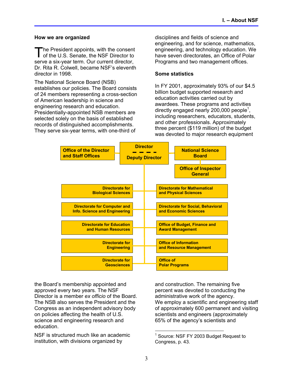#### **How we are organized**

he President appoints, with the consent of the U.S. Senate, the NSF Director to serve a six-year term. Our current director, Dr. Rita R. Colwell, became NSF's eleventh director in 1998. T

The National Science Board (NSB) establishes our policies. The Board consists of 24 members representing a cross-section of American leadership in science and engineering research and education. Presidentially-appointed NSB members are selected solely on the basis of established records of distinguished accomplishments. They serve six-year terms, with one-third of

disciplines and fields of science and engineering, and for science, mathematics, engineering, and technology education. We have seven directorates, an Office of Polar Programs and two management offices.

# **Some statistics**

In FY 2001, approximately 93% of our \$4.5 billion budget supported research and education activities carried out by awardees. These programs and activities directly engaged nearly 200,000 people<sup>1</sup>, including researchers, educators, students, and other professionals. Approximately three percent (\$119 million) of the budget was devoted to major research equipment



the Board's membership appointed and approved every two years. The NSF Director is a member *ex officio* of the Board. The NSB also serves the President and the Congress as an independent advisory body on policies affecting the health of U.S. science and engineering research and education.

NSF is structured much like an academic institution, with divisions organized by

and construction. The remaining five percent was devoted to conducting the administrative work of the agency. We employ a scientific and engineering staff of approximately 600 permanent and visiting scientists and engineers (approximately 65% of the agency's scientists and

 $\overline{a}$ 

<sup>&</sup>lt;sup>1</sup> Source: NSF FY 2003 Budget Request to Congress, p. 43.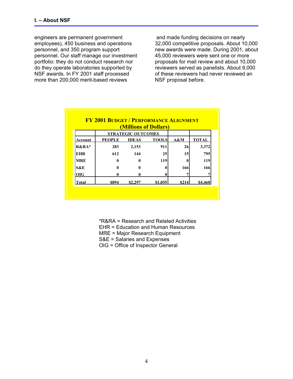engineers are permanent government employees), 450 business and operations personnel, and 350 program support personnel. Our staff manage our investment portfolio: they do not conduct research nor do they operate laboratories supported by NSF awards. In FY 2001 staff processed more than 200,000 merit-based reviews

 and made funding decisions on nearly 32,000 competitive proposals. About 10,000 new awards were made. During 2001, about 45,000 reviewers were sent one or more proposals for mail review and about 10,000 reviewers served as panelists. About 9,000 of these reviewers had never reviewed an NSF proposal before.

|              |               | (Millions of Dollars)     |              |       |              |
|--------------|---------------|---------------------------|--------------|-------|--------------|
|              |               | <b>STRATEGIC OUTCOMES</b> |              |       |              |
| Account      | <b>PEOPLE</b> | <b>IDEAS</b>              | <b>TOOLS</b> | A&M   | <b>TOTAL</b> |
| R&RA*        | 283           | 2,153                     | 911          | 26    | 3,372        |
| <b>EHR</b>   | 612           | 144                       | 25           | 15    | 795          |
| <b>MRE</b>   | 0             | 0                         | 119          | 0     | 119          |
| S&E          | 0             |                           |              | 166   | 166          |
| <b>OIG</b>   | 0             |                           |              |       |              |
| <b>Total</b> | \$894         | \$2,297                   | \$1,055      | \$214 | \$4,460      |

\*R&RA = Research and Related Activities EHR = Education and Human Resources MRE = Major Research Equipment S&E = Salaries and Expenses OIG = Office of Inspector General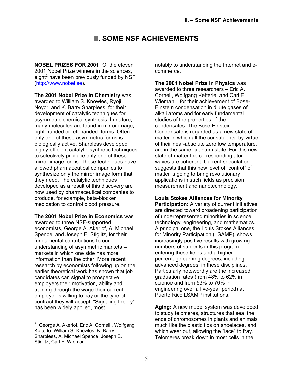# **II. SOME NSF ACHIEVEMENTS**

<span id="page-12-0"></span>**NOBEL PRIZES FOR 2001:** Of the eleven 2001 Nobel Prize winners in the sciences, eight<sup>2</sup> have been previously funded by NSF [\(http://www.nobel.se\).](http://www.nobel.se)

**The 2001 Nobel Prize in Chemistry** was awarded to William S. Knowles, Ryoji Noyori and K. Barry Sharpless, for their development of catalytic techniques for asymmetric chemical synthesis. In nature, many molecules are found in mirror image, right-handed or left-handed, forms. Often only one of these asymmetric forms is biologically active. Sharpless developed highly efficient catalytic synthetic techniques to selectively produce only one of these mirror image forms. These techniques have allowed pharmaceutical companies to synthesize only the mirror image form that they need. The catalytic techniques developed as a result of this discovery are now used by pharmaceutical companies to produce, for example, beta-blocker medication to control blood pressure.

**The 2001 Nobel Prize in Economics** was awarded to three NSF-supported economists, George A. Akerlof, A. Michael Spence, and Joseph E. Stiglitz, for their fundamental contributions to our understanding of asymmetric markets – markets in which one side has more information than the other. More recent research by economists following up on the earlier theoretical work has shown that job candidates can signal to prospective employers their motivation, ability and training through the wage their current employer is willing to pay or the type of contract they will accept. "Signaling theory" has been widely applied, most

 $\overline{a}$ 

notably to understanding the Internet and ecommerce.

**The 2001 Nobel Prize in Physics** was awarded to three researchers – Eric A. Cornell, Wolfgang Ketterle, and Carl E. Wieman – for their achievement of Bose-Einstein condensation in dilute gases of alkali atoms and for early fundamental studies of the properties of the condensates. The Bose-Einstein Condensate is regarded as a new state of matter in which all the constituents, by virtue of their near-absolute zero low temperature, are in the same quantum state. For this new state of matter the corresponding atom waves are coherent. Current speculation suggests that this new level of "control" of matter is going to bring revolutionary applications in such fields as precision measurement and nanotechnology.

#### **Louis Stokes Alliances for Minority**

**Participation:** A variety of current initiatives are directed toward broadening participation of underrepresented minorities in science, technology, engineering, and mathematics. A principal one, the Louis Stokes Alliances for Minority Participation (LSAMP), shows increasingly positive results with growing numbers of students in this program entering these fields and a higher percentage earning degrees, including advanced degrees, in these disciplines. Particularly noteworthy are the increased graduation rates (from 48% to 62% in science and from 53% to 76% in engineering over a five-year period) at Puerto Rico LSAMP institutions.

**Aging:** A new model system was developed to study telomeres, structures that seal the ends of chromosomes in plants and animals much like the plastic tips on shoelaces, and which wear out, allowing the "lace" to fray. Telomeres break down in most cells in the

 $2$  George A. Akerlof, Eric A. Cornell, Wolfgang Ketterle, William S. Knowles, K. Barry Sharpless, A. Michael Spence, Joseph E. Stiglitz, Carl E. Wieman.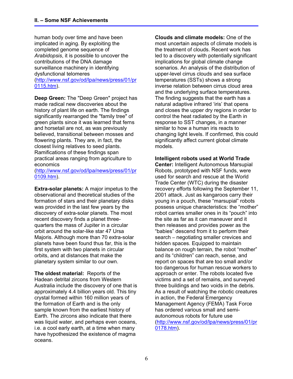human body over time and have been implicated in aging. By exploiting the completed genome sequence of *Arabidopsis*, it is possible to uncover the contributions of the DNA damage surveillance machinery in identifying dysfunctional telomeres [\(http://www.nsf.gov/od/lpa/news/press/01/pr](http://www.nsf.gov/od/lpa/news/press/01/pr) 0115.htm).

**Deep Green:** The "Deep Green" project has made radical new discoveries about the history of plant life on earth. The findings significantly rearranged the "family tree" of green plants since it was learned that ferns and horsetail are not, as was previously believed, transitional between mosses and flowering plants. They are, in fact, the closest living relatives to seed plants. Ramifications of these findings span practical areas ranging from agriculture to economics

#### [\(http://www.nsf.gov/od/lpa/news/press/01/pr](http://www.nsf.gov/od/lpa/news/press/01/pr) 0109.htm).

**Extra-solar planets:** A major impetus to the observational and theoretical studies of the formation of stars and their planetary disks was provided in the last few years by the discovery of extra-solar planets. The most recent discovery finds a planet threequarters the mass of Jupiter in a circular orbit around the solar-like star 47 Ursa Majoris. Although more than 70 extra-solar planets have been found thus far, this is the first system with two planets in circular orbits, and at distances that make the planetary system similar to our own.

**The oldest material:** Reports of the Hadean detrital zircons from Western Australia include the discovery of one that is approximately 4.4 billion years old. This tiny crystal formed within 160 million years of the formation of Earth and is the only sample known from the earliest history of Earth. The zircons also indicate that there was liquid water, and perhaps even oceans, i.e. a cool early earth, at a time when many have hypothesized the existence of magma oceans.

**Clouds and climate models:** One of the most uncertain aspects of climate models is the treatment of clouds. Recent work has led to a discovery with potentially significant implications for global climate change scenarios. An analysis of the distribution of upper-level cirrus clouds and sea surface temperatures (SSTs) shows a strong inverse relation between cirrus cloud area and the underlying surface temperatures. The finding suggests that the earth has a natural adaptive infrared 'iris' that opens and closes the upper dry regions in order to control the heat radiated by the Earth in response to SST changes, in a manner similar to how a human iris reacts to changing light levels. If confirmed, this could significantly affect current global climate models.

#### **Intelligent robots used at World Trade**

**Center:** Intelligent Autonomous Marsupial Robots, prototyped with NSF funds, were used for search and rescue at the World Trade Center (WTC) during the disaster recovery efforts following the September 11, 2001 attack. Just as kangaroos carry their young in a pouch, these "marsupial" robots possess unique characteristics: the "mother" robot carries smaller ones in its "pouch" into the site as far as it can maneuver and it then releases and provides power as the "babies" descend from it to perform their search – negotiating smaller crevices and hidden spaces. Equipped to maintain balance on rough terrain, the robot "mother" and its "children" can reach, sense, and report on spaces that are too small and/or too dangerous for human rescue workers to approach or enter. The robots located five victims and a set of remains, and surveyed three buildings and two voids in the debris. As a result of watching the robotic creatures in action, the Federal Emergency Management Agency (FEMA) Task Force has ordered various small and semiautonomous robots for future use [\(http://www.nsf.gov/od/lpa/news/press/01/pr](http://www.nsf.gov/od/lpa/news/press/01/pr) 0178.htm).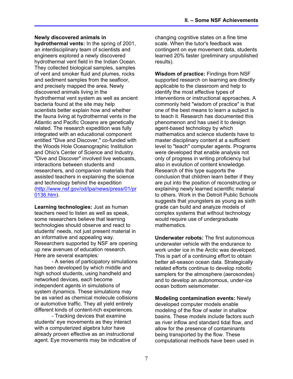## **Newly discovered animals in**

**hydrothermal vents:** In the spring of 2001, an interdisciplinary team of scientists and engineers explored a newly discovered hydrothermal vent field in the Indian Ocean. They collected biological samples, samples of vent and smoker fluid and plumes, rocks and sediment samples from the seafloor, and precisely mapped the area. Newly discovered animals living in the hydrothermal vent system as well as ancient bacteria found at the site may help scientists better explain how and whether the fauna living at hydrothermal vents in the Atlantic and Pacific Oceans are genetically related. The research expedition was fully integrated with an educational component entitled "Dive and Discover," co-funded with the Woods Hole Oceanographic Institution and Ohio's Center of Science and Industry. "Dive and Discover" involved live webcasts, interactions between students and researchers, and companion materials that assisted teachers in explaining the science and technology behind the expedition [\(http://www.nsf.gov/od/lpa/news/press/01/pr](http://www.nsf.gov/od/lpa/news/press/01/pr) 0136.htm).

**Learning technologies:** Just as human teachers need to listen as well as speak, some researchers believe that learning technologies should observe and react to students' needs, not just present material in an informative and appealing way. Researchers supported by NSF are opening up new avenues of education research. Here are several examples:

- A series of participatory simulations has been developed by which middle and high school students, using handheld and networked devices, each become independent agents in simulations of system dynamics. These simulations may be as varied as chemical molecule collisions or automotive traffic. They all yield entirely different kinds of content-rich experiences.

- Tracking devices that examine students' eye movements as they interact with a computerized algebra tutor have already proven effective as an instructional agent. Eye movements may be indicative of

changing cognitive states on a fine time scale. When the tutor's feedback was contingent on eye movement data, students learned 20% faster (preliminary unpublished results).

**Wisdom of practice:** Findings from NSF supported research on learning are directly applicable to the classroom and help to identify the most effective types of interventions or instructional approaches. A commonly held "wisdom of practice" is that one of the best means to learn a subject is to teach it. Research has documented this phenomenon and has used it to design agent-based technology by which mathematics and science students have to master disciplinary content at a sufficient level to "teach" computer agents. Programs were developed that enable analysis not only of progress in writing proficiency but also in evolution of content knowledge. Research of this type supports the conclusion that children learn better if they are put into the position of reconstructing or explaining newly learned scientific material to others. Work in the Detroit Public Schools suggests that youngsters as young as sixth grade can build and analyze models of complex systems that without technology would require use of undergraduate mathematics.

**Underwater robots:** The first autonomous underwater vehicle with the endurance to work under ice in the Arctic was developed. This is part of a continuing effort to obtain better all-season ocean data. Strategically related efforts continue to develop robotic samplers for the atmosphere (aerosondes) and to develop an autonomous, under-ice ocean bottom seismometer.

**Modeling contamination events:** Newly developed computer models enable modeling of the flow of water in shallow basins. These models include factors such as river inflow and standard tidal flow, and allow for the presence of contaminants being transported by the flow. These computational methods have been used in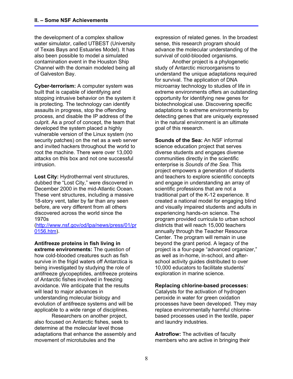the development of a complex shallow water simulator, called UTBEST (University of Texas Bays and Estuaries Model). It has also been possible to model a simulated contamination event in the Houston Ship Channel with the domain modeled being all of Galveston Bay.

**Cyber-terrorism:** A computer system was built that is capable of identifying and stopping intrusive behavior on the system it is protecting. The technology can identify assaults in progress, stop the offending process, and disable the IP address of the culprit. As a proof of concept, the team that developed the system placed a highly vulnerable version of the Linux system (no security patches) on the net as a web server and invited hackers throughout the world to root the machine. There were over 13,000 attacks on this box and not one successful intrusion.

**Lost City:** Hydrothermal vent structures, dubbed the "Lost City," were discovered in December 2000 in the mid-Atlantic Ocean. These vent structures, including a massive 18-story vent, taller by far than any seen before, are very different from all others discovered across the world since the 1970s

[\(http://www.nsf.gov/od/lpa/news/press/01/pr](http://www.nsf.gov/od/lpa/news/press/01/pr) 0156.htm).

**Antifreeze proteins in fish living in extreme environments:** The question of how cold-blooded creatures such as fish survive in the frigid waters off Antarctica is being investigated by studying the role of antifreeze glycopeptides, antifreeze proteins of Antarctic fishes involved in freezing avoidance. We anticipate that the results will lead to major advances in understanding molecular biology and evolution of antifreeze systems and will be applicable to a wide range of disciplines.

Researchers on another project, also focused on Antarctic fishes, seek to determine at the molecular level those adaptations that enhance the assembly and movement of microtubules and the

expression of related genes. In the broadest sense, this research program should advance the molecular understanding of the survival of cold-blooded organisms.

Another project is a phylogenetic study of Antarctic microorganisms to understand the unique adaptations required for survival. The application of DNA microarray technology to studies of life in extreme environments offers an outstanding opportunity for identifying new genes for biotechnological use. Discovering specific adaptations to extreme environments by detecting genes that are uniquely expressed in the natural environment is an ultimate goal of this research.

**Sounds of the Sea:** An NSF informal science education project that serves diverse students and engages diverse communities directly in the scientific enterprise is *Sounds of the Sea.* This project empowers a generation of students and teachers to explore scientific concepts and engage in understanding an array of scientific professions that are not a traditional part of the K-12 experience. It created a national model for engaging blind and visually impaired students and adults in experiencing hands-on science. The program provided curricula to urban school districts that will reach 15,000 teachers annually through the Teacher Resource Center. The program will remain in use beyond the grant period. A legacy of the project is a four-page "advanced organizer," as well as in-home, in-school, and afterschool activity guides distributed to over 10,000 educators to facilitate students' exploration in marine science.

#### **Replacing chlorine-based processes:**

Catalysts for the activation of hydrogen peroxide in water for green oxidation processes have been developed. They may replace environmentally harmful chlorinebased processes used in the textile, paper and laundry industries.

**Astroflow:** The activities of faculty members who are active in bringing their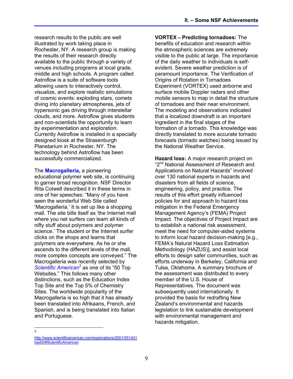research results to the public are well illustrated by work taking place in Rochester, NY. A research group is making the results of their research directly available to the public through a variety of venues including programs at local grade, middle and high schools. A program called Astroflow is a suite of software tools allowing users to interactively control, visualize, and explore realistic simulations of cosmic events: exploding stars, comets diving into planetary atmospheres, jets of hypersonic gas driving through interstellar clouds, and more. Astroflow gives students and non-scientists the opportunity to learn by experimentation and exploration. Currently Astroflow is installed in a specially designed kiosk at the Strasenburgh Planetarium in Rochester, NY. The technology behind Astroflow has been successfully commercialized.

The **Macrogalleria,** a pioneering educational polymer web site, is continuing to garner broad recognition. NSF Director Rita Colwell described it in these terms in one of her speeches: "Many of you have seen the wonderful Web Site called 'Macrogalleria.' It is set up like a shopping mall. The site bills itself as 'the Internet mall where you net surfers can learn all kinds of nifty stuff about polymers and polymer science.' The student or the Internet surfer clicks on the shops and learns that polymers are everywhere. As he or she ascends to the different levels of the mall, more complex concepts are conveyed." The Macrogalleria was recently selected by *Scientific American*<sup>3</sup> as one of its "50 Top Websites." This follows many other distinctions, such as the Education Index Top Site and the Top 5% of Chemistry Sites. The worldwide popularity of the Macrogalleria is so high that it has already been translated into Afrikaans, French, and Spanish, and is being translated into Italian and Portuguese.

**VORTEX – Predicting tornadoes:** The benefits of education and research within the atmospheric sciences are extremely visible to the public at large. The importance of the daily weather to individuals is selfevident. Severe weather prediction is of paramount importance. The Verification of Origins of Rotation in Tornadoes Experiment (VORTEX) used airborne and surface mobile Doppler radars and other mobile sensors to map in detail the structure of tornadoes and their near environment. The modeling and observations indicated that a localized downdraft is an important ingredient in the final stages of the formation of a tornado. This knowledge was directly translated to more accurate tornado forecasts (tornado watches) being issued by the National Weather Service.

**Hazard loss:** A major research project on "2<sup>nd</sup> National Assessment of Research and Applications on Natural Hazards" involved over 130 national experts in hazards and disasters from all fields of science, engineering, policy, and practice. The results of this effort greatly influenced policies for and approach to hazard loss mitigation in the Federal Emergency Management Agency's (FEMA) Project Impact. The objectives of Project Impact are to establish a national risk assessment, meet the need for computer-aided systems to inform local hazard decision-making [e.g., FEMA's Natural Hazard Loss Estimation Methodology (HAZUS)], and assist local efforts to design safer communities, such as efforts underway in Berkeley, California and Tulsa, Oklahoma. A summary brochure of the assessment was distributed to every member of the U.S. House of Representatives. The document was subsequently used internationally. It provided the basis for redrafting New Zealand's environmental and hazards legislation to link sustainable development with environmental management and hazards mitigation.

<sup>-&</sup>lt;br>3

<http://www.scientificamerican.com/explorations/2001/051401> top50/#ScientificAmerican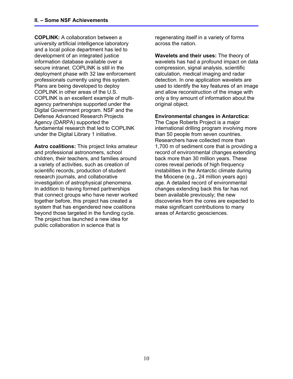**COPLINK:** A collaboration between a university artificial intelligence laboratory and a local police department has led to development of an integrated justice information database available over a secure intranet. COPLINK is still in the deployment phase with 32 law enforcement professionals currently using this system. Plans are being developed to deploy COPLINK in other areas of the U.S. COPLINK is an excellent example of multiagency partnerships supported under the Digital Government program. NSF and the Defense Advanced Research Projects Agency (DARPA) supported the fundamental research that led to COPLINK under the Digital Library 1 initiative.

**Astro coalitions:** This project links amateur and professional astronomers, school children, their teachers, and families around a variety of activities, such as creation of scientific records, production of student research journals, and collaborative investigation of astrophysical phenomena. In addition to having formed partnerships that connect groups who have never worked together before, this project has created a system that has engendered new coalitions beyond those targeted in the funding cycle. The project has launched a new idea for public collaboration in science that is

regenerating itself in a variety of forms across the nation.

**Wavelets and their uses:** The theory of wavelets has had a profound impact on data compression, signal analysis, scientific calculation, medical imaging and radar detection. In one application wavelets are used to identify the key features of an image and allow reconstruction of the image with only a tiny amount of information about the original object.

**Environmental changes in Antarctica:**

The Cape Roberts Project is a major international drilling program involving more than 50 people from seven countries. Researchers have collected more than 1,700 m of sediment core that is providing a record of environmental changes extending back more than 30 million years. These cores reveal periods of high frequency instabilities in the Antarctic climate during the Miocene (e.g., 24 million years ago) age. A detailed record of environmental changes extending back this far has not been available previously; the new discoveries from the cores are expected to make significant contributions to many areas of Antarctic geosciences.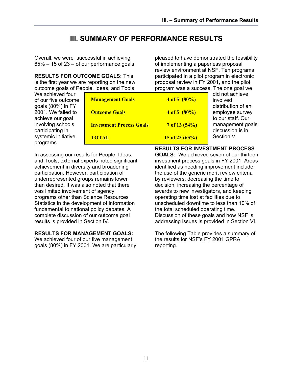# **III. SUMMARY OF PERFORMANCE RESULTS**

<span id="page-18-0"></span>Overall, we were successful in achieving  $65\% - 15$  of 23 – of our performance goals.

**RESULTS FOR OUTCOME GOALS:** This is the first year we are reporting on the new outcome goals of People, Ideas, and Tools.

pleased to have demonstrated the feasibility of implementing a paperless proposal review environment at NSF. Ten programs participated in a pilot program in electronic proposal review in FY 2001, and the pilot program was a success. The one goal we

| We achieved four    |                                 |                  |
|---------------------|---------------------------------|------------------|
| of our five outcome | <b>Management Goals</b>         | 4 of 5 (80%)     |
| goals (80%) in FY   |                                 |                  |
| 2001. We failed to  | <b>Outcome Goals</b>            | 4 of 5 (80%)     |
| achieve our goal    |                                 |                  |
| involving schools   | <b>Investment Process Goals</b> | $7$ of 13 (54%)  |
| participating in    |                                 |                  |
| systemic initiative | <b>TOTAL</b>                    | $15$ of 23 (65%) |
| programs.           |                                 |                  |

did not achieve involved distribution of an employee survey to our staff. Our management goals discussion is in Section V.

In assessing our results for People, Ideas, and Tools, external experts noted significant achievement in diversity and broadening participation. However, participation of underrepresented groups remains lower than desired. It was also noted that there was limited involvement of agency programs other than Science Resources Statistics in the development of information fundamental to national policy debates. A complete discussion of our outcome goal results is provided in Section IV.

#### **RESULTS FOR MANAGEMENT GOALS:**

We achieved four of our five management goals (80%) in FY 2001. We are particularly

#### **RESULTS FOR INVESTMENT PROCESS**

**GOALS:** We achieved seven of our thirteen investment process goals in FY 2001. Areas identified as needing improvement include: the use of the generic merit review criteria by reviewers, decreasing the time to decision, increasing the percentage of awards to new investigators, and keeping operating time lost at facilities due to unscheduled downtime to less than 10% of the total scheduled operating time. Discussion of these goals and how NSF is addressing issues is provided in Section VI.

The following Table provides a summary of the results for NSF's FY 2001 GPRA reporting.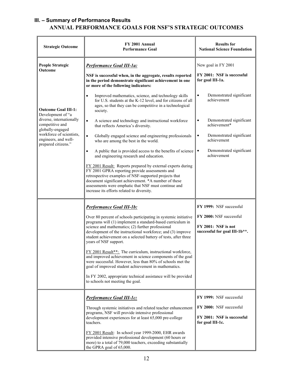# **III. – Summary of Performance Results ANNUAL PERFORMANCE GOALS FOR NSF'S STRATEGIC OUTCOMES**

| <b>Strategic Outcome</b>                                                | FY 2001 Annual<br><b>Performance Goal</b>                                                                                                                                                                                                                                                                                                     | <b>Results for</b><br><b>National Science Foundation</b>                        |
|-------------------------------------------------------------------------|-----------------------------------------------------------------------------------------------------------------------------------------------------------------------------------------------------------------------------------------------------------------------------------------------------------------------------------------------|---------------------------------------------------------------------------------|
| <b>People Strategic</b><br>Outcome                                      | <b>Performance Goal III-1a:</b>                                                                                                                                                                                                                                                                                                               | New goal in FY 2001                                                             |
|                                                                         | NSF is successful when, in the aggregate, results reported<br>in the period demonstrate significant achievement in one<br>or more of the following indicators:                                                                                                                                                                                | FY 2001: NSF is successful<br>for goal III-1a.                                  |
| <b>Outcome Goal III-1:</b><br>Development of "a                         | Improved mathematics, science, and technology skills<br>$\bullet$<br>for U.S. students at the K-12 level, and for citizens of all<br>ages, so that they can be competitive in a technological<br>society.                                                                                                                                     | Demonstrated significant<br>$\bullet$<br>achievement                            |
| diverse, internationally<br>competitive and<br>globally-engaged         | A science and technology and instructional workforce<br>$\bullet$<br>that reflects America's diversity.                                                                                                                                                                                                                                       | Demonstrated significant<br>$\bullet$<br>achievement*                           |
| workforce of scientists,<br>engineers, and well-<br>prepared citizens." | $\bullet$<br>Globally engaged science and engineering professionals<br>who are among the best in the world.                                                                                                                                                                                                                                   | Demonstrated significant<br>$\bullet$<br>achievement                            |
|                                                                         | A public that is provided access to the benefits of science<br>and engineering research and education.                                                                                                                                                                                                                                        | Demonstrated significant<br>$\bullet$<br>achievement                            |
|                                                                         | FY 2001 Result: Reports prepared by external experts during<br>FY 2001 GPRA reporting provide assessments and<br>retrospective examples of NSF-supported projects that<br>document significant achievement. *A number of these<br>assessments were emphatic that NSF must continue and<br>increase its efforts related to diversity.          |                                                                                 |
|                                                                         | <b>Performance Goal III-1b:</b>                                                                                                                                                                                                                                                                                                               | FY 1999: NSF successful                                                         |
|                                                                         | Over 80 percent of schools participating in systemic initiative<br>programs will (1) implement a standard-based curriculum in<br>science and mathematics; (2) further professional<br>development of the instructional workforce; and (3) improve<br>student achievement on a selected battery of tests, after three<br>years of NSF support. | FY 2000: NSF successful<br>FY 2001: NSF is not<br>successful for goal III-1b**. |
|                                                                         | FY 2001 Result**: The curriculum, instructional workforce,<br>and improved achievement in science components of the goal<br>were successful. However, less than 80% of schools met the<br>goal of improved student achievement in mathematics.                                                                                                |                                                                                 |
|                                                                         | In FY 2002, appropriate technical assistance will be provided<br>to schools not meeting the goal.                                                                                                                                                                                                                                             |                                                                                 |
|                                                                         | <b>Performance Goal III-1c:</b>                                                                                                                                                                                                                                                                                                               | FY 1999: NSF successful                                                         |
|                                                                         | Through systemic initiatives and related teacher enhancement<br>programs, NSF will provide intensive professional                                                                                                                                                                                                                             | FY 2000: NSF successful                                                         |
|                                                                         | development experiences for at least 65,000 pre-college<br>teachers.                                                                                                                                                                                                                                                                          | FY 2001: NSF is successful<br>for goal III-1c.                                  |
|                                                                         | FY 2001 Result: In school year 1999-2000, EHR awards<br>provided intensive professional development (60 hours or<br>more) to a total of 79,000 teachers, exceeding substantially<br>the GPRA goal of 65,000.                                                                                                                                  |                                                                                 |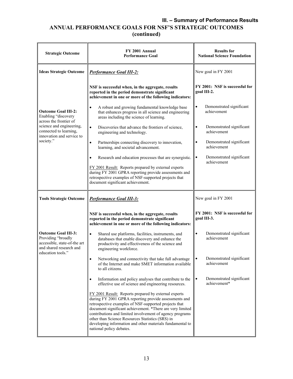# **III. – Summary of Performance Results ANNUAL PERFORMANCE GOALS FOR NSF'S STRATEGIC OUTCOMES (continued)**

| <b>Strategic Outcome</b>                                                                                                         | FY 2001 Annual<br><b>Performance Goal</b>                                                                                                                                                                                                                                                                                                                                                                                                    | <b>Results for</b><br><b>National Science Foundation</b> |
|----------------------------------------------------------------------------------------------------------------------------------|----------------------------------------------------------------------------------------------------------------------------------------------------------------------------------------------------------------------------------------------------------------------------------------------------------------------------------------------------------------------------------------------------------------------------------------------|----------------------------------------------------------|
| <b>Ideas Strategic Outcome</b>                                                                                                   | <b>Performance Goal III-2:</b>                                                                                                                                                                                                                                                                                                                                                                                                               | New goal in FY 2001                                      |
|                                                                                                                                  | NSF is successful when, in the aggregate, results<br>reported in the period demonstrate significant<br>achievement in one or more of the following indicators:                                                                                                                                                                                                                                                                               | FY 2001: NSF is successful for<br>goal III-2.            |
| <b>Outcome Goal III-2:</b><br>Enabling "discovery<br>across the frontier of                                                      | A robust and growing fundamental knowledge base<br>$\bullet$<br>that enhances progress in all science and engineering<br>areas including the science of learning.                                                                                                                                                                                                                                                                            | Demonstrated significant<br>achievement                  |
| science and engineering,<br>connected to learning,<br>innovation and service to                                                  | Discoveries that advance the frontiers of science,<br>$\bullet$<br>engineering and technology.                                                                                                                                                                                                                                                                                                                                               | Demonstrated significant<br>$\bullet$<br>achievement     |
| society."                                                                                                                        | Partnerships connecting discovery to innovation,<br>$\bullet$<br>learning, and societal advancement.                                                                                                                                                                                                                                                                                                                                         | Demonstrated significant<br>achievement                  |
|                                                                                                                                  | Research and education processes that are synergistic.<br>$\bullet$                                                                                                                                                                                                                                                                                                                                                                          | Demonstrated significant<br>achievement                  |
|                                                                                                                                  | FY 2001 Result: Reports prepared by external experts<br>during FY 2001 GPRA reporting provide assessments and<br>retrospective examples of NSF-supported projects that<br>document significant achievement.                                                                                                                                                                                                                                  |                                                          |
| <b>Tools Strategic Outcome</b>                                                                                                   | <b>Performance Goal III-3:</b>                                                                                                                                                                                                                                                                                                                                                                                                               | New goal in FY 2001                                      |
|                                                                                                                                  | NSF is successful when, in the aggregate, results<br>reported in the period demonstrate significant<br>achievement in one or more of the following indicators:                                                                                                                                                                                                                                                                               | FY 2001: NSF is successful for<br>goal III-3.            |
| <b>Outcome Goal III-3:</b><br>Providing "broadly<br>accessible, state-of-the art<br>and shared research and<br>education tools." | $\bullet$<br>Shared use platforms, facilities, instruments, and<br>databases that enable discovery and enhance the<br>productivity and effectiveness of the science and<br>engineering workforce.                                                                                                                                                                                                                                            | Demonstrated significant<br>$\bullet$<br>achievement     |
|                                                                                                                                  | Networking and connectivity that take full advantage<br>of the Internet and make SMET information available<br>to all citizens.                                                                                                                                                                                                                                                                                                              | Demonstrated significant<br>٠<br>achievement             |
|                                                                                                                                  | Information and policy analyses that contribute to the<br>$\bullet$<br>effective use of science and engineering resources.                                                                                                                                                                                                                                                                                                                   | Demonstrated significant<br>achievement*                 |
|                                                                                                                                  | FY 2001 Result: Reports prepared by external experts<br>during FY 2001 GPRA reporting provide assessments and<br>retrospective examples of NSF-supported projects that<br>document significant achievement. *There are very limited<br>contributions and limited involvement of agency programs<br>other than Science Resources Statistics (SRS) in<br>developing information and other materials fundamental to<br>national policy debates. |                                                          |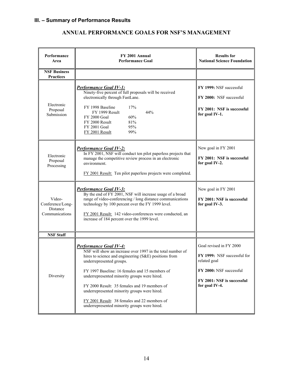| Performance<br>Area                                      | FY 2001 Annual<br><b>Performance Goal</b>                                                                                                                                                                                                                                                                                                                                                                                                                                          | <b>Results for</b><br><b>National Science Foundation</b>                                                                                          |
|----------------------------------------------------------|------------------------------------------------------------------------------------------------------------------------------------------------------------------------------------------------------------------------------------------------------------------------------------------------------------------------------------------------------------------------------------------------------------------------------------------------------------------------------------|---------------------------------------------------------------------------------------------------------------------------------------------------|
| <b>NSF Business</b><br><b>Practices</b>                  |                                                                                                                                                                                                                                                                                                                                                                                                                                                                                    |                                                                                                                                                   |
| Electronic<br>Proposal<br>Submission                     | <b>Performance Goal IV-1:</b><br>Ninety-five percent of full proposals will be received<br>electronically through FastLane.<br>FY 1998 Baseline<br>17%<br>FY 1999 Result<br>44%<br>FY 2000 Goal<br>60%<br>81%<br>FY 2000 Result<br>95%<br>FY 2001 Goal<br>99%<br>FY 2001 Result                                                                                                                                                                                                    | FY 1999: NSF successful<br>FY 2000: NSF successful<br>FY 2001: NSF is successful<br>for goal IV-1.                                                |
| Electronic<br>Proposal<br>Processing                     | <b>Performance Goal IV-2:</b><br>In FY 2001, NSF will conduct ten pilot paperless projects that<br>manage the competitive review process in an electronic<br>environment.<br>FY 2001 Result: Ten pilot paperless projects were completed.                                                                                                                                                                                                                                          | New goal in FY 2001<br>FY 2001: NSF is successful<br>for goal IV-2.                                                                               |
| Video-<br>Conference/Long-<br>Distance<br>Communications | Performance Goal IV-3:<br>By the end of FY 2001, NSF will increase usage of a broad<br>range of video-conferencing / long distance communications<br>technology by 100 percent over the FY 1999 level.<br>FY 2001 Result: 142 video-conferences were conducted, an<br>increase of 184 percent over the 1999 level.                                                                                                                                                                 | New goal in FY 2001<br>FY 2001: NSF is successful<br>for goal IV-3.                                                                               |
| <b>NSF Staff</b>                                         |                                                                                                                                                                                                                                                                                                                                                                                                                                                                                    |                                                                                                                                                   |
| Diversity                                                | <b>Performance Goal IV-4:</b><br>NSF will show an increase over 1997 in the total number of<br>hires to science and engineering (S&E) positions from<br>underrepresented groups.<br>FY 1997 Baseline: 16 females and 15 members of<br>underrepresented minority groups were hired.<br>FY 2000 Result: 35 females and 19 members of<br>underrepresented minority groups were hired.<br>FY 2001 Result: 38 females and 22 members of<br>underrepresented minority groups were hired. | Goal revised in FY 2000<br>FY 1999: NSF successful for<br>related goal<br>FY 2000: NSF successful<br>FY 2001: NSF is successful<br>for goal IV-4. |

# **ANNUAL PERFORMANCE GOALS FOR NSF'S MANAGEMENT**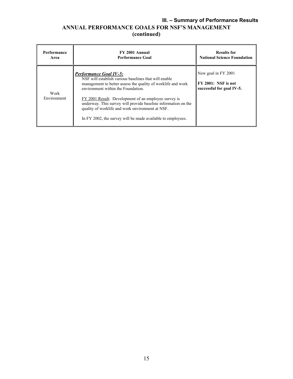# **III. – Summary of Performance Results ANNUAL PERFORMANCE GOALS FOR NSF'S MANAGEMENT (continued)**

| Performance         | FY 2001 Annual                                                                                                                                                                                                                                                                                                                                                                                                                            | <b>Results for</b>                                                        |
|---------------------|-------------------------------------------------------------------------------------------------------------------------------------------------------------------------------------------------------------------------------------------------------------------------------------------------------------------------------------------------------------------------------------------------------------------------------------------|---------------------------------------------------------------------------|
| Area                | <b>Performance Goal</b>                                                                                                                                                                                                                                                                                                                                                                                                                   | <b>National Science Foundation</b>                                        |
| Work<br>Environment | <b>Performance Goal IV-5:</b><br>NSF will establish various baselines that will enable<br>management to better assess the quality of worklife and work<br>environment within the Foundation.<br>FY 2001 Result: Development of an employee survey is<br>underway. This survey will provide baseline information on the<br>quality of worklife and work environment at NSF.<br>In FY 2002, the survey will be made available to employees. | New goal in FY 2001<br>$FY$ 2001: NSF is not<br>successful for goal IV-5. |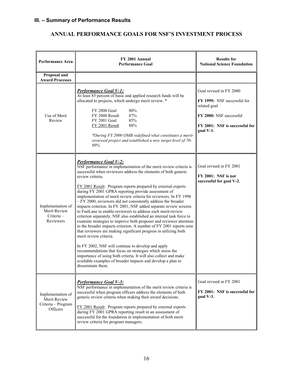# **ANNUAL PERFORMANCE GOALS FOR NSF'S INVESTMENT PROCESS**

| <b>Performance Area</b>                                             | FY 2001 Annual<br><b>Performance Goal</b>                                                                                                                                                                                                                                                                                                                                                                                                                                                                                                                                                                                                                                                                                                                                                                                                                                                                                                                                                                                                                                                                                                                                             | <b>Results for</b><br><b>National Science Foundation</b>                                                                                         |
|---------------------------------------------------------------------|---------------------------------------------------------------------------------------------------------------------------------------------------------------------------------------------------------------------------------------------------------------------------------------------------------------------------------------------------------------------------------------------------------------------------------------------------------------------------------------------------------------------------------------------------------------------------------------------------------------------------------------------------------------------------------------------------------------------------------------------------------------------------------------------------------------------------------------------------------------------------------------------------------------------------------------------------------------------------------------------------------------------------------------------------------------------------------------------------------------------------------------------------------------------------------------|--------------------------------------------------------------------------------------------------------------------------------------------------|
| Proposal and<br><b>Award Processes</b>                              |                                                                                                                                                                                                                                                                                                                                                                                                                                                                                                                                                                                                                                                                                                                                                                                                                                                                                                                                                                                                                                                                                                                                                                                       |                                                                                                                                                  |
| Use of Merit<br>Review                                              | <b>Performance Goal V-1:</b><br>At least 85 percent of basic and applied research funds will be<br>allocated to projects, which undergo merit review. *<br>80%<br>FY 2000 Goal<br>87%<br>FY 2000 Result<br>FY 2001 Goal<br>85%<br>88%<br>FY 2001 Result<br>*During FY 2000 OMB redefined what constitutes a merit-<br>reviewed project and established a new target level of 70-<br>90%.                                                                                                                                                                                                                                                                                                                                                                                                                                                                                                                                                                                                                                                                                                                                                                                              | Goal revised in FY 2000<br>FY 1999: NSF successful for<br>related goal<br>FY 2000: NSF successful<br>FY 2001: NSF is successful for<br>goal V-1. |
| Implementation of<br>Merit Review<br>Criteria-<br>Reviewers         | <b>Performance Goal V-2:</b><br>NSF performance in implementation of the merit review criteria is<br>successful when reviewers address the elements of both generic<br>review criteria.<br>FY 2001 Result: Program reports prepared by external experts<br>during FY 2001 GPRA reporting provide assessment of<br>implementation of merit review criteria for reviewers. In FY 1998<br>- FY 2000, reviewers did not consistently address the broader<br>impacts criterion. In FY 2001, NSF added separate review screens<br>to FastLane to enable reviewers to address each merit-review<br>criterion separately. NSF also established an internal task force to<br>examine strategies to improve both proposer and reviewer attention<br>to the broader impacts criterion. A number of FY 2001 reports note<br>that reviewers are making significant progress in utilizing both<br>merit review criteria.<br>In FY 2002, NSF will continue to develop and apply<br>recommendations that focus on strategies which stress the<br>importance of using both criteria. It will also collect and make<br>available examples of broader impacts and develop a plan to<br>disseminate them. | Goal revised in FY 2001<br>FY 2001: NSF is not<br>successful for goal V-2.                                                                       |
| Implementation of<br>Merit Review<br>Criteria - Program<br>Officers | <b>Performance Goal V-3:</b><br>NSF performance in implementation of the merit review criteria is<br>successful when program officers address the elements of both<br>generic review criteria when making their award decisions.<br>FY 2001 Result: Program reports prepared by external experts<br>during FY 2001 GPRA reporting result in an assessment of<br>successful for the foundation in implementation of both merit<br>review criteria for program managers.                                                                                                                                                                                                                                                                                                                                                                                                                                                                                                                                                                                                                                                                                                                | Goal revised in FY 2001<br>FY 2001: NSF is successful for<br>goal V-3.                                                                           |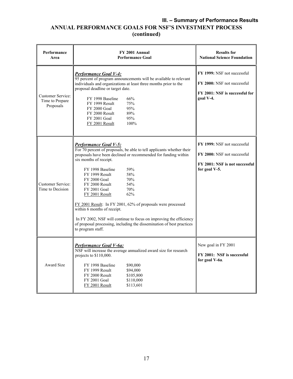# **III. – Summary of Performance Results ANNUAL PERFORMANCE GOALS FOR NSF'S INVESTMENT PROCESS (continued)**

| Performance<br>Area                                      | FY 2001 Annual<br><b>Performance Goal</b>                                                                                                                                                                                                                                                                                                                                                                                                                                                                                                                                                                        | <b>Results for</b><br><b>National Science Foundation</b>                                                      |
|----------------------------------------------------------|------------------------------------------------------------------------------------------------------------------------------------------------------------------------------------------------------------------------------------------------------------------------------------------------------------------------------------------------------------------------------------------------------------------------------------------------------------------------------------------------------------------------------------------------------------------------------------------------------------------|---------------------------------------------------------------------------------------------------------------|
| <b>Customer Service:</b><br>Time to Prepare<br>Proposals | <b>Performance Goal V-4:</b><br>95 percent of program announcements will be available to relevant<br>individuals and organizations at least three months prior to the<br>proposal deadline or target date.<br>FY 1998 Baseline<br>66%<br>FY 1999 Result<br>75%<br>FY 2000 Goal<br>95%<br>89%<br>FY 2000 Result<br>95%<br>FY 2001 Goal<br>FY 2001 Result<br>100%                                                                                                                                                                                                                                                  | FY 1999: NSF not successful<br>FY 2000: NSF not successful<br>FY 2001: NSF is successful for<br>goal V-4.     |
| <b>Customer Service:</b><br>Time to Decision             | Performance Goal V-5:<br>For 70 percent of proposals, be able to tell applicants whether their<br>proposals have been declined or recommended for funding within<br>six months of receipt.<br>FY 1998 Baseline<br>59%<br>FY 1999 Result<br>58%<br>FY 2000 Goal<br>70%<br>FY 2000 Result<br>54%<br>70%<br>FY 2001 Goal<br>62%<br>FY 2001 Result<br>FY 2001 Result: In FY 2001, 62% of proposals were processed<br>within 6 months of receipt.<br>In FY 2002, NSF will continue to focus on improving the efficiency<br>of proposal processing, including the dissemination of best practices<br>to program staff. | FY 1999: NSF not successful<br>FY 2000: NSF not successful<br>FY 2001: NSF is not successful<br>for goal V-5. |
| <b>Award Size</b>                                        | Performance Goal V-6a:<br>NSF will increase the average annualized award size for research<br>projects to \$110,000.<br>FY 1998 Baseline<br>\$90,000<br>\$94,000<br>FY 1999 Result<br>\$105,800<br>FY 2000 Result<br>FY 2001 Goal<br>\$110,000<br>FY 2001 Result<br>\$113,601                                                                                                                                                                                                                                                                                                                                    | New goal in FY 2001<br>FY 2001: NSF is successful<br>for goal V-6a.                                           |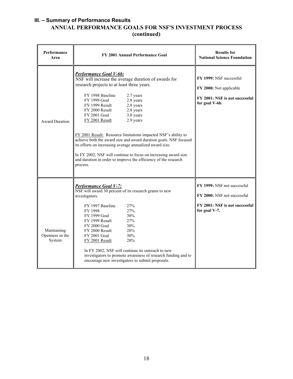# **III. – Summary of Performance Results**

# **ANNUAL PERFORMANCE GOALS FOR NSF'S INVESTMENT PROCESS (continued)**

| Performance<br>Area                      | FY 2001 Annual Performance Goal                                                                                                                                                                                                                                                                                                                                                                                                                                                                                                                                                                                                                                                         | <b>Results for</b><br><b>National Science Foundation</b>                                                      |
|------------------------------------------|-----------------------------------------------------------------------------------------------------------------------------------------------------------------------------------------------------------------------------------------------------------------------------------------------------------------------------------------------------------------------------------------------------------------------------------------------------------------------------------------------------------------------------------------------------------------------------------------------------------------------------------------------------------------------------------------|---------------------------------------------------------------------------------------------------------------|
| <b>Award Duration</b>                    | <b>Performance Goal V-6b:</b><br>NSF will increase the average duration of awards for<br>research projects to at least three years.<br>FY 1998 Baseline<br>2.7 years<br>FY 1999 Goal<br>2.8 years<br>FY 1999 Result<br>2.8 years<br>FY 2000 Result<br>2.8 years<br><b>FY 2001 Goal</b><br>3.0 years<br>2.9 years<br>FY 2001 Result<br>FY 2001 Result: Resource limitations impacted NSF's ability to<br>achieve both the award size and award duration goals. NSF focused<br>its efforts on increasing average annualized award size.<br>In FY 2002, NSF will continue to focus on increasing award size<br>and duration in order to improve the efficiency of the research<br>process. | FY 1999: NSF successful<br>FY 2000: Not applicable<br>FY 2001: NSF is not successful<br>for goal V-6b.        |
| Maintaining<br>Openness in the<br>System | <b>Performance Goal V-7:</b><br>NSF will award 30 percent of its research grants to new<br>investigators.<br>27%<br>FY 1997 Baseline<br>27%<br>FY 1998<br>FY 1999 Goal<br>30%<br>FY 1999 Result<br>27%<br>30%<br><b>FY 2000 Goal</b><br>28%<br>FY 2000 Result<br>30%<br><b>FY 2001 Goal</b><br>28%<br>FY 2001 Result<br>In FY 2002, NSF will continue its outreach to new<br>investigators to promote awareness of research funding and to<br>encourage new investigators to submit proposals.                                                                                                                                                                                          | FY 1999: NSF not successful<br>FY 2000: NSF not successful<br>FY 2001: NSF is not successful<br>for goal V-7. |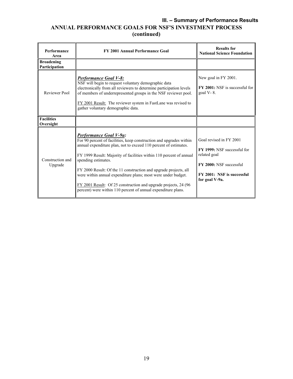# **III. – Summary of Performance Results**

# **ANNUAL PERFORMANCE GOALS FOR NSF'S INVESTMENT PROCESS (continued)**

| Performance<br>Area                | FY 2001 Annual Performance Goal                                                                                                                                                                                                                                                                                                                                                                                                                                                                                                           | <b>Results for</b><br><b>National Science Foundation</b>                                                                                          |
|------------------------------------|-------------------------------------------------------------------------------------------------------------------------------------------------------------------------------------------------------------------------------------------------------------------------------------------------------------------------------------------------------------------------------------------------------------------------------------------------------------------------------------------------------------------------------------------|---------------------------------------------------------------------------------------------------------------------------------------------------|
| <b>Broadening</b><br>Participation |                                                                                                                                                                                                                                                                                                                                                                                                                                                                                                                                           |                                                                                                                                                   |
| Reviewer Pool                      | <b>Performance Goal V-8:</b><br>NSF will begin to request voluntary demographic data<br>electronically from all reviewers to determine participation levels<br>of members of underrepresented groups in the NSF reviewer pool.<br>FY 2001 Result: The reviewer system in FastLane was revised to<br>gather voluntary demographic data.                                                                                                                                                                                                    | New goal in FY 2001.<br>FY 2001: NSF is successful for<br>goal $V - 8$ .                                                                          |
| <b>Facilities</b><br>Oversight     |                                                                                                                                                                                                                                                                                                                                                                                                                                                                                                                                           |                                                                                                                                                   |
| Construction and<br>Upgrade        | Performance Goal V-9a:<br>For 90 percent of facilities, keep construction and upgrades within<br>annual expenditure plan, not to exceed 110 percent of estimates.<br>FY 1999 Result: Majority of facilities within 110 percent of annual<br>spending estimates.<br>FY 2000 Result: Of the 11 construction and upgrade projects, all<br>were within annual expenditure plans; most were under budget.<br>FY 2001 Result: Of 25 construction and upgrade projects, 24 (96)<br>percent) were within 110 percent of annual expenditure plans. | Goal revised in FY 2001<br>FY 1999: NSF successful for<br>related goal<br>FY 2000: NSF successful<br>FY 2001: NSF is successful<br>for goal V-9a. |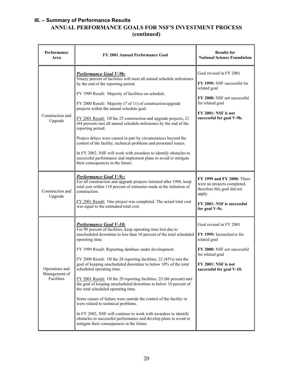# **III. – Summary of Performance Results**

# **ANNUAL PERFORMANCE GOALS FOR NSF'S INVESTMENT PROCESS (continued)**

| Performance<br>Area                           | FY 2001 Annual Performance Goal                                                                                                                                                                                                                                                                                                                                                                                                                                                                                                                                                                                                                                                                                                                                                                                                                                                                                        | <b>Results for</b><br><b>National Science Foundation</b>                                                                                                                      |
|-----------------------------------------------|------------------------------------------------------------------------------------------------------------------------------------------------------------------------------------------------------------------------------------------------------------------------------------------------------------------------------------------------------------------------------------------------------------------------------------------------------------------------------------------------------------------------------------------------------------------------------------------------------------------------------------------------------------------------------------------------------------------------------------------------------------------------------------------------------------------------------------------------------------------------------------------------------------------------|-------------------------------------------------------------------------------------------------------------------------------------------------------------------------------|
| Construction and<br>Upgrade                   | <b>Performance Goal V-9b:</b><br>Ninety percent of facilities will meet all annual schedule milestones<br>by the end of the reporting period.<br>FY 1999 Result: Majority of facilities on schedule.<br>FY 2000 Result: Majority (7 of 11) of construction/upgrade<br>projects within the annual schedule goal.<br>FY 2001 Result: Of the 25 construction and upgrade projects, 21<br>(84 percent) met all annual schedule milestones by the end of the<br>reporting period.<br>Project delays were caused in part by circumstances beyond the<br>control of the facility, technical problems and personnel issues.<br>In FY 2002, NSF will work with awardees to identify obstacles to<br>successful performance and implement plans to avoid or mitigate<br>their consequences in the future.                                                                                                                        | Goal revised in FY 2001<br>FY 1999: NSF successful for<br>related goal<br>FY 2000: NSF not successful<br>for related goal<br>FY 2001: NSF is not<br>successful for goal V-9b. |
| Construction and<br>Upgrade                   | <b>Performance Goal V-9c:</b><br>For all construction and upgrade projects initiated after 1996, keep<br>total cost within 110 percent of estimates made at the initiation of<br>construction.<br>FY 2001 Result: One project was completed. The actual total cost<br>was equal to the estimated total cost.                                                                                                                                                                                                                                                                                                                                                                                                                                                                                                                                                                                                           | FY 1999 and FY 2000: There<br>were no projects completed,<br>therefore this goal did not<br>apply.<br>FY 2001: NSF is successful<br>for goal V-9c.                            |
| Operations and<br>Management of<br>Facilities | <b>Performance Goal V-10:</b><br>For 90 percent of facilities, keep operating time lost due to<br>unscheduled downtime to less than 10 percent of the total scheduled<br>operating time.<br>FY 1999 Result: Reporting database under development.<br>FY 2000 Result: Of the 26 reporting facilities, 22 (85%) met the<br>goal of keeping unscheduled downtime to below 10% of the total<br>scheduled operating time.<br>$\underline{FY}$ 2001 Result: Of the 29 reporting facilities, 25 (86 percent) met<br>the goal of keeping unscheduled downtime to below 10 percent of<br>the total scheduled operating time.<br>Some causes of failure were outside the control of the facility or<br>were related to technical problems.<br>In FY 2002, NSF will continue to work with awardees to identify<br>obstacles to successful performance and develop plans to avoid or<br>mitigate their consequences in the future. | Goal revised in FY 2001<br>FY 1999: Inconclusive for<br>related goal<br>FY 2000: NSF not successful<br>for related goal<br>FY 2001: NSF is not<br>successful for goal V-10.   |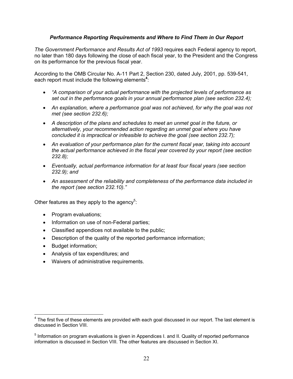# *Performance Reporting Requirements and Where to Find Them in Our Report*

<span id="page-28-0"></span>*The Government Performance and Results Act of 1993* requires each Federal agency to report, no later than 180 days following the close of each fiscal year, to the President and the Congress on its performance for the previous fiscal year.

According to the OMB Circular No. A-11 Part 2, Section 230, dated July, 2001, pp. 539-541, each report must include the following elements**<sup>4</sup>** :

- *"A comparison of your actual performance with the projected levels of performance as set out in the performance goals in your annual performance plan (see section 232.4);*
- *An explanation, where a performance goal was not achieved, for why the goal was not met (see section 232.6);*
- *A description of the plans and schedules to meet an unmet goal in the future, or alternatively, your recommended action regarding an unmet goal where you have concluded it is impractical or infeasible to achieve the goal (see section 232.7);*
- *An evaluation of your performance plan for the current fiscal year, taking into account the actual performance achieved in the fiscal year covered by your report (see section 232.8);*
- *Eventually, actual performance information for at least four fiscal years (see section 232.9); and*
- *An assessment of the reliability and completeness of the performance data included in the report (see section 232.10)."*

Other features as they apply to the agency<sup>5</sup>:

- Program evaluations;
- Information on use of non-Federal parties;
- Classified appendices not available to the public;
- Description of the quality of the reported performance information;
- Budget information;
- Analysis of tax expenditures; and
- Waivers of administrative requirements.

<sup>————————————————————&</sup>lt;br><sup>4</sup> The first five of these elements are provided with each goal discussed in our report. The last element is discussed in Section VIII.

<sup>&</sup>lt;sup>5</sup> Information on program evaluations is given in Appendices I. and II. Quality of reported performance information is discussed in Section VIII. The other features are discussed in Section XI.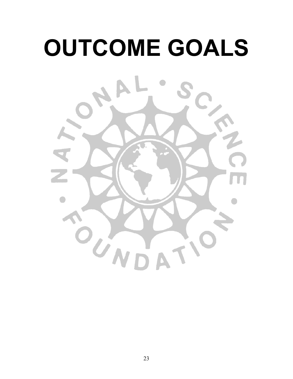# **OUTCOME GOALS**

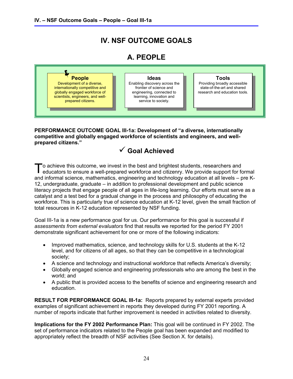# **IV. NSF OUTCOME GOALS**

# **A. PEOPLE**

<span id="page-30-0"></span>

**PERFORMANCE OUTCOME GOAL III-1a: Development of "a diverse, internationally competitive and globally engaged workforce of scientists and engineers, and wellprepared citizens."**

# 9 **Goal Achieved**

o achieve this outcome, we invest in the best and brightest students, researchers and educators to ensure a well-prepared workforce and citizenry. We provide support for formal and informal science, mathematics, engineering and technology education at all levels – pre K-12, undergraduate, graduate – in addition to professional development and public science literacy projects that engage people of all ages in life-long learning. Our efforts must serve as a catalyst and a test bed for a gradual change in the process and philosophy of educating the workforce. This is particularly true of science education at K-12 level, given the small fraction of total resources in K-12 education represented by NSF funding. T

Goal III-1a is a new performance goal for us. Our performance for this goal is successful if *assessments from external evaluators* find that results we reported for the period FY 2001 demonstrate significant achievement for one or more of the following indicators:

- Improved mathematics, science, and technology skills for U.S. students at the K-12 level, and for citizens of all ages, so that they can be competitive in a technological society;
- A science and technology and instructional workforce that reflects America's diversity;
- Globally engaged science and engineering professionals who are among the best in the world; and
- A public that is provided access to the benefits of science and engineering research and education.

**RESULT FOR PERFORMANCE GOAL III-1a:** Reports prepared by external experts provided examples of significant achievement in reports they developed during FY 2001 reporting. A number of reports indicate that further improvement is needed in activities related to diversity.

**Implications for the FY 2002 Performance Plan:** This goal will be continued in FY 2002. The set of performance indicators related to the People goal has been expanded and modified to appropriately reflect the breadth of NSF activities (See Section X. for details).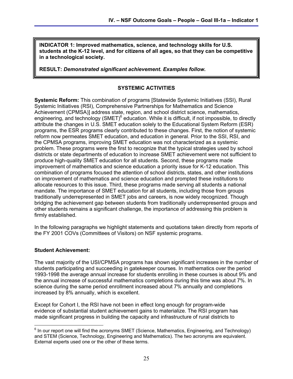**INDICATOR 1: Improved mathematics, science, and technology skills for U.S. students at the K-12 level, and for citizens of all ages, so that they can be competitive in a technological society.**

**RESULT:** *Demonstrated significant achievement. Examples follow.*

# **SYSTEMIC ACTIVITIES**

**Systemic Reform:** This combination of programs [Statewide Systemic Initiatives (SSI), Rural Systemic Initiatives (RSI), Comprehensive Partnerships for Mathematics and Science Achievement (CPMSA)] address state, region, and school district science, mathematics, engineering, and technology (SMET)<sup>6</sup> education. While it is difficult, if not impossible, to directly attribute the changes in U.S. SMET education solely to the Educational System Reform (ESR) programs, the ESR programs clearly contributed to these changes. First, the notion of systemic reform now permeates SMET education, and education in general. Prior to the SSI, RSI, and the CPMSA programs, improving SMET education was not characterized as a systemic problem. These programs were the first to recognize that the typical strategies used by school districts or state departments of education to increase SMET achievement were not sufficient to produce high-quality SMET education for all students. Second, these programs made improvement of mathematics and science education a priority issue for K-12 education. This combination of programs focused the attention of school districts, states, and other institutions on improvement of mathematics and science education and prompted these institutions to allocate resources to this issue. Third, these programs made serving all students a national mandate. The importance of SMET education for all students, including those from groups traditionally underrepresented in SMET jobs and careers, is now widely recognized. Though bridging the achievement gap between students from traditionally underrepresented groups and other students remains a significant challenge, the importance of addressing this problem is firmly established.

In the following paragraphs we highlight statements and quotations taken directly from reports of the FY 2001 COVs (Committees of Visitors) on NSF systemic programs.

## **Student Achievement:**

The vast majority of the USI/CPMSA programs has shown significant increases in the number of students participating and succeeding in gatekeeper courses. In mathematics over the period 1993-1998 the average annual increase for students enrolling in these courses is about 9% and the annual increase of successful mathematics completions during this time was about 7%. In science during the same period enrollment increased about 7% annually and completions increased by 8% annually, which is excellent.

Except for Cohort I, the RSI have not been in effect long enough for program-wide evidence of substantial student achievement gains to materialize. The RSI program has made significant progress in building the capacity and infrastructure of rural districts to

 $\overline{a}$  $^6$  In our report one will find the acronyms SMET (Science, Mathematics, Engineering, and Technology) and STEM (Science, Technology, Engineering and Mathematics). The two acronyms are equivalent. External experts used one or the other of these terms.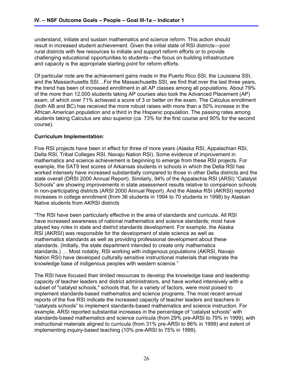understand, initiate and sustain mathematics and science reform. This action should result in increased student achievement. Given the initial state of RSI districts—poor rural districts with few resources to initiate and support reform efforts or to provide challenging educational opportunities to students—the focus on building infrastructure and capacity is the appropriate starting point for reform efforts.

Of particular note are the achievement gains made in the Puerto Rico SSI, the Louisiana SSI, and the Massachusetts SSI…For the Massachusetts SSI, we find that over the last three years, the trend has been of increased enrollment in all AP classes among all populations. About 79% of the more than 12,000 students taking AP courses also took the Advanced Placement (AP) exam, of which over 71% achieved a score of 3 or better on the exam. The Calculus enrollment (both AB and BC) has received the more robust raises with more than a 50% increase in the African American population and a third in the Hispanic population. The passing rates among students taking Calculus are also superior (ca. 73% for the first course and 90% for the second course).

## **Curriculum Implementation**:

Five RSI projects have been in effect for three of more years (Alaska RSI, Appalachian RSI, Delta RSI, Tribal Colleges RSI, Navajo Nation RSI). Some evidence of improvement in mathematics and science achievement is beginning to emerge from these RSI projects. For example, the SAT9 test scores of Arkansas students in schools in which the Delta RSI has worked intensely have increased substantially compared to those in other Delta districts and the state overall (DRSI 2000 Annual Report). Similarly, 94% of the Appalachia RSI (ARSI) "Catalyst Schools" are showing improvements in state assessment results relative to comparison schools in non-participating districts (ARSI 2000 Annual Report). And the Alaska RSI (AKRSI) reported increases in college enrollment (from 36 students in 1994 to 70 students in 1998) by Alaskan Native students from AKRSI districts

"The RSI have been particularly effective in the area of standards and curricula. All RSI have increased awareness of national mathematics and science standards; most have played key roles in state and district standards development. For example, the Alaska RSI (AKRSI) was responsible for the development of state science as well as mathematics standards as well as providing professional development about these standards. (Initially, the state department intended to create only mathematics standards.) … Most notably, RSI working with indigenous populations (AKRSI, Navajo Nation RSI) have developed culturally sensitive instructional materials that integrate the knowledge base of indigenous peoples with western science."

The RSI have focused their limited resources to develop the knowledge base and leadership capacity of teacher leaders and district administrators, and have worked intensively with a subset of "catalyst schools," schools that, for a variety of factors, were most poised to implement standards-based mathematics and science programs. The most recent annual reports of the five RSI indicate the increased capacity of teacher leaders and teachers in "catalysts schools" to implement standards-based mathematics and science instruction. For example, ARSI reported substantial increases in the percentage of "catalyst schools" with standards-based mathematics and science curricula (from 29% pre-ARSI to 79% in 1999), with instructional materials aligned to curricula (from 31% pre-ARSI to 86% in 1999) and extent of implementing inquiry-based teaching (10% pre-ARSI to 75% in 1999).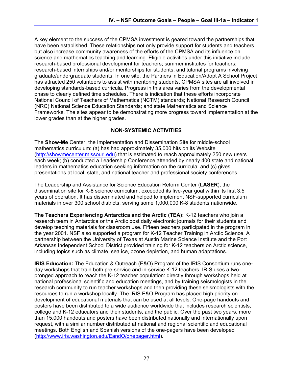A key element to the success of the CPMSA investment is geared toward the partnerships that have been established. These relationships not only provide support for students and teachers but also increase community awareness of the efforts of the CPMSA and its influence on science and mathematics teaching and learning. Eligible activities under this initiative include research-based professional development for teachers; summer institutes for teachers; research-based internships and/or mentorships for students; and tutorial programs involving graduate/undergraduate students. In one site, the Partners in Education/Adopt A School Project has attracted 250 volunteers to assist with mentoring students. CPMSA sites are all involved in developing standards-based curricula. Progress in this area varies from the developmental phase to clearly defined time schedules. There is indication that these efforts incorporate National Council of Teachers of Mathematics (NCTM) standards; National Research Council (NRC) National Science Education Standards; and state Mathematics and Science Frameworks. The sites appear to be demonstrating more progress toward implementation at the lower grades than at the higher grades.

# **NON-SYSTEMIC ACTIVITIES**

The **Show-Me** Center, the Implementation and Dissemination Site for middle-school mathematics curriculum: (a) has had approximately 35,000 hits on its Website [\(http://showmecenter.missouri.edu\)](http://showmecenter.missouri.edu) that is estimated to reach approximately 250 new users each week; (b) conducted a Leadership Conference attended by nearly 400 state and national leaders in mathematics education seeking information on the curricula; and (c) gives presentations at local, state, and national teacher and professional society conferences.

The Leadership and Assistance for Science Education Reform Center (**LASER**), the dissemination site for K-8 science curriculum, exceeded its five-year goal within its first 3.5 years of operation. It has disseminated and helped to implement NSF-supported curriculum materials in over 300 school districts, serving some 1,000,000 K-8 students nationwide.

**The Teachers Experiencing Antarctica and the Arctic (TEA):** K-12 teachers who join a research team in Antarctica or the Arctic post daily electronic journals for their students and develop teaching materials for classroom use. Fifteen teachers participated in the program in the year 2001. NSF also supported a program for K-12 Teacher Training in Arctic Science. A partnership between the University of Texas at Austin Marine Science Institute and the Port Arkansas Independent School District provided training for K-12 teachers on Arctic science, including topics such as climate, sea ice, ozone depletion, and human adaptations.

**IRIS Education:** The Education & Outreach (E&O) Program of the IRIS Consortium runs oneday workshops that train both pre-service and in-service K-12 teachers. IRIS uses a twopronged approach to reach the K-12 teacher population: directly through workshops held at national professional scientific and education meetings, and by training seismologists in the research community to run teacher workshops and then providing these seismologists with the resources to run a workshop locally. The IRIS E&O Program has placed high priority on development of educational materials that can be used at all levels. One-page handouts and posters have been distributed to a wide audience worldwide that includes research scientists, college and K-12 educators and their students, and the public. Over the past two years, more than 15,000 handouts and posters have been distributed nationally and internationally upon request, with a similar number distributed at national and regional scientific and educational meetings. Both English and Spanish versions of the one-pagers have been developed [\(http://www.iris.washington.edu/EandO/onepager.html\).](http://www.iris.washington.edu/EandO/onepager.html).)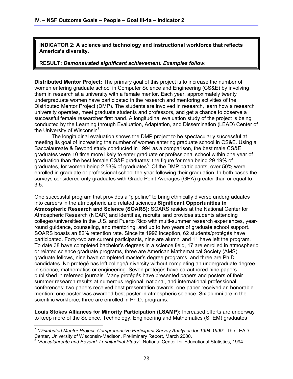**INDICATOR 2: A science and technology and instructional workforce that reflects America's diversity.**

**RESULT:** *Demonstrated significant achievement. Examples follow.*

**Distributed Mentor Project:** The primary goal of this project is to increase the number of women entering graduate school in Computer Science and Engineering (CS&E) by involving them in research at a university with a female mentor. Each year, approximately twenty undergraduate women have participated in the research and mentoring activities of the Distributed Mentor Project (DMP). The students are involved in research, learn how a research university operates, meet graduate students and professors, and get a chance to observe a successful female researcher first hand. A longitudinal evaluation study of the project is being conducted by the Learning through Evaluation, Adaptation, and Dissemination (LEAD) Center of the University of Wisconsin<sup>7</sup>.

The longitudinal evaluation shows the DMP project to be spectacularly successful at meeting its goal of increasing the number of women entering graduate school in CS&E. Using a Baccalaureate & Beyond study conducted in 1994 as a comparison, the best male CS&E graduates were 10 time more likely to enter graduate or professional school within one year of graduation than the best female CS&E graduates; the figure for men being 29.19% of graduates, for women being 2.53% of graduates $^8$ . Of the DMP participants, over 50% were enrolled in graduate or professional school the year following their graduation. In both cases the surveys considered only graduates with Grade Point Averages (GPA) greater than or equal to 3.5.

One successful program that provides a "pipeline" to bring ethnically diverse undergraduates into careers in the atmospheric and related sciences **Significant Opportunities in Atmospheric Research and Science (SOARS):** SOARS resides at the National Center for Atmospheric Research (NCAR) and identifies, recruits, and provides students attending colleges/universities in the U.S. and Puerto Rico with multi-summer research experiences, yearround guidance, counseling, and mentoring, and up to two years of graduate school support. SOARS boasts an 82% retention rate. Since its 1996 inception, 62 students/protégés have participated. Forty-two are current participants, nine are alumni and 11 have left the program. To date 38 have completed bachelor's degrees in a science field, 17 are enrolled in atmospheric or related science graduate programs, three are American Mathematical Society (AMS) graduate fellows, nine have completed master's degree programs, and three are Ph.D. candidates. No protégé has left college/university without completing an undergraduate degree in science, mathematics or engineering. Seven protégés have co-authored nine papers published in refereed journals. Many protégés have presented papers and posters of their summer research results at numerous regional, national, and international professional conferences; two papers received best presentation awards, one paper received an honorable mention; one poster was awarded best poster in atmospheric science. Six alumni are in the scientific workforce; three are enrolled in Ph.D. programs.

**Louis Stokes Alliances for Minority Participation (LSAMP):** Increased efforts are underway to keep more of the Science, Technology, Engineering and Mathematics (STEM) graduates

 $\overline{a}$ 7 "*Distributed Mentor Project: Comprehensive Participant Survey Analyses for 1994-1999*", The LEAD Center, University of Wisconsin-Madison, Preliminary Report, March 2000.

 <sup>&</sup>quot;*Baccalaureate and Beyond; Longitudinal Study*", National Center for Educational Statistics, 1994.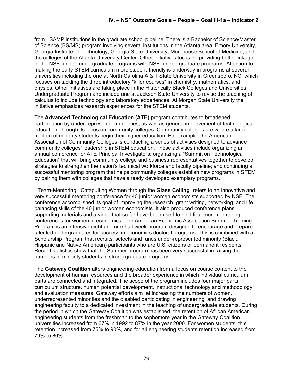from LSAMP institutions in the graduate school pipeline. There is a Bachelor of Science/Master of Science (BS/MS) program involving several institutions in the Atlanta area: Emory University, Georgia Institute of Technology, Georgia State University, Morehouse School of Medicine, and the colleges of the Atlanta University Center. Other initiatives focus on providing better linkage of the NSF-funded undergraduate programs with NSF-funded graduate programs. Attention to making the early STEM curriculum more student-friendly is underway in programs at several universities including the one at North Carolina A & T State University in Greensboro, NC, which focuses on tackling the three introductory "killer courses" in chemistry, mathematics, and physics. Other initiatives are taking place in the Historically Black Colleges and Universities Undergraduate Program and include one at Jackson State University to revise the teaching of calculus to include technology and laboratory experiences. At Morgan State University the initiative emphasizes research experiences for the STEM students.

The **Advanced Technological Education (ATE)** program contributes to broadened participation by under-represented minorities, as well as general improvement of technological education, through its focus on community colleges. Community colleges are where a large fraction of minority students begin their higher education. For example, the American Association of Community Colleges is conducting a series of activities designed to advance community colleges' leadership in STEM education. These activities include organizing an annual conference for ATE Principal Investigators; organizing a "Summit on Technological Education" that will bring community college and business representatives together to develop strategies to strengthen the nation's technical workforce and faculty pipeline; and continuing a successful mentoring program that helps community colleges establish new programs in STEM by pairing them with colleges that have already developed exemplary programs.

 "Team-Mentoring: Catapulting Women through the **Glass Ceiling**" refers to an innovative and very successful mentoring conference for 40 junior women economists supported by NSF. The conference accomplished its goal of improving the research, grant writing, networking, and life balancing skills of the 40 junior women economists. It also produced conference plans, supporting materials and a video that so far have been used to hold four more mentoring conferences for women in economics. The American Economic Association Summer Training Program is an intensive eight and one-half week program designed to encourage and prepare talented undergraduates for success in economics doctoral programs. This is combined with a Scholarship Program that recruits, selects and funds under-represented minority (Black, Hispanic and Native American) participants who are U.S. citizens or permanent residents. Recent statistics show that the Summer program has been very successful in raising the numbers of minority students in strong graduate programs.

The **Gateway Coalition** alters engineering education from a focus on course content to the development of human resources and the broader experience in which individual curriculum parts are connected and integrated. The scope of the program includes four major parts: curriculum structure, human potential development, instructional technology and methodology, and evaluation measures. Gateway efforts aim at increasing the numbers of women, underrepresented minorities and the disabled participating in engineering; and drawing engineering faculty to a dedicated investment in the teaching of undergraduate students. During the period in which the Gateway Coalition was established, the retention of African American engineering students from the freshman to the sophomore year in the Gateway Coalition universities increased from 67% in 1992 to 87% in the year 2000. For women students, this retention increased from 75% to 90%, and for all engineering students retention increased from 79% to 86%.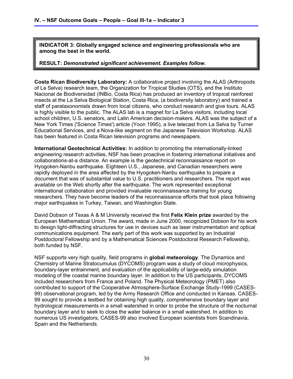**INDICATOR 3: Globally engaged science and engineering professionals who are among the best in the world.**

**RESULT:** *Demonstrated significant achievement. Examples follow.*

**Costa Rican Biodiversity Laboratory:** A collaborative project involving the ALAS (Arthropods of La Selva) research team, the Organization for Tropical Studies (OTS), and the Instituto Nacional de Biodiversidad (INBio, Costa Rica) has produced an inventory of tropical rainforest insects at the La Selva Biological Station, Costa Rica, (a biodiversity laboratory) and trained a staff of parataxonomists drawn from local citizens, who conduct research and give tours. ALAS is highly visible to the public. The ALAS lab is a magnet for La Selva visitors, including local school children, U.S. senators, and Latin American decision-makers. ALAS was the subject of a New York Times ('Science Times') article (Yoon 1995), a live telecast from La Selva by Turner Educational Services, and a Nova-like segment on the Japanese Television Workshop. ALAS has been featured in Costa Rican television programs and newspapers.

**International Geotechnical Activities:** In addition to promoting the internationally-linked engineering research activities, NSF has been proactive in fostering international initiatives and collaborations-at-a distance. An example is the geotechnical reconnaissance report on Hyogoken-Nanbu earthquake. Eighteen U.S., Japanese, and Canadian researchers were rapidly deployed in the area affected by the Hyogoken-Nanbu earthquake to prepare a document that was of substantial value to U.S. practitioners and researchers. The report was available on the Web shortly after the earthquake. The work represented exceptional international collaboration and provided invaluable reconnaissance training for young researchers. They have become leaders of the reconnaissance efforts that took place following major earthquakes in Turkey, Taiwan, and Washington State.

David Dobson of Texas A & M University received the first **Felix Klein prize** awarded by the European Mathematical Union. The award, made in June 2000, recognized Dobson for his work to design light-diffracting structures for use in devices such as laser instrumentation and optical communications equipment. The early part of this work was supported by an Industrial Postdoctoral Fellowship and by a Mathematical Sciences Postdoctoral Research Fellowship, both funded by NSF.

NSF supports very high quality, field programs in **global meteorology**. The Dynamics and Chemistry of Marine Stratocumulus (DYCOMS) program was a study of cloud microphysics, boundary-layer entrainment, and evaluation of the applicability of large-eddy simulation modeling of the coastal marine boundary layer. In addition to the US participants, DYCOMS included researchers from France and Poland. The Physical Meteorology (PMET) also contributed to support of the Cooperative Atmosphere-Surface Exchange Study-1999 (CASES-99) observational program, led by the Army Research Office and conducted in Kansas. CASES-99 sought to provide a testbed for obtaining high quality, comprehensive boundary layer and hydrological measurements in a small watershed in order to probe the structure of the nocturnal boundary layer and to seek to close the water balance in a small watershed. In addition to numerous US investigators, CASES-99 also involved European scientists from Scandinavia, Spain and the Netherlands.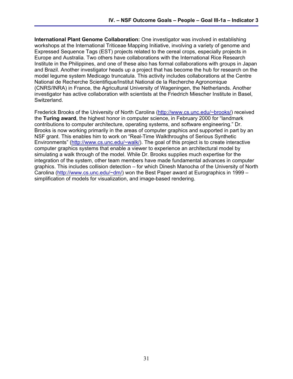**International Plant Genome Collaboration:** One investigator was involved in establishing workshops at the International Triticeae Mapping Initiative, involving a variety of genome and Expressed Sequence Tags (EST) projects related to the cereal crops, especially projects in Europe and Australia. Two others have collaborations with the International Rice Research Institute in the Philippines, and one of these also has formal collaborations with groups in Japan and Brazil. Another investigator heads up a project that has become the hub for research on the model legume system Medicago truncatula. This activity includes collaborations at the Centre National de Recherche Scientifique/Institut National de la Recherche Agronomique (CNRS/INRA) in France, the Agricultural University of Wageningen, the Netherlands. Another investigator has active collaboration with scientists at the Friedrich Miescher Institute in Basel, Switzerland.

Frederick Brooks of the University of North Carolina [\(http://www.cs.unc.edu/~brooks/\)](http://www.cs.unc.edu/~brooks/) received the **Turing award**, the highest honor in computer science, in February 2000 for "landmark contributions to computer architecture, operating systems, and software engineering." Dr. Brooks is now working primarily in the areas of computer graphics and supported in part by an NSF grant. This enables him to work on "Real-Time Walkthroughs of Serious Synthetic Environments" [\(http://www.cs.unc.edu/~walk/\).](http://www.cs.unc.edu/~walk/) The goal of this project is to create interactive computer graphics systems that enable a viewer to experience an architectural model by simulating a walk through of the model. While Dr. Brooks supplies much expertise for the integration of the system, other team members have made fundamental advances in computer graphics. This includes collision detection – for which Dinesh Manocha of the University of North Carolina [\(http://www.cs.unc.edu/~dm/\)](http://www.cs.unc.edu/~dm/) won the Best Paper award at Eurographics in 1999 – simplification of models for visualization, and image-based rendering.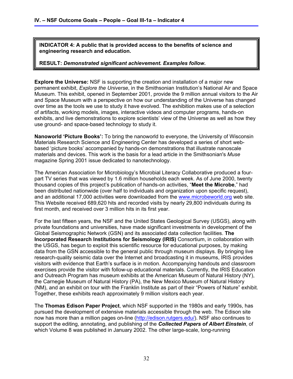**INDICATOR 4: A public that is provided access to the benefits of science and engineering research and education.**

**RESULT:** *Demonstrated significant achievement. Examples follow.*

**Explore the Universe:** NSF is supporting the creation and installation of a major new permanent exhibit, *Explore the Universe*, in the Smithsonian Institution's National Air and Space Museum. This exhibit, opened in September 2001, provide the 9 million annual visitors to the Air and Space Museum with a perspective on how our understanding of the Universe has changed over time as the tools we use to study it have evolved. The exhibition makes use of a selection of artifacts, working models, images, interactive videos and computer programs, hands-on exhibits, and live demonstrations to explore scientists' view of the Universe as well as how they use ground- and space-based technology to study it.

**Nanoworld 'Picture Books':** To bring the nanoworld to everyone, the University of Wisconsin Materials Research Science and Engineering Center has developed a series of short webbased 'picture books' accompanied by hands-on demonstrations that illustrate nanoscale materials and devices. This work is the basis for a lead article in the Smithsonian's *Muse* magazine Spring 2001 issue dedicated to nanotechnology.

The American Association for Microbiology's Microbial Literacy Collaborative produced a fourpart TV series that was viewed by 1.6 million households each week. As of June 2000, twenty thousand copies of this project's publication of hands-on activities, "**Meet the Microbe**," had been distributed nationwide (over half to individuals and organization upon specific request), and an additional 17,000 activities were downloaded from the www.microbeworld.org web site. This Website received 689,620 hits and recorded visits by nearly 29,800 individuals during its first month, and received over 3 million hits in its first year.

For the last fifteen years, the NSF and the United States Geological Survey (USGS), along with private foundations and universities, have made significant investments in development of the Global Seismographic Network (GSN) and its associated data collection facilities. **The Incorporated Research Institutions for Seismology (IRIS)** Consortium, in collaboration with the USGS, has begun to exploit this scientific resource for educational purposes, by making data from the GSN accessible to the general public through museum displays. By bringing live research-quality seismic data over the Internet and broadcasting it in museums, IRIS provides visitors with evidence that Earth's surface is in motion. Accompanying handouts and classroom exercises provide the visitor with follow-up educational materials. Currently, the IRIS Education and Outreach Program has museum exhibits at the American Museum of Natural History (NY), the Carnegie Museum of Natural History (PA), the New Mexico Museum of Natural History (NM), and an exhibit on tour with the Franklin Institute as part of their "Powers of Nature" exhibit. Together, these exhibits reach approximately 9 million visitors each year.

The **Thomas Edison Paper Project**, which NSF supported in the 1980s and early 1990s, has pursued the development of extensive materials accessible through the web. The Edison site now has more than a million pages on-line [\(http://edison.rutgers.edu/\).](http://edison.rutgers.edu/) NSF also continues to support the editing, annotating, and publishing of the *Collected Papers of Albert Einstein*, of which Volume 8 was published in January 2002. The other large-scale, long-running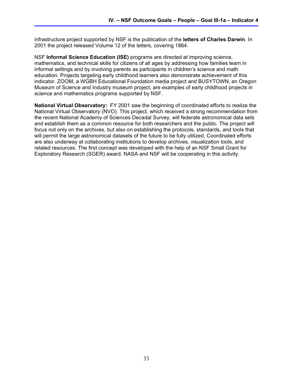infrastructure project supported by NSF is the publication of the **letters of Charles Darwin**. In 2001 the project released Volume 12 of the letters, covering 1864.

NSF **Informal Science Education (ISE)** programs are directed at improving science, mathematics, and technical skills for citizens of all ages by addressing how families learn in informal settings and by involving parents as participants in children's science and math education. Projects targeting early childhood learners also demonstrate achievement of this indicator. ZOOM, a WGBH Educational Foundation media project and BUSYTOWN, an Oregon Museum of Science and Industry museum project, are examples of early childhood projects in science and mathematics programs supported by NSF.

**National Virtual Observatory:** FY 2001 saw the beginning of coordinated efforts to realize the National Virtual Observatory (NVO). This project, which received a strong recommendation from the recent National Academy of Sciences Decadal Survey, will federate astronomical data sets and establish them as a common resource for both researchers and the public. The project will focus not only on the archives, but also on establishing the protocols, standards, and tools that will permit the large astronomical datasets of the future to be fully utilized. Coordinated efforts are also underway at collaborating institutions to develop archives, visualization tools, and related resources. The first concept was developed with the help of an NSF Small Grant for Exploratory Research (SGER) award. NASA and NSF will be cooperating in this activity.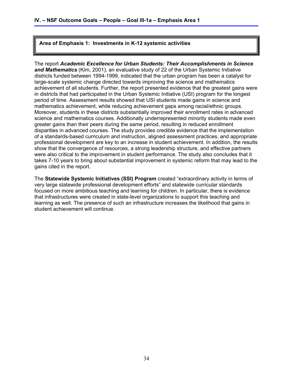**Area of Emphasis 1: Investments in K-12 systemic activities**

The report *Academic Excellence for Urban Students: Their Accomplishments in Science and Mathematics* (Kim, 2001)*,* an evaluative study of 22 of the Urban Systemic Initiative districts funded between 1994-1999, indicated that the urban program has been a catalyst for large-scale systemic change directed towards improving the science and mathematics achievement of all students. Further, the report presented evidence that the greatest gains were in districts that had participated in the Urban Systemic Initiative (USI) program for the longest period of time. Assessment results showed that USI students made gains in science and mathematics achievement, while reducing achievement gaps among racial/ethnic groups. Moreover, students in these districts substantially improved their enrollment rates in advanced science and mathematics courses. Additionally underrepresented minority students made even greater gains than their peers during the same period, resulting in reduced enrollment disparities in advanced courses. The study provides credible evidence that the implementation of a standards-based curriculum and instruction, aligned assessment practices, and appropriate professional development are key to an increase in student achievement. In addition, the results show that the convergence of resources, a strong leadership structure, and effective partners were also critical to the improvement in student performance. The study also concludes that it takes 7-10 years to bring about substantial improvement in systemic reform that may lead to the gains cited in the report.

The **Statewide Systemic Initiatives (SSI) Program** created "extraordinary activity in terms of very large statewide professional development efforts" and statewide curricular standards focused on more ambitious teaching and learning for children. In particular, there is evidence that infrastructures were created in state-level organizations to support this teaching and learning as well. The presence of such an infrastructure increases the likelihood that gains in student achievement will continue.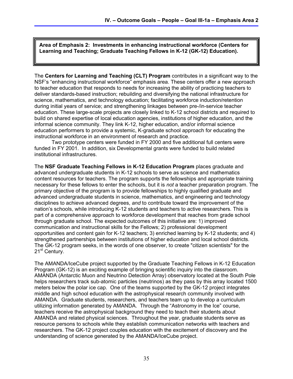**Area of Emphasis 2: Investments in enhancing instructional workforce (Centers for Learning and Teaching; Graduate Teaching Fellows in K-12 (GK-12) Education).**

The **Centers for Learning and Teaching (CLT) Program** contributes in a significant way to the NSF's "enhancing instructional workforce" emphasis area. These centers offer a new approach to teacher education that responds to needs for increasing the ability of practicing teachers to deliver standards-based instruction; rebuilding and diversifying the national infrastructure for science, mathematics, and technology education; facilitating workforce induction/retention during initial years of service; and strengthening linkages between pre-/in-service teacher education. These large-scale projects are closely linked to K-12 school districts and required to build on shared expertise of local education agencies, institutions of higher education, and the informal science community. They link K-12, higher education, and/or informal science education performers to provide a systemic, K-graduate school approach for educating the instructional workforce in an environment of research and practice.

Two prototype centers were funded in FY 2000 and five additional full centers were funded in FY 2001. In addition, six Developmental grants were funded to build related institutional infrastructures.

The **NSF Graduate Teaching Fellows in K-12 Education Program** places graduate and advanced undergraduate students in K-12 schools to serve as science and mathematics content resources for teachers. The program supports the fellowships and appropriate training necessary for these fellows to enter the schools, but it is *not* a teacher preparation program. The primary objective of the program is to provide fellowships to highly qualified graduate and advanced undergraduate students in science, mathematics, and engineering and technology disciplines to achieve advanced degrees, *and* to contribute toward the improvement of the nation's schools, while introducing K-12 students and teachers to active researchers. This is part of a comprehensive approach to workforce development that reaches from grade school through graduate school. The expected outcomes of this initiative are: 1) improved communication and instructional skills for the Fellows; 2) professional development opportunities and content gain for K-12 teachers; 3) enriched learning by K-12 students; and 4) strengthened partnerships between institutions of higher education and local school districts. The GK-12 program seeks, in the words of one observer, to create "citizen scientists" for the 21<sup>st</sup> Century.

The AMANDA/IceCube project supported by the Graduate Teaching Fellows in K-12 Education Program (GK-12) is an exciting example of bringing scientific inquiry into the classroom. AMANDA (Antarctic Muon and Neutrino Detection Array) observatory located at the South Pole helps researchers track sub-atomic particles (neutrinos) as they pass by this array located 1500 meters below the polar ice cap. One of the teams supported by the GK-12 project integrates middle and high school education with the astrophysical research community involved with AMANDA. Graduate students, researchers, and teachers team up to develop a curriculum utilizing information generated by AMANDA. Through the "Astronomy in the Ice" course, teachers receive the astrophysical background they need to teach their students about AMANDA and related physical sciences. Throughout the year, graduate students serve as resource persons to schools while they establish communication networks with teachers and researchers. The GK-12 project couples education with the excitement of discovery and the understanding of science generated by the AMANDA/IceCube project.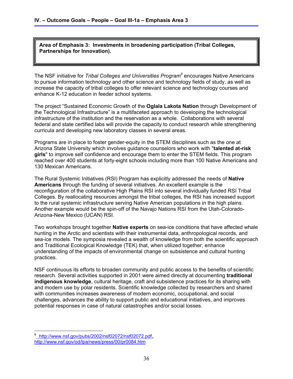**Area of Emphasis 3: Investments in broadening participation (Tribal Colleges, Partnerships for Innovation).**

The NSF initiative for *Tribal Colleges and Universities Program<sup>9</sup>* encourages Native Americans to pursue information technology and other science and technology fields of study, as well as increase the capacity of tribal colleges to offer relevant science and technology courses and enhance K-12 education in feeder school systems.

The project "Sustained Economic Growth of the **Oglala Lakota Nation** through Development of the Technological Infrastructure" is a multifaceted approach to developing the technological infrastructure of the institution and the reservation as a whole. Collaborations with several federal and state certified labs will provide the capacity to conduct research while strengthening curricula and developing new laboratory classes in several areas.

Programs are in place to foster gender-equity in the STEM disciplines such as the one at Arizona State University which involves guidance counselors who work with "**talented at-risk girls**" to improve self confidence and encourage them to enter the STEM fields. This program reached over 400 students at forty-eight schools including more than 100 Native Americans and 130 Mexican Americans.

The Rural Systemic Initiatives (RSI) Program has explicitly addressed the needs of **Native Americans** through the funding of several initiatives. An excellent example is the reconfiguration of the collaborative High Plains RSI into several individually funded RSI Tribal Colleges. By reallocating resources amongst the tribal colleges, the RSI has increased support to the rural systemic infrastructure serving Native American populations in the high plains. Another example would be the spin-off of the Navajo Nations RSI from the Utah-Colorado-Arizona-New Mexico (UCAN) RSI.

Two workshops brought together **Native experts** on sea-ice conditions that have affected whale hunting in the Arctic and scientists with their instrumental data, anthropological records, and sea-ice models. The symposia revealed a wealth of knowledge from both the scientific approach and Traditional Ecological Knowledge (TEK) that, when utilized together, enhance understanding of the impacts of environmental change on subsistence and cultural hunting practices.

NSF continuous its efforts to broaden community and public access to the benefits of scientific research. Several activities supported in 2001 were aimed directly at documenting **traditional indigenous knowledge**, cultural heritage, craft and subsistence practices for its sharing with and modern use by polar residents. Scientific knowledge collected by researchers and shared with communities increases awareness of modern economic, occupational, and social challenges, advances the ability to support public and educational initiatives, and improves potential responses in case of natural catastrophes and/or social losses.

 $\overline{a}$ <sup>9</sup> <http://www.nsf.gov/pubs/2002/nsf02072/nsf02072.pdf>, <http://www.nsf.gov/od/lpa/news/press/00/pr0084.htm>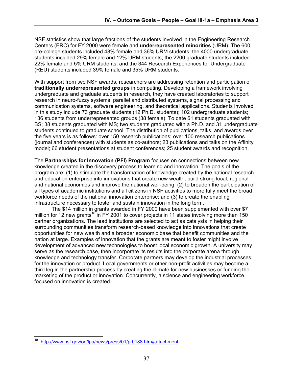NSF statistics show that large fractions of the students involved in the Engineering Research Centers (ERC) for FY 2000 were female and **underrepresented minorities** (URM). The 600 pre-college students included 48% female and 36% URM students; the 4000 undergraduate students included 29% female and 12% URM students; the 2200 graduate students included 22% female and 5% URM students; and the 344 Research Experiences for Undergraduate (REU) students included 39% female and 35% URM students.

With support from two NSF awards, researchers are addressing retention and participation of **traditionally underrepresented groups** in computing. Developing a framework involving undergraduate and graduate students in research, they have created laboratories to support research in neuro-fuzzy systems, parallel and distributed systems, signal processing and communication systems, software engineering, and theoretical applications. Students involved in this study include 73 graduate students (12 Ph.D. students); 102 undergraduate students; 136 students from underrepresented groups (38 female). To date 61 students graduated with BS; 38 students graduated with MS; two students graduated with a Ph.D. and 31 undergraduate students continued to graduate school. The distribution of publications, talks, and awards over the five years is as follows: over 150 research publications; over 100 research publications (journal and conferences) with students as co-authors; 23 publications and talks on the Affinity model; 66 student presentations at student conferences; 25 student awards and recognition.

The **Partnerships for Innovation (PFI) Program** focuses on connections between new knowledge created in the discovery process to learning and innovation. The goals of the program are: (1) to stimulate the transformation of knowledge created by the national research and education enterprise into innovations that create new wealth, build strong local, regional and national economies and improve the national well-being; (2) to broaden the participation of all types of academic institutions and all citizens in NSF activities to more fully meet the broad workforce needs of the national innovation enterprise; and (3) to create the enabling infrastructure necessary to foster and sustain innovation in the long term.

The \$14 million in grants awarded in FY 2000 have been supplemented with over \$7 million for 12 new grants<sup>10</sup> in FY 2001 to cover projects in 11 states involving more than 150 partner organizations. The lead institutions are selected to act as catalysts in helping their surrounding communities transform research-based knowledge into innovations that create opportunities for new wealth and a broader economic base that benefit communities and the nation at large. Examples of innovation that the grants are meant to foster might involve development of advanced new technologies to boost local economic growth. A university may serve as the research base, then incorporate its results into the corporate arena through knowledge and technology transfer. Corporate partners may develop the industrial processes for the innovation or product. Local governments or other non-profit activities may become a third leg in the partnership process by creating the climate for new businesses or funding the marketing of the product or innovation. Concurrently, a science and engineering workforce focused on innovation is created.

 $\overline{a}$ <sup>10</sup> <http://www.nsf.gov/od/lpa/news/press/01/pr0188.htm#attachment>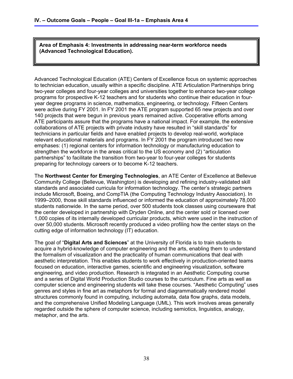**Area of Emphasis 4: Investments in addressing near-term workforce needs (Advanced Technological Education).**

Advanced Technological Education (ATE) Centers of Excellence focus on systemic approaches to technician education, usually within a specific discipline. ATE Articulation Partnerships bring two-year colleges and four-year colleges and universities together to enhance two-year college programs for prospective K-12 teachers and for students who continue their education in fouryear degree programs in science, mathematics, engineering, or technology. Fifteen Centers were active during FY 2001. In FY 2001 the ATE program supported 65 new projects and over 140 projects that were begun in previous years remained active. Cooperative efforts among ATE participants assure that the programs have a national impact. For example, the extensive collaborations of ATE projects with private industry have resulted in "skill standards" for technicians in particular fields and have enabled projects to develop real-world, workplace relevant educational materials and programs. In FY 2001 the program introduced two new emphases: (1) regional centers for information technology or manufacturing education to strengthen the workforce in the areas critical to the US economy and (2) "articulation partnerships" to facilitate the transition from two-year to four-year colleges for students preparing for technology careers or to become K-12 teachers.

The **Northwest Center for Emerging Technologies**, an ATE Center of Excellence at Bellevue Community College (Bellevue, Washington) is developing and refining industry-validated skill standards and associated curricula for information technology. The center's strategic partners include Microsoft, Boeing, and CompTIA (the Computing Technology Industry Association). In 1999–2000, those skill standards influenced or informed the education of approximately 78,000 students nationwide. In the same period, over 500 students took classes using courseware that the center developed in partnership with Dryden Online, and the center sold or licensed over 1,000 copies of its internally developed curricular products, which were used in the instruction of over 50,000 students. Microsoft recently produced a video profiling how the center stays on the cutting edge of information technology (IT) education.

The goal of "**Digital Arts and Sciences**" at the University of Florida is to train students to acquire a hybrid-knowledge of computer engineering and the arts, enabling them to understand the formalism of visualization and the practicality of human communications that deal with aesthetic interpretation. This enables students to work effectively in production-oriented teams focused on education, interactive games, scientific and engineering visualization, software engineering, and video production. Research is integrated in an Aesthetic Computing course and a series of Digital World Production Studio courses to the curriculum. Fine arts as well as computer science and engineering students will take these courses. "Aesthetic Computing" uses genres and styles in fine art as metaphors for formal and diagrammatically rendered model structures commonly found in computing, including automata, data flow graphs, data models, and the comprehensive Unified Modeling Language (UML). This work involves areas generally regarded outside the sphere of computer science, including semiotics, linguistics, analogy, metaphor, and the arts.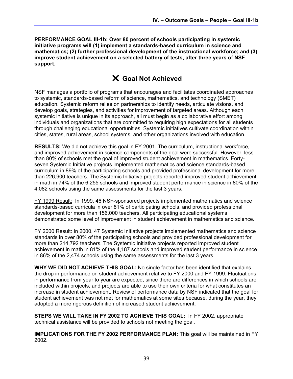**PERFORMANCE GOAL III-1b: Over 80 percent of schools participating in systemic initiative programs will (1) implement a standards-based curriculum in science and mathematics; (2) further professional development of the instructional workforce; and (3) improve student achievement on a selected battery of tests, after three years of NSF support.**

## U **Goal Not Achieved**

NSF manages a portfolio of programs that encourages and facilitates coordinated approaches to systemic, standards-based reform of science, mathematics, and technology (SMET) education. Systemic reform relies on partnerships to identify needs, articulate visions, and develop goals, strategies, and activities for improvement of targeted areas. Although each systemic initiative is unique in its approach, all must begin as a collaborative effort among individuals and organizations that are committed to requiring high expectations for all students through challenging educational opportunities. Systemic initiatives cultivate coordination within cities, states, rural areas, school systems, and other organizations involved with education.

**RESULTS:** We did not achieve this goal in FY 2001. The curriculum, instructional workforce, and improved achievement in science components of the goal were successful. However, less than 80% of schools met the goal of improved student achievement in mathematics. Fortyseven Systemic Initiative projects implemented mathematics and science standards-based curriculum in 89% of the participating schools and provided professional development for more than 226,900 teachers. The Systemic Initiative projects reported improved student achievement in math in 74% of the 6,255 schools and improved student performance in science in 80% of the 4,082 schools using the same assessments for the last 3 years.

FY 1999 Result: In 1999, 46 NSF-sponsored projects implemented mathematics and science standards-based curricula in over 81% of participating schools, and provided professional development for more than 156,000 teachers. All participating educational systems demonstrated some level of improvement in student achievement in mathematics and science.

FY 2000 Result: In 2000, 47 Systemic Initiative projects implemented mathematics and science standards in over 80% of the participating schools and provided professional development for more than 214,792 teachers. The Systemic Initiative projects reported improved student achievement in math in 81% of the 4,187 schools and improved student performance in science in 86% of the 2,474 schools using the same assessments for the last 3 years.

**WHY WE DID NOT ACHIEVE THIS GOAL:** No single factor has been identified that explains the drop in performance on student achievement relative to FY 2000 and FY 1999. Fluctuations in performance from year to year are expected, since there are differences in which schools are included within projects, and projects are able to use their own criteria for what constitutes an increase in student achievement. Review of performance data by NSF indicated that the goal for student achievement was not met for mathematics at some sites because, during the year, they adopted a more rigorous definition of increased student achievement.

**STEPS WE WILL TAKE IN FY 2002 TO ACHIEVE THIS GOAL:** In FY 2002, appropriate technical assistance will be provided to schools not meeting the goal.

**IMPLICATIONS FOR THE FY 2002 PERFORMANCE PLAN:** This goal will be maintained in FY 2002.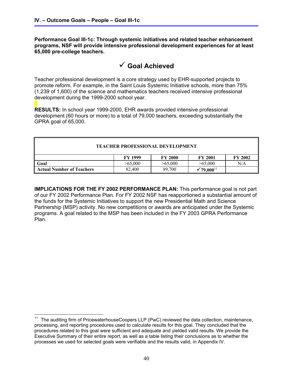$\overline{a}$ 

**Performance Goal III-1c: Through systemic initiatives and related teacher enhancement programs, NSF will provide intensive professional development experiences for at least 65,000 pre-college teachers.**

## 9 **Goal Achieved**

Teacher professional development is a core strategy used by EHR-supported projects to promote reform. For example, in the Saint Louis Systemic Initiative schools, more than 75% (1,239 of 1,600) of the science and mathematics teachers received intensive professional development during the 1999-2000 school year.

**RESULTS:** In school year 1999-2000, EHR awards provided intensive professional development (60 hours or more) to a total of 79,000 teachers, exceeding substantially the GPRA goal of 65,000.

| <b>TEACHER PROFESSIONAL DEVELOPMENT</b> |                |                |                  |                |
|-----------------------------------------|----------------|----------------|------------------|----------------|
|                                         | <b>FY 1999</b> | <b>FY 2000</b> | <b>FY 2001</b>   | <b>FY 2002</b> |
| Goal                                    | >65,000        | >65,000        | >65,000          | N/A            |
| Actual Number of Teachers               | 82,400         | 89,700         | $^{79,000^{11}}$ |                |

**IMPLICATIONS FOR THE FY 2002 PERFORMANCE PLAN:** This performance goal is not part of our FY 2002 Performance Plan. For FY 2002 NSF has reapportioned a substantial amount of the funds for the Systemic Initiatives to support the new Presidential Math and Science Partnership (MSP) activity. No new competitions or awards are anticipated under the Systemic programs. A goal related to the MSP has been included in the FY 2003 GPRA Performance Plan.

 $11$  The auditing firm of PricewaterhouseCoopers LLP (PwC) reviewed the data collection, maintenance, processing, and reporting procedures used to calculate results for this goal. They concluded that the procedures related to this goal were sufficient and adequate and yielded valid results. We provide the Executive Summary of their entire report, as well as a table listing their conclusions as to whether the processes we used for selected goals were verifiable and the results valid, in Appendix IV.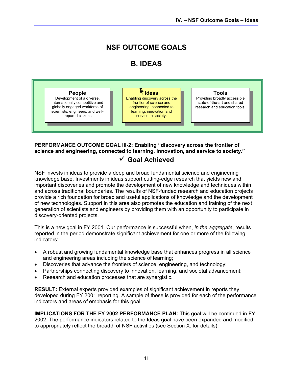## **NSF OUTCOME GOALS**

# **B. IDEAS**



## **PERFORMANCE OUTCOME GOAL III-2: Enabling "discovery across the frontier of science and engineering, connected to learning, innovation, and service to society."** 9 **Goal Achieved**

NSF invests in ideas to provide a deep and broad fundamental science and engineering knowledge base. Investments in ideas support cutting-edge research that yields new and important discoveries and promote the development of new knowledge and techniques within and across traditional boundaries. The results of NSF-funded research and education projects provide a rich foundation for broad and useful applications of knowledge and the development of new technologies. Support in this area also promotes the education and training of the next generation of scientists and engineers by providing them with an opportunity to participate in discovery-oriented projects.

This is a new goal in FY 2001. Our performance is successful when, *in the aggregate*, results reported in the period demonstrate significant achievement for one or more of the following indicators:

- A robust and growing fundamental knowledge base that enhances progress in all science and engineering areas including the science of learning;
- Discoveries that advance the frontiers of science, engineering, and technology;
- Partnerships connecting discovery to innovation, learning, and societal advancement;
- Research and education processes that are synergistic.

**RESULT:** External experts provided examples of significant achievement in reports they developed during FY 2001 reporting. A sample of these is provided for each of the performance indicators and areas of emphasis for this goal.

**IMPLICATIONS FOR THE FY 2002 PERFORMANCE PLAN:** This goal will be continued in FY 2002. The performance indicators related to the Ideas goal have been expanded and modified to appropriately reflect the breadth of NSF activities (see Section X. for details).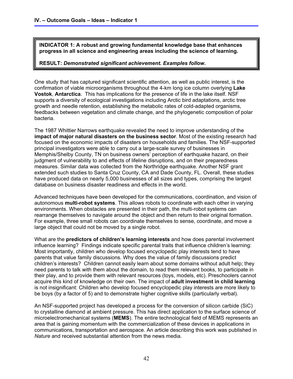**INDICATOR 1: A robust and growing fundamental knowledge base that enhances progress in all science and engineering areas including the science of learning.**

## **RESULT:** *Demonstrated significant achievement. Examples follow.*

One study that has captured significant scientific attention, as well as public interest, is the confirmation of viable microorganisms throughout the 4-km long ice column overlying **Lake Vostok**, **Antarctica**. This has implications for the presence of life in the lake itself. NSF supports a diversity of ecological investigations including Arctic bird adaptations, arctic tree growth and needle retention, establishing the metabolic rates of cold-adapted organisms, feedbacks between vegetation and climate change, and the phylogenetic composition of polar bacteria.

The 1987 Whittier Narrows earthquake revealed the need to improve understanding of the **impact of major natural disasters on the business sector**. Most of the existing research had focused on the economic impacts of disasters on households and families. The NSF-supported principal investigators were able to carry out a large-scale survey of businesses in Memphis/Shelby County, TN on business owners' perception of earthquake hazard, on their judgment of vulnerability to and effects of lifeline disruptions, and on their preparedness measures. Similar data was collected from the Northridge earthquake. Another NSF grant extended such studies to Santa Cruz County, CA and Dade County, FL. Overall, these studies have produced data on nearly 5,000 businesses of all sizes and types, comprising the largest database on business disaster readiness and effects in the world.

Advanced techniques have been developed for the communications, coordination, and vision of autonomous **multi-robot systems**. This allows robots to coordinate with each other in varying environments. When obstacles are presented in their path, the multi-robot systems can rearrange themselves to navigate around the object and then return to their original formation. For example, three small robots can coordinate themselves to sense, coordinate, and move a large object that could not be moved by a single robot.

What are the **predictors of children's learning interests** and how does parental involvement influence learning? Findings indicate specific parental traits that influence children's learning: Most importantly, children who develop focused encyclopedic play interests tend to have parents that value family discussions. Why does the value of family discussions predict children's interests? Children cannot easily learn about some domains without adult help; they need parents to talk with them about the domain, to read them relevant books, to participate in their play, and to provide them with relevant resources (toys, models, etc). Preschoolers cannot acquire this kind of knowledge on their own. The impact of **adult investment in child learning** is not insignificant: Children who develop focused encyclopedic play interests are more likely to be boys (by a factor of 5) and to demonstrate higher cognitive skills (particularly verbal).

An NSF-supported project has developed a process for the conversion of silicon carbide (SiC) to crystalline diamond at ambient pressure. This has direct application to the surface science of microelectromechanical systems (**MEMS**). The entire technological field of MEMS represents an area that is gaining momentum with the commercialization of these devices in applications in communications, transportation and aerospace. An article describing this work was published in *Nature* and received substantial attention from the news media.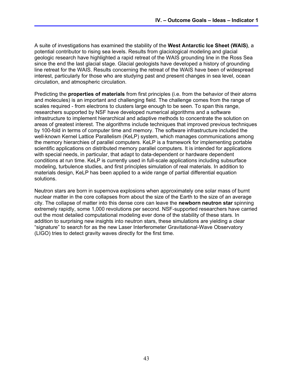A suite of investigations has examined the stability of the **West Antarctic Ice Sheet (WAIS)**, a potential contributor to rising sea levels. Results from glaciological modeling and glacial geologic research have highlighted a rapid retreat of the WAIS grounding line in the Ross Sea since the end the last glacial stage. Glacial geologists have developed a history of grounding line retreat for the WAIS. Results concerning the retreat of the WAIS have been of widespread interest, particularly for those who are studying past and present changes in sea level, ocean circulation, and atmospheric circulation.

Predicting the **properties of materials** from first principles (i.e. from the behavior of their atoms and molecules) is an important and challenging field. The challenge comes from the range of scales required - from electrons to clusters large enough to be seen. To span this range, researchers supported by NSF have developed numerical algorithms and a software infrastructure to implement hierarchical and adaptive methods to concentrate the solution on areas of greatest interest. The algorithms include techniques that improved previous techniques by 100-fold in terms of computer time and memory. The software infrastructure included the well-known Kernel Lattice Parallelism (KeLP) system, which manages communications among the memory hierarchies of parallel computers. KeLP is a framework for implementing portable scientific applications on distributed memory parallel computers. It is intended for applications with special needs, in particular, that adapt to data-dependent or hardware dependent conditions at run time. KeLP is currently used in full-scale applications including subsurface modeling, turbulence studies, and first principles simulation of real materials. In addition to materials design, KeLP has been applied to a wide range of partial differential equation solutions.

Neutron stars are born in supernova explosions when approximately one solar mass of burnt nuclear matter in the core collapses from about the size of the Earth to the size of an average city. The collapse of matter into this dense core can leave the **newborn neutron star** spinning extremely rapidly, some 1,000 revolutions per second. NSF-supported researchers have carried out the most detailed computational modeling ever done of the stability of these stars. In addition to surprising new insights into neutron stars, these simulations are yielding a clear "signature" to search for as the new Laser Interferometer Gravitational-Wave Observatory (LIGO) tries to detect gravity waves directly for the first time.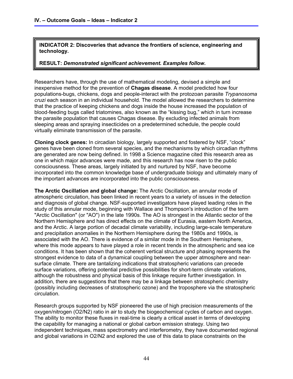**INDICATOR 2: Discoveries that advance the frontiers of science, engineering and technology.**

**RESULT:** *Demonstrated significant achievement. Examples follow.*

Researchers have, through the use of mathematical modeling, devised a simple and inexpensive method for the prevention of **Chagas disease**. A model predicted how four populations-bugs, chickens, dogs and people-interact with the protozoan parasite *Trypanosoma cruzi* each season in an individual household. The model allowed the researchers to determine that the practice of keeping chickens and dogs inside the house increased the population of blood-feeding bugs called triatomines, also known as the "kissing bug," which in turn increase the parasite population that causes Chagas disease. By excluding infected animals from sleeping areas and spraying insecticides on a predetermined schedule, the people could virtually eliminate transmission of the parasite.

**Cloning clock genes:** In circadian biology, largely supported and fostered by NSF, "clock" genes have been cloned from several species, and the mechanisms by which circadian rhythms are generated are now being defined. In 1998 a Science magazine cited this research area as one in which major advances were made, and this research has now risen to the public consciousness. These areas, largely initiated by and nurtured by NSF, have become incorporated into the common knowledge base of undergraduate biology and ultimately many of the important advances are incorporated into the public consciousness.

**The Arctic Oscillation and global change:** The Arctic Oscillation, an annular mode of atmospheric circulation, has been linked in recent years to a variety of issues in the detection and diagnosis of global change. NSF-supported investigators have played leading roles in the study of this annular mode, beginning with Wallace and Thompson's introduction of the term "Arctic Oscillation" (or "AO") in the late 1990s. The AO is strongest in the Atlantic sector of the Northern Hemisphere and has direct effects on the climate of Eurasia, eastern North America, and the Arctic. A large portion of decadal climate variability, including large-scale temperature and precipitation anomalies in the Northern Hemisphere during the 1980s and 1990s, is associated with the AO. There is evidence of a similar mode in the Southern Hemisphere, where this mode appears to have played a role in recent trends in the atmospheric and sea ice conditions. It has been shown that the coherent vertical structure and phasing represents the strongest evidence to data of a dynamical coupling between the upper atmosphere and nearsurface climate. There are tantalizing indications that stratospheric variations can precede surface variations, offering potential predictive possibilities for short-term climate variations, although the robustness and physical basis of this linkage require further investigation. In addition, there are suggestions that there may be a linkage between stratospheric chemistry (possibly including decreases of stratospheric ozone) and the troposphere via the stratospheric circulation.

Research groups supported by NSF pioneered the use of high precision measurements of the oxygen/nitrogen (O2/N2) ratio in air to study the biogeochemical cycles of carbon and oxygen. The ability to monitor these fluxes in real-time is clearly a critical asset in terms of developing the capability for managing a national or global carbon emission strategy. Using two independent techniques, mass spectrometry and interferometry, they have documented regional and global variations in O2/N2 and explored the use of this data to place constraints on the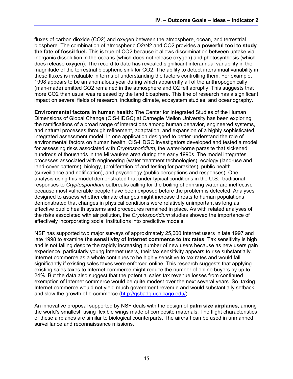fluxes of carbon dioxide (CO2) and oxygen between the atmosphere, ocean, and terrestrial biosphere. The combination of atmospheric O2/N2 and CO2 provides **a powerful tool to study the fate of fossil fuel.** This is true of CO2 because it allows discrimination between uptake via inorganic dissolution in the oceans (which does not release oxygen) and photosynthesis (which does release oxygen). The record to date has revealed significant interannual variability in the magnitude of the terrestrial biospheric sink for CO2. The ability to detect interannual variability in these fluxes is invaluable in terms of understanding the factors controlling them. For example, 1998 appears to be an anomalous year during which apparently all of the anthropogenically (man-made) emitted CO2 remained in the atmosphere and O2 fell abruptly. This suggests that more CO2 than usual was released by the land biosphere. This line of research has a significant impact on several fields of research, including climate, ecosystem studies, and oceanography.

**Environmental factors in human health:** The Center for Integrated Studies of the Human Dimensions of Global Change (CIS-HDGC) at Carnegie Mellon University has been exploring the ramifications of a broad range of interactions among human behavior, engineered systems, and natural processes through refinement, adaptation, and expansion of a highly sophisticated, integrated assessment model. In one application designed to better understand the role of environmental factors on human health, CIS-HDGC investigators developed and tested a model for assessing risks associated with *Cryptosporidium*, the water-borne parasite that sickened hundreds of thousands in the Milwaukee area during the early 1990s. The model integrates processes associated with engineering (water treatment technologies), ecology (land-use and land-cover patterns), biology, (proliferation of and testing for parasites), public health (surveillance and notification), and psychology (public perceptions and responses). One analysis using this model demonstrated that under typical conditions in the U.S., traditional responses to *Cryptosporidium* outbreaks calling for the boiling of drinking water are ineffective because most vulnerable people have been exposed before the problem is detected. Analyses designed to assess whether climate changes might increase threats to human populations demonstrated that changes in physical conditions were relatively unimportant as long as effective public health systems and procedures remained in place. As with related analyses of the risks associated with air pollution, the *Cryptosporidium* studies showed the importance of effectively incorporating social institutions into predictive models.

NSF has supported two major surveys of approximately 25,000 Internet users in late 1997 and late 1998 to examine **the sensitivity of Internet commerce to tax rates**. Tax sensitivity is high and is not falling despite the rapidly increasing number of new users because as new users gain experience, particularly young Internet users, their tax sensitivity appears to rise substantially. Internet commerce as a whole continues to be highly sensitive to tax rates and would fall significantly if existing sales taxes were enforced online. This research suggests that applying existing sales taxes to Internet commerce might reduce the number of online buyers by up to 24%. But the data also suggest that the potential sales tax revenue losses from continued exemption of Internet commerce would be quite modest over the next several years. So, taxing Internet commerce would not yield much government revenue and would substantially setback and slow the growth of e-commerce [\(http://gsbadg.uchicago.edu/\).](http://gsbadg.uchicago.edu/)

An innovative proposal supported by NSF deals with the design of **palm size airplanes**, among the world's smallest, using flexible wings made of composite materials. The flight characteristics of these airplanes are similar to biological counterparts. The aircraft can be used in unmanned surveillance and reconnaissance missions.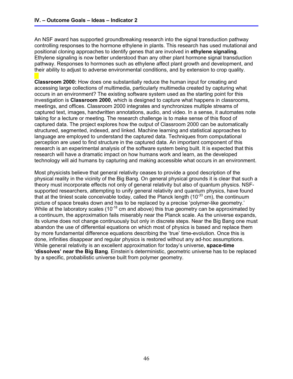An NSF award has supported groundbreaking research into the signal transduction pathway controlling responses to the hormone ethylene in plants. This research has used mutational and positional cloning approaches to identify genes that are involved in **ethylene signaling**. Ethylene signaling is now better understood than any other plant hormone signal transduction pathway. Responses to hormones such as ethylene affect plant growth and development, and their ability to adjust to adverse environmental conditions, and by extension to crop quality.

**Classroom 2000:** How does one substantially reduce the human input for creating and accessing large collections of multimedia, particularly multimedia created by capturing what occurs in an environment? The existing software system used as the starting point for this investigation is **Classroom 2000**, which is designed to capture what happens in classrooms, meetings, and offices. Classroom 2000 integrates and synchronizes multiple streams of captured text, images, handwritten annotations, audio, and video. In a sense, it automates note taking for a lecture or meeting. The research challenge is to make sense of this flood of captured data. The project explores how the output of Classroom 2000 can be automatically structured, segmented, indexed, and linked. Machine learning and statistical approaches to language are employed to understand the captured data. Techniques from computational perception are used to find structure in the captured data. An important component of this research is an experimental analysis of the software system being built. It is expected that this research will have a dramatic impact on how humans work and learn, as the developed technology will aid humans by capturing and making accessible what occurs in an environment.

Most physicists believe that general relativity ceases to provide a good description of the physical reality in the vicinity of the Big Bang. On general physical grounds it is clear that such a theory must incorporate effects not only of general relativity but also of quantum physics. NSFsupported researchers, attempting to unify general relativity and quantum physics, have found that at the tiniest scale conceivable today, called the Planck length  $(10^{-33} \text{ cm})$ , the continuum picture of space breaks down and has to be replaced by a precise 'polymer-like geometry.' While at the laboratory scales ( $10^{-18}$  cm and above) this true geometry can be approximated by a continuum, the approximation fails miserably near the Planck scale. As the universe expands, its volume does not change continuously but only in discrete steps. Near the Big Bang one must abandon the use of differential equations on which most of physics is based and replace them by more fundamental difference equations describing the 'true' time-evolution. Once this is done, infinities disappear and regular physics is restored without any ad-hoc assumptions. While general relativity is an excellent approximation for today's universe, **space-time 'dissolves' near the Big Bang**. Einstein's deterministic, geometric universe has to be replaced by a specific, probabilistic universe built from polymer geometry.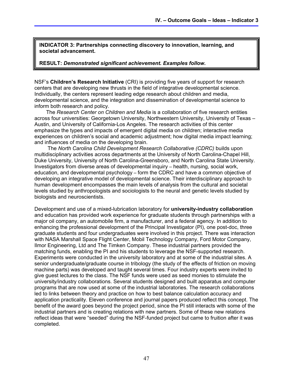**INDICATOR 3: Partnerships connecting discovery to innovation, learning, and societal advancement.**

## **RESULT:** *Demonstrated significant achievement. Examples follow.*

NSF's **Children's Research Initiative** (CRI) is providing five years of support for research centers that are developing new thrusts in the field of integrative developmental science. Individually, the centers represent leading edge research about children and media, developmental science, and the integration and dissemination of developmental science to inform both research and policy.

 The *Research Center on Children and Media* is a collaboration of five research entities across four universities: Georgetown University, Northwestern University, University of Texas – Austin, and University of California-Los Angeles. The research activities of this center emphasize the types and impacts of emergent digital media on children; interactive media experiences on children's social and academic adjustment; how digital media impact learning; and influences of media on the developing brain.

 The *North Carolina Child Development Research Collaborative (CDRC)* builds upon multidisciplinary activities across departments at the University of North Carolina-Chapel Hill, Duke University, University of North Carolina-Greensboro, and North Carolina State University. Investigators from diverse areas of developmental inquiry – health, nursing, social work, education, and developmental psychology – form the CDRC and have a common objective of developing an integrative model of developmental science. Their interdisciplinary approach to human development encompasses the main levels of analysis from the cultural and societal levels studied by anthropologists and sociologists to the neural and genetic levels studied by biologists and neuroscientists.

Development and use of a mixed-lubrication laboratory for **university-industry collaboration** and education has provided work experience for graduate students through partnerships with a major oil company, an automobile firm, a manufacturer, and a federal agency. In addition to enhancing the professional development of the Principal Investigator (PI), one post-doc, three graduate students and four undergraduates were involved in this project. There was interaction with NASA Marshall Space Flight Center, Mobil Technology Company, Ford Motor Company, Ilmor Engineering, Ltd and The Timken Company. These industrial partners provided the matching funds, enabling the PI and his students to leverage the NSF-supported research. Experiments were conducted in the university laboratory and at some of the industrial sites. A senior undergraduate/graduate course in tribology (the study of the effects of friction on moving machine parts) was developed and taught several times. Four industry experts were invited to give guest lectures to the class. The NSF funds were used as seed monies to stimulate the university/industry collaborations. Several students designed and built apparatus and computer programs that are now used at some of the industrial laboratories. The research collaborations led to links between theory and practice on how to best balance calculation accuracy and application practicality. Eleven conference and journal papers produced reflect this concept. The benefit of the award goes beyond the project period, since the PI still interacts with some of the industrial partners and is creating relations with new partners. Some of these new relations reflect ideas that were "seeded" during the NSF-funded project but came to fruition after it was completed.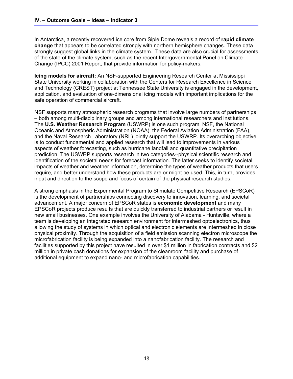In Antarctica, a recently recovered ice core from Siple Dome reveals a record of **rapid climate change** that appears to be correlated strongly with northern hemisphere changes. These data strongly suggest global links in the climate system. These data are also crucial for assessments of the state of the climate system, such as the recent Intergovernmental Panel on Climate Change (IPCC) 2001 Report, that provide information for policy-makers.

**Icing models for aircraft:** An NSF-supported Engineering Research Center at Mississippi State University working in collaboration with the Centers for Research Excellence in Science and Technology (CREST) project at Tennessee State University is engaged in the development, application, and evaluation of one-dimensional icing models with important implications for the safe operation of commercial aircraft.

NSF supports many atmospheric research programs that involve large numbers of partnerships – both among multi-disciplinary groups and among international researchers and institutions. The **U.S. Weather Research Program** (USWRP) is one such program. NSF, the National Oceanic and Atmospheric Administration (NOAA), the Federal Aviation Administration (FAA), and the Naval Research Laboratory (NRL) jointly support the USWRP. Its overarching objective is to conduct fundamental and applied research that will lead to improvements in various aspects of weather forecasting, such as hurricane landfall and quantitative precipitation prediction. The USWRP supports research in two categories--physical scientific research and identification of the societal needs for forecast information. The latter seeks to identify societal impacts of weather and weather information, determine the types of weather products that users require, and better understand how these products are or might be used. This, in turn, provides input and direction to the scope and focus of certain of the physical research studies.

A strong emphasis in the Experimental Program to Stimulate Competitive Research (EPSCoR) is the development of partnerships connecting discovery to innovation, learning, and societal advancement. A major concern of EPSCoR states is **economic development** and many EPSCoR projects produce results that are quickly transferred to industrial partners or result in new small businesses. One example involves the University of Alabama - Huntsville, where a team is developing an integrated research environment for intermeshed optoelectronics, thus allowing the study of systems in which optical and electronic elements are intermeshed in close physical proximity. Through the acquisition of a field emission scanning electron microscope the microfabrication facility is being expanded into a nanofabrication facility. The research and facilities supported by this project have resulted in over \$1 million in fabrication contracts and \$2 million in private cash donations for expansion of the cleanroom facility and purchase of additional equipment to expand nano- and microfabrication capabilities.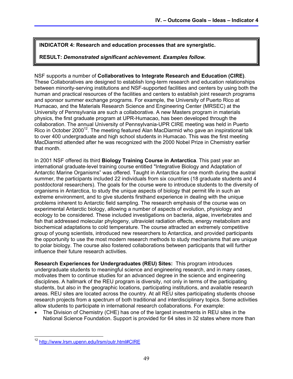**INDICATOR 4: Research and education processes that are synergistic.**

**RESULT:** *Demonstrated significant achievement. Examples follow.*

NSF supports a number of **Collaboratives to Integrate Research and Education (CIRE)**. These Collaboratives are designed to establish long-term research and education relationships between minority-serving institutions and NSF-supported facilities and centers by using both the human and practical resources of the facilities and centers to establish joint research programs and sponsor summer exchange programs. For example, the University of Puerto Rico at Humacao, and the Materials Research Science and Engineering Center (MRSEC) at the University of Pennsylvania are such a collaborative. A new Masters program in materials physics, the first graduate program at UPR-Humacao, has been developed through the collaboration. The annual University of Pennsylvania-UPR CIRE meeting was held in Puerto Rico in October 2000<sup>12</sup>. The meeting featured Alan MacDiarmid who gave an inspirational talk to over 400 undergraduate and high school students in Humacao. This was the first meeting MacDiarmid attended after he was recognized with the 2000 Nobel Prize in Chemistry earlier that month.

In 2001 NSF offered its third **Biology Training Course in Antarctica**. This past year an international graduate-level training course entitled "Integrative Biology and Adaptation of Antarctic Marine Organisms" was offered. Taught in Antarctica for one month during the austral summer, the participants included 22 individuals from six countries (18 graduate students and 4 postdoctoral researchers). The goals for the course were to introduce students to the diversity of organisms in Antarctica, to study the unique aspects of biology that permit life in such an extreme environment, and to give students firsthand experience in dealing with the unique problems inherent to Antarctic field sampling. The research emphasis of the course was on experimental Antarctic biology, allowing a number of aspects of evolution, physiology and ecology to be considered. These included investigations on bacteria, algae, invertebrates and fish that addressed molecular phylogeny, ultraviolet radiation effects, energy metabolism and biochemical adaptations to cold temperature. The course attracted an extremely competitive group of young scientists, introduced new researchers to Antarctica, and provided participants the opportunity to use the most modern research methods to study mechanisms that are unique to polar biology. The course also fostered collaborations between participants that will further influence their future research activities.

**Research Experiences for Undergraduates (REU) Sites:** This program introduces undergraduate students to meaningful science and engineering research, and in many cases, motivates them to continue studies for an advanced degree in the science and engineering disciplines. A hallmark of the REU program is diversity, not only in terms of the participating students, but also in the geographic locations, participating institutions, and available research areas. REU sites are located across the country. At all REU sites participating students choose research projects from a spectrum of both traditional and interdisciplinary topics. Some activities allow students to participate in international research collaborations. For example:

• The Division of Chemistry (CHE) has one of the largest investments in REU sites in the National Science Foundation. Support is provided for 64 sites in 32 states where more than

 $\overline{a}$ <sup>12</sup> <http://www.lrsm.upenn.edu/lrsm/outr.html#CIRE>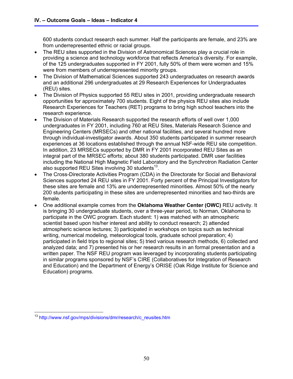600 students conduct research each summer. Half the participants are female, and 23% are from underrepresented ethnic or racial groups.

- The REU sites supported in the Division of Astronomical Sciences play a crucial role in providing a science and technology workforce that reflects America's diversity. For example, of the 125 undergraduates supported in FY 2001, fully 50% of them were women and 15% were from members of underrepresented minority groups.
- The Division of Mathematical Sciences supported 243 undergraduates on research awards and an additional 296 undergraduates at 29 Research Experiences for Undergraduates (REU) sites.
- The Division of Physics supported 55 REU sites in 2001, providing undergraduate research opportunities for approximately 700 students. Eight of the physics REU sites also include Research Experiences for Teachers (RET) programs to bring high school teachers into the research experience.
- The Division of Materials Research supported the research efforts of well over 1,000 undergraduates in FY 2001, including 760 at REU Sites, Materials Research Science and Engineering Centers (MRSECs) and other national facilities, and several hundred more through individual-investigator awards. About 350 students participated in summer research experiences at 36 locations established through the annual NSF-wide REU site competition. In addition, 23 MRSECs supported by DMR in FY 2001 incorporated REU Sites as an integral part of the MRSEC efforts; about 380 students participated. DMR user facilities including the National High Magnetic Field Laboratory and the Synchrotron Radiation Center also supported REU Sites involving 30 students $^{13}$ .
- The Cross-Directorate Activities Program (CDA) in the Directorate for Social and Behavioral Sciences supported 24 REU sites in FY 2001. Forty percent of the Principal Investigators for these sites are female and 13% are underrepresented minorities. Almost 50% of the nearly 200 students participating in these sites are underrepresented minorities and two-thirds are female.
- One additional example comes from the **Oklahoma Weather Center (OWC)** REU activity. It is bringing 30 undergraduate students, over a three-year period, to Norman, Oklahoma to participate in the OWC program. Each student: 1) was matched with an atmospheric scientist based upon his/her interest and ability to conduct research; 2) attended atmospheric science lectures; 3) participated in workshops on topics such as technical writing, numerical modeling, meteorological tools, graduate school preparation; 4) participated in field trips to regional sites; 5) tried various research methods, 6) collected and analyzed data; and 7) presented his or her research results in an formal presentation and a written paper. The NSF REU program was leveraged by incorporating students participating in similar programs sponsored by NSF's CIRE (Collaboratives for Integration of Research and Education) and the Department of Energy's ORISE (Oak Ridge Institute for Science and Education) programs.

 $\overline{a}$ 

<sup>&</sup>lt;sup>13</sup> [http://www.nsf.gov/mps/divisions/dmr/research/c\\_reusites.htm](http://www.nsf.gov/mps/divisions/dmr/research/c_reusites.htm)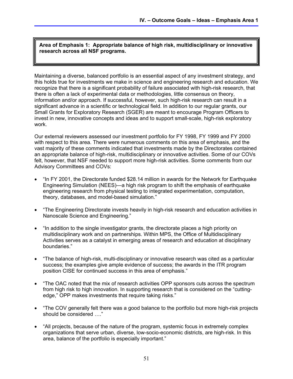**Area of Emphasis 1: Appropriate balance of high risk, multidisciplinary or innovative research across all NSF programs.**

Maintaining a diverse, balanced portfolio is an essential aspect of any investment strategy, and this holds true for investments we make in science and engineering research and education. We recognize that there is a significant probability of failure associated with high-risk research, that there is often a lack of experimental data or methodologies, little consensus on theory, information and/or approach. If successful, however, such high-risk research can result in a significant advance in a scientific or technological field. In addition to our regular grants, our Small Grants for Exploratory Research (SGER) are meant to encourage Program Officers to invest in new, innovative concepts and ideas and to support small-scale, high-risk exploratory work.

Our external reviewers assessed our investment portfolio for FY 1998, FY 1999 and FY 2000 with respect to this area. There were numerous comments on this area of emphasis, and the vast majority of these comments indicated that investments made by the Directorates contained an appropriate balance of high-risk, multidisciplinary or innovative activities. Some of our COVs felt, however, that NSF needed to support more high-risk activities. Some comments from our Advisory Committees and COVs:

- "In FY 2001, the Directorate funded \$28.14 million in awards for the Network for Earthquake Engineering Simulation (NEES)—a high risk program to shift the emphasis of earthquake engineering research from physical testing to integrated experimentation, computation, theory, databases, and model-based simulation."
- "The Engineering Directorate invests heavily in high-risk research and education activities in Nanoscale Science and Engineering."
- "In addition to the single investigator grants, the directorate places a high priority on multidisciplinary work and on partnerships. Within MPS, the Office of Multidisciplinary Activities serves as a catalyst in emerging areas of research and education at disciplinary boundaries."
- "The balance of high-risk, multi-disciplinary or innovative research was cited as a particular success; the examples give ample evidence of success; the awards in the ITR program position CISE for continued success in this area of emphasis."
- "The OAC noted that the mix of research activities OPP sponsors cuts across the spectrum from high risk to high innovation. In supporting research that is considered on the "cuttingedge," OPP makes investments that require taking risks."
- "The COV generally felt there was a good balance to the portfolio but more high-risk projects should be considered …."
- "All projects, because of the nature of the program, systemic focus in extremely complex organizations that serve urban, diverse, low-socio-economic districts, are high-risk. In this area, balance of the portfolio is especially important."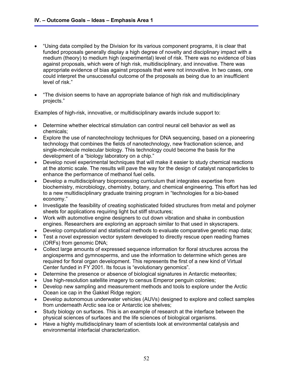- "Using data compiled by the Division for its various component programs, it is clear that funded proposals generally display a high degree of novelty and disciplinary impact with a medium (theory) to medium high (experimental) level of risk. There was no evidence of bias against proposals, which were of high risk, multidisciplinary, and innovative. There was appropriate evidence of bias against proposals that were not innovative. In two cases, one could interpret the unsuccessful outcome of the proposals as being due to an insufficient level of risk."
- "The division seems to have an appropriate balance of high risk and multidisciplinary projects."

Examples of high-risk, innovative, or multidisciplinary awards include support to:

- Determine whether electrical stimulation can control neural cell behavior as well as chemicals;
- Explore the use of nanotechnology techniques for DNA sequencing, based on a pioneering technology that combines the fields of nanotechnology, new fractionation science, and single-molecule molecular biology. This technology could become the basis for the development of a "biology laboratory on a chip."
- Develop novel experimental techniques that will make it easier to study chemical reactions at the atomic scale. The results will pave the way for the design of catalyst nanoparticles to enhance the performance of methanol fuel cells.
- Develop a multidisciplinary bioprocessing curriculum that integrates expertise from biochemistry, microbiology, chemistry, botany, and chemical engineering. This effort has led to a new multidisciplinary graduate training program in "technologies for a bio-based economy."
- Investigate the feasibility of creating sophisticated folded structures from metal and polymer sheets for applications requiring light but stiff structures;
- Work with automotive engine designers to cut down vibration and shake in combustion engines. Researchers are exploring an approach similar to that used in skyscrapers.
- Develop computational and statistical methods to evaluate comparative genetic map data;
- Test a novel expression vector system developed to directly rescue open reading frames (ORFs) from genomic DNA;
- Collect large amounts of expressed sequence information for floral structures across the angiosperms and gymnosperms, and use the information to determine which genes are required for floral organ development. This represents the first of a new kind of Virtual Center funded in FY 2001. Its focus is "evolutionary genomics".
- Determine the presence or absence of biological signatures in Antarctic meteorites;
- Use high-resolution satellite imagery to census Emperor penguin colonies;
- Develop new sampling and measurement methods and tools to explore under the Arctic Ocean ice cap in the Gakkel Ridge region;
- Develop autonomous underwater vehicles (AUVs) designed to explore and collect samples from underneath Arctic sea ice or Antarctic ice shelves;
- Study biology on surfaces. This is an example of research at the interface between the physical sciences of surfaces and the life sciences of biological organisms.
- Have a highly multidisciplinary team of scientists look at environmental catalysis and environmental interfacial characterization.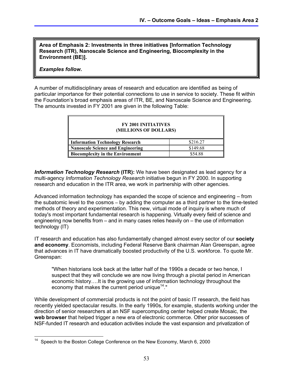**Area of Emphasis 2: Investments in three initiatives [Information Technology Research (ITR), Nanoscale Science and Engineering, Biocomplexity in the Environment (BE)].**

## *Examples follow.*

 $\overline{a}$ 

A number of multidisciplinary areas of research and education are identified as being of particular importance for their potential connections to use in service to society. These fit within the Foundation's broad emphasis areas of ITR, BE, and Nanoscale Science and Engineering. The amounts invested in FY 2001 are given in the following Table:

#### **FY 2001 INITIATIVES (MILLIONS OF DOLLARS)**

| Information Technology Research         | \$216.27 |
|-----------------------------------------|----------|
| Nanoscale Science and Engineering       | \$149.68 |
| <b>Biocomplexity in the Environment</b> | \$54.88  |

*Information Technology Research* **(ITR):** We have been designated as lead agency for a multi-agency *Information Technology Research* initiative begun in FY 2000. In supporting research and education in the ITR area, we work in partnership with other agencies.

Advanced information technology has expanded the scope of science and engineering – from the subatomic level to the cosmos – by adding the computer as a third partner to the time-tested methods of theory and experimentation. This new, virtual mode of inquiry is where much of today's most important fundamental research is happening. Virtually every field of science and engineering now benefits from – and in many cases relies heavily on – the use of information technology (IT)

IT research and education has also fundamentally changed almost every sector of our **society and economy**. Economists, including Federal Reserve Bank chairman Alan Greenspan, agree that advances in IT have dramatically boosted productivity of the U.S. workforce. To quote Mr. Greenspan:

"When historians look back at the latter half of the 1990s a decade or two hence, I suspect that they will conclude we are now living through a pivotal period in American economic history….It is the growing use of information technology throughout the economy that makes the current period unique<sup>14</sup>."

While development of commercial products is not the point of basic IT research, the field has recently yielded spectacular results. In the early 1990s, for example, students working under the direction of senior researchers at an NSF supercomputing center helped create Mosaic, the **web browser** that helped trigger a new era of electronic commerce. Other prior successes of NSF-funded IT research and education activities include the vast expansion and privatization of

 $14$  Speech to the Boston College Conference on the New Economy, March 6, 2000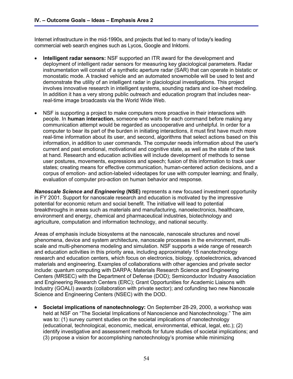Internet infrastructure in the mid-1990s, and projects that led to many of today's leading commercial web search engines such as Lycos, Google and Inktomi.

- **Intelligent radar sensors:** NSF supported an ITR award for the development and deployment of intelligent radar sensors for measuring key glaciological parameters. Radar instrumentation will consist of a synthetic aperture radar (SAR) that can operate in bistatic or monostatic mode. A tracked vehicle and an automated snowmobile will be used to test and demonstrate the utility of an intelligent radar in glaciological investigations. This project involves innovative research in intelligent systems, sounding radars and ice-sheet modeling. In addition it has a very strong public outreach and education program that includes nearreal-time image broadcasts via the World Wide Web.
- NSF is supporting a project to make computers more proactive in their interactions with people. In **human interaction**, someone who waits for each command before making any communication attempt would be regarded as uncooperative and unhelpful. In order for a computer to bear its part of the burden in initiating interactions, it must first have much more real-time information about its user, and second, algorithms that select actions based on this information, in addition to user commands. The computer needs information about the user's current and past emotional, motivational and cognitive state, as well as the state of the task at hand. Research and education activities will include development of methods to sense user postures, movements, expressions and speech; fusion of this information to track user states; creating means for effective communication, human-centered action decisions, and a corpus of emotion- and action-labeled videotapes for use with computer learning; and finally, evaluation of computer pro-action on human behavior and response.

*Nanoscale Science and Engineering* **(NSE)** represents a new focused investment opportunity in FY 2001. Support for nanoscale research and education is motivated by the impressive potential for economic return and social benefit. The initiative will lead to potential breakthroughs in areas such as materials and manufacturing, nanoelectronics, healthcare, environment and energy, chemical and pharmaceutical industries, biotechnology and agriculture, computation and information technology, and national security.

Areas of emphasis include biosystems at the nanoscale, nanoscale structures and novel phenomena, device and system architecture, nanoscale processes in the environment, multiscale and multi-phenomena modeling and simulation. NSF supports a wide range of research and education activities in this priority area, including approximately 15 nanotechnology research and education centers, which focus on electronics, biology, optoelectronics, advanced materials and engineering. Examples of collaborations with other agencies and private sector include: quantum computing with DARPA; Materials Research Science and Engineering Centers (MRSEC) with the Department of Defense (DOD); Semiconductor Industry Association and Engineering Research Centers (ERC); Grant Opportunities for Academic Liaisons with Industry (GOALI) awards (collaboration with private sector); and cofunding two new Nanoscale Science and Engineering Centers (NSEC) with the DOD.

• **Societal implications of nanotechnology:** On September 28-29, 2000, a workshop was held at NSF on "The Societal Implications of Nanoscience and Nanotechnology." The aim was to: (1) survey current studies on the societal implications of nanotechnology (educational, technological, economic, medical, environmental, ethical, legal, etc.); (2) identify investigative and assessment methods for future studies of societal implications; and (3) propose a vision for accomplishing nanotechnology's promise while minimizing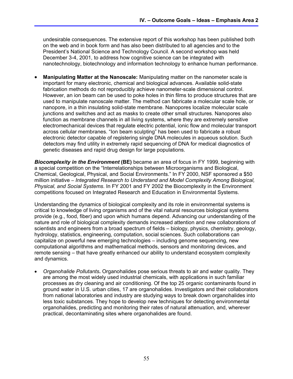undesirable consequences. The extensive report of this workshop has been published both on the web and in book form and has also been distributed to all agencies and to the President's National Science and Technology Council. A second workshop was held December 3-4, 2001, to address how cognitive science can be integrated with nanotechnology, biotechnology and information technology to enhance human performance.

• **Manipulating Matter at the Nanoscale:** Manipulating matter on the nanometer scale is important for many electronic, chemical and biological advances. Available solid-state fabrication methods do not reproducibly achieve nanometer-scale dimensional control. However, an ion beam can be used to poke holes in thin films to produce structures that are used to manipulate nanoscale matter. The method can fabricate a molecular scale hole, or nanopore, in a thin insulating solid-state membrane. Nanopores localize molecular scale junctions and switches and act as masks to create other small structures. Nanopores also function as membrane channels in all living systems, where they are extremely sensitive electromechanical devices that regulate electric potential, ionic flow and molecular transport across cellular membranes. "Ion beam sculpting" has been used to fabricate a robust electronic detector capable of registering single DNA molecules in aqueous solution. Such detectors may find utility in extremely rapid sequencing of DNA for medical diagnostics of genetic diseases and rapid drug design for large populations.

*Biocomplexity in the Environment* **(BE)** became an area of focus in FY 1999, beginning with a special competition on the "Interrelationships between Microorganisms and Biological, Chemical, Geological, Physical, and Social Environments." In FY 2000, NSF sponsored a \$50 million initiative – *Integrated Research to Understand and Model Complexity Among Biological, Physical, and Social Systems*. In FY 2001 and FY 2002 the Biocomplexity in the Environment competitions focused on Integrated Research and Education in Environmental Systems.

Understanding the dynamics of biological complexity and its role in environmental systems is critical to knowledge of living organisms and of the vital natural resources biological systems provide (e.g., food, fiber) and upon which humans depend. Advancing our understanding of the nature and role of biological complexity demands increased attention and new collaborations of scientists and engineers from a broad spectrum of fields – biology, physics, chemistry, geology, hydrology, statistics, engineering, computation, social sciences. Such collaborations can capitalize on powerful new emerging technologies – including genome sequencing, new computational algorithms and mathematical methods, sensors and monitoring devices, and remote sensing – that have greatly enhanced our ability to understand ecosystem complexity and dynamics.

• *Organohalide Pollutants***.** Organohalides pose serious threats to air and water quality. They are among the most widely used industrial chemicals, with applications in such familiar processes as dry cleaning and air conditioning. Of the top 25 organic contaminants found in ground water in U.S. urban cities, 17 are organohalides. Investigators and their collaborators from national laboratories and industry are studying ways to break down organohalides into less toxic substances. They hope to develop new techniques for detecting environmental organohalides, predicting and monitoring their rates of natural attenuation, and, wherever practical, decontaminating sites where organohalides are found.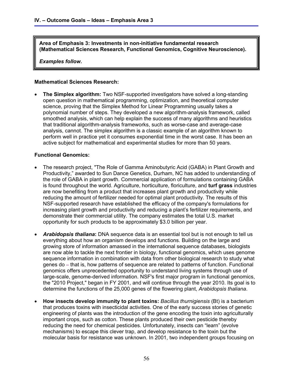**Area of Emphasis 3: Investments in non-initiative fundamental research (Mathematical Sciences Research, Functional Genomics, Cognitive Neuroscience).**

## *Examples follow.*

### **Mathematical Sciences Research:**

• **The Simplex algorithm:** Two NSF-supported investigators have solved a long-standing open question in mathematical programming, optimization, and theoretical computer science, proving that the Simplex Method for Linear Programming usually takes a polynomial number of steps. They developed a new algorithm-analysis framework, called smoothed analysis, which can help explain the success of many algorithms and heuristics that traditional algorithm-analysis frameworks, such as worse-case and average-case analysis, cannot. The simplex algorithm is a classic example of an algorithm known to perform well in practice yet it consumes exponential time in the worst case. It has been an active subject for mathematical and experimental studies for more than 50 years.

### **Functional Genomics:**

- The research project, "The Role of Gamma Aminobutyric Acid (GABA) in Plant Growth and Productivity," awarded to Sun Dance Genetics, Durham, NC has added to understanding of the role of GABA in plant growth. Commercial application of formulations containing GABA is found throughout the world. Agriculture, horticulture, floriculture, and **turf grass** industries are now benefiting from a product that increases plant growth and productivity while reducing the amount of fertilizer needed for optimal plant productivity. The results of this NSF-supported research have established the efficacy of the company's formulations for increasing plant growth and productivity and reducing a plant's fertilizer requirements, and demonstrate their commercial utility. The company estimates the total U.S. market opportunity for such products to be approximately \$3.0 billion per year.
- *Arabidopsis thaliana***:** DNA sequence data is an essential tool but is not enough to tell us everything about how an organism develops and functions. Building on the large and growing store of information amassed in the international sequence databases, biologists are now able to tackle the next frontier in biology, functional genomics, which uses genome sequence information in combination with data from other biological research to study what genes do – that is, how patterns of sequence are related to patterns of function. Functional genomics offers unprecedented opportunity to understand living systems through use of large-scale, genome-derived information. NSF's first major program in functional genomics, the "2010 Project," began in FY 2001, and will continue through the year 2010. Its goal is to determine the functions of the 25,000 genes of the flowering plant, *Arabidopsis thaliana*.
- **How insects develop immunity to plant toxins:** *Bacillus thurnigiensis* (Bt) is a bacterium that produces toxins with insecticidal activities. One of the early success stories of genetic engineering of plants was the introduction of the gene encoding the toxin into agriculturally important crops, such as cotton. These plants produced their own pesticide thereby reducing the need for chemical pesticides. Unfortunately, insects can "learn" (evolve mechanisms) to escape this clever trap, and develop resistance to the toxin but the molecular basis for resistance was unknown. In 2001, two independent groups focusing on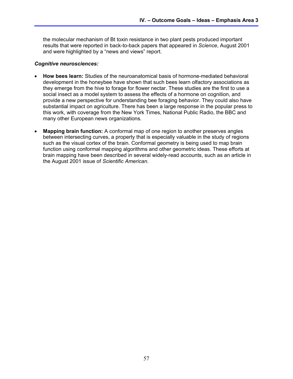the molecular mechanism of Bt toxin resistance in two plant pests produced important results that were reported in back-to-back papers that appeared in *Science*, August 2001 and were highlighted by a "news and views" report.

### *Cognitive neurosciences:*

- **How bees learn:** Studies of the neuroanatomical basis of hormone-mediated behavioral development in the honeybee have shown that such bees learn olfactory associations as they emerge from the hive to forage for flower nectar. These studies are the first to use a social insect as a model system to assess the effects of a hormone on cognition, and provide a new perspective for understanding bee foraging behavior. They could also have substantial impact on agriculture. There has been a large response in the popular press to this work, with coverage from the New York Times, National Public Radio, the BBC and many other European news organizations.
- **Mapping brain function:** A conformal map of one region to another preserves angles between intersecting curves, a property that is especially valuable in the study of regions such as the visual cortex of the brain. Conformal geometry is being used to map brain function using conformal mapping algorithms and other geometric ideas. These efforts at brain mapping have been described in several widely-read accounts, such as an article in the August 2001 issue of *Scientific American*.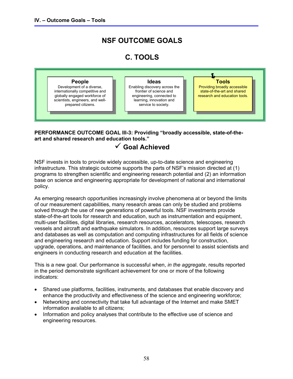## **NSF OUTCOME GOALS**

# **C. TOOLS**



**PERFORMANCE OUTCOME GOAL III-3: Providing "broadly accessible, state-of-theart and shared research and education tools."**

## 9 **Goal Achieved**

NSF invests in tools to provide widely accessible, up-to-date science and engineering infrastructure. This strategic outcome supports the parts of NSF's mission directed at (1) programs to strengthen scientific and engineering research potential and (2) an information base on science and engineering appropriate for development of national and international policy.

As emerging research opportunities increasingly involve phenomena at or beyond the limits of our measurement capabilities, many research areas can only be studied and problems solved through the use of new generations of powerful tools. NSF investments provide state-of-the-art tools for research and education, such as instrumentation and equipment, multi-user facilities, digital libraries, research resources, accelerators, telescopes, research vessels and aircraft and earthquake simulators. In addition, resources support large surveys and databases as well as computation and computing infrastructures for all fields of science and engineering research and education. Support includes funding for construction, upgrade, operations, and maintenance of facilities, and for personnel to assist scientists and engineers in conducting research and education at the facilities.

This is a new goal. Our performance is successful when, *in the aggregate*, results reported in the period demonstrate significant achievement for one or more of the following indicators:

- Shared use platforms, facilities, instruments, and databases that enable discovery and enhance the productivity and effectiveness of the science and engineering workforce;
- Networking and connectivity that take full advantage of the Internet and make SMET information available to all citizens;
- Information and policy analyses that contribute to the effective use of science and engineering resources.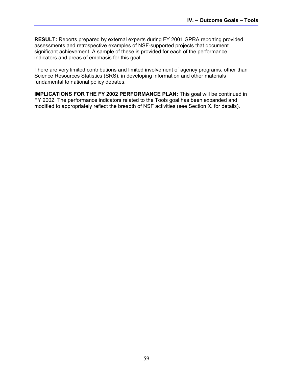**RESULT:** Reports prepared by external experts during FY 2001 GPRA reporting provided assessments and retrospective examples of NSF-supported projects that document significant achievement. A sample of these is provided for each of the performance indicators and areas of emphasis for this goal.

There are very limited contributions and limited involvement of agency programs, other than Science Resources Statistics (SRS), in developing information and other materials fundamental to national policy debates.

**IMPLICATIONS FOR THE FY 2002 PERFORMANCE PLAN:** This goal will be continued in FY 2002. The performance indicators related to the Tools goal has been expanded and modified to appropriately reflect the breadth of NSF activities (see Section X. for details).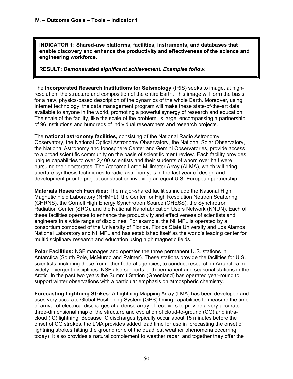**INDICATOR 1: Shared-use platforms, facilities, instruments, and databases that enable discovery and enhance the productivity and effectiveness of the science and engineering workforce.**

**RESULT:** *Demonstrated significant achievement. Examples follow.*

The **Incorporated Research Institutions for Seismology** (IRIS) seeks to image, at highresolution, the structure and composition of the entire Earth. This image will form the basis for a new, physics-based description of the dynamics of the whole Earth. Moreover, using Internet technology, the data management program will make these state-of-the-art data available to anyone in the world, promoting a powerful synergy of research and education. The scale of the facility, like the scale of the problem, is large, encompassing a partnership of 96 institutions and hundreds of individual researchers and research projects.

The **national astronomy facilities,** consisting of the National Radio Astronomy Observatory, the National Optical Astronomy Observatory, the National Solar Observatory, the National Astronomy and Ionosphere Center and Gemini Observatories, provide access to a broad scientific community on the basis of scientific merit review. Each facility provides unique capabilities to over 2,400 scientists and their students of whom over half were pursuing their doctorates. The Atacama Large Millimeter Array (ALMA), which will bring aperture synthesis techniques to radio astronomy, is in the last year of design and development prior to project construction involving an equal U.S.-European partnership.

**Materials Research Facilities:** The major-shared facilities include the National High Magnetic Field Laboratory (NHMFL), the Center for High Resolution Neutron Scattering (CHRNS), the Cornell High Energy Synchrotron Source (CHESS), the Synchrotron Radiation Center (SRC), and the National Nanofabrication Users Network (NNUN). Each of these facilities operates to enhance the productivity and effectiveness of scientists and engineers in a wide range of disciplines. For example, the NHMFL is operated by a consortium composed of the University of Florida, Florida State University and Los Alamos National Laboratory and NHMFL and has established itself as the world's leading center for multidisciplinary research and education using high magnetic fields.

**Polar Facilities:** NSF manages and operates the three permanent U.S. stations in Antarctica (South Pole, McMurdo and Palmer). These stations provide the facilities for U.S. scientists, including those from other federal agencies, to conduct research in Antarctica in widely divergent disciplines. NSF also supports both permanent and seasonal stations in the Arctic. In the past two years the Summit Station (Greenland) has operated year-round to support winter observations with a particular emphasis on atmospheric chemistry.

**Forecasting Lightning Strikes:** A Lightning Mapping Array (LMA) has been developed and uses very accurate Global Positioning System (GPS) timing capabilities to measure the time of arrival of electrical discharges at a dense array of receivers to provide a very accurate three-dimensional map of the structure and evolution of cloud-to-ground (CG) and intracloud (IC) lightning. Because IC discharges typically occur about 15 minutes before the onset of CG strokes, the LMA provides added lead time for use in forecasting the onset of lightning strokes hitting the ground (one of the deadliest weather phenomena occurring today). It also provides a natural complement to weather radar, and together they offer the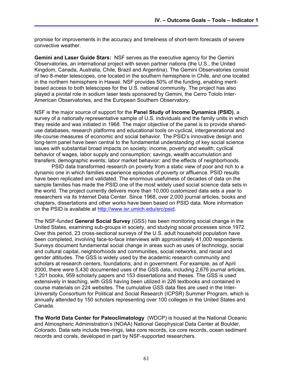promise for improvements in the accuracy and timeliness of short-term forecasts of severe convective weather.

**Gemini and Laser Guide Stars:** NSF serves as the executive agency for the Gemini Observatories, an international project with seven partner nations (the U.S., the United Kingdom, Canada, Australia, Chile, Brazil and Argentina). The Gemini Observatories consist of two 8-meter telescopes, one located in the southern hemisphere in Chile, and one located in the northern hemisphere in Hawaii. NSF provides 50% of the funding, enabling meritbased access to both telescopes for the U.S. national community. The project has also played a pivotal role in sodium laser tests sponsored by Gemini, the Cerro Tololo Inter-American Observatories, and the European Southern Observatory.

NSF is the major source of support for the **Panel Study of Income Dynamics (PSID)**, a survey of a nationally representative sample of U.S. individuals and the family units in which they reside and was initiated in 1968. The major objective of the panel is to provide shareduse databases, research platforms and educational tools on cyclical, intergenerational and life-course measures of economic and social behavior. The PSID's innovative design and long-term panel have been central to the fundamental understanding of key social science issues with substantial broad impacts on society: income, poverty and wealth; cyclical behavior of wages, labor supply and consumption; savings, wealth accumulation and transfers; demographic events; labor market behavior; and the effects of neighborhoods.

PSID data transformed research on poverty from a static view of poor and rich to a dynamic one in which families experience episodes of poverty or affluence. PSID results have been replicated and validated. The enormous usefulness of decades of data on the sample families has made the PSID one of the most widely used social science data sets in the world. The project currently delivers more than 10,000 customized data sets a year to researchers via its Internet Data Center. Since 1968, over 2,000 journal articles, books and chapters, dissertations and other works have been based on PSID data. More information on the PSID is available at [http://www.isr.umich.edu/src/psid.](http://www.isr.umich.edu/src/psid)

The NSF-funded **General Social Survey** (GSS) has been monitoring social change in the United States, examining sub-groups in society, and studying social processes since 1972. Over this period, 23 cross-sectional surveys of the U.S. adult household population have been completed, involving face-to-face interviews with approximately 41,000 respondents. Surveys document fundamental social change in areas such as uses of technology, social and cultural capital, neighborhoods and communities, social networks, and racial and gender attitudes. The GSS is widely used by the academic research community and scholars at research centers, foundations, and in government. For example, as of April 2000, there were 5,430 documented uses of the GSS data, including 2,676 journal articles, 1,201 books, 959 scholarly papers and 153 dissertations and theses. The GSS is used extensively in teaching, with GSS having been utilized in 226 textbooks and contained in course materials on 224 websites. The cumulative GSS data files are used in the Inter-University Consortium for Political and Social Research (ICPSR) Summer Program, which is annually attended by 150 scholars representing over 100 colleges in the United States and Canada.

**The World Data Center for Paleoclimatology** (WDCP) is housed at the National Oceanic and Atmospheric Administration's (NOAA) National Geophysical Data Center at Boulder, Colorado. Data sets include tree-rings, lake core records, ice core records, ocean sediment records and corals, developed in part by NSF-supported researchers.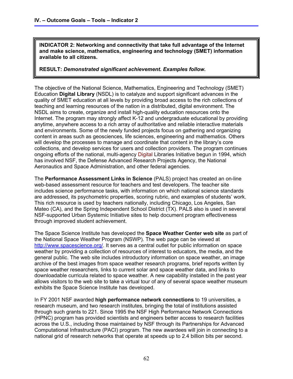**INDICATOR 2: Networking and connectivity that take full advantage of the Internet and make science, mathematics, engineering and technology (SMET) information available to all citizens.**

**RESULT:** *Demonstrated significant achievement. Examples follow.*

The objective of the National Science, Mathematics, Engineering and Technology (SMET) Education **Digital Library** (NSDL) is to catalyze and support significant advances in the quality of SMET education at all levels by providing broad access to the rich collections of teaching and learning resources of the nation in a distributed, digital environment. The NSDL aims to create, organize and install high-quality education resources onto the Internet. The program may strongly affect K-12 and undergraduate educational by providing anytime, anywhere access to a rich array of authoritative and reliable interactive materials and environments. Some of the newly funded projects focus on gathering and organizing content in areas such as geosciences, life sciences, engineering and mathematics. Others will develop the processes to manage and coordinate that content in the library's core collections, and develop services for users and collection providers. The program continues ongoing efforts of the national, multi-agency Digital Libraries Initiative begun in 1994, which has involved NSF, the Defense Advanced Research Projects Agency, the National Aeronautics and Space Administration, and other federal agencies.

The **Performance Assessment Links in Science** (PALS) project has created an on-line web-based assessment resource for teachers and test developers. The teacher site includes science performance tasks, with information on which national science standards are addressed, its psychometric properties, scoring rubric, and examples of students' work. This rich resource is used by teachers nationally, including Chicago, Los Angeles, San Mateo (CA), and the Spring Independent School District (TX). PALS also is used in several NSF-supported Urban Systemic Initiative sites to help document program effectiveness through improved student achievement.

The Space Science Institute has developed the **Space Weather Center web site** as part of the National Space Weather Program (NSWP). The web page can be viewed at [http://www.spacescience.org/.](http://www.spacescience.org/) It serves as a central outlet for public information on space weather by providing a collection of resources of interest to educators, the media, and the general public. The web site includes introductory information on space weather, an image archive of the best images from space weather research programs, brief reports written by space weather researchers, links to current solar and space weather data, and links to downloadable curricula related to space weather. A new capability installed in the past year allows visitors to the web site to take a virtual tour of any of several space weather museum exhibits the Space Science Institute has developed.

In FY 2001 NSF awarded **high performance network connections** to 19 universities, a research museum, and two research institutes, bringing the total of institutions assisted through such grants to 221. Since 1995 the NSF High Performance Network Connections (HPNC) program has provided scientists and engineers better access to research facilities across the U.S., including those maintained by NSF through its Partnerships for Advanced Computational Infrastructure (PACI) program. The new awardees will join in connecting to a national grid of research networks that operate at speeds up to 2.4 billion bits per second.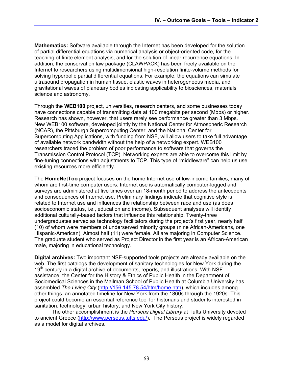**Mathematics:** Software available through the Internet has been developed for the solution of partial differential equations via numerical analysis or object-oriented code, for the teaching of finite element analysis, and for the solution of linear recurrence equations. In addition, the conservation law package (CLAWPACK) has been freely available on the Internet to researchers using multidimensional high-resolution finite-volume methods for solving hyperbolic partial differential equations. For example, the equations can simulate ultrasound propagation in human tissue, elastic waves in heterogeneous media, and gravitational waves of planetary bodies indicating applicability to biosciences, materials science and astronomy.

Through the **WEB100** project, universities, research centers, and some businesses today have connections capable of transmitting data at 100 megabits per second (Mbps) or higher. Research has shown, however, that users rarely see performance greater than 3 Mbps. New WEB100 software, developed jointly by the National Center for Atmospheric Research (NCAR), the Pittsburgh Supercomputing Center, and the National Center for Supercomputing Applications, with funding from NSF, will allow users to take full advantage of available network bandwidth without the help of a networking expert. WEB100 researchers traced the problem of poor performance to software that governs the Transmission Control Protocol (TCP). Networking experts are able to overcome this limit by fine-tuning connections with adjustments to TCP. This type of "middleware" can help us use existing resources more efficiently.

The **HomeNetToo** project focuses on the home Internet use of low-income families, many of whom are first-time computer users. Internet use is automatically computer-logged and surveys are administered at five times over an 18-month period to address the antecedents and consequences of Internet use. Preliminary findings indicate that cognitive style is related to Internet use and influences the relationship between race and use (as does socioeconomic status, i.e., education and income). Subsequent analyses will identify additional culturally-based factors that influence this relationship. Twenty-three undergraduates served as technology facilitators during the project's first year, nearly half (10) of whom were members of underserved minority groups (nine African-Americans, one Hispanic-American). Almost half (11) were female. All are majoring in Computer Science. The graduate student who served as Project Director in the first year is an African-American male, majoring in educational technology.

**Digital archives:** Two important NSF-supported tools projects are already available on the web. The first catalogs the development of sanitary technologies for New York during the 19<sup>th</sup> century in a digital archive of documents, reports, and illustrations. With NSF assistance, the Center for the History & Ethics of Public Health in the Department of Sociomedical Sciences in the Mailman School of Public Health at Columbia University has assembled *The Living City* [\(http://156.145.78.54/htm/home.htm\),](http://156.145.78.54/htm/home.htm) which includes among other things, an annotated timeline for New York from the 1860s through the 1920s. This project could become an essential reference tool for historians and students interested in sanitation, technology, urban history, and New York City history.

The other accomplishment is the *Perseus Digital Library* at Tufts University devoted to ancient Greece [\(http://www.perseus.tufts.edu/\).](http://www.perseus.tufts.edu/) The Perseus project is widely regarded as a model for digital archives.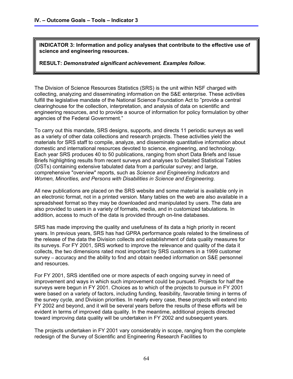**INDICATOR 3: Information and policy analyses that contribute to the effective use of science and engineering resources.**

**RESULT:** *Demonstrated significant achievement. Examples follow.*

The Division of Science Resources Statistics (SRS) is the unit within NSF charged with collecting, analyzing and disseminating information on the S&E enterprise. These activities fulfill the legislative mandate of the National Science Foundation Act to "provide a central clearinghouse for the collection, interpretation, and analysis of data on scientific and engineering resources, and to provide a source of information for policy formulation by other agencies of the Federal Government."

To carry out this mandate, SRS designs, supports, and directs 11 periodic surveys as well as a variety of other data collections and research projects. These activities yield the materials for SRS staff to compile, analyze, and disseminate quantitative information about domestic and international resources devoted to science, engineering, and technology. Each year SRS produces 40 to 50 publications, ranging from short Data Briefs and Issue Briefs highlighting results from recent surveys and analyses to Detailed Statistical Tables (DSTs) containing extensive tabulated data from a particular survey; and large, comprehensive "overview" reports, such as *Science and Engineering Indicators* and *Women, Minorities, and Persons with Disabilities in Science and Engineering.*

All new publications are placed on the SRS website and some material is available only in an electronic format, not in a printed version. Many tables on the web are also available in a spreadsheet format so they may be downloaded and manipulated by users. The data are also provided to users in a variety of formats, media, and in customized tabulations. In addition, access to much of the data is provided through on-line databases.

SRS has made improving the quality and usefulness of its data a high priority in recent years. In previous years, SRS has had GPRA performance goals related to the timeliness of the release of the data the Division collects and establishment of data quality measures for its surveys. For FY 2001, SRS worked to improve the relevance and quality of the data it collects, the two dimensions rated most important by SRS customers in a 1999 customer survey – accuracy and the ability to find and obtain needed information on S&E personnel and resources.

For FY 2001, SRS identified one or more aspects of each ongoing survey in need of improvement and ways in which such improvement could be pursued. Projects for half the surveys were begun in FY 2001. Choices as to which of the projects to pursue in FY 2001 were based on a variety of factors, including funding, feasibility, favorable timing in terms of the survey cycle, and Division priorities. In nearly every case, these projects will extend into FY 2002 and beyond, and it will be several years before the results of these efforts will be evident in terms of improved data quality. In the meantime, additional projects directed toward improving data quality will be undertaken in FY 2002 and subsequent years.

The projects undertaken in FY 2001 vary considerably in scope, ranging from the complete redesign of the Survey of Scientific and Engineering Research Facilities to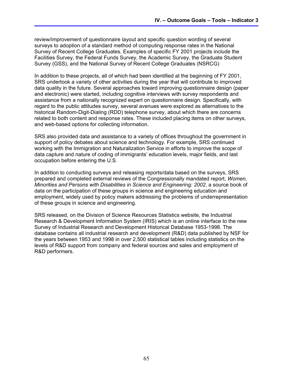review/improvement of questionnaire layout and specific question wording of several surveys to adoption of a standard method of computing response rates in the National Survey of Recent College Graduates. Examples of specific FY 2001 projects include the Facilities Survey, the Federal Funds Survey, the Academic Survey, the Graduate Student Survey (GSS), and the National Survey of Recent College Graduates (NSRCG)

In addition to these projects, all of which had been identified at the beginning of FY 2001, SRS undertook a variety of other activities during the year that will contribute to improved data quality in the future. Several approaches toward improving questionnaire design (paper and electronic) were started, including cognitive interviews with survey respondents and assistance from a nationally recognized expert on questionnaire design. Specifically, with regard to the public attitudes survey, several avenues were explored as alternatives to the historical Random-Digit-Dialing (RDD) telephone survey, about which there are concerns related to both content and response rates. These included placing items on other surveys, and web-based options for collecting information.

SRS also provided data and assistance to a variety of offices throughout the government in support of policy debates about science and technology. For example, SRS continued working with the Immigration and Naturalization Service in efforts to improve the scope of data capture and nature of coding of immigrants' education levels, major fields, and last occupation before entering the U.S.

In addition to conducting surveys and releasing reports/data based on the surveys, SRS prepared and completed external reviews of the Congressionally mandated report, *Women, Minorities and Persons with Disabilities in Science and Engineering: 2002*, a source book of data on the participation of these groups in science and engineering education and employment, widely used by policy makers addressing the problems of underrepresentation of these groups in science and engineering.

SRS released, on the Division of Science Resources Statistics website, the Industrial Research & Development Information System (IRIS) which is an online interface to the new Survey of Industrial Research and Development Historical Database 1953-1998. The database contains all industrial research and development (R&D) data published by NSF for the years between 1953 and 1998 in over 2,500 statistical tables including statistics on the levels of R&D support from company and federal sources and sales and employment of R&D performers.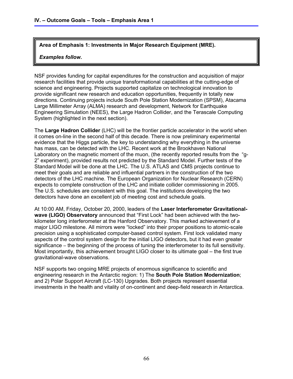#### **Area of Emphasis 1: Investments in Major Research Equipment (MRE).**

#### *Examples follow.*

NSF provides funding for capital expenditures for the construction and acquisition of major research facilities that provide unique transformational capabilities at the cutting-edge of science and engineering. Projects supported capitalize on technological innovation to provide significant new research and education opportunities, frequently in totally new directions. Continuing projects include South Pole Station Modernization (SPSM), Atacama Large Millimeter Array (ALMA) research and development, Network for Earthquake Engineering Simulation (NEES), the Large Hadron Collider, and the Terascale Computing System (highlighted in the next section).

The **Large Hadron Collider** (LHC) will be the frontier particle accelerator in the world when it comes on-line in the second half of this decade. There is now preliminary experimental evidence that the Higgs particle, the key to understanding why everything in the universe has mass, can be detected with the LHC. Recent work at the Brookhaven National Laboratory on the magnetic moment of the muon, (the recently reported results from the "g-2" experiment), provided results not predicted by the Standard Model. Further tests of the Standard Model will be done at the LHC. The U.S. ATLAS and CMS projects continue to meet their goals and are reliable and influential partners in the construction of the two detectors of the LHC machine. The European Organization for Nuclear Research (CERN) expects to complete construction of the LHC and initiate collider commissioning in 2005. The U.S. schedules are consistent with this goal. The institutions developing the two detectors have done an excellent job of meeting cost and schedule goals.

At 10:00 AM, Friday, October 20, 2000, leaders of the **Laser Interferometer Gravitationalwave (LIGO) Observatory** announced that "First Lock" had been achieved with the twokilometer long interferometer at the Hanford Observatory. This marked achievement of a major LIGO milestone. All mirrors were "locked" into their proper positions to atomic-scale precision using a sophisticated computer-based control system. First lock validated many aspects of the control system design for the initial LIGO detectors, but it had even greater significance – the beginning of the process of tuning the interferometer to its full sensitivity. Most importantly, this achievement brought LIGO closer to its ultimate goal – the first true gravitational-wave observations.

NSF supports two ongoing MRE projects of enormous significance to scientific and engineering research in the Antarctic region: 1) The **South Pole Station Modernization**; and 2) Polar Support Aircraft (LC-130) Upgrades. Both projects represent essential investments in the health and vitality of on-continent and deep-field research in Antarctica.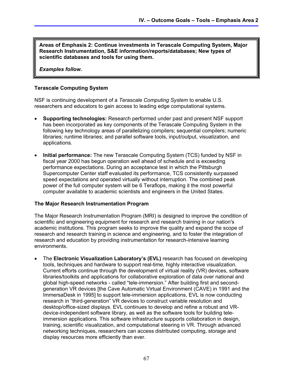**Areas of Emphasis 2: Continue investments in Terascale Computing System, Major Research Instrumentation, S&E information/reports/databases; New types of scientific databases and tools for using them.**

*Examples follow.*

#### **Terascale Computing System**

NSF is continuing development of a *Terascale Computing System* to enable U.S. researchers and educators to gain access to leading edge computational systems.

- **Supporting technologies:** Research performed under past and present NSF support has been incorporated as key components of the Terascale Computing System in the following key technology areas of parallelizing compilers; sequential compilers; numeric libraries; runtime libraries; and parallel software tools, input/output, visualization, and applications.
- **Initial performance:** The new Terascale Computing System (TCS) funded by NSF in fiscal year 2000 has begun operation well ahead of schedule and is exceeding performance expectations. During an acceptance test in which the Pittsburgh Supercomputer Center staff evaluated its performance, TCS consistently surpassed speed expectations and operated virtually without interruption. The combined peak power of the full computer system will be 6 Teraflops, making it the most powerful computer available to academic scientists and engineers in the United States.

#### **The Major Research Instrumentation Program**

The Major Research Instrumentation Program (MRI) is designed to improve the condition of scientific and engineering equipment for research and research training in our nation's academic institutions. This program seeks to improve the quality and expand the scope of research and research training in science and engineering, and to foster the integration of research and education by providing instrumentation for research-intensive learning environments.

• The **Electronic Visualization Laboratory's (EVL)** research has focused on developing tools, techniques and hardware to support real-time, highly interactive visualization. Current efforts continue through the development of virtual reality (VR) devices, software libraries/toolkits and applications for collaborative exploration of data over national and global high-speed networks - called "tele-immersion." After building first and secondgeneration VR devices [the Cave Automatic Virtual Environment (CAVE) in 1991 and the ImmersaDesk in 1995] to support tele-immersion applications, EVL is now conducting research in "third-generation" VR devices to construct variable resolution and desktop/office-sized displays. EVL continues to develop and refine a robust and VRdevice-independent software library, as well as the software tools for building teleimmersion applications. This software infrastructure supports collaboration in design, training, scientific visualization, and computational steering in VR. Through advanced networking techniques, researchers can access distributed computing, storage and display resources more efficiently than ever.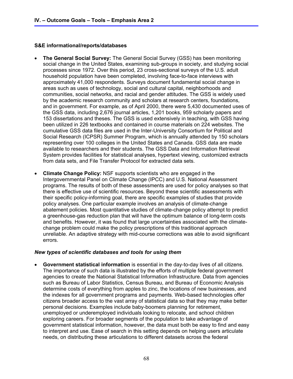#### **S&E informational/reports/databases**

- **The General Social Survey:** The General Social Survey (GSS) has been monitoring social change in the United States, examining sub-groups in society, and studying social processes since 1972. Over this period, 23 cross-sectional surveys of the U.S. adult household population have been completed, involving face-to-face interviews with approximately 41,000 respondents. Surveys document fundamental social change in areas such as uses of technology, social and cultural capital, neighborhoods and communities, social networks, and racial and gender attitudes. The GSS is widely used by the academic research community and scholars at research centers, foundations, and in government. For example, as of April 2000, there were 5,430 documented uses of the GSS data, including 2,676 journal articles, 1,201 books, 959 scholarly papers and 153 dissertations and theses. The GSS is used extensively in teaching, with GSS having been utilized in 226 textbooks and contained in course materials on 224 websites. The cumulative GSS data files are used in the Inter-University Consortium for Political and Social Research (ICPSR) Summer Program, which is annually attended by 150 scholars representing over 100 colleges in the United States and Canada. GSS data are made available to researchers and their students. The GSS Data and Information Retrieval System provides facilities for statistical analyses, hypertext viewing, customized extracts from data sets, and File Transfer Protocol for extracted data sets.
- **Climate Change Policy:** NSF supports scientists who are engaged in the Intergovernmental Panel on Climate Change (IPCC) and U.S. National Assessment programs. The results of both of these assessments are used for policy analyses so that there is effective use of scientific resources. Beyond these scientific assessments with their specific policy-informing goal, there are specific examples of studies that provide policy analyses. One particular example involves an analysis of climate-change abatement policies. Most quantitative studies of climate-change policy attempt to predict a greenhouse-gas reduction plan that will have the optimum balance of long-term costs and benefits. However, it was found that large uncertainties associated with the climatechange problem could make the policy prescriptions of this traditional approach unreliable. An adaptive strategy with mid-course corrections was able to avoid significant errors.

#### *New types of scientific databases and tools for using them*

• **Government statistical information** is essential in the day-to-day lives of all citizens. The importance of such data is illustrated by the efforts of multiple federal government agencies to create the National Statistical Information Infrastructure. Data from agencies such as Bureau of Labor Statistics, Census Bureau, and Bureau of Economic Analysis determine costs of everything from apples to zinc, the locations of new businesses, and the indexes for all government programs and payments. Web-based technologies offer citizens broader access to the vast array of statistical data so that they may make better personal decisions. Examples include baby-boomers planning for retirement, unemployed or underemployed individuals looking to relocate, and school children exploring careers. For broader segments of the population to take advantage of government statistical information, however, the data must both be easy to find and easy to interpret and use. Ease of search in this setting depends on helping users articulate needs, on distributing these articulations to different datasets across the federal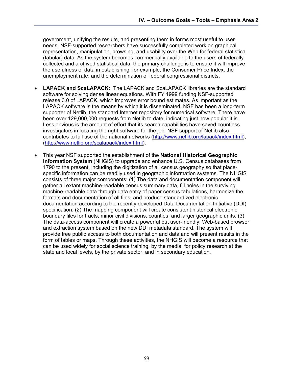government, unifying the results, and presenting them in forms most useful to user needs. NSF-supported researchers have successfully completed work on graphical representation, manipulation, browsing, and usability over the Web for federal statistical (tabular) data. As the system becomes commercially available to the users of federally collected and archived statistical data, the primary challenge is to ensure it will improve the usefulness of data in establishing, for example, the Consumer Price Index, the unemployment rate, and the determination of federal congressional districts.

- **LAPACK and ScaLAPACK:** The LAPACK and ScaLAPACK libraries are the standard software for solving dense linear equations. With FY 1999 funding NSF-supported release 3.0 of LAPACK, which improves error bound estimates. As important as the LAPACK software is the means by which it is disseminated. NSF has been a long-term supporter of Netlib, the standard Internet repository for numerical software. There have been over 129,000,000 requests from Netlib to date, indicating just how popular it is. Less obvious is the amount of effort that its search capabilities have saved countless investigators in locating the right software for the job. NSF support of Netlib also contributes to full use of the national networks [\(http://www.netlib.org/lapack/index.html\),](http://www.netlib.org/lapack/index.html) [\(http://www.netlib.org/scalapack/index.html\).](http://www.netlib.org/scalapack/index.html)
- This year NSF supported the establishment of the **National Historical Geographic Information System** (NHGIS) to upgrade and enhance U.S. Census databases from 1790 to the present, including the digitization of all census geography so that placespecific information can be readily used in geographic information systems. The NHGIS consists of three major components: (1) The data and documentation component will gather all extant machine-readable census summary data, fill holes in the surviving machine-readable data through data entry of paper census tabulations, harmonize the formats and documentation of all files, and produce standardized electronic documentation according to the recently developed Data Documentation Initiative (DDI) specification. (2) The mapping component will create consistent historical electronic boundary files for tracts, minor civil divisions, counties, and larger geographic units. (3) The data-access component will create a powerful but user-friendly, Web-based browser and extraction system based on the new DDI metadata standard. The system will provide free public access to both documentation and data and will present results in the form of tables or maps. Through these activities, the NHGIS will become a resource that can be used widely for social science training, by the media, for policy research at the state and local levels, by the private sector, and in secondary education.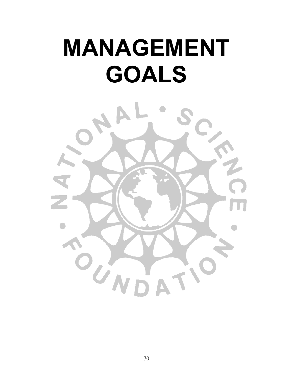# **MANAGEMENT GOALS**

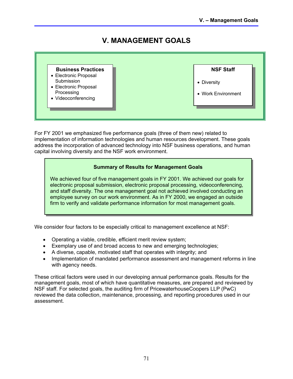## **V. MANAGEMENT GOALS**



For FY 2001 we emphasized five performance goals (three of them new) related to implementation of information technologies and human resources development. These goals address the incorporation of advanced technology into NSF business operations, and human capital involving diversity and the NSF work environment.

## **Summary of Results for Management Goals**

We achieved four of five management goals in FY 2001. We achieved our goals for electronic proposal submission, electronic proposal processing, videoconferencing, and staff diversity. The one management goal not achieved involved conducting an employee survey on our work environment. As in FY 2000, we engaged an outside firm to verify and validate performance information for most management goals.

We consider four factors to be especially critical to management excellence at NSF:

- Operating a viable, credible, efficient merit review system;
- Exemplary use of and broad access to new and emerging technologies;
- A diverse, capable, motivated staff that operates with integrity; and
- Implementation of mandated performance assessment and management reforms in line with agency needs.

These critical factors were used in our developing annual performance goals. Results for the management goals, most of which have quantitative measures, are prepared and reviewed by NSF staff. For selected goals, the auditing firm of PricewaterhouseCoopers LLP (PwC) reviewed the data collection, maintenance, processing, and reporting procedures used in our assessment.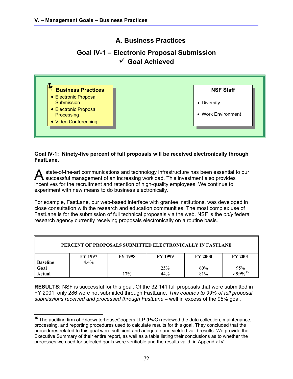## **A. Business Practices**

## **Goal IV-1 – Electronic Proposal Submission** 9 **Goal Achieved**



### **Goal IV-1: Ninety-five percent of full proposals will be received electronically through FastLane.**

state-of-the-art communications and technology infrastructure has been essential to our A state-of-the-art communications and technology infrastructure has been essential<br>successful management of an increasing workload. This investment also provides incentives for the recruitment and retention of high-quality employees. We continue to experiment with new means to do business electronically.

For example, FastLane, our web-based interface with grantee institutions, was developed in close consultation with the research and education communities. The most complex use of FastLane is for the submission of full technical proposals via the web. NSF is the *only* federal research agency currently receiving proposals electronically on a routine basis.

| PERCENT OF PROPOSALS SUBMITTED ELECTRONICALLY IN FASTLANE |                |                |                |                |                |  |
|-----------------------------------------------------------|----------------|----------------|----------------|----------------|----------------|--|
|                                                           | <b>FY 1997</b> | <b>FY 1998</b> | <b>FY 1999</b> | <b>FY 2000</b> | <b>FY 2001</b> |  |
| <b>Baseline</b>                                           | $4.4\%$        |                |                |                |                |  |
| Goal                                                      |                |                | 25%            | 60%            | 95%            |  |
| Actual                                                    |                | $17\%$         | 44%            | 81%            | $99\%$         |  |

**RESULTS:** NSF is successful for this goal. Of the 32,141 full proposals that were submitted in FY 2001, only 286 were not submitted through FastLane. *This equates to 99% of full proposal submissions received and processed through FastLane* – well in excess of the 95% goal.

 $\overline{a}$  $15$  The auditing firm of PricewaterhouseCoopers LLP (PwC) reviewed the data collection, maintenance, processing, and reporting procedures used to calculate results for this goal. They concluded that the procedures related to this goal were sufficient and adequate and yielded valid results. We provide the Executive Summary of their entire report, as well as a table listing their conclusions as to whether the processes we used for selected goals were verifiable and the results valid, in Appendix IV.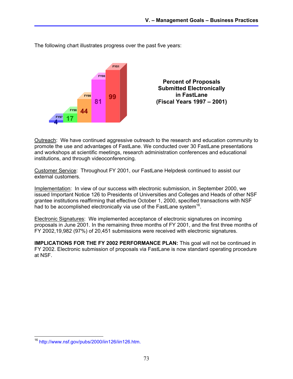The following chart illustrates progress over the past five years:





Outreach: We have continued aggressive outreach to the research and education community to promote the use and advantages of FastLane. We conducted over 30 FastLane presentations and workshops at scientific meetings, research administration conferences and educational institutions, and through videoconferencing.

Customer Service: Throughout FY 2001, our FastLane Helpdesk continued to assist our external customers.

Implementation: In view of our success with electronic submission, in September 2000, we issued Important Notice 126 to Presidents of Universities and Colleges and Heads of other NSF grantee institutions reaffirming that effective October 1, 2000, specified transactions with NSF had to be accomplished electronically via use of the FastLane system<sup>16</sup>.

Electronic Signatures: We implemented acceptance of electronic signatures on incoming proposals in June 2001. In the remaining three months of FY 2001, and the first three months of FY 2002,19,982 (97%) of 20,451 submissions were received with electronic signatures.

**IMPLICATIONS FOR THE FY 2002 PERFORMANCE PLAN:** This goal will not be continued in FY 2002. Electronic submission of proposals via FastLane is now standard operating procedure at NSF.

 $\overline{a}$ <sup>16</sup> [http://www.nsf.gov/pubs/2000/iin126/iin126.htm.](http://www.nsf.gov/pubs/2000/iin126/iin126.htm)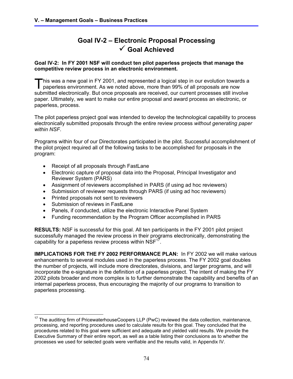## **Goal IV-2 – Electronic Proposal Processing** 9 **Goal Achieved**

#### **Goal IV-2: In FY 2001 NSF will conduct ten pilot paperless projects that manage the competitive review process in an electronic environment.**

his was a new goal in FY 2001, and represented a logical step in our evolution towards a paperless environment. As we noted above, more than 99% of all proposals are now submitted electronically. But once proposals are received, our current processes still involve paper. Ultimately, we want to make our entire proposal and award process an electronic, or paperless, process. T

The pilot paperless project goal was intended to develop the technological capability to process electronically submitted proposals through the entire review process *without generating paper within NSF*.

Programs within four of our Directorates participated in the pilot. Successful accomplishment of the pilot project required all of the following tasks to be accomplished for proposals in the program:

- Receipt of all proposals through FastLane
- Electronic capture of proposal data into the Proposal, Principal Investigator and Reviewer System (PARS)
- Assignment of reviewers accomplished in PARS (if using ad hoc reviewers)
- Submission of reviewer requests through PARS (if using ad hoc reviewers)
- Printed proposals not sent to reviewers
- Submission of reviews in FastLane

 $\overline{a}$ 

- Panels, if conducted, utilize the electronic Interactive Panel System
- Funding recommendation by the Program Officer accomplished in PARS

**RESULTS:** NSF is successful for this goal. All ten participants in the FY 2001 pilot project successfully managed the review process in their programs electronically, demonstrating the capability for a paperless review process within  $NSF^{17}$ .

**IMPLICATIONS FOR THE FY 2002 PERFORMANCE PLAN:** In FY 2002 we will make various enhancements to several modules used in the paperless process. The FY 2002 goal doubles the number of projects, will include more directorates, divisions, and larger programs, and will incorporate the e-signature in the definition of a paperless project. The intent of making the FY 2002 pilots broader and more complex is to further demonstrate the capability and benefits of an internal paperless process, thus encouraging the majority of our programs to transition to paperless processing.

 $17$  The auditing firm of PricewaterhouseCoopers LLP (PwC) reviewed the data collection, maintenance, processing, and reporting procedures used to calculate results for this goal. They concluded that the procedures related to this goal were sufficient and adequate and yielded valid results. We provide the Executive Summary of their entire report, as well as a table listing their conclusions as to whether the processes we used for selected goals were verifiable and the results valid, in Appendix IV.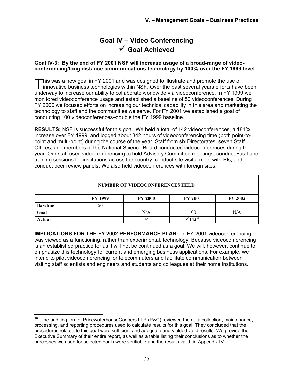## **Goal IV – Video Conferencing** 9 **Goal Achieved**

#### **Goal IV-3: By the end of FY 2001 NSF will increase usage of a broad-range of videoconferencing/long distance communications technology by 100% over the FY 1999 level.**

his was a new goal in FY 2001 and was designed to illustrate and promote the use of innovative business technologies within NSF. Over the past several years efforts have been underway to increase our ability to collaborate worldwide via videoconference. In FY 1999 we monitored videoconference usage and established a baseline of 50 videoconferences. During FY 2000 we focused efforts on increasing our technical capability in this area and marketing the technology to staff and the communities we serve. For FY 2001 we established a goal of conducting 100 videoconferences–double the FY 1999 baseline. T

**RESULTS:** NSF is successful for this goal. We held a total of 142 videoconferences, a 184% increase over FY 1999, and logged about 342 hours of videoconferencing time (both point-topoint and multi-point) during the course of the year. Staff from six Directorates, seven Staff Offices, and members of the National Science Board conducted videoconferences during the year. Our staff used videoconferencing to hold Advisory Committee meetings, conduct FastLane training sessions for institutions across the country, conduct site visits, meet with PIs, and conduct peer review panels. We also held videoconferences with foreign sites.

| <b>NUMBER OF VIDEOCONFERENCES HELD</b> |         |                |                |                |  |  |
|----------------------------------------|---------|----------------|----------------|----------------|--|--|
|                                        | FY 1999 | <b>FY 2000</b> | <b>FY 2001</b> | <b>FY 2002</b> |  |  |
| <b>Baseline</b>                        | 50      |                |                |                |  |  |
| Goal                                   |         | N/A            | 100            | N/A            |  |  |
| Actual                                 |         | 74             | 4218           |                |  |  |

**IMPLICATIONS FOR THE FY 2002 PERFORMANCE PLAN:** In FY 2001 videoconferencing was viewed as a functioning, rather than experimental, technology. Because videoconferencing is an established practice for us it will not be continued as a goal. We will, however, continue to emphasize this technology for current and emerging business applications. For example, we intend to pilot videoconferencing for telecommuters and facilitate communication between visiting staff scientists and engineers and students and colleagues at their home institutions.

 $\overline{a}$ 

 $18$  The auditing firm of PricewaterhouseCoopers LLP (PwC) reviewed the data collection, maintenance, processing, and reporting procedures used to calculate results for this goal. They concluded that the procedures related to this goal were sufficient and adequate and yielded valid results. We provide the Executive Summary of their entire report, as well as a table listing their conclusions as to whether the processes we used for selected goals were verifiable and the results valid, in Appendix IV.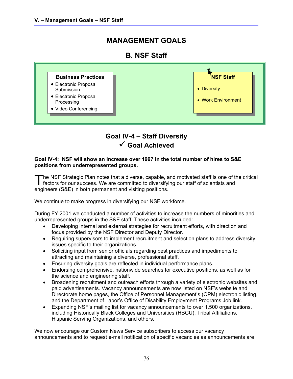## **MANAGEMENT GOALS**





## **Goal IV-4 – Staff Diversity** 9 **Goal Achieved**

#### **Goal IV-4: NSF will show an increase over 1997 in the total number of hires to S&E positions from underrepresented groups.**

he NSF Strategic Plan notes that a diverse, capable, and motivated staff is one of the critical The NSF Strategic Plan notes that a diverse, capable, and motivated staff is one of the factors for our success. We are committed to diversifying our staff of scientists and engineers (S&E) in both permanent and visiting positions.

We continue to make progress in diversifying our NSF workforce.

During FY 2001 we conducted a number of activities to increase the numbers of minorities and underrepresented groups in the S&E staff. These activities included:

- Developing internal and external strategies for recruitment efforts, with direction and focus provided by the NSF Director and Deputy Director.
- Requiring supervisors to implement recruitment and selection plans to address diversity issues specific to their organizations.
- Soliciting input from senior officials regarding best practices and impediments to attracting and maintaining a diverse, professional staff.
- Ensuring diversity goals are reflected in individual performance plans.
- Endorsing comprehensive, nationwide searches for executive positions, as well as for the science and engineering staff.
- Broadening recruitment and outreach efforts through a variety of electronic websites and paid advertisements. Vacancy announcements are now listed on NSF's website and Directorate home pages, the Office of Personnel Management's (OPM) electronic listing, and the Department of Labor's Office of Disability Employment Programs Job link.
- Expanding NSF's mailing list for vacancy announcements to over 1,500 organizations, including Historically Black Colleges and Universities (HBCU), Tribal Affiliations, Hispanic Serving Organizations, and others.

We now encourage our Custom News Service subscribers to access our vacancy announcements and to request e-mail notification of specific vacancies as announcements are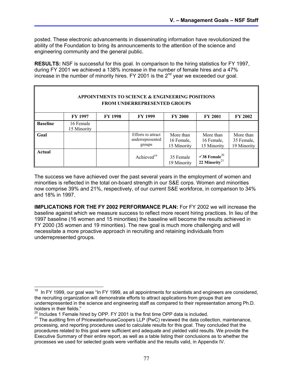posted. These electronic advancements in disseminating information have revolutionized the ability of the Foundation to bring its announcements to the attention of the science and engineering community and the general public.

**RESULTS:** NSF is successful for this goal. In comparison to the hiring statistics for FY 1997, during FY 2001 we achieved a 138% increase in the number of female hires and a 47% increase in the number of minority hires. FY 2001 is the 2<sup>nd</sup> year we exceeded our goal.

#### **APPOINTMENTS TO SCIENCE & ENGINEERING POSITIONS FROM UNDERREPRESENTED GROUPS**

|                 | <b>FY 1997</b>           | <b>FY 1998</b> | <b>FY 1999</b>                                   | <b>FY 2000</b>                         | <b>FY 2001</b>                                                | <b>FY 2002</b>                         |
|-----------------|--------------------------|----------------|--------------------------------------------------|----------------------------------------|---------------------------------------------------------------|----------------------------------------|
| <b>Baseline</b> | 16 Female<br>15 Minority |                |                                                  |                                        |                                                               |                                        |
| Goal            |                          |                | Efforts to attract<br>underrepresented<br>groups | More than<br>16 Female,<br>15 Minority | More than<br>16 Female,<br>15 Minority                        | More than<br>35 Female,<br>19 Minority |
| Actual          |                          |                | Achieved <sup>19</sup>                           | 35 Female<br>19 Minority               | $\sqrt{38}$ Female <sup>20</sup><br>22 Minority <sup>21</sup> |                                        |

The success we have achieved over the past several years in the employment of women and minorities is reflected in the total on-board strength in our S&E corps. Women and minorities now comprise 39% and 21%, respectively, of our current S&E workforce, in comparison to 34% and 18% in 1997.

**IMPLICATIONS FOR THE FY 2002 PERFORMANCE PLAN:** For FY 2002 we will increase the baseline against which we measure success to reflect more recent hiring practices. In lieu of the 1997 baseline (16 women and 15 minorities) the baseline will become the results achieved in FY 2000 (35 women and 19 minorities). The new goal is much more challenging and will necessitate a more proactive approach in recruiting and retaining individuals from underrepresented groups.

 $\overline{a}$  $19$  In FY 1999, our goal was "In FY 1999, as all appointments for scientists and engineers are considered, the recruiting organization will demonstrate efforts to attract applications from groups that are underrepresented in the science and engineering staff as compared to their representation among Ph.D. holders in their fields."<br><sup>20</sup> Includes 1 Female hired by OPP. FY 2001 is the first time OPP data is included.

<sup>&</sup>lt;sup>21</sup> The auditing firm of PricewaterhouseCoopers LLP (PwC) reviewed the data collection, maintenance, processing, and reporting procedures used to calculate results for this goal. They concluded that the procedures related to this goal were sufficient and adequate and yielded valid results. We provide the Executive Summary of their entire report, as well as a table listing their conclusions as to whether the processes we used for selected goals were verifiable and the results valid, in Appendix IV.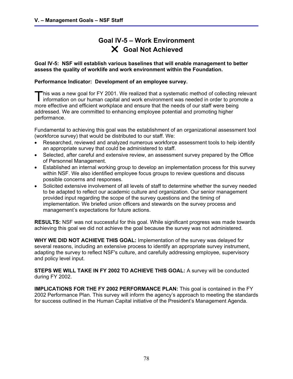## **Goal IV-5 – Work Environment** U **Goal Not Achieved**

#### **Goal IV-5: NSF will establish various baselines that will enable management to better assess the quality of worklife and work environment within the Foundation.**

#### **Performance Indicator: Development of an employee survey.**

"his was a new goal for FY 2001. We realized that a systematic method of collecting relevant This was a new goal for FY 2001. We realized that a systematic method of collecting releval information on our human capital and work environment was needed in order to promote a more effective and efficient workplace and ensure that the needs of our staff were being addressed. We are committed to enhancing employee potential and promoting higher performance.

Fundamental to achieving this goal was the establishment of an organizational assessment tool (workforce survey) that would be distributed to our staff. We:

- Researched, reviewed and analyzed numerous workforce assessment tools to help identify an appropriate survey that could be administered to staff.
- Selected, after careful and extensive review, an assessment survey prepared by the Office of Personnel Management.
- Established an internal working group to develop an implementation process for this survey within NSF. We also identified employee focus groups to review questions and discuss possible concerns and responses.
- Solicited extensive involvement of all levels of staff to determine whether the survey needed to be adapted to reflect our academic culture and organization. Our senior management provided input regarding the scope of the survey questions and the timing of implementation. We briefed union officers and stewards on the survey process and management's expectations for future actions.

**RESULTS:** NSF was not successful for this goal. While significant progress was made towards achieving this goal we did not achieve the goal because the survey was not administered.

**WHY WE DID NOT ACHIEVE THIS GOAL:** Implementation of the survey was delayed for several reasons, including an extensive process to identify an appropriate survey instrument, adapting the survey to reflect NSF's culture, and carefully addressing employee, supervisory and policy level input.

**STEPS WE WILL TAKE IN FY 2002 TO ACHIEVE THIS GOAL:** A survey will be conducted during FY 2002.

**IMPLICATIONS FOR THE FY 2002 PERFORMANCE PLAN:** This goal is contained in the FY 2002 Performance Plan. This survey will inform the agency's approach to meeting the standards for success outlined in the Human Capital initiative of the President's Management Agenda.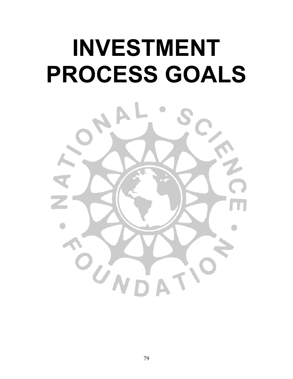# **INVESTMENT PROCESS GOALS**

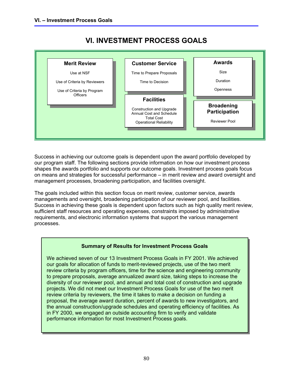## **VI. INVESTMENT PROCESS GOALS**



Success in achieving our outcome goals is dependent upon the award portfolio developed by our program staff. The following sections provide information on how our investment process shapes the awards portfolio and supports our outcome goals. Investment process goals focus on means and strategies for successful performance – in merit review and award oversight and management processes, broadening participation, and facilities oversight.

The goals included within this section focus on merit review, customer service, awards managements and oversight, broadening participation of our reviewer pool, and facilities. Success in achieving these goals is dependent upon factors such as high quality merit review, sufficient staff resources and operating expenses, constraints imposed by administrative requirements, and electronic information systems that support the various management processes.

## **Summary of Results for Investment Process Goals**

We achieved seven of our 13 Investment Process Goals in FY 2001. We achieved our goals for allocation of funds to merit-reviewed projects, use of the two merit review criteria by program officers, time for the science and engineering community to prepare proposals, average annualized award size, taking steps to increase the diversity of our reviewer pool, and annual and total cost of construction and upgrade projects. We did not meet our Investment Process Goals for use of the two merit review criteria by reviewers, the time it takes to make a decision on funding a proposal, the average award duration, percent of awards to new investigators, and the annual construction/upgrade schedules and operating efficiency of facilities. As in FY 2000, we engaged an outside accounting firm to verify and validate performance information for most Investment Process goals.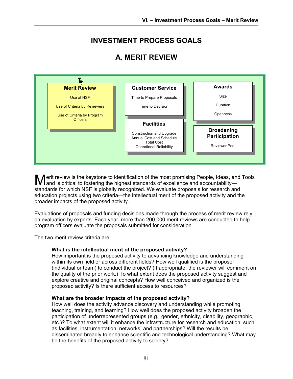## **INVESTMENT PROCESS GOALS**

## **A. MERIT REVIEW**



erit review is the keystone to identification of the most promising People, Ideas, and Tools Merit review is the keystone to identification of the most promising People, Ideas, and and is critical to fostering the highest standards of excellence and accountability standards for which NSF is globally recognized. We evaluate proposals for research and education projects using two criteria—the intellectual merit of the proposed activity and the broader impacts of the proposed activity.

Evaluations of proposals and funding decisions made through the process of merit review rely on evaluation by experts. Each year, more than 200,000 merit reviews are conducted to help program officers evaluate the proposals submitted for consideration.

The two merit review criteria are:

#### **What is the intellectual merit of the proposed activity?**

How important is the proposed activity to advancing knowledge and understanding within its own field or across different fields? How well qualified is the proposer (individual or team) to conduct the project? (If appropriate, the reviewer will comment on the quality of the prior work.) To what extent does the proposed activity suggest and explore creative and original concepts? How well conceived and organized is the proposed activity? Is there sufficient access to resources?

#### **What are the broader impacts of the proposed activity?**

How well does the activity advance discovery and understanding while promoting teaching, training, and learning? How well does the proposed activity broaden the participation of underrepresented groups (e.g., gender, ethnicity, disability, geographic, etc.)? To what extent will it enhance the infrastructure for research and education, such as facilities, instrumentation, networks, and partnerships? Will the results be disseminated broadly to enhance scientific and technological understanding? What may be the benefits of the proposed activity to society?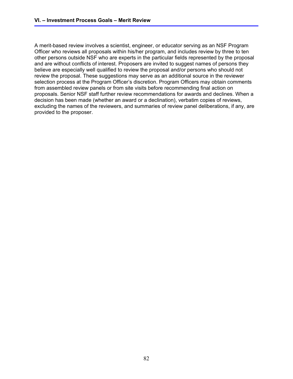A merit-based review involves a scientist, engineer, or educator serving as an NSF Program Officer who reviews all proposals within his/her program, and includes review by three to ten other persons outside NSF who are experts in the particular fields represented by the proposal and are without conflicts of interest. Proposers are invited to suggest names of persons they believe are especially well qualified to review the proposal and/or persons who should not review the proposal. These suggestions may serve as an additional source in the reviewer selection process at the Program Officer's discretion. Program Officers may obtain comments from assembled review panels or from site visits before recommending final action on proposals. Senior NSF staff further review recommendations for awards and declines. When a decision has been made (whether an award or a declination), verbatim copies of reviews, excluding the names of the reviewers, and summaries of review panel deliberations, if any, are provided to the proposer.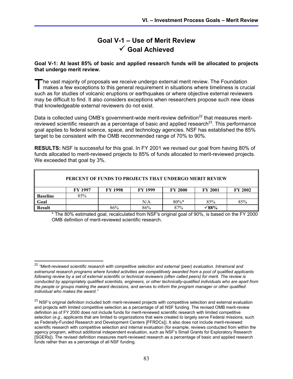## **Goal V-1 – Use of Merit Review** 9 **Goal Achieved**

#### **Goal V-1: At least 85% of basic and applied research funds will be allocated to projects that undergo merit review.**

he vast majority of proposals we receive undergo external merit review. The Foundation The vast majority of proposals we receive undergo external merit review. The Foundation<br>makes a few exceptions to this general requirement in situations where timeliness is crucial such as for studies of volcanic eruptions or earthquakes or where objective external reviewers may be difficult to find. It also considers exceptions when researchers propose such new ideas that knowledgeable external reviewers do not exist.

Data is collected using OMB's government-wide merit-review definition<sup>22</sup> that measures meritreviewed scientific research as a percentage of basic and applied research<sup>23</sup>. This performance goal applies to federal science, space, and technology agencies. NSF has established the 85% target to be consistent with the OMB recommended range of 70% to 90%.

**RESULTS:** NSF is successful for this goal. In FY 2001 we revised our goal from having 80% of funds allocated to merit-reviewed projects to 85% of funds allocated to merit-reviewed projects. We exceeded that goal by 3%.

| PERCENT OF FUNDS TO PROJECTS THAT UNDERGO MERIT REVIEW |                |                |                |                |                |                |
|--------------------------------------------------------|----------------|----------------|----------------|----------------|----------------|----------------|
|                                                        | <b>FY 1997</b> | <b>FY 1998</b> | <b>FY 1999</b> | <b>FY 2000</b> | <b>FY 2001</b> | <b>FY 2002</b> |
| Baseline                                               | 85%            |                |                |                |                |                |
| Goal                                                   |                |                | N/A            | $80\%*$        | 85%            | 85%            |
| Result                                                 |                | 86%            | 86%            | 87%            | $\sqrt{88\%}$  |                |

\* The 80% estimated goal, recalculated from NSF's original goal of 90%, is based on the FY 2000 OMB definition of merit-reviewed scientific research.

 $\overline{a}$ 

<sup>22</sup> *"Merit-reviewed scientific research with competitive selection and external (peer) evaluation. Intramural and extramural research programs where funded activities are competitively awarded from a pool of qualified applicants following review by a set of external scientific or technical reviewers (often called peers) for merit. The review is conducted by appropriately qualified scientists, engineers, or other technically-qualified individuals who are apart from the people or groups making the award decisions, and serves to inform the program manager or other qualified individual who makes the award."*

<sup>&</sup>lt;sup>23</sup> NSF's original definition included both merit-reviewed projects with competitive selection and external evaluation and projects with limited competitive selection as a percentage of all NSF funding. The revised OMB merit-review definition as of FY 2000 does not include funds for merit-reviewed scientific research with limited competitive selection (*e.g*., applicants that are limited to organizations that were created to largely serve Federal missions, such as Federally-Funded Research and Development Centers [FFRDCs]). It also does not include merit-reviewed scientific research with competitive selection and internal evaluation (for example, reviews conducted from within the agency program, without additional independent evaluation, such as NSF's Small Grants for Exploratory Research [SGERs]). The revised definition measures merit-reviewed research as a percentage of basic and applied research funds rather than as a percentage of all NSF funding.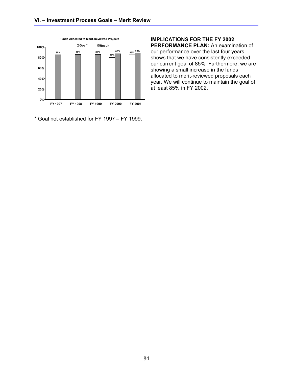

\* Goal not established for FY 1997 – FY 1999.

**IMPLICATIONS FOR THE FY 2002 PERFORMANCE PLAN:** An examination of our performance over the last four years shows that we have consistently exceeded our current goal of 85%. Furthermore, we are showing a small increase in the funds allocated to merit-reviewed proposals each year. We will continue to maintain the goal of at least 85% in FY 2002.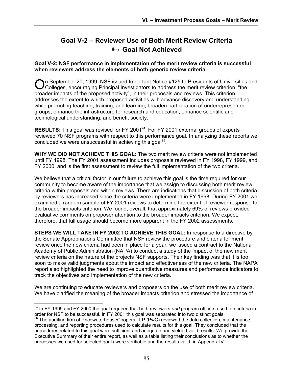## **Goal V-2 – Reviewer Use of Both Merit Review Criteria** 8 Goal Not Achieved

#### **Goal V-2: NSF performance in implementation of the merit review criteria is successful when reviewers address the elements of both generic review criteria.**

n September 20, 1999, NSF issued Important Notice #125 to Presidents of Universities and On September 20, 1999, NSF issued Important Notice #125 to Presidents of Universities<br>Colleges, encouraging Principal Investigators to address the merit review criterion, "the broader impacts of the proposed activity", in their proposals and reviews. This criterion addresses the extent to which proposed activities will: advance discovery and understanding while promoting teaching, training, and learning; broaden participation of underrepresented groups; enhance the infrastructure for research and education; enhance scientific and technological understanding; and benefit society.

**RESULTS:** This goal was revised for FY 2001<sup>24</sup>. For FY 2001 external groups of experts reviewed 70 NSF programs with respect to this performance goal. In analyzing these reports we concluded we were unsuccessful in achieving this goal<sup>25</sup>.

**WHY WE DID NOT ACHIEVE THIS GOAL:** The two merit review criteria were not implemented until FY 1998. The FY 2001 assessment includes proposals reviewed in FY 1998, FY 1999, and FY 2000, and is the first assessment to review the full implementation of the two criteria.

We believe that a critical factor in our failure to achieve this goal is the time required for our community to become aware of the importance that we assign to discussing both merit review criteria within proposals and within reviews. There are indications that discussion of both criteria by reviewers has increased since the criteria were implemented in FY 1998. During FY 2001 we examined a random sample of FY 2001 reviews to determine the extent of reviewer response to the broader impacts criterion. We found, overall, that approximately 69% of reviews provided evaluative comments on proposer attention to the broader impacts criterion. We expect, therefore, that full usage should become more apparent in the FY 2002 assessments.

**STEPS WE WILL TAKE IN FY 2002 TO ACHIEVE THIS GOAL:** In response to a directive by the Senate Appropriations Committee that NSF review the procedure and criteria for merit review once the new criteria had been in place for a year, we issued a contract to the National Academy of Public Administration (NAPA) to conduct a study of the impact of the new merit review criteria on the nature of the projects NSF supports. Their key finding was that it is too soon to make valid judgments about the impact and effectiveness of the new criteria. The NAPA report also highlighted the need to improve quantitative measures and performance indicators to track the objectives and implementation of the new criteria.

We are continuing to educate reviewers and proposers on the use of both merit review criteria. We have clarified the meaning of the broader impacts criterion and stressed the importance of

 $\overline{a}$ 24 In FY 1999 and FY 2000 the goal required that both reviewers *and* program officers use both criteria in order for NSF to be successful. In FY 2001 this goal was separated into two distinct goals.

 $25$  The auditing firm of PricewaterhouseCoopers LLP (PwC) reviewed the data collection, maintenance, processing, and reporting procedures used to calculate results for this goal. They concluded that the procedures related to this goal were sufficient and adequate and yielded valid results. We provide the Executive Summary of their entire report, as well as a table listing their conclusions as to whether the processes we used for selected goals were verifiable and the results valid, in Appendix IV.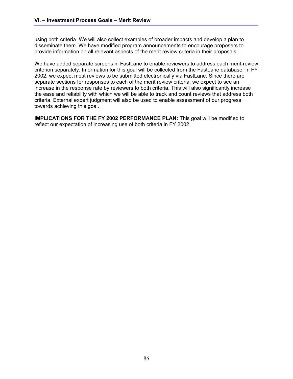using both criteria. We will also collect examples of broader impacts and develop a plan to disseminate them. We have modified program announcements to encourage proposers to provide information on all relevant aspects of the merit review criteria in their proposals.

We have added separate screens in FastLane to enable reviewers to address each merit-review criterion separately. Information for this goal will be collected from the FastLane database. In FY 2002, we expect most reviews to be submitted electronically via FastLane. Since there are separate sections for responses to each of the merit review criteria, we expect to see an increase in the response rate by reviewers to both criteria. This will also significantly increase the ease and reliability with which we will be able to track and count reviews that address both criteria. External expert judgment will also be used to enable assessment of our progress towards achieving this goal.

**IMPLICATIONS FOR THE FY 2002 PERFORMANCE PLAN:** This goal will be modified to reflect our expectation of increasing use of both criteria in FY 2002.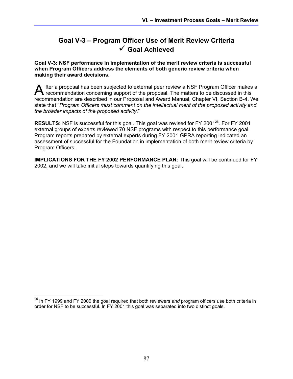## **Goal V-3 – Program Officer Use of Merit Review Criteria** 9 **Goal Achieved**

**Goal V-3: NSF performance in implementation of the merit review criteria is successful when Program Officers address the elements of both generic review criteria when making their award decisions.**

fter a proposal has been subjected to external peer review a NSF Program Officer makes a A fter a proposal has been subjected to external peer review a NSF Program Officer makes<br>recommendation concerning support of the proposal. The matters to be discussed in this recommendation are described in our Proposal and Award Manual, Chapter VI, Section B-4. We state that "*Program Officers must comment on the intellectual merit of the proposed activity and the broader impacts of the proposed activity*."

**RESULTS:** NSF is successful for this goal. This goal was revised for FY 2001<sup>26</sup>. For FY 2001 external groups of experts reviewed 70 NSF programs with respect to this performance goal. Program reports prepared by external experts during FY 2001 GPRA reporting indicated an assessment of successful for the Foundation in implementation of both merit review criteria by Program Officers.

**IMPLICATIONS FOR THE FY 2002 PERFORMANCE PLAN:** This goal will be continued for FY 2002, and we will take initial steps towards quantifying this goal.

 $\overline{a}$ 

<sup>26</sup> In FY 1999 and FY 2000 the goal required that both reviewers *and* program officers use both criteria in order for NSF to be successful. In FY 2001 this goal was separated into two distinct goals.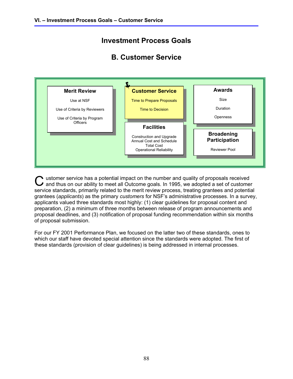## **Investment Process Goals**

## **B. Customer Service**



ustomer service has a potential impact on the number and quality of proposals received C ustomer service has a potential impact on the number and quality of proposals received<br>
C and thus on our ability to meet all Outcome goals. In 1995, we adopted a set of customer service standards, primarily related to the merit review process, treating grantees and potential grantees (*applicants*) as the primary *customers* for NSF's administrative processes. In a survey, applicants valued three standards most highly: (1) clear guidelines for proposal content and preparation, (2) a minimum of three months between release of program announcements and proposal deadlines, and (3) notification of proposal funding recommendation within six months of proposal submission.

For our FY 2001 Performance Plan, we focused on the latter two of these standards, ones to which our staff have devoted special attention since the standards were adopted. The first of these standards (provision of clear guidelines) is being addressed in internal processes.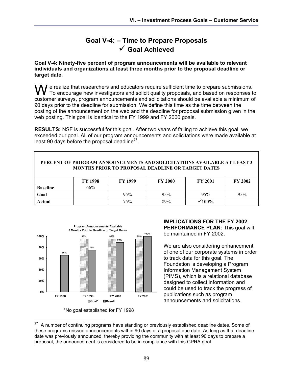## **Goal V-4: – Time to Prepare Proposals** 9 **Goal Achieved**

**Goal V-4: Ninety-five percent of program announcements will be available to relevant individuals and organizations at least three months prior to the proposal deadline or target date.**

**I** e realize that researchers and educators require sufficient time to prepare submissions. To encourage new investigators and solicit quality proposals, and based on responses to customer surveys, program announcements and solicitations should be available a minimum of 90 days prior to the deadline for submission. We define this time as the time between the posting of the announcement on the web and the deadline for proposal submission given in the web posting. This goal is identical to the FY 1999 and FY 2000 goals. W

**RESULTS:** NSF is successful for this goal. After two years of failing to achieve this goal, we exceeded our goal. All of our program announcements and solicitations were made available at least 90 days before the proposal deadline $^{27}$ .

| PERCENT OF PROGRAM ANNOUNCEMENTS AND SOLICITATIONS AVAILABLE AT LEAST 3<br>MONTHS PRIOR TO PROPOSAL DEADLINE OR TARGET DATES |                |                |                |                |                |  |
|------------------------------------------------------------------------------------------------------------------------------|----------------|----------------|----------------|----------------|----------------|--|
|                                                                                                                              | <b>FY 1998</b> | <b>FY 1999</b> | <b>FY 2000</b> | <b>FY 2001</b> | <b>FY 2002</b> |  |
| <b>Baseline</b>                                                                                                              | 66%            |                |                |                |                |  |
| Goal                                                                                                                         |                | 95%            | 95%            | 95%            | 95%            |  |
| Actual                                                                                                                       |                | 75%            | 89%            | $'100\%$       |                |  |





**IMPLICATIONS FOR THE FY 2002 PERFORMANCE PLAN:** This goal will be maintained in FY 2002.

We are also considering enhancement of one of our corporate systems in order to track data for this goal. The Foundation is developing a Program Information Management System (PIMS), which is a relational database designed to collect information and could be used to track the progress of publications such as program announcements and solicitations.

 $27\,$ <sup>27</sup> A number of continuing programs have standing or previously established deadline dates. Some of these programs reissue announcements within 90 days of a proposal due date. As long as that deadline date was previously announced, thereby providing the community with at least 90 days to prepare a proposal, the announcement is considered to be in compliance with this GPRA goal.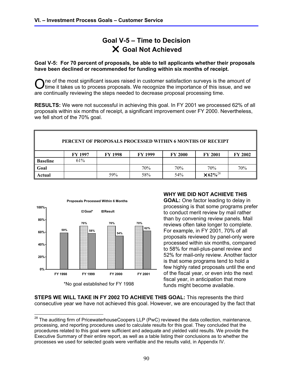## **Goal V-5 – Time to Decision** U **Goal Not Achieved**

#### **Goal V-5: For 70 percent of proposals, be able to tell applicants whether their proposals have been declined or recommended for funding within six months of receipt.**

ne of the most significant issues raised in customer satisfaction surveys is the amount of  $\mathbf O$  are of the most significant issues raised in customer satisfaction surveys is the amount of this issue, and we strong is the importance of this issue, and we are continually reviewing the steps needed to decrease proposal processing time.

**RESULTS:** We were not successful in achieving this goal. In FY 2001 we processed 62% of all proposals within six months of receipt, a significant improvement over FY 2000. Nevertheless, we fell short of the 70% goal.

| PERCENT OF PROPOSALS PROCESSED WITHIN 6 MONTHS OF RECEIPT |                |                |                |                |                    |                |
|-----------------------------------------------------------|----------------|----------------|----------------|----------------|--------------------|----------------|
|                                                           | <b>FY 1997</b> | <b>FY 1998</b> | <b>FY 1999</b> | <b>FY 2000</b> | <b>FY 2001</b>     | <b>FY 2002</b> |
| <b>Baseline</b>                                           | 61%            |                |                |                |                    |                |
| Goal                                                      |                |                | 70%            | 70%            | 70%                | 70%            |
| Actual                                                    |                | 59%            | 58%            | 54%            | $\times 62\%^{28}$ |                |



 $\overline{a}$ 

## **WHY WE DID NOT ACHIEVE THIS**

**GOAL:** One factor leading to delay in processing is that some programs prefer to conduct merit review by mail rather than by convening review panels. Mail reviews often take longer to complete. For example, in FY 2001, 70% of all proposals reviewed by panel-only were processed within six months, compared to 58% for mail-plus-panel review and 52% for mail-only review. Another factor is that some programs tend to hold a few highly rated proposals until the end of the fiscal year, or even into the next fiscal year, in anticipation that more funds might become available.

**STEPS WE WILL TAKE IN FY 2002 TO ACHIEVE THIS GOAL:** This represents the third consecutive year we have not achieved this goal. However, we are encouraged by the fact that

 $^{28}$  The auditing firm of PricewaterhouseCoopers LLP (PwC) reviewed the data collection, maintenance, processing, and reporting procedures used to calculate results for this goal. They concluded that the procedures related to this goal were sufficient and adequate and yielded valid results. We provide the Executive Summary of their entire report, as well as a table listing their conclusions as to whether the processes we used for selected goals were verifiable and the results valid, in Appendix IV.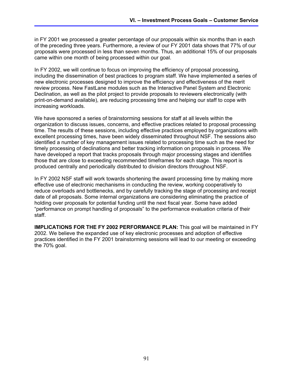in FY 2001 we processed a greater percentage of our proposals within six months than in each of the preceding three years. Furthermore, a review of our FY 2001 data shows that 77% of our proposals were processed in less than seven months. Thus, an additional 15% of our proposals came within one month of being processed within our goal.

In FY 2002, we will continue to focus on improving the efficiency of proposal processing, including the dissemination of best practices to program staff. We have implemented a series of new electronic processes designed to improve the efficiency and effectiveness of the merit review process. New FastLane modules such as the Interactive Panel System and Electronic Declination, as well as the pilot project to provide proposals to reviewers electronically (with print-on-demand available), are reducing processing time and helping our staff to cope with increasing workloads.

We have sponsored a series of brainstorming sessions for staff at all levels within the organization to discuss issues, concerns, and effective practices related to proposal processing time. The results of these sessions, including effective practices employed by organizations with excellent processing times, have been widely disseminated throughout NSF. The sessions also identified a number of key management issues related to processing time such as the need for timely processing of declinations and better tracking information on proposals in process. We have developed a report that tracks proposals through major processing stages and identifies those that are close to exceeding recommended timeframes for each stage. This report is produced centrally and periodically distributed to division directors throughout NSF.

In FY 2002 NSF staff will work towards shortening the award processing time by making more effective use of electronic mechanisms in conducting the review, working cooperatively to reduce overloads and bottlenecks, and by carefully tracking the stage of processing and receipt date of all proposals. Some internal organizations are considering eliminating the practice of holding over proposals for potential funding until the next fiscal year. Some have added "performance on prompt handling of proposals" to the performance evaluation criteria of their staff.

**IMPLICATIONS FOR THE FY 2002 PERFORMANCE PLAN:** This goal will be maintained in FY 2002. We believe the expanded use of key electronic processes and adoption of effective practices identified in the FY 2001 brainstorming sessions will lead to our meeting or exceeding the 70% goal.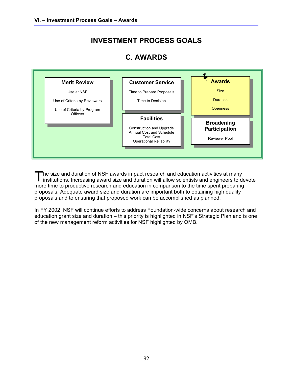## **INVESTMENT PROCESS GOALS**

# **C. AWARDS**



he size and duration of NSF awards impact research and education activities at many institutions. Increasing award size and duration will allow scientists and engineers to devote more time to productive research and education in comparison to the time spent preparing proposals. Adequate award size and duration are important both to obtaining high quality proposals and to ensuring that proposed work can be accomplished as planned. T

In FY 2002, NSF will continue efforts to address Foundation-wide concerns about research and education grant size and duration – this priority is highlighted in NSF's Strategic Plan and is one of the new management reform activities for NSF highlighted by OMB.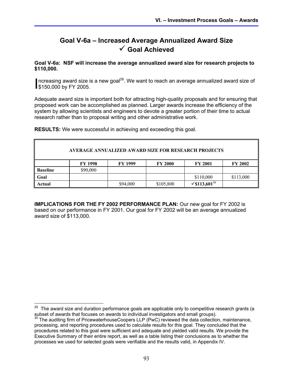## **Goal V-6a – Increased Average Annualized Award Size** 9 **Goal Achieved**

**Goal V-6a: NSF will increase the average annualized award size for research projects to \$110,000.**

Increasing award size is a new goal<sup>29</sup>. We want to reach an average annualized award size of \$150,000 by FY 2005. **\$150,000 by FY 2005.** 

Adequate award size is important both for attracting high-quality proposals and for ensuring that proposed work can be accomplished as planned. Larger awards increase the efficiency of the system by allowing scientists and engineers to devote a greater portion of their time to actual research rather than to proposal writing and other administrative work.

**AVERAGE ANNUALIZED AWARD SIZE FOR RESEARCH PROJECTS FY 1998 FY 1999 FY 2000 FY 2001 FY 2002 Baseline** 1 \$90,000 **Goal**  $\begin{array}{|c|c|c|c|c|c|c|c|c|} \hline \end{array}$  \$110,000 \$113,000 \$113,000 \$113,000 \$113,000 \$113,000 \$113,000 \$113,000 \$113,000 \$113,000 \$113,000 \$113,000 \$113,000 \$113,000 \$113,000 \$113,000 \$113,000 \$113,000 \$113,000 \$113,000 **Actual 1** 594,000 **1** \$105,800 **7\$113,601**<sup>30</sup>

**RESULTS:** We were successful in achieving and exceeding this goal.

**IMPLICATIONS FOR THE FY 2002 PERFORMANCE PLAN:** Our new goal for FY 2002 is based on our performance in FY 2001. Our goal for FY 2002 will be an average annualized award size of \$113,000.

 $\overline{a}$ 

 $^{29}$  The award size and duration performance goals are applicable only to competitive research grants (a subset of awards that focuses on awards to individual investigators and small groups).<br><sup>30</sup> The auditing firm of PricewaterhouseCoopers LLP (PwC) reviewed the data collection, maintenance,

processing, and reporting procedures used to calculate results for this goal. They concluded that the procedures related to this goal were sufficient and adequate and yielded valid results. We provide the Executive Summary of their entire report, as well as a table listing their conclusions as to whether the processes we used for selected goals were verifiable and the results valid, in Appendix IV.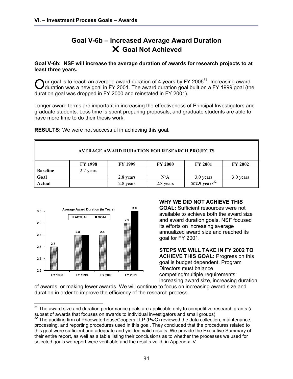## **Goal V-6b – Increased Average Award Duration** U **Goal Not Achieved**

**Goal V-6b: NSF will increase the average duration of awards for research projects to at least three years.**

ur goal is to reach an average award duration of 4 years by FY 2005<sup>31</sup>. Increasing award duration was a new goal in FY 2001. The award duration goal built on a FY 1999 goal (the duration goal was dropped in FY 2000 and reinstated in FY 2001). O

Longer award terms are important in increasing the effectiveness of Principal Investigators and graduate students. Less time is spent preparing proposals, and graduate students are able to have more time to do their thesis work.

| <b>AVERAGE AWARD DURATION FOR RESEARCH PROJECTS</b> |                |                |                |                                  |                |  |
|-----------------------------------------------------|----------------|----------------|----------------|----------------------------------|----------------|--|
|                                                     | <b>FY 1998</b> | <b>FY 1999</b> | <b>FY 2000</b> | <b>FY 2001</b>                   | <b>FY 2002</b> |  |
| <b>Baseline</b>                                     | 2.7 years      |                |                |                                  |                |  |
| Goal                                                |                | 2.8 years      | N/A            | 3.0 years                        | 3.0 years      |  |
| Actual                                              |                | 2.8 years      | 2.8 years      | $\times$ 2.9 years <sup>32</sup> |                |  |

**RESULTS:** We were not successful in achieving this goal.



 $\overline{a}$ 

## **WHY WE DID NOT ACHIEVE THIS**

**GOAL:** Sufficient resources were not available to achieve both the award size and award duration goals. NSF focused its efforts on increasing average annualized award size and reached its goal for FY 2001.

**STEPS WE WILL TAKE IN FY 2002 TO ACHIEVE THIS GOAL:** Progress on this goal is budget dependent. Program Directors must balance competing/multiple requirements: increasing award size, increasing duration

of awards, or making fewer awards. We will continue to focus on increasing award size and duration in order to improve the efficiency of the research process.

 $31$  The award size and duration performance goals are applicable only to competitive research grants (a subset of awards that focuses on awards to individual investigators and small groups).<br><sup>32</sup> The auditing firm of PricewaterhouseCoopers LLP (PwC) reviewed the data collection, maintenance,

processing, and reporting procedures used in this goal. They concluded that the procedures related to this goal were sufficient and adequate and yielded valid results. We provide the Executive Summary of their entire report, as well as a table listing their conclusions as to whether the processes we used for selected goals we report were verifiable and the results valid, in Appendix IV.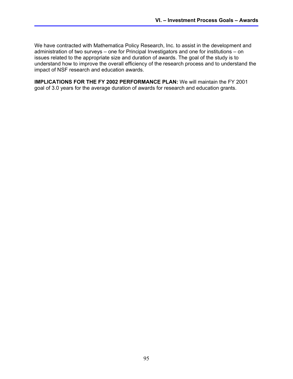We have contracted with Mathematica Policy Research, Inc. to assist in the development and administration of two surveys – one for Principal Investigators and one for institutions – on issues related to the appropriate size and duration of awards. The goal of the study is to understand how to improve the overall efficiency of the research process and to understand the impact of NSF research and education awards.

**IMPLICATIONS FOR THE FY 2002 PERFORMANCE PLAN:** We will maintain the FY 2001 goal of 3.0 years for the average duration of awards for research and education grants.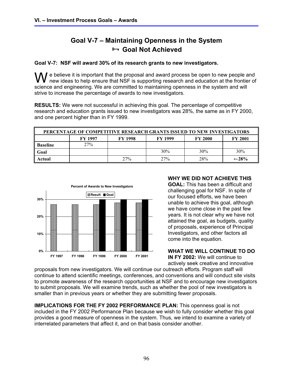## **Goal V-7 – Maintaining Openness in the System** 8 Goal Not Achieved

#### **Goal V-7: NSF will award 30% of its research grants to new investigators.**

We believe it is important that the proposal and award process be open to new people and<br>
We new ideas to help ensure that NSF is supporting research and education at the frontier of new ideas to help ensure that NSF is supporting research and education at the frontier of science and engineering. We are committed to maintaining openness in the system and will strive to increase the percentage of awards to new investigators.

**RESULTS:** We were not successful in achieving this goal. The percentage of competitive research and education grants issued to new investigators was 28%, the same as in FY 2000, and one percent higher than in FY 1999.

| PERCENTAGE OF COMPETITIVE RESEARCH GRANTS ISSUED TO NEW INVESTIGATORS |                |                |                |                |                |  |
|-----------------------------------------------------------------------|----------------|----------------|----------------|----------------|----------------|--|
|                                                                       | <b>FY 1997</b> | <b>FY 1998</b> | <b>FY 1999</b> | <b>FY 2000</b> | <b>FY 2001</b> |  |
| Baseline                                                              | 27%            |                |                |                |                |  |
| Goal                                                                  |                |                | 30%            | 30%            | 30%            |  |
| Actual                                                                |                | 27%            | 27%            | 28%            | $-28\%$        |  |



## **WHY WE DID NOT ACHIEVE THIS**

**GOAL:** This has been a difficult and challenging goal for NSF. In spite of our focused efforts, we have been unable to achieve this goal, although we have come close in the past few years. It is not clear why we have not attained the goal, as budgets, quality of proposals, experience of Principal Investigators, and other factors all come into the equation.

#### **WHAT WE WILL CONTINUE TO DO IN FY 2002:** We will continue to actively seek creative and innovative

proposals from new investigators. We will continue our outreach efforts. Program staff will continue to attend scientific meetings, conferences, and conventions and will conduct site visits to promote awareness of the research opportunities at NSF and to encourage new investigators to submit proposals. We will examine trends, such as whether the pool of new investigators is smaller than in previous years or whether they are submitting fewer proposals.

**IMPLICATIONS FOR THE FY 2002 PERFORMANCE PLAN:** This openness goal is not included in the FY 2002 Performance Plan because we wish to fully consider whether this goal provides a good measure of openness in the system. Thus, we intend to examine a variety of interrelated parameters that affect it, and on that basis consider another.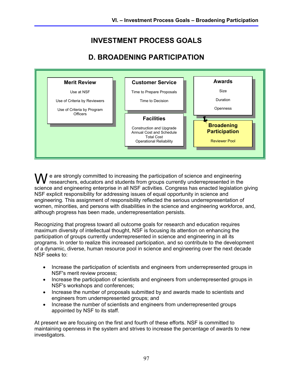# **INVESTMENT PROCESS GOALS**

# **D. BROADENING PARTICIPATION**



W e are strongly committed to increasing the participation of science and engineering<br>researchers, educators and students from groups currently underrepresented in the researchers, educators and students from groups currently underrepresented in the science and engineering enterprise in all NSF activities. Congress has enacted legislation giving NSF explicit responsibility for addressing issues of equal opportunity in science and engineering. This assignment of responsibility reflected the serious underrepresentation of women, minorities, and persons with disabilities in the science and engineering workforce, and, although progress has been made, underrepresentation persists.

Recognizing that progress toward all outcome goals for research and education requires maximum diversity of intellectual thought, NSF is focusing its attention on enhancing the participation of groups currently underrepresented in science and engineering in all its programs. In order to realize this increased participation, and so contribute to the development of a dynamic, diverse, human resource pool in science and engineering over the next decade NSF seeks to:

- Increase the participation of scientists and engineers from underrepresented groups in NSF's merit review process;
- Increase the participation of scientists and engineers from underrepresented groups in NSF's workshops and conferences;
- Increase the number of proposals submitted by and awards made to scientists and engineers from underrepresented groups; and
- Increase the number of scientists and engineers from underrepresented groups appointed by NSF to its staff.

At present we are focusing on the first and fourth of these efforts. NSF is committed to maintaining openness in the system and strives to increase the percentage of awards to new investigators.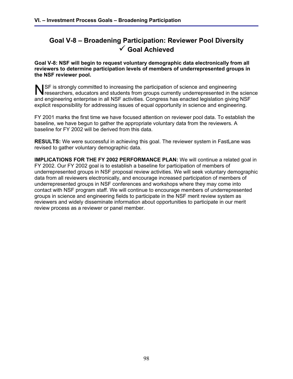## **Goal V-8 – Broadening Participation: Reviewer Pool Diversity** 9 **Goal Achieved**

**Goal V-8: NSF will begin to request voluntary demographic data electronically from all reviewers to determine participation levels of members of underrepresented groups in the NSF reviewer pool.**

NSF is strongly committed to increasing the participation of science and engineering<br>researchers, educators and students from groups currently underrepresented in the **V** researchers, educators and students from groups currently underrepresented in the science and engineering enterprise in all NSF activities. Congress has enacted legislation giving NSF explicit responsibility for addressing issues of equal opportunity in science and engineering.

FY 2001 marks the first time we have focused attention on reviewer pool data. To establish the baseline, we have begun to gather the appropriate voluntary data from the reviewers. A baseline for FY 2002 will be derived from this data.

**RESULTS:** We were successful in achieving this goal. The reviewer system in FastLane was revised to gather voluntary demographic data.

**IMPLICATIONS FOR THE FY 2002 PERFORMANCE PLAN:** We will continue a related goal in FY 2002. Our FY 2002 goal is to establish a baseline for participation of members of underrepresented groups in NSF proposal review activities. We will seek voluntary demographic data from all reviewers electronically, and encourage increased participation of members of underrepresented groups in NSF conferences and workshops where they may come into contact with NSF program staff. We will continue to encourage members of underrepresented groups in science and engineering fields to participate in the NSF merit review system as reviewers and widely disseminate information about opportunities to participate in our merit review process as a reviewer or panel member.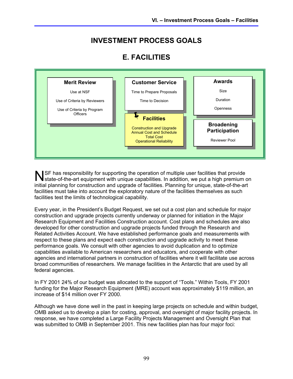# **INVESTMENT PROCESS GOALS**

# **E. FACILITIES**



NSF has responsibility for supporting the operation of multiple user facilities that provide<br>
State-of-the-art equipment with unique capabilities. In addition, we put a high premium state-of-the-art equipment with unique capabilities. In addition, we put a high premium on initial planning for construction and upgrade of facilities. Planning for unique, state-of-the-art facilities must take into account the exploratory nature of the facilities themselves as such facilities test the limits of technological capability.

Every year, in the President's Budget Request, we set out a cost plan and schedule for major construction and upgrade projects currently underway or planned for initiation in the Major Research Equipment and Facilities Construction account. Cost plans and schedules are also developed for other construction and upgrade projects funded through the Research and Related Activities Account. We have established performance goals and measurements with respect to these plans and expect each construction and upgrade activity to meet these performance goals. We consult with other agencies to avoid duplication and to optimize capabilities available to American researchers and educators, and cooperate with other agencies and international partners in construction of facilities where it will facilitate use across broad communities of researchers. We manage facilities in the Antarctic that are used by all federal agencies.

In FY 2001 24% of our budget was allocated to the support of "Tools." Within Tools, FY 2001 funding for the Major Research Equipment (MRE) account was approximately \$119 million, an increase of \$14 million over FY 2000.

Although we have done well in the past in keeping large projects on schedule and within budget, OMB asked us to develop a plan for costing, approval, and oversight of major facility projects. In response, we have completed a Large Facility Projects Management and Oversight Plan that was submitted to OMB in September 2001. This new facilities plan has four major foci: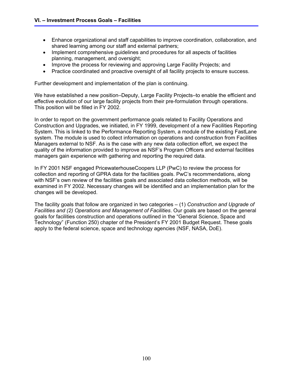- Enhance organizational and staff capabilities to improve coordination, collaboration, and shared learning among our staff and external partners;
- Implement comprehensive guidelines and procedures for all aspects of facilities planning, management, and oversight;
- Improve the process for reviewing and approving Large Facility Projects; and
- Practice coordinated and proactive oversight of all facility projects to ensure success.

Further development and implementation of the plan is continuing.

We have established a new position–Deputy, Large Facility Projects–to enable the efficient and effective evolution of our large facility projects from their pre-formulation through operations. This position will be filled in FY 2002.

In order to report on the government performance goals related to Facility Operations and Construction and Upgrades, we initiated, in FY 1999, development of a new Facilities Reporting System. This is linked to the Performance Reporting System, a module of the existing FastLane system. The module is used to collect information on operations and construction from Facilities Managers external to NSF. As is the case with any new data collection effort, we expect the quality of the information provided to improve as NSF's Program Officers and external facilities managers gain experience with gathering and reporting the required data.

In FY 2001 NSF engaged PricewaterhouseCoopers LLP (PwC) to review the process for collection and reporting of GPRA data for the facilities goals. PwC's recommendations, along with NSF's own review of the facilities goals and associated data collection methods, will be examined in FY 2002. Necessary changes will be identified and an implementation plan for the changes will be developed.

The facility goals that follow are organized in two categories – (1) *Construction and Upgrade of Facilities and (2) Operations and Management of Facilities*. Our goals are based on the general goals for facilities construction and operations outlined in the "General Science, Space and Technology" (Function 250) chapter of the President's FY 2001 Budget Request. These goals apply to the federal science, space and technology agencies (NSF, NASA, DoE).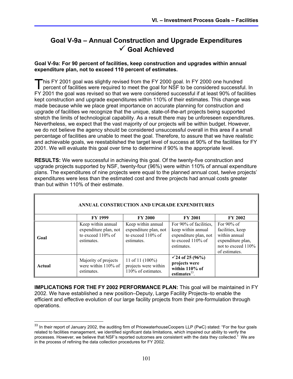## **Goal V-9a – Annual Construction and Upgrade Expenditures** 9 **Goal Achieved**

#### **Goal V-9a: For 90 percent of facilities, keep construction and upgrades within annual expenditure plan, not to exceed 110 percent of estimates.**

his FY 2001 goal was slightly revised from the FY 2000 goal. In FY 2000 one hundred percent of facilities were required to meet the goal for NSF to be considered successful. In FY 2001 the goal was revised so that we were considered successful if at least 90% of facilities kept construction and upgrade expenditures within 110% of their estimates. This change was made because while we place great importance on accurate planning for construction and upgrade of facilities we recognize that the unique, state-of-the-art projects being supported stretch the limits of technological capability. As a result there may be unforeseen expenditures. Nevertheless, we expect that the vast majority of our projects will be within budget. However, we do not believe the agency should be considered unsuccessful overall in this area if a small percentage of facilities are unable to meet the goal. Therefore, to assure that we have realistic and achievable goals, we reestablished the target level of success at 90% of the facilities for FY 2001. We will evaluate this goal over time to determine if 90% is the appropriate level. T

**RESULTS:** We were successful in achieving this goal. Of the twenty-five construction and upgrade projects supported by NSF, twenty-four (96%) were within 110% of annual expenditure plans. The expenditures of nine projects were equal to the planned annual cost, twelve projects' expenditures were less than the estimated cost and three projects had annual costs greater than but within 110% of their estimate.

| ANNUAL CONSTRUCTION AND UPGRADE EXPENDITURES |                                                                                |                                                                                |                                                                                                             |                                                                                                                |  |  |  |
|----------------------------------------------|--------------------------------------------------------------------------------|--------------------------------------------------------------------------------|-------------------------------------------------------------------------------------------------------------|----------------------------------------------------------------------------------------------------------------|--|--|--|
|                                              | <b>FY 1999</b>                                                                 | <b>FY 2000</b>                                                                 | <b>FY 2001</b>                                                                                              | <b>FY 2002</b>                                                                                                 |  |  |  |
| Goal                                         | Keep within annual<br>expenditure plan, not<br>to exceed 110% of<br>estimates. | Keep within annual<br>expenditure plan, not<br>to exceed 110% of<br>estimates. | For 90% of facilities,<br>keep within annual<br>expenditure plan, not<br>to exceed $110\%$ of<br>estimates. | For $90\%$ of<br>facilities, keep<br>within annual<br>expenditure plan,<br>not to exceed 110%<br>of estimates. |  |  |  |
| Actual                                       | Majority of projects<br>were within 110% of<br>estimates.                      | 11 of 11 $(100\%)$<br>projects were within<br>110% of estimates.               | $\sqrt{24}$ of 25 (96%)<br>projects were<br>within 110% of<br>estimates $33$ .                              |                                                                                                                |  |  |  |

**IMPLICATIONS FOR THE FY 2002 PERFORMANCE PLAN:** This goal will be maintained in FY 2002. We have established a new position–Deputy, Large Facility Projects–to enable the efficient and effective evolution of our large facility projects from their pre-formulation through operations.

 $\overline{a}$ 

 $^{33}$  In their report of January 2002, the auditing firm of PricewaterhouseCoopers LLP (PwC) stated: "For the four goals related to facilities management, we identified significant data limitations, which impaired our ability to verify the processes. However, we believe that NSF's reported outcomes are consistent with the data they collected." We are in the process of refining the data collection procedures for FY 2002.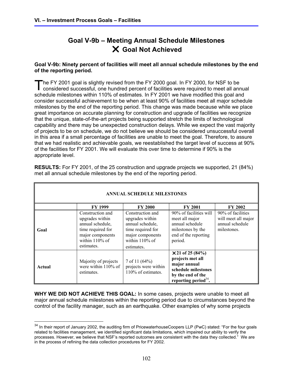$\overline{a}$ 

# **Goal V-9b – Meeting Annual Schedule Milestones** U **Goal Not Achieved**

## **Goal V-9b: Ninety percent of facilities will meet all annual schedule milestones by the end of the reporting period.**

The FY 2001 goal is slightly revised from the FY 2000 goal. In FY 2000, for NSF to be The FY 2001 goal is slightly revised from the FY 2000 goal. In FY 2000, for NSF to be considered successful, one hundred percent of facilities were required to meet all annual schedule milestones within 110% of estimates. In FY 2001 we have modified this goal and consider successful achievement to be when at least 90% of facilities meet all major schedule milestones by the end of the reporting period. This change was made because while we place great importance on accurate planning for construction and upgrade of facilities we recognize that the unique, state-of-the-art projects being supported stretch the limits of technological capability and there may be unexpected construction delays. While we expect the vast majority of projects to be on schedule, we do not believe we should be considered unsuccessful overall in this area if a small percentage of facilities are unable to meet the goal. Therefore, to assure that we had realistic and achievable goals, we reestablished the target level of success at 90% of the facilities for FY 2001. We will evaluate this over time to determine if 90% is the appropriate level.

| <b>ANNUAL SCHEDULE MILESTONES</b> |                                                                                                                                     |                                                                                                                                     |                                                                                                                                             |                                                                            |
|-----------------------------------|-------------------------------------------------------------------------------------------------------------------------------------|-------------------------------------------------------------------------------------------------------------------------------------|---------------------------------------------------------------------------------------------------------------------------------------------|----------------------------------------------------------------------------|
|                                   | <b>FY 1999</b>                                                                                                                      | <b>FY 2000</b>                                                                                                                      | <b>FY 2001</b>                                                                                                                              | <b>FY 2002</b>                                                             |
| Goal                              | Construction and<br>upgrades within<br>annual schedule,<br>time required for<br>major components<br>within $110\%$ of<br>estimates. | Construction and<br>upgrades within<br>annual schedule,<br>time required for<br>major components<br>within $110\%$ of<br>estimates. | 90% of facilities will<br>meet all major<br>annual schedule<br>milestones by the<br>end of the reporting<br>period.                         | 90% of facilities<br>will meet all major<br>annual schedule<br>milestones. |
| Actual                            | Majority of projects<br>were within $110\%$ of<br>estimates.                                                                        | $7$ of 11 (64%)<br>projects were within<br>110% of estimates.                                                                       | $\times$ 21 of 25 (84%)<br>projects met all<br>major annual<br>schedule milestones<br>by the end of the<br>reporting period <sup>34</sup> . |                                                                            |

**RESULTS:** For FY 2001, of the 25 construction and upgrade projects we supported, 21 (84%) met all annual schedule milestones by the end of the reporting period.

**WHY WE DID NOT ACHIEVE THIS GOAL:** In some cases, projects were unable to meet all major annual schedule milestones within the reporting period due to circumstances beyond the control of the facility manager, such as an earthquake. Other examples of why some projects

 $34$  In their report of January 2002, the auditing firm of PricewaterhouseCoopers LLP (PwC) stated: "For the four goals related to facilities management, we identified significant data limitations, which impaired our ability to verify the processes. However, we believe that NSF's reported outcomes are consistent with the data they collected." We are in the process of refining the data collection procedures for FY 2002.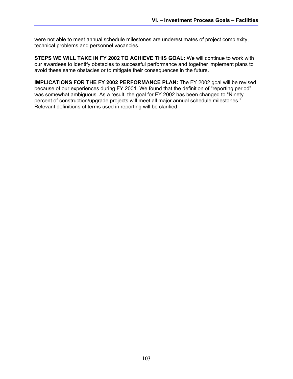were not able to meet annual schedule milestones are underestimates of project complexity, technical problems and personnel vacancies.

**STEPS WE WILL TAKE IN FY 2002 TO ACHIEVE THIS GOAL:** We will continue to work with our awardees to identify obstacles to successful performance and together implement plans to avoid these same obstacles or to mitigate their consequences in the future.

**IMPLICATIONS FOR THE FY 2002 PERFORMANCE PLAN:** The FY 2002 goal will be revised because of our experiences during FY 2001. We found that the definition of "reporting period" was somewhat ambiguous. As a result, the goal for FY 2002 has been changed to "Ninety percent of construction/upgrade projects will meet all major annual schedule milestones." Relevant definitions of terms used in reporting will be clarified.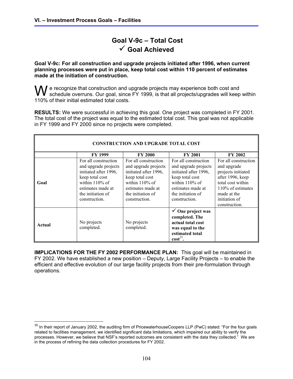$\overline{a}$ 

# **Goal V-9c – Total Cost** 9 **Goal Achieved**

**Goal V-9c: For all construction and upgrade projects initiated after 1996, when current planning processes were put in place, keep total cost within 110 percent of estimates made at the initiation of construction.**

We recognize that construction and upgrade projects may experience both cost and<br>
Schedule overruns. Our goal, since FY 1999, is that all projects/upgrades will keep schedule overruns. Our goal, since FY 1999, is that all projects/upgrades will keep within 110% of their initial estimated total costs.

**RESULTS:** We were successful in achieving this goal. One project was completed in FY 2001. The total cost of the project was equal to the estimated total cost. This goal was not applicable in FY 1999 and FY 2000 since no projects were completed.

| <b>CONSTRUCTION AND UPGRADE TOTAL COST</b> |                                                                                                                                                                       |                                                                                                                                                                          |                                                                                                                                                                          |                                                                                                                                                                          |
|--------------------------------------------|-----------------------------------------------------------------------------------------------------------------------------------------------------------------------|--------------------------------------------------------------------------------------------------------------------------------------------------------------------------|--------------------------------------------------------------------------------------------------------------------------------------------------------------------------|--------------------------------------------------------------------------------------------------------------------------------------------------------------------------|
|                                            | <b>FY 1999</b>                                                                                                                                                        | <b>FY 2000</b>                                                                                                                                                           | <b>FY 2001</b>                                                                                                                                                           | <b>FY 2002</b>                                                                                                                                                           |
| Goal                                       | For all construction<br>and upgrade projects<br>initiated after 1996,<br>keep total cost<br>within 110% of<br>estimates made at<br>the initiation of<br>construction. | For all construction<br>and upgrade projects<br>initiated after 1996,<br>keep total cost<br>within $110\%$ of<br>estimates made at<br>the initiation of<br>construction. | For all construction<br>and upgrade projects<br>initiated after 1996,<br>keep total cost<br>within $110\%$ of<br>estimates made at<br>the initiation of<br>construction. | For all construction<br>and upgrade<br>projects initiated<br>after 1996, keep<br>total cost within<br>110% of estimates<br>made at the<br>initiation of<br>construction. |
| Actual                                     | No projects<br>completed.                                                                                                                                             | No projects<br>completed.                                                                                                                                                | $\checkmark$ One project was<br>completed. The<br>actual total cost<br>was equal to the<br>estimated total<br>$\text{cost}^{35}$ .                                       |                                                                                                                                                                          |

**IMPLICATIONS FOR THE FY 2002 PERFORMANCE PLAN:** This goal will be maintained in FY 2002. We have established a new position – Deputy, Large Facility Projects – to enable the efficient and effective evolution of our large facility projects from their pre-formulation through operations.

 $35$  In their report of January 2002, the auditing firm of PricewaterhouseCoopers LLP (PwC) stated: "For the four goals related to facilities management, we identified significant data limitations, which impaired our ability to verify the processes. However, we believe that NSF's reported outcomes are consistent with the data they collected." We are in the process of refining the data collection procedures for FY 2002.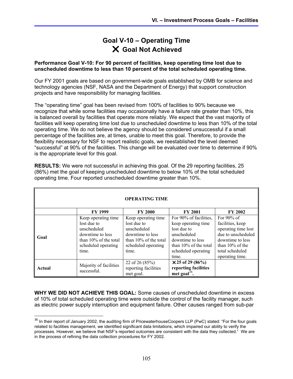# **Goal V-10 – Operating Time** U **Goal Not Achieved**

#### **Performance Goal V-10: For 90 percent of facilities, keep operating time lost due to unscheduled downtime to less than 10 percent of the total scheduled operating time.**

Our FY 2001 goals are based on government-wide goals established by OMB for science and technology agencies (NSF, NASA and the Department of Energy) that support construction projects and have responsibility for managing facilities.

The "operating time" goal has been revised from 100% of facilities to 90% because we recognize that while some facilities may occasionally have a failure rate greater than 10%, this is balanced overall by facilities that operate more reliably. We expect that the vast majority of facilities will keep operating time lost due to unscheduled downtime to less than 10% of the total operating time. We do not believe the agency should be considered unsuccessful if a small percentage of the facilities are, at times, unable to meet this goal. Therefore, to provide the flexibility necessary for NSF to report realistic goals, we reestablished the level deemed "successful" at 90% of the facilities. This change will be evaluated over time to determine if 90% is the appropriate level for this goal.

**RESULTS:** We were not successful in achieving this goal. Of the 29 reporting facilities, 25 (86%) met the goal of keeping unscheduled downtime to below 10% of the total scheduled operating time. Four reported unscheduled downtime greater than 10%.

| <b>OPERATING TIME</b> |                                                                                                                                   |                                                                                                                                   |                                                                                                                                                             |                                                                                                                                                                |
|-----------------------|-----------------------------------------------------------------------------------------------------------------------------------|-----------------------------------------------------------------------------------------------------------------------------------|-------------------------------------------------------------------------------------------------------------------------------------------------------------|----------------------------------------------------------------------------------------------------------------------------------------------------------------|
|                       | FY 1999                                                                                                                           | <b>FY 2000</b>                                                                                                                    | <b>FY 2001</b>                                                                                                                                              | <b>FY 2002</b>                                                                                                                                                 |
| Goal                  | Keep operating time<br>lost due to<br>unscheduled<br>downtime to less<br>than $10\%$ of the total<br>scheduled operating<br>time. | Keep operating time<br>lost due to<br>unscheduled<br>downtime to less<br>than $10\%$ of the total<br>scheduled operating<br>time. | For 90% of facilities,<br>keep operating time<br>lost due to<br>unscheduled<br>downtime to less<br>than $10\%$ of the total<br>scheduled operating<br>time. | For $90\%$ of<br>facilities, keep<br>operating time lost<br>due to unscheduled<br>downtime to less<br>than $10\%$ of the<br>total scheduled<br>operating time. |
| Actual                | Majority of facilities<br>successful.                                                                                             | 22 of 26 $(85%)$<br>reporting facilities<br>met goal.                                                                             | $\times 25$ of 29 (86%)<br>reporting facilities<br>$met goal36.$                                                                                            |                                                                                                                                                                |

**WHY WE DID NOT ACHIEVE THIS GOAL:** Some causes of unscheduled downtime in excess of 10% of total scheduled operating time were outside the control of the facility manager, such as electric power supply interruption and equipment failure. Other causes ranged from sub-par

 $\overline{a}$ 

<sup>&</sup>lt;sup>36</sup> In their report of January 2002, the auditing firm of PricewaterhouseCoopers LLP (PwC) stated: "For the four goals related to facilities management, we identified significant data limitations, which impaired our ability to verify the processes. However, we believe that NSF's reported outcomes are consistent with the data they collected." We are in the process of refining the data collection procedures for FY 2002.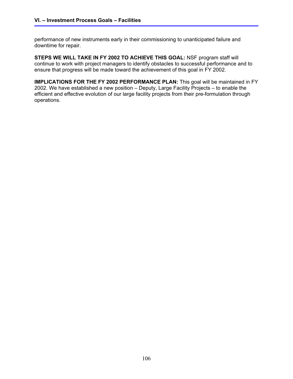performance of new instruments early in their commissioning to unanticipated failure and downtime for repair.

**STEPS WE WILL TAKE IN FY 2002 TO ACHIEVE THIS GOAL:** NSF program staff will continue to work with project managers to identify obstacles to successful performance and to ensure that progress will be made toward the achievement of this goal in FY 2002.

**IMPLICATIONS FOR THE FY 2002 PERFORMANCE PLAN:** This goal will be maintained in FY 2002. We have established a new position – Deputy, Large Facility Projects – to enable the efficient and effective evolution of our large facility projects from their pre-formulation through operations.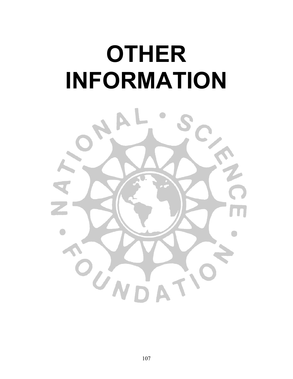# **OTHER INFORMATION**

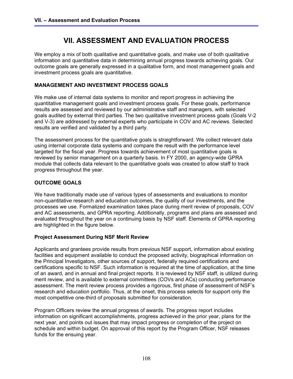# **VII. ASSESSMENT AND EVALUATION PROCESS**

We employ a mix of both qualitative and quantitative goals, and make use of both qualitative information and quantitative data in determining annual progress towards achieving goals. Our outcome goals are generally expressed in a qualitative form, and most management goals and investment process goals are quantitative.

#### **MANAGEMENT AND INVESTMENT PROCESS GOALS**

We make use of internal data systems to monitor and report progress in achieving the quantitative management goals and investment process goals. For these goals, performance results are assessed and reviewed by our administrative staff and managers, with selected goals audited by external third parties. The two qualitative investment process goals (Goals V-2 and V-3) are addressed by external experts who participate in COV and AC reviews. Selected results are verified and validated by a third party.

The assessment process for the quantitative goals is straightforward. We collect relevant data using internal corporate data systems and compare the result with the performance level targeted for the fiscal year. Progress towards achievement of most quantitative goals is reviewed by senior management on a quarterly basis. In FY 2000, an agency-wide GPRA module that collects data relevant to the quantitative goals was created to allow staff to track progress throughout the year.

## **OUTCOME GOALS**

We have traditionally made use of various types of assessments and evaluations to monitor non-quantitative research and education outcomes, the quality of our investments, and the processes we use. Formalized examination takes place during merit review of proposals, COV and AC assessments, and GPRA reporting. Additionally, programs and plans are assessed and evaluated throughout the year on a continuing basis by NSF staff. Elements of GPRA reporting are highlighted in the figure below.

#### **Project Assessment During NSF Merit Review**

Applicants and grantees provide results from previous NSF support, information about existing facilities and equipment available to conduct the proposed activity, biographical information on the Principal Investigators, other sources of support, federally required certifications and certifications specific to NSF. Such information is required at the time of application, at the time of an award, and in annual and final project reports. It is reviewed by NSF staff, is utilized during merit review, and is available to external committees (COVs and ACs) conducting performance assessment. The merit review process provides a rigorous, first phase of assessment of NSF's research and education portfolio. Thus, at the onset, this process selects for support only the most competitive one-third of proposals submitted for consideration.

Program Officers review the annual progress of awards. The progress report includes information on significant accomplishments, progress achieved in the prior year, plans for the next year, and points out issues that may impact progress or completion of the project on schedule and within budget. On approval of this report by the Program Officer, NSF releases funds for the ensuing year.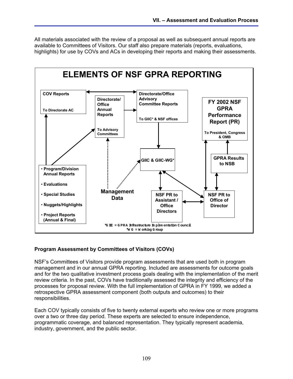All materials associated with the review of a proposal as well as subsequent annual reports are available to Committees of Visitors. Our staff also prepare materials (reports, evaluations, highlights) for use by COVs and ACs in developing their reports and making their assessments.



## **Program Assessment by Committees of Visitors (COVs)**

NSF's Committees of Visitors provide program assessments that are used both in program management and in our annual GPRA reporting. Included are assessments for outcome goals and for the two qualitative investment process goals dealing with the implementation of the merit review criteria. In the past, COVs have traditionally assessed the integrity and efficiency of the processes for proposal review. With the full implementation of GPRA in FY 1999, we added a retrospective GPRA assessment component (both outputs and outcomes) to their responsibilities.

Each COV typically consists of five to twenty external experts who review one or more programs over a two or three day period. These experts are selected to ensure independence, programmatic coverage, and balanced representation. They typically represent academia, industry, government, and the public sector.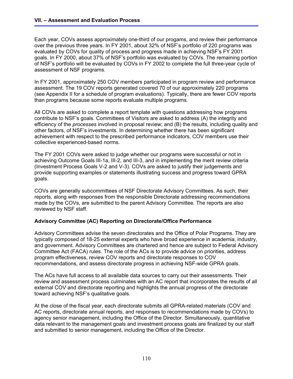Each year, COVs assess approximately one-third of our progams, and review their performance over the previous three years. In FY 2001, about 32% of NSF's portfolio of 220 programs was evaluated by COVs for quality of process and progress made in achieving NSF's FY 2001 goals. In FY 2000, about 37% of NSF's portfolio was evaluated by COVs. The remaining portion of NSF's portfolio will be evaluated by COVs in FY 2002 to complete the full three-year cycle of assessment of NSF programs.

In FY 2001, approximately 250 COV members participated in program review and performance assessment. The 19 COV reports generated covered 70 of our approximately 220 programs (see Appendix II for a schedule of program evaluations). Typically, there are fewer COV reports than programs because some reports evaluate multiple programs.

All COVs are asked to complete a report template with questions addressing how programs contribute to NSF's goals. Committees of Visitors are asked to address (A) the integrity and efficiency of the *processes* involved in proposal review; and (B) the results, including quality and other factors, of NSF's investments. In determining whether there has been significant achievement with respect to the prescribed performance indicators, COV members use their collective experienced-based norms.

The FY 2001 COVs were asked to judge whether our programs were successful or not in achieving Outcome Goals III-1a, III-2, and III-3, and in implementing the merit review criteria (Investment Process Goals V-2 and V-3). COVs are asked to justify their judgements and provide supporting examples or statements illustrating success and progress toward GPRA goals.

COVs are generally subcommittees of NSF Directorate Advisory Committees. As such, their reports, along with responses from the responsible Directorate addressing recommendations made by the COVs, are submitted to the parent Advisory Committee. The reports are also reviewed by NSF staff.

#### **Advisory Committee (AC) Reporting on Directorate/Office Performance**

Advisory Committees advise the seven directorates and the Office of Polar Programs. They are typically composed of 18-25 external experts who have broad experience in academia, industry, and government. Advisory Committees are chartered and hence are subject to Federal Advisory Committee Act (FACA) rules. The role of the ACs is to provide advice on priorities, address program effectiveness, review COV reports and directorate responses to COV recommendations, and assess directorate progress in achieving NSF-wide GPRA goals.

The ACs have full access to all available data sources to carry out their assessments. Their review and assessment process culminates with an AC report that incorporates the results of all external COV and directorate reporting and highlights the annual progress of the directorate toward achieving NSF's qualitative goals.

At the close of the fiscal year, each directorate submits all GPRA-related materials (COV and AC reports, directorate annual reports, and responses to recommendations made by COVs) to agency senior management, including the Office of the Director. Simultaneously, quantitative data relevant to the management goals and investment process goals are finalized by our staff and submitted to senior management, including the Office of the Director.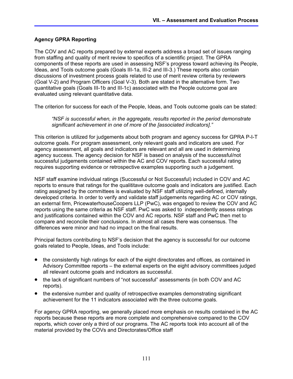# **Agency GPRA Reporting**

The COV and AC reports prepared by external experts address a broad set of issues ranging from staffing and quality of merit review to specifics of a scientific project. The GPRA components of these reports are used in assessing NSF's progress toward achieving its People, Ideas, and Tools outcome goals (Goals III-1a, III-2 and III-3.) These reports also contain discussions of investment process goals related to use of merit review criteria by reviewers (Goal V-2) and Program Officers (Goal V-3). Both are stated in the alternative form. Two quantitative goals (Goals III-1b and III-1c) associated with the People outcome goal are evaluated using relevant quantitative data.

The criterion for success for each of the People, Ideas, and Tools outcome goals can be stated:

#### *"NSF is successful when, in the aggregate, results reported in the period demonstrate significant achievement in one of more of the [associated indicators]."*

This criterion is utilized for judgements about both program and agency success for GPRA P-I-T outcome goals. For program assessment, only relevant goals and indicators are used. For agency assessment, all goals and indicators are relevant and all are used in determining agency success. The agency decision for NSF is based on analysis of the successful/not successful judgements contained within the AC and COV reports. Each successful rating requires supporting evidence or retrospective examples supporting such a judgement.

NSF staff examine individual ratings (Successful or Not Successful) included in COV and AC reports to ensure that ratings for the qualititave outcome goals and indicators are justified. Each rating assigned by the committees is evaluated by NSF staff utilizing well-defined, internally developed criteria. In order to verify and validate staff judgements regarding AC or COV ratings, an external firm, PricewaterhouseCoopers LLP (PwC), was engaged to review the COV and AC reports using the same criteria as NSF staff. PwC was asked to independently assess ratings and justifications contained within the COV and AC reports. NSF staff and PwC then met to compare and reconcile their conclusions. In almost all cases there was consensus. The differences were minor and had no impact on the final results.

Principal factors contributing to NSF's decision that the agency is successful for our outcome goals related to People, Ideas, and Tools include:

- the consistently high ratings for each of the eight directorates and offices, as contained in Advisory Committee reports – the external experts on the eight advisory committees judged all relevant outcome goals and indicators as successful.
- the lack of significant numbers of "not successful" assessments (in both COV and AC reports).
- the extensive number and quality of retrospective examples demonstrating significant achievement for the 11 indicators associated with the three outcome goals.

For agency GPRA reporting, we generally placed more emphasis on results contained in the AC reports because these reports are more complete and comprehensive compared to the COV reports, which cover only a third of our programs. The AC reports took into account all of the material provided by the COVs and Directorates/Office staff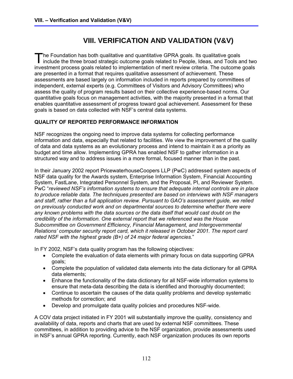# **VIII. VERIFICATION AND VALIDATION (V&V)**

he Foundation has both qualitative and quantitative GPRA goals. Its qualitative goals include the three broad strategic outcome goals related to People, Ideas, and Tools and two investment process goals related to implementation of merit review criteria. The outcome goals are presented in a format that requires qualitative assessment of achievement. These assessments are based largely on information included in reports prepared by committees of independent, external experts (e.g. Committees of Visitors and Advisory Committees) who assess the quality of program results based on their collective experience-based norms. Our quantitative goals focus on management activities, with the majority presented in a format that enables quantitative assessment of progress toward goal achievement. Assessment for these goals is based on data collected with NSF's central data systems. T

## **QUALITY OF REPORTED PERFORMANCE INFORMATION**

NSF recognizes the ongoing need to improve data systems for collecting performance information and data, especially that related to facilities. We view the improvement of the quality of data and data systems as an evolutionary process and intend to maintain it as a priority as budget and time allow. Implementing GPRA has enabled NSF to gather information in a structured way and to address issues in a more formal, focused manner than in the past.

In their January 2002 report PricewaterhouseCoopers LLP (PwC) addressed system aspects of NSF data quality for the Awards system, Enterprise Information System, Financial Accounting System, FastLane, Integrated Personnel System, and the Proposal, PI, and Reviewer System. PwC "*reviewed NSF's information systems to ensure that adequate internal controls are in place to produce reliable data. The techniques presented are based on interviews with NSF managers and staff, rather than a full application review. Pursuant to GAO's assessment guide, we relied on previously conducted work and on departmental sources to determine whether there were any known problems with the data sources or the data itself that would cast doubt on the credibility of the information. One external report that we referenced was the House Subcommittee on Government Efficiency, Financial Management, and Intergovernmental Relations' computer security report card, which it released in October 2001. The report card rated NSF with the highest grade (B+) of 24 major federal agencies.*"

In FY 2002, NSF's data quality program has the following objectives:

- Complete the evaluation of data elements with primary focus on data supporting GPRA goals;
- Complete the population of validated data elements into the data dictionary for all GPRA data elements;
- Enhance the functionality of the data dictionary for all NSF-wide information systems to ensure that meta-data describing the data is identified and thoroughly documented;
- Continue to ascertain the causes of the data quality problems and develop systematic methods for correction; and
- Develop and promulgate data quality policies and procedures NSF-wide.

A COV data project initiated in FY 2001 will substantially improve the quality, consistency and availability of data, reports and charts that are used by external NSF committees. These committees, in addition to providing advice to the NSF organization, provide assessments used in NSF's annual GPRA reporting. Currently, each NSF organization produces its own reports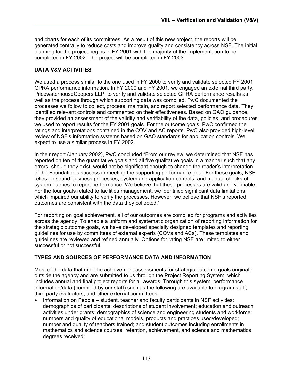and charts for each of its committees. As a result of this new project, the reports will be generated centrally to reduce costs and improve quality and consistency across NSF. The initial planning for the project begins in FY 2001 with the majority of the implementation to be completed in FY 2002. The project will be completed in FY 2003.

# **DATA V&V ACTIVITIES**

We used a process similar to the one used in FY 2000 to verify and validate selected FY 2001 GPRA performance information. In FY 2000 and FY 2001, we engaged an external third party, PricewaterhouseCoopers LLP, to verify and validate selected GPRA performance results as well as the process through which supporting data was compiled. PwC documented the processes we follow to collect, process, maintain, and report selected performance data. They identified relevant controls and commented on their effectiveness. Based on GAO guidance, they provided an assessment of the validity and verifiability of the data, policies, and procedures we used to report results for the FY 2001 goals. For the outcome goals, PwC confirmed the ratings and interpretations contained in the COV and AC reports. PwC also provided high-level review of NSF's information systems based on GAO standards for application controls. We expect to use a similar process in FY 2002.

In their report (January 2002), PwC concluded "From our review, we determined that NSF has reported on ten of the quantitative goals and all five qualitative goals in a manner such that any errors, should they exist, would not be significant enough to change the reader's interpretation of the Foundation's success in meeting the supporting performance goal. For these goals, NSF relies on sound business processes, system and application controls, and manual checks of system queries to report performance. We believe that these processes are valid and verifiable. For the four goals related to facilities management, we identified significant data limitations, which impaired our ability to verify the processes. However, we believe that NSF's reported outcomes are consistent with the data they collected."

For reporting on goal achievement, all of our outcomes are compiled for programs and activities across the agency. To enable a uniform and systematic organization of reporting information for the strategic outcome goals, we have developed specially designed templates and reporting guidelines for use by committees of external experts (COVs and ACs). These templates and guidelines are reviewed and refined annually. Options for rating NSF are limited to either successful or not successful.

# **TYPES AND SOURCES OF PERFORMANCE DATA AND INFORMATION**

Most of the data that underlie achievement assessments for strategic outcome goals originate outside the agency and are submitted to us through the Project Reporting System, which includes annual and final project reports for all awards. Through this system, performance information/data (compiled by our staff) such as the following are available to program staff, third party evaluators, and other external committees:

Information on People – student, teacher and faculty participants in NSF activities; demographics of participants; descriptions of student involvement; education and outreach activities under grants; demographics of science and engineering students and workforce; numbers and quality of educational models, products and practices used/developed; number and quality of teachers trained; and student outcomes including enrollments in mathematics and science courses, retention, achievement, and science and mathematics degrees received;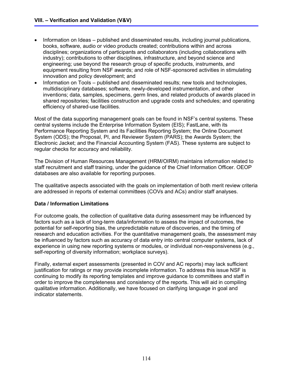- Information on Ideas published and disseminated results, including journal publications, books, software, audio or video products created; contributions within and across disciplines; organizations of participants and collaborators (including collaborations with industry); contributions to other disciplines, infrastructure, and beyond science and engineering; use beyond the research group of specific products, instruments, and equipment resulting from NSF awards; and role of NSF-sponsored activities in stimulating innovation and policy development; and
- Information on Tools published and disseminated results; new tools and technologies, multidisciplinary databases; software, newly-developed instrumentation, and other inventions; data, samples, specimens, germ lines, and related products of awards placed in shared repositories; facilities construction and upgrade costs and schedules; and operating efficiency of shared-use facilities.

Most of the data supporting management goals can be found in NSF's central systems. These central systems include the Enterprise Information System (EIS); FastLane, with its Performance Reporting System and its Facilities Reporting System; the Online Document System (ODS); the Proposal, PI, and Reviewer System (PARS); the Awards System; the Electronic Jacket; and the Financial Accounting System (FAS). These systems are subject to regular checks for accuracy and reliability.

The Division of Human Resources Management (HRM/OIRM) maintains information related to staff recruitment and staff training, under the guidance of the Chief Information Officer. OEOP databases are also available for reporting purposes.

The qualitative aspects associated with the goals on implementation of both merit review criteria are addressed in reports of external committees (COVs and ACs) and/or staff analyses.

#### **Data / Information Limitations**

For outcome goals, the collection of qualitative data during assessment may be influenced by factors such as a lack of long-term data/information to assess the impact of outcomes, the potential for self-reporting bias, the unpredictable nature of discoveries, and the timing of research and education activities. For the quantitative management goals, the assessment may be influenced by factors such as accuracy of data entry into central computer systems, lack of experience in using new reporting systems or modules, or individual non-responsiveness (e.g., self-reporting of diversity information; workplace surveys).

Finally, external expert assessments (presented in COV and AC reports) may lack sufficient justification for ratings or may provide incomplete information. To address this issue NSF is continuing to modify its reporting templates and improve guidance to committees and staff in order to improve the completeness and consistency of the reports. This will aid in compiling qualitative information. Additionally, we have focused on clarifying language in goal and indicator statements.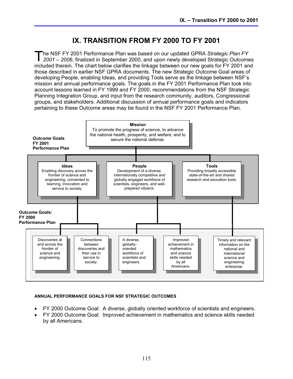# **IX. TRANSITION FROM FY 2000 TO FY 2001**

he NSF FY 2001 Performance Plan was based on our updated GPRA *Strategic Plan FY 2001 – 2006*, finalized in September 2000, and upon newly developed Strategic Outcomes included therein. The chart below clarifies the linkage between our new goals for FY 2001 and those described in earlier NSF GPRA documents. The new Strategic Outcome Goal areas of developing People, enabling Ideas, and providing Tools serve as the linkage between NSF's mission and annual performance goals. The goals in the FY 2001 Performance Plan took into account lessons learned in FY 1999 and FY 2000, recommendations from the NSF Strategic Planning Integration Group, and input from the research community, auditors, Congressional groups, and stakeholders. Additional discussion of annual performance goals and indicators pertaining to these Outcome areas may be found in the NSF FY 2001 Performance Plan. T



#### **ANNUAL PERFORMANCE GOALS FOR NSF STRATEGIC OUTCOMES**

- FY 2000 Outcome Goal: A diverse, globally oriented workforce of scientists and engineers.
- FY 2000 Outcome Goal: Improved achievement in mathematics and science skills needed by all Americans.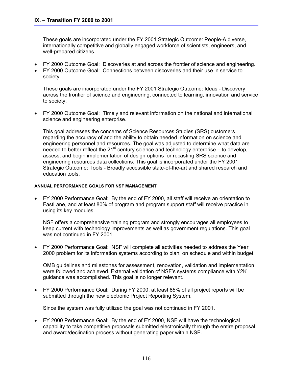These goals are incorporated under the FY 2001 Strategic Outcome: People-A diverse, internationally competitive and globally engaged workforce of scientists, engineers, and well-prepared citizens.

- FY 2000 Outcome Goal: Discoveries at and across the frontier of science and engineering.
- FY 2000 Outcome Goal: Connections between discoveries and their use in service to society.

These goals are incorporated under the FY 2001 Strategic Outcome: Ideas - Discovery across the frontier of science and engineering, connected to learning, innovation and service to society.

• FY 2000 Outcome Goal: Timely and relevant information on the national and international science and engineering enterprise.

This goal addresses the concerns of Science Resources Studies (SRS) customers regarding the accuracy of and the ability to obtain needed information on science and engineering personnel and resources. The goal was adjusted to determine what data are needed to better reflect the 21<sup>st</sup> century science and technology enterprise – to develop, assess, and begin implementation of design options for recasting SRS science and engineering resources data collections. This goal is incorporated under the FY 2001 Strategic Outcome: Tools - Broadly accessible state-of-the-art and shared research and education tools.

#### **ANNUAL PERFORMANCE GOALS FOR NSF MANAGEMENT**

• FY 2000 Performance Goal: By the end of FY 2000, all staff will receive an orientation to FastLane, and at least 80% of program and program support staff will receive practice in using its key modules.

NSF offers a comprehensive training program and strongly encourages all employees to keep current with technology improvements as well as government regulations. This goal was not continued in FY 2001.

• FY 2000 Performance Goal: NSF will complete all activities needed to address the Year 2000 problem for its information systems according to plan, on schedule and within budget.

OMB guidelines and milestones for assessment, renovation, validation and implementation were followed and achieved. External validation of NSF's systems compliance with Y2K guidance was accomplished. This goal is no longer relevant.

• FY 2000 Performance Goal: During FY 2000, at least 85% of all project reports will be submitted through the new electronic Project Reporting System.

Since the system was fully utilized the goal was not continued in FY 2001.

• FY 2000 Performance Goal: By the end of FY 2000, NSF will have the technological capability to take competitive proposals submitted electronically through the entire proposal and award/declination process without generating paper within NSF.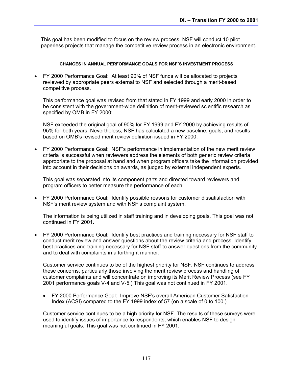This goal has been modified to focus on the review process. NSF will conduct 10 pilot paperless projects that manage the competitive review process in an electronic environment.

#### **CHANGES IN ANNUAL PERFORMANCE GOALS FOR NSF'S INVESTMENT PROCESS**

• FY 2000 Performance Goal: At least 90% of NSF funds will be allocated to projects reviewed by appropriate peers external to NSF and selected through a merit-based competitive process.

This performance goal was revised from that stated in FY 1999 and early 2000 in order to be consistent with the government-wide definition of merit-reviewed scientific research as specified by OMB in FY 2000:

NSF exceeded the original goal of 90% for FY 1999 and FY 2000 by achieving results of 95% for both years. Nevertheless, NSF has calculated a new baseline, goals, and results based on OMB's revised merit review definition issued in FY 2000.

• FY 2000 Performance Goal: NSF's performance in implementation of the new merit review criteria is successful when reviewers address the elements of both generic review criteria appropriate to the proposal at hand and when program officers take the information provided into account in their decisions on awards, as judged by external independent experts.

This goal was separated into its component parts and directed toward reviewers and program officers to better measure the performance of each.

• FY 2000 Performance Goal: Identify possible reasons for customer dissatisfaction with NSF's merit review system and with NSF's complaint system.

The information is being utilized in staff training and in developing goals. This goal was not continued in FY 2001.

• FY 2000 Performance Goal: Identify best practices and training necessary for NSF staff to conduct merit review and answer questions about the review criteria and process. Identify best practices and training necessary for NSF staff to answer questions from the community and to deal with complaints in a forthright manner.

Customer service continues to be of the highest priority for NSF. NSF continues to address these concerns, particularly those involving the merit review process and handling of customer complaints and will concentrate on improving its Merit Review Process (see FY 2001 performance goals V-4 and V-5.) This goal was not continued in FY 2001.

• FY 2000 Performance Goal: Improve NSF's overall American Customer Satisfaction Index (ACSI) compared to the FY 1999 index of 57 (on a scale of 0 to 100.)

Customer service continues to be a high priority for NSF. The results of these surveys were used to identify issues of importance to respondents, which enables NSF to design meaningful goals. This goal was not continued in FY 2001.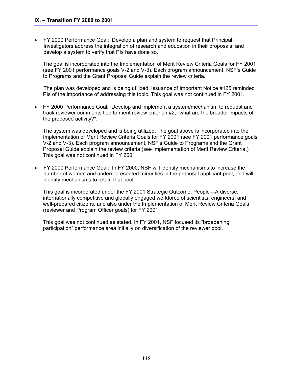• FY 2000 Performance Goal: Develop a plan and system to request that Principal Investigators address the integration of research and education in their proposals, and develop a system to verify that PIs have done so.

The goal is incorporated into the Implementation of Merit Review Criteria Goals for FY 2001 (see FY 2001 performance goals V-2 and V-3). Each program announcement, NSF's Guide to Programs and the Grant Proposal Guide explain the review criteria.

The plan was developed and is being utilized. Issuance of Important Notice #125 reminded PIs of the importance of addressing this topic. This goal was not continued in FY 2001.

• FY 2000 Performance Goal: Develop and implement a system/mechanism to request and track reviewer comments tied to merit review criterion #2, "what are the broader impacts of the proposed activity?".

The system was developed and is being utilized. The goal above is incorporated into the Implementation of Merit Review Criteria Goals for FY 2001 (see FY 2001 performance goals V-2 and V-3). Each program announcement, NSF's Guide to Programs and the Grant Proposal Guide explain the review criteria (see Implementation of Merit Review Criteria.) This goal was not continued in FY 2001.

• FY 2000 Performance Goal: In FY 2000, NSF will identify mechanisms to increase the number of women and underrepresented minorities in the proposal applicant pool, and will identify mechanisms to retain that pool.

This goal is incorporated under the FY 2001 Strategic Outcome: People—A diverse, internationally competitive and globally engaged workforce of scientists, engineers, and well-prepared citizens, and also under the Implementation of Merit Review Criteria Goals (reviewer and Program Officer goals) for FY 2001.

This goal was not continued as stated. In FY 2001, NSF focused its "broadening participation" performance area initially on diversification of the reviewer pool.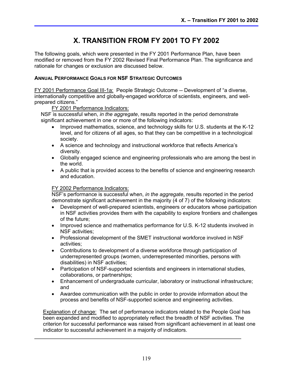# **X. TRANSITION FROM FY 2001 TO FY 2002**

The following goals, which were presented in the FY 2001 Performance Plan, have been modified or removed from the FY 2002 Revised Final Performance Plan. The significance and rationale for changes or exclusion are discussed below.

## **ANNUAL PERFORMANCE GOALS FOR NSF STRATEGIC OUTCOMES**

FY 2001 Performance Goal III-1a: People Strategic Outcome -- Development of "a diverse, internationally competitive and globally-engaged workforce of scientists, engineers, and wellprepared citizens."

#### FY 2001 Performance Indicators:

NSF is successful when, *in the aggregate*, results reported in the period demonstrate significant achievement in one or more of the following indicators:

- Improved mathematics, science, and technology skills for U.S. students at the K-12 level, and for citizens of all ages, so that they can be competitive in a technological society.
- A science and technology and instructional workforce that reflects America's diversity.
- Globally engaged science and engineering professionals who are among the best in the world.
- A public that is provided access to the benefits of science and engineering research and education.

## FY 2002 Performance Indicators:

NSF's performance is successful when, *in the aggregate*, results reported in the period demonstrate significant achievement in the majority (4 of 7) of the following indicators:

- Development of well-prepared scientists, engineers or educators whose participation in NSF activities provides them with the capability to explore frontiers and challenges of the future;
- Improved science and mathematics performance for U.S. K-12 students involved in NSF activities;
- Professional development of the SMET instructional workforce involved in NSF activities;
- Contributions to development of a diverse workforce through participation of underrepresented groups (women, underrepresented minorities, persons with disabilities) in NSF activities;
- Participation of NSF-supported scientists and engineers in international studies, collaborations, or partnerships;
- Enhancement of undergraduate curricular, laboratory or instructional infrastructure; and
- Awardee communication with the public in order to provide information about the process and benefits of NSF-supported science and engineering activities.

Explanation of change: The set of performance indicators related to the People Goal has been expanded and modified to appropriately reflect the breadth of NSF activities. The criterion for successful performance was raised from significant achievement in at least one indicator to successful achievement in a majority of indicators.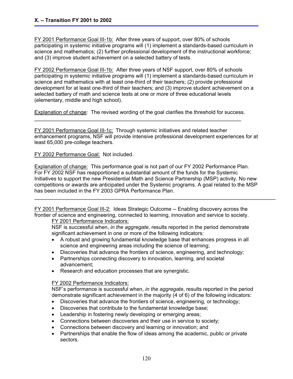FY 2001 Performance Goal III-1b:After three years of support, over 80% of schools participating in systemic initiative programs will (1) implement a standards-based curriculum in science and mathematics; (2) further professional development of the instructional workforce; and (3) improve student achievement on a selected battery of tests.

FY 2002 Performance Goal III-1b: After three years of NSF support, over 80% of schools participating in systemic initiative programs will (1) implement a standards-based curriculum in science and mathematics with at least one-third of their teachers; (2) provide professional development for at least one-third of their teachers; and (3) improve student achievement on a selected battery of math and science tests at one or more of three educational levels (elementary, middle and high school).

Explanation of change: The revised wording of the goal clarifies the threshold for success.

FY 2001 Performance Goal III-1c: Through systemic initiatives and related teacher enhancement programs, NSF will provide intensive professional development experiences for at least 65,000 pre-college teachers.

FY 2002 Performance Goal: Not included.

Explanation of change: This performance goal is not part of our FY 2002 Performance Plan. For FY 2002 NSF has reapportioned a substantial amount of the funds for the Systemic Initiatives to support the new Presidential Math and Science Partnership (MSP) activity. No new competitions or awards are anticipated under the Systemic programs. A goal related to the MSP has been included in the FY 2003 GPRA Performance Plan.

FY 2001 Performance Goal III-2: Ideas Strategic Outcome -- Enabling discovery across the frontier of science and engineering, connected to learning, innovation and service to society.

#### FY 2001 Performance Indicators:

NSF is successful when, *in the aggregate*, results reported in the period demonstrate significant achievement in one or more of the following indicators:

- A robust and growing fundamental knowledge base that enhances progress in all science and engineering areas including the science of learning;
- Discoveries that advance the frontiers of science, engineering, and technology;
- Partnerships connecting discovery to innovation, learning, and societal advancement;
- Research and education processes that are synergistic.

#### FY 2002 Performance Indicators:

NSF's performance is successful when, *in the aggregate*, results reported in the period demonstrate significant achievement in the majority (4 of 6) of the following indicators:

- Discoveries that advance the frontiers of science, engineering, or technology;
- Discoveries that contribute to the fundamental knowledge base;
- Leadership in fostering newly developing or emerging areas;
- Connections between discoveries and their use in service to society;
- Connections between discovery and learning or innovation; and
- Partnerships that enable the flow of ideas among the academic, public or private sectors.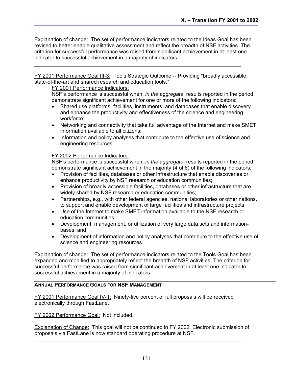Explanation of change: The set of performance indicators related to the Ideas Goal has been revised to better enable qualitative assessment and reflect the breadth of NSF activities. The criterion for successful performance was raised from significant achievement in at least one indicator to successful achievement in a majority of indicators.

FY 2001 Performance Goal III-3: Tools Strategic Outcome -- Providing "broadly accessible, state-of-the-art and shared research and education tools."

#### FY 2001 Performance Indicators:

NSF's performance is successful when, *in the aggregate*, results reported in the period demonstrate significant achievement for one or more of the following indicators:

- Shared use platforms, facilities, instruments, and databases that enable discovery and enhance the productivity and effectiveness of the science and engineering workforce;
- Networking and connectivity that take full advantage of the Internet and make SMET information available to all citizens;
- Information and policy analyses that contribute to the effective use of science and engineering resources.

#### FY 2002 Performance Indicators:

NSF's performance is successful when, *in the aggregate*, results reported in the period demonstrate significant achievement in the majority (4 of 6) of the following indicators:

- Provision of facilities, databases or other infrastructure that enable discoveries or enhance productivity by NSF research or education communities;
- Provision of broadly accessible facilities, databases or other infrastructure that are widely shared by NSF research or education communities;
- Partnerships, e.g., with other federal agencies, national laboratories or other nations, to support and enable development of large facilities and infrastructure projects;
- Use of the Internet to make SMET information available to the NSF research or education communities;
- Development, management, or utilization of very large data sets and informationbases; and
- Development of information and policy analyses that contribute to the effective use of science and engineering resources.

Explanation of change: The set of performance indicators related to the Tools Goal has been expanded and modified to appropriately reflect the breadth of NSF activities. The criterion for successful performance was raised from significant achievement in at least one indicator to successful achievement in a majority of indicators.

#### **ANNUAL PERFORMANCE GOALS FOR NSF MANAGEMENT**

FY 2001 Performance Goal IV-1: Ninety-five percent of full proposals will be received electronically through FastLane.

FY 2002 Performance Goal: Not included.

Explanation of Change: This goal will not be continued in FY 2002. Electronic submission of proposals via FastLane is now standard operating procedure at NSF.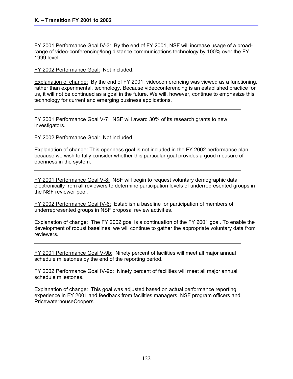FY 2001 Performance Goal IV-3: By the end of FY 2001, NSF will increase usage of a broadrange of video-conferencing/long distance communications technology by 100% over the FY 1999 level.

FY 2002 Performance Goal: Not included.

Explanation of change: By the end of FY 2001, videoconferencing was viewed as a functioning, rather than experimental, technology. Because videoconferencing is an established practice for us, it will not be continued as a goal in the future. We will, however, continue to emphasize this technology for current and emerging business applications.

FY 2001 Performance Goal V-7: NSF will award 30% of its research grants to new investigators.

FY 2002 Performance Goal: Not included.

**Explanation of change:** This openness goal is not included in the FY 2002 performance plan because we wish to fully consider whether this particular goal provides a good measure of openness in the system.

FY 2001 Performance Goal V-8: NSF will begin to request voluntary demographic data electronically from all reviewers to determine participation levels of underrepresented groups in the NSF reviewer pool.

FY 2002 Performance Goal IV-6: Establish a baseline for participation of members of underrepresented groups in NSF proposal review activities.

Explanation of change: The FY 2002 goal is a continuation of the FY 2001 goal. To enable the development of robust baselines, we will continue to gather the appropriate voluntary data from reviewers.

FY 2001 Performance Goal V-9b: Ninety percent of facilities will meet all major annual schedule milestones by the end of the reporting period.

FY 2002 Performance Goal IV-9b: Ninety percent of facilities will meet all major annual schedule milestones.

Explanation of change: This goal was adjusted based on actual performance reporting experience in FY 2001 and feedback from facilities managers, NSF program officers and PricewaterhouseCoopers.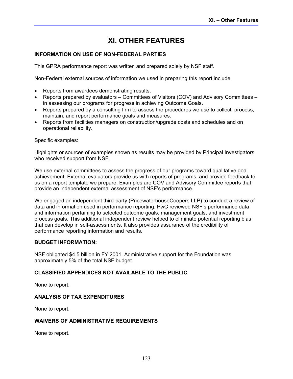# **XI. OTHER FEATURES**

# **INFORMATION ON USE OF NON-FEDERAL PARTIES**

This GPRA performance report was written and prepared solely by NSF staff.

Non-Federal external sources of information we used in preparing this report include:

- Reports from awardees demonstrating results.
- Reports prepared by evaluators Committees of Visitors (COV) and Advisory Committees in assessing our programs for progress in achieving Outcome Goals.
- Reports prepared by a consulting firm to assess the procedures we use to collect, process, maintain, and report performance goals and measures.
- Reports from facilities managers on construction/upgrade costs and schedules and on operational reliability.

Specific examples:

Highlights or sources of examples shown as results may be provided by Principal Investigators who received support from NSF.

We use external committees to assess the progress of our programs toward qualitative goal achievement. External evaluators provide us with reports of programs, and provide feedback to us on a report template we prepare. Examples are COV and Advisory Committee reports that provide an independent external assessment of NSF's performance.

We engaged an independent third-party (PricewaterhouseCoopers LLP) to conduct a review of data and information used in performance reporting. PwC reviewed NSF's performance data and information pertaining to selected outcome goals, management goals, and investment process goals. This additional independent review helped to eliminate potential reporting bias that can develop in self-assessments. It also provides assurance of the credibility of performance reporting information and results.

#### **BUDGET INFORMATION:**

NSF obligated \$4.5 billion in FY 2001. Administrative support for the Foundation was approximately 5% of the total NSF budget.

#### **CLASSIFIED APPENDICES NOT AVAILABLE TO THE PUBLIC**

None to report.

#### **ANALYSIS OF TAX EXPENDITURES**

None to report.

#### **WAIVERS OF ADMINISTRATIVE REQUIREMENTS**

None to report.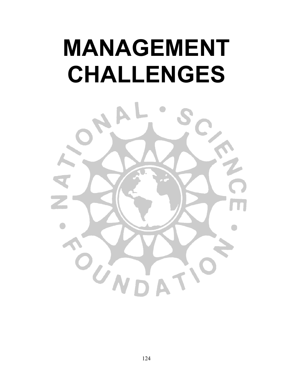# **MANAGEMENT CHALLENGES**

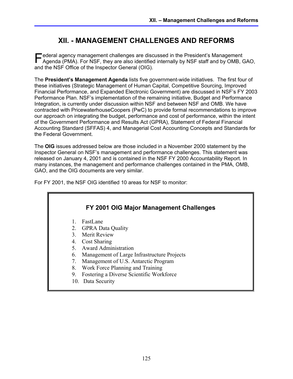# **XII. - MANAGEMENT CHALLENGES AND REFORMS**

ederal agency management challenges are discussed in the President's Management Agenda (PMA). For NSF, they are also identified internally by NSF staff and by OMB, GAO, and the NSF Office of the Inspector General (OIG). F

The **President's Management Agenda** lists five government-wide initiatives. The first four of these initiatives (Strategic Management of Human Capital, Competitive Sourcing, Improved Financial Performance, and Expanded Electronic Government) are discussed in NSF's FY 2003 Performance Plan. NSF's implementation of the remaining initiative, Budget and Performance Integration, is currently under discussion within NSF and between NSF and OMB. We have contracted with PricewaterhouseCoopers (PwC) to provide formal recommendations to improve our approach on integrating the budget, performance and cost of performance, within the intent of the Government Performance and Results Act (GPRA), Statement of Federal Financial Accounting Standard (SFFAS) 4, and Managerial Cost Accounting Concepts and Standards for the Federal Government.

The **OIG** issues addressed below are those included in a November 2000 statement by the Inspector General on NSF's management and performance challenges. This statement was released on January 4, 2001 and is contained in the NSF FY 2000 Accountability Report. In many instances, the management and performance challenges contained in the PMA, OMB, GAO, and the OIG documents are very similar.

For FY 2001, the NSF OIG identified 10 areas for NSF to monitor:

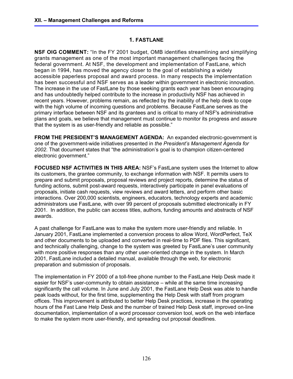# **1. FASTLANE**

**NSF OIG COMMENT:** "In the FY 2001 budget, OMB identifies streamlining and simplifying grants management as one of the most important management challenges facing the federal government. At NSF, the development and implementation of FastLane, which began in 1994, has moved the agency closer to the goal of establishing a widely accessible paperless proposal and award process. In many respects the implementation has been successful and NSF serves as a leader within government in electronic innovation. The increase in the use of FastLane by those seeking grants each year has been encouraging and has undoubtedly helped contribute to the increase in productivity NSF has achieved in recent years. However, problems remain, as reflected by the inability of the help desk to cope with the high volume of incoming questions and problems. Because FastLane serves as the primary interface between NSF and its grantees and is critical to many of NSF's administrative plans and goals, we believe that management must continue to monitor its progress and assure that the system is as user-friendly and reliable as possible."

**FROM THE PRESIDENT'S MANAGEMENT AGENDA:** An expanded electronic-government is one of the government-wide initiatives presented in *the President's Management Agenda for 2002*. That document states that "the administration's goal is to champion citizen-centered electronic government."

**FOCUSED NSF ACTIVITIES IN THIS AREA:** NSF's FastLane system uses the Internet to allow its customers, the grantee community, to exchange information with NSF. It permits users to prepare and submit proposals, proposal reviews and project reports, determine the status of funding actions, submit post-award requests, interactively participate in panel evaluations of proposals, initiate cash requests, view reviews and award letters, and perform other basic interactions. Over 200,000 scientists, engineers, educators, technology experts and academic administrators use FastLane, with over 99 percent of proposals submitted electronically in FY 2001. In addition, the public can access titles, authors, funding amounts and abstracts of NSF awards.

A past challenge for FastLane was to make the system more user-friendly and reliable. In January 2001, FastLane implemented a conversion process to allow Word, WordPerfect, TeX and other documents to be uploaded and converted in real-time to PDF files. This significant, and technically challenging, change to the system was greeted by FastLane's user community with more positive responses than any other user-oriented change in the system. In March 2001, FastLane included a detailed manual, available through the web, for electronic preparation and submission of proposals.

The implementation in FY 2000 of a toll-free phone number to the FastLane Help Desk made it easier for NSF's user-community to obtain assistance – while at the same time increasing significantly the call volume. In June and July 2001, the FastLane Help Desk was able to handle peak loads without, for the first time, supplementing the Help Desk with staff from program offices. This improvement is attributed to better Help Desk practices, increase in the operating hours of the Fast Lane Help Desk and the number of trained Help Desk staff, improved on-line documentation, implementation of a word processor conversion tool, work on the web interface to make the system more user-friendly, and spreading out proposal deadlines.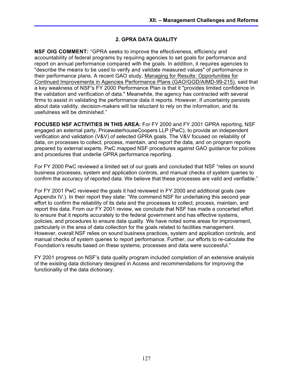# **2. GPRA DATA QUALITY**

**NSF OIG COMMENT:** "GPRA seeks to improve the effectiveness, efficiency and accountability of federal programs by requiring agencies to set goals for performance and report on annual performance compared with the goals. In addition, it requires agencies to "describe the means to be used to verify and validate measured values" of performance in their performance plans. A recent GAO study, Managing for Results: Opportunities for Continued Improvements in Agencies Performance Plans (GAO/GGD/AIMD-99-215), said that a key weakness of NSF's FY 2000 Performance Plan is that it "provides limited confidence in the validation and verification of data." Meanwhile, the agency has contracted with several firms to assist in validating the performance data it reports. However, if uncertainty persists about data validity, decision-makers will be reluctant to rely on the information, and its usefulness will be diminished."

**FOCUSED NSF ACTIVITIES IN THIS AREA:** For FY 2000 and FY 2001 GPRA reporting, NSF engaged an external party, PricewaterhouseCoopers LLP (PwC), to provide an independent verification and validation (V&V) of selected GPRA goals. The V&V focused on reliability of data, on processes to collect, process, maintain, and report the data, and on program reports prepared by external experts. PwC mapped NSF procedures against GAO guidance for polices and procedures that underlie GPRA performance reporting.

For FY 2000 PwC reviewed a limited set of our goals and concluded that NSF "relies on sound business processes, system and application controls, and manual checks of system queries to confirm the accuracy of reported data. We believe that these processes are valid and verifiable."

For FY 2001 PwC reviewed the goals it had reviewed in FY 2000 and additional goals (see Appendix IV.). In their report they state: "We commend NSF for undertaking this second year effort to confirm the reliability of its data and the processes to collect, process, maintain, and report this data. From our FY 2001 review, we conclude that NSF has made a concerted effort to ensure that it reports accurately to the federal government and has effective systems, policies, and procedures to ensure data quality. We have noted some areas for improvement, particularly in the area of data collection for the goals related to facilities management. However, overall NSF relies on sound business practices, system and application controls, and manual checks of system queries to report performance. Further, our efforts to re-calculate the Foundation's results based on these systems, processes and data were successful."

FY 2001 progress on NSF's data quality program included completion of an extensive analysis of the existing data dictionary designed in Access and recommendations for improving the functionality of the data dictionary.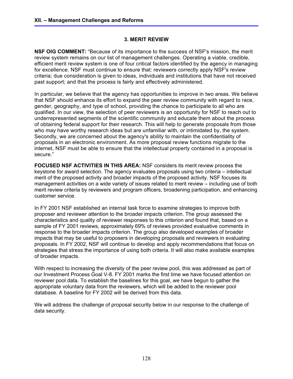# **3. MERIT REVIEW**

**NSF OIG COMMENT:** "Because of its importance to the success of NSF's mission, the merit review system remains on our list of management challenges. Operating a viable, credible, efficient merit review system is one of four critical factors identified by the agency in managing for excellence. NSF must continue to ensure that: reviewers correctly apply NSF's review criteria; due consideration is given to ideas, individuals and institutions that have not received past support; and that the process is fairly and effectively administered.

In particular, we believe that the agency has opportunities to improve in two areas. We believe that NSF should enhance its effort to expand the peer review community with regard to race, gender, geography, and type of school, providing the chance to participate to all who are qualified. In our view, the selection of peer reviewers is an opportunity for NSF to reach out to underrepresented segments of the scientific community and educate them about the process of obtaining federal support for their research. This will help to generate proposals from those who may have worthy research ideas but are unfamiliar with, or intimidated by, the system. Secondly, we are concerned about the agency's ability to maintain the confidentiality of proposals in an electronic environment. As more proposal review functions migrate to the internet, NSF must be able to ensure that the intellectual property contained in a proposal is secure."

**FOCUSED NSF ACTIVITIES IN THIS AREA:** NSF considers its merit review process the keystone for award selection. The agency evaluates proposals using two criteria – intellectual merit of the proposed activity and broader impacts of the proposed activity. NSF focuses its management activities on a wide variety of issues related to merit review – including use of both merit review criteria by reviewers and program officers, broadening participation, and enhancing customer service.

In FY 2001 NSF established an internal task force to examine strategies to improve both proposer and reviewer attention to the broader impacts criterion. The group assessed the characteristics and quality of reviewer responses to this criterion and found that, based on a sample of FY 2001 reviews, approximately 69% of reviews provided evaluative comments in response to the broader impacts criterion. The group also developed examples of broader impacts that may be useful to proposers in developing proposals and reviewers in evaluating proposals. In FY 2002, NSF will continue to develop and apply recommendations that focus on strategies that stress the importance of using both criteria. It will also make available examples of broader impacts.

With respect to increasing the diversity of the peer review pool, this was addressed as part of our Investment Process Goal V-8. FY 2001 marks the first time we have focused attention on reviewer pool data. To establish the baselines for this goal, we have begun to gather the appropriate voluntary data from the reviewers, which will be added to the reviewer pool database. A baseline for FY 2002 will be derived from this data.

We will address the challenge of proposal security below in our response to the challenge of data security.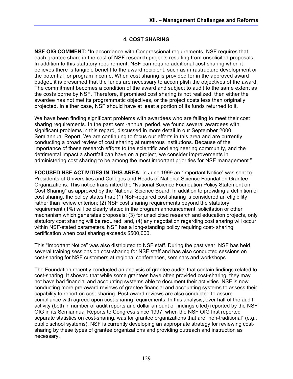## **4. COST SHARING**

**NSF OIG COMMENT:** "In accordance with Congressional requirements, NSF requires that each grantee share in the cost of NSF research projects resulting from unsolicited proposals. In addition to this statutory requirement, NSF can require additional cost sharing when it believes there is tangible benefit to the award recipient, such as infrastructure development or the potential for program income. When cost sharing is provided for in the approved award budget, it is presumed that the funds are necessary to accomplish the objectives of the award. The commitment becomes a condition of the award and subject to audit to the same extent as the costs borne by NSF. Therefore, if promised cost sharing is not realized, then either the awardee has not met its programmatic objectives, or the project costs less than originally projected. In either case, NSF should have at least a portion of its funds returned to it.

We have been finding significant problems with awardees who are failing to meet their cost sharing requirements. In the past semi-annual period, we found several awardees with significant problems in this regard, discussed in more detail in our September 2000 Semiannual Report. We are continuing to focus our efforts in this area and are currently conducting a broad review of cost sharing at numerous institutions. Because of the importance of these research efforts to the scientific and engineering community, and the detrimental impact a shortfall can have on a project, we consider improvements in administering cost sharing to be among the most important priorities for NSF management."

**FOCUSED NSF ACTIVITIES IN THIS AREA:** In June 1999 an "Important Notice" was sent to Presidents of Universities and Colleges and Heads of National Science Foundation Grantee Organizations. This notice transmitted the "National Science Foundation Policy Statement on Cost Sharing" as approved by the National Science Board. In addition to providing a definition of cost sharing, the policy states that: (1) NSF-required cost sharing is considered an eligibility rather than review criterion; (2) NSF cost sharing requirements beyond the statutory requirement (1%) will be clearly stated in the program announcement, solicitation or other mechanism which generates proposals; (3) for unsolicited research and education projects, only statutory cost sharing will be required; and, (4) any negotiation regarding cost sharing will occur within NSF-stated parameters. NSF has a long-standing policy requiring cost- sharing certification when cost sharing exceeds \$500,000.

This "Important Notice" was also distributed to NSF staff. During the past year, NSF has held several training sessions on cost-sharing for NSF staff and has also conducted sessions on cost-sharing for NSF customers at regional conferences, seminars and workshops.

The Foundation recently conducted an analysis of grantee audits that contain findings related to cost-sharing. It showed that while some grantees have often provided cost-sharing, they may not have had financial and accounting systems able to document their activities. NSF is now conducting more pre-award reviews of grantee financial and accounting systems to assess their capability to report on cost-sharing. Post-award reviews are also conducted to assure compliance with agreed upon cost-sharing requirements. In this analysis, over half of the audit activity (both in number of audit reports and dollar amount of findings cited) reported by the NSF OIG in its Semiannual Reports to Congress since 1997, when the NSF OIG first reported separate statistics on cost-sharing, was for grantee organizations that are "non-traditional" (e.g., public school systems). NSF is currently developing an appropriate strategy for reviewing costsharing by these types of grantee organizations and providing outreach and instruction as necessary.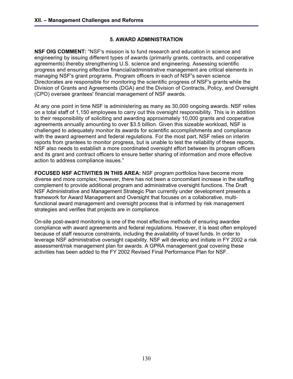## **5. AWARD ADMINISTRATION**

**NSF OIG COMMENT:** "NSF's mission is to fund research and education in science and engineering by issuing different types of awards (primarily grants, contracts, and cooperative agreements) thereby strengthening U.S. science and engineering. Assessing scientific progress and ensuring effective financial/administrative management are critical elements in managing NSF's grant programs. Program officers in each of NSF's seven science Directorates are responsible for monitoring the scientific progress of NSF's grants while the Division of Grants and Agreements (DGA) and the Division of Contracts, Policy, and Oversight (CPO) oversee grantees' financial management of NSF awards.

At any one point in time NSF is administering as many as 30,000 ongoing awards. NSF relies on a total staff of 1,150 employees to carry out this oversight responsibility. This is in addition to their responsibility of soliciting and awarding approximately 10,000 grants and cooperative agreements annually amounting to over \$3.5 billion. Given this sizeable workload, NSF is challenged to adequately monitor its awards for scientific accomplishments and compliance with the award agreement and federal regulations. For the most part, NSF relies on interim reports from grantees to monitor progress, but is unable to test the reliability of these reports. NSF also needs to establish a more coordinated oversight effort between its program officers and its grant and contract officers to ensure better sharing of information and more effective action to address compliance issues."

**FOCUSED NSF ACTIVITIES IN THIS AREA:** NSF program portfolios have become more diverse and more complex; however, there has not been a concomitant increase in the staffing complement to provide additional program and administrative oversight functions. The Draft NSF Administrative and Management Strategic Plan currently under development presents a framework for Award Management and Oversight that focuses on a collaborative, multifunctional award management and oversight process that is informed by risk management strategies and verifies that projects are in compliance.

On-site post-award monitoring is one of the most effective methods of ensuring awardee compliance with award agreements and federal regulations. However, it is least often employed because of staff resource constraints, including the availability of travel funds. In order to leverage NSF administrative oversight capability, NSF will develop and initiate in FY 2002 a risk assessment/risk management plan for awards. A GPRA management goal covering these activities has been added to the FY 2002 Revised Final Performance Plan for NSF.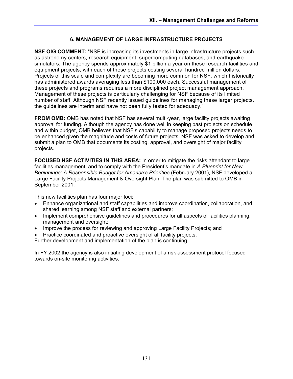# **6. MANAGEMENT OF LARGE INFRASTRUCTURE PROJECTS**

**NSF OIG COMMENT:** "NSF is increasing its investments in large infrastructure projects such as astronomy centers, research equipment, supercomputing databases, and earthquake simulators. The agency spends approximately \$1 billion a year on these research facilities and equipment projects, with each of these projects costing several hundred million dollars. Projects of this scale and complexity are becoming more common for NSF, which historically has administered awards averaging less than \$100,000 each. Successful management of these projects and programs requires a more disciplined project management approach. Management of these projects is particularly challenging for NSF because of its limited number of staff. Although NSF recently issued guidelines for managing these larger projects, the guidelines are interim and have not been fully tested for adequacy."

**FROM OMB:** OMB has noted that NSF has several multi-year, large facility projects awaiting approval for funding. Although the agency has done well in keeping past projects on schedule and within budget, OMB believes that NSF's capability to manage proposed projects needs to be enhanced given the magnitude and costs of future projects. NSF was asked to develop and submit a plan to OMB that documents its costing, approval, and oversight of major facility projects.

**FOCUSED NSF ACTIVITIES IN THIS AREA:** In order to mitigate the risks attendant to large facilities management, and to comply with the President's mandate in *A Blueprint for New Beginnings: A Responsible Budget for America's Priorities* (February 2001), NSF developed a Large Facility Projects Management & Oversight Plan. The plan was submitted to OMB in September 2001.

This new facilities plan has four major foci:

- Enhance organizational and staff capabilities and improve coordination, collaboration, and shared learning among NSF staff and external partners;
- Implement comprehensive guidelines and procedures for all aspects of facilities planning, management and oversight;
- Improve the process for reviewing and approving Large Facility Projects; and
- Practice coordinated and proactive oversight of all facility projects.

Further development and implementation of the plan is continuing.

In FY 2002 the agency is also initiating development of a risk assessment protocol focused towards on-site monitoring activities.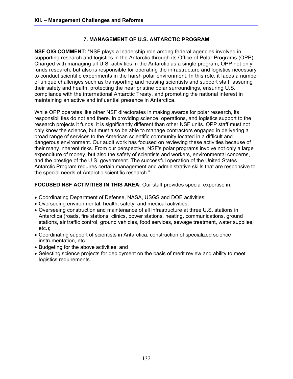# **7. MANAGEMENT OF U.S. ANTARCTIC PROGRAM**

**NSF OIG COMMENT:** "NSF plays a leadership role among federal agencies involved in supporting research and logistics in the Antarctic through its Office of Polar Programs (OPP). Charged with managing all U.S. activities in the Antarctic as a single program, OPP not only funds research, but also is responsible for operating the infrastructure and logistics necessary to conduct scientific experiments in the harsh polar environment. In this role, it faces a number of unique challenges such as transporting and housing scientists and support staff, assuring their safety and health, protecting the near pristine polar surroundings, ensuring U.S. compliance with the international Antarctic Treaty, and promoting the national interest in maintaining an active and influential presence in Antarctica.

While OPP operates like other NSF directorates in making awards for polar research, its responsibilities do not end there. In providing science, operations, and logistics support to the research projects it funds, it is significantly different than other NSF units. OPP staff must not only know the science, but must also be able to manage contractors engaged in delivering a broad range of services to the American scientific community located in a difficult and dangerous environment. Our audit work has focused on reviewing these activities because of their many inherent risks. From our perspective, NSF's polar programs involve not only a large expenditure of money, but also the safety of scientists and workers, environmental concerns, and the prestige of the U.S. government. The successful operation of the United States Antarctic Program requires certain management and administrative skills that are responsive to the special needs of Antarctic scientific research."

**FOCUSED NSF ACTIVITIES IN THIS AREA:** Our staff provides special expertise in:

- Coordinating Department of Defense, NASA, USGS and DOE activities;
- Overseeing environmental, health, safety, and medical activities;
- Overseeing construction and maintenance of all infrastructure at three U.S. stations in Antarctica (roads, fire stations, clinics, power stations, heating, communications, ground stations, air traffic control, ground vehicles, food services, sewage treatment, water supplies, etc.);
- Coordinating support of scientists in Antarctica, construction of specialized science instrumentation, etc.;
- Budgeting for the above activities; and
- Selecting science projects for deployment on the basis of merit review and ability to meet logistics requirements.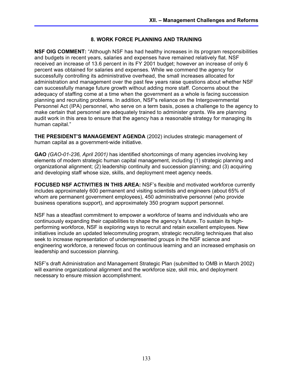## **8. WORK FORCE PLANNING AND TRAINING**

**NSF OIG COMMENT:** "Although NSF has had healthy increases in its program responsibilities and budgets in recent years, salaries and expenses have remained relatively flat. NSF received an increase of 13.6 percent in its FY 2001 budget; however an increase of only 6 percent was obtained for salaries and expenses. While we commend the agency for successfully controlling its administrative overhead, the small increases allocated for administration and management over the past few years raise questions about whether NSF can successfully manage future growth without adding more staff. Concerns about the adequacy of staffing come at a time when the government as a whole is facing succession planning and recruiting problems. In addition, NSF's reliance on the Intergovernmental Personnel Act (IPA) personnel, who serve on a term basis, poses a challenge to the agency to make certain that personnel are adequately trained to administer grants. We are planning audit work in this area to ensure that the agency has a reasonable strategy for managing its human capital."

**THE PRESIDENT'S MANAGEMENT AGENDA** (2002) includes strategic management of human capital as a government-wide initiative.

**GAO** *(GAO-01-236, April 2001)* has identified shortcomings of many agencies involving key elements of modern strategic human capital management, including (1) strategic planning and organizational alignment; (2) leadership continuity and succession planning; and (3) acquiring and developing staff whose size, skills, and deployment meet agency needs.

**FOCUSED NSF ACTIVITIES IN THIS AREA:** NSF's flexible and motivated workforce currently includes approximately 600 permanent and visiting scientists and engineers (about 65% of whom are permanent government employees), 450 administrative personnel (who provide business operations support), and approximately 350 program support personnel.

NSF has a steadfast commitment to empower a workforce of teams and individuals who are continuously expanding their capabilities to shape the agency's future. To sustain its highperforming workforce, NSF is exploring ways to recruit and retain excellent employees. New initiatives include an updated telecommuting program, strategic recruiting techniques that also seek to increase representation of underrepresented groups in the NSF science and engineering workforce, a renewed focus on continuous learning and an increased emphasis on leadership and succession planning.

NSF's draft Administration and Management Strategic Plan (submitted to OMB in March 2002) will examine organizational alignment and the workforce size, skill mix, and deployment necessary to ensure mission accomplishment.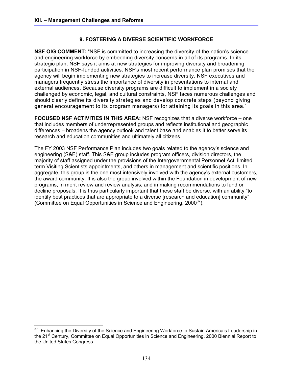# **9. FOSTERING A DIVERSE SCIENTIFIC WORKFORCE**

**NSF OIG COMMENT:** "NSF is committed to increasing the diversity of the nation's science and engineering workforce by embedding diversity concerns in all of its programs. In its strategic plan, NSF says it aims at new strategies for improving diversity and broadening participation in NSF-funded activities. NSF's most recent performance plan promises that the agency will begin implementing new strategies to increase diversity. NSF executives and managers frequently stress the importance of diversity in presentations to internal and external audiences. Because diversity programs are difficult to implement in a society challenged by economic, legal, and cultural constraints, NSF faces numerous challenges and should clearly define its diversity strategies and develop concrete steps (beyond giving general encouragement to its program managers) for attaining its goals in this area."

**FOCUSED NSF ACTIVITIES IN THIS AREA:** NSF recognizes that a diverse workforce – one that includes members of underrepresented groups and reflects institutional and geographic differences – broadens the agency outlook and talent base and enables it to better serve its research and education communities and ultimately all citizens.

The FY 2003 NSF Performance Plan includes two goals related to the agency's science and engineering (S&E) staff. This S&E group includes program officers, division directors, the majority of staff assigned under the provisions of the Intergovernmental Personnel Act, limited term Visiting Scientists appointments, and others in management and scientific positions. In aggregate, this group is the one most intensively involved with the agency's external customers, the award community. It is also the group involved within the Foundation in development of new programs, in merit review and review analysis, and in making recommendations to fund or decline proposals. It is thus particularly important that these staff be diverse, with an ability "to identify best practices that are appropriate to a diverse [research and education] community" (Committee on Equal Opportunities in Science and Engineering,  $2000^{37}$ ).

 $\overline{a}$  $37$  Enhancing the Diversity of the Science and Engineering Workforce to Sustain America's Leadership in the 21<sup>st</sup> Century, Committee on Equal Opportunities in Science and Engineering, 2000 Biennial Report to the United States Congress.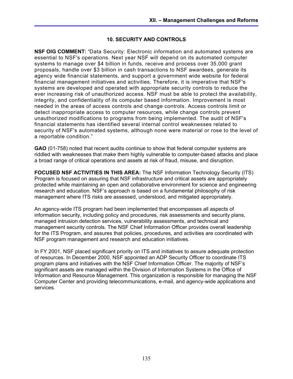# **10. SECURITY AND CONTROLS**

**NSF OIG COMMENT:** "Data Security: Electronic information and automated systems are essential to NSF's operations. Next year NSF will depend on its automated computer systems to manage over \$4 billion in funds, receive and process over 35,000 grant proposals, handle over \$3 billion in cash transactions to NSF awardees, generate its agency wide financial statements, and support a government wide website for federal financial management initiatives and activities. Therefore, it is imperative that NSF's systems are developed and operated with appropriate security controls to reduce the ever increasing risk of unauthorized access. NSF must be able to protect the availability, integrity, and confidentiality of its computer based information. Improvement is most needed in the areas of access controls and change controls. Access controls limit or detect inappropriate access to computer resources, while change controls prevent unauthorized modifications to programs from being implemented. The audit of NSF's financial statements has identified several internal control weaknesses related to security of NSF's automated systems, although none were material or rose to the level of a reportable condition."

**GAO** (01-758) noted that recent audits continue to show that federal computer systems are riddled with weaknesses that make them highly vulnerable to computer-based attacks and place a broad range of critical operations and assets at risk of fraud, misuse, and disruption.

**FOCUSED NSF ACTIVITIES IN THIS AREA:** The NSF Information Technology Security (ITS) Program is focused on assuring that NSF infrastructure and critical assets are appropriately protected while maintaining an open and collaborative environment for science and engineering research and education. NSF's approach is based on a fundamental philosophy of risk management where ITS risks are assessed, understood, and mitigated appropriately.

An agency-wide ITS program had been implemented that encompasses all aspects of information security, including policy and procedures, risk assessments and security plans, managed intrusion detection services, vulnerability assessments, and technical and management security controls. The NSF Chief Information Officer provides overall leadership for the ITS Program, and assures that policies, procedures, and activities are coordinated with NSF program management and research and education initiatives.

In FY 2001, NSF placed significant priority on ITS and initiatives to assure adequate protection of resources. In December 2000, NSF appointed an ADP Security Officer to coordinate ITS program plans and initiatives with the NSF Chief Information Officer. The majority of NSF's significant assets are managed within the Division of Information Systems in the Office of Information and Resource Management. This organization is responsible for managing the NSF Computer Center and providing telecommunications, e-mail, and agency-wide applications and services.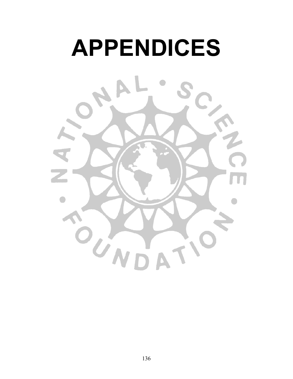# **APPENDICES**

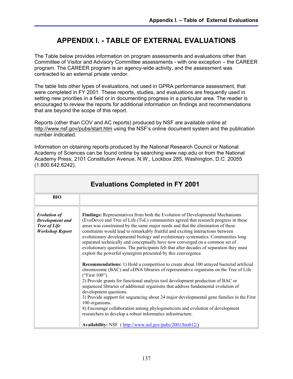# **APPENDIX I. - TABLE OF EXTERNAL EVALUATIONS**

The Table below provides information on program assessments and evaluations other than Committee of Visitor and Advisory Committee assessments - with one exception – the CAREER program. The CAREER program is an agency-wide activity, and the assessment was contracted to an external private vendor.

The table lists other types of evaluations, not used in GPRA performance assessment, that were completed in FY 2001. These reports, studies, and evaluations are frequently used in setting new priorities in a field or in documenting progress in a particular area. The reader is encouraged to review the reports for additional information on findings and recommendations that are beyond the scope of this report.

Reports (other than COV and AC reports) produced by NSF are available online at <http://www.nsf.gov/pubs/start.htm>using the NSF's online document system and the publication number indicated.

Information on obtaining reports produced by the National Research Council or National Academy of Sciences can be found online by searching www.nap.edu or from the National Academy Press, 2101 Constitution Avenue, N.W., Lockbox 285, Washington, D.C. 20055 (1.800.642.6242).

| <b>Evaluations Completed in FY 2001</b>                                                 |                                                                                                                                                                                                                                                                                                                                                                                                                                                                                                                                                                                                                                                                                                                                                                                                                                                                                                                                                                                                                                                                                                                                                                                                                                                                                                                                                                                                                       |  |  |
|-----------------------------------------------------------------------------------------|-----------------------------------------------------------------------------------------------------------------------------------------------------------------------------------------------------------------------------------------------------------------------------------------------------------------------------------------------------------------------------------------------------------------------------------------------------------------------------------------------------------------------------------------------------------------------------------------------------------------------------------------------------------------------------------------------------------------------------------------------------------------------------------------------------------------------------------------------------------------------------------------------------------------------------------------------------------------------------------------------------------------------------------------------------------------------------------------------------------------------------------------------------------------------------------------------------------------------------------------------------------------------------------------------------------------------------------------------------------------------------------------------------------------------|--|--|
| <b>BIO</b>                                                                              |                                                                                                                                                                                                                                                                                                                                                                                                                                                                                                                                                                                                                                                                                                                                                                                                                                                                                                                                                                                                                                                                                                                                                                                                                                                                                                                                                                                                                       |  |  |
| <b>Evolution of</b><br>Development and<br><b>Tree of Life</b><br><b>Workshop Report</b> | Findings: Representatives from both the Evolution of Developmental Mechanisms<br>(EvoDevo) and Tree of Life (ToL) communities agreed that research progress in these<br>areas was constrained by the same major needs and that the elimination of these<br>constraints would lead to remarkably fruitful and exciting interactions between<br>evolutionary developmental biology and evolutionary systematics. Communities long<br>separated technically and conceptually have now converged on a common set of<br>evolutionary questions. The participants felt that after decades of separation they must<br>exploit the powerful synergism presented by this convergence.<br><b>Recommendations:</b> 1) Hold a competition to create about 100 arrayed bacterial artificial<br>chromosome (BAC) and cDNA libraries of representative organisms on the Tree of Life<br>("First 100").<br>2) Provide grants for functional analysis tool development production of BAC or<br>sequenced libraries of additional organisms that address fundamental evolution of<br>development questions.<br>3) Provide support for sequencing about 24 major developmental gene families in the First<br>100 organisms.<br>4) Encourage collaboration among phylogeneticists and evolution of development<br>researchers to develop a robust informatics infrastructure.<br>Availability: NSF (http://www.nsf.gov/pubs/2001/bio012/) |  |  |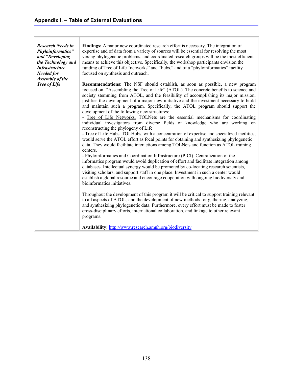| <b>Research Needs in</b><br><b>Phyloinformatics"</b><br>and "Developing<br>the Technology and<br><b>Infrastructure</b><br><b>Needed for</b><br>Assembly of the | Findings: A major new coordinated research effort is necessary. The integration of<br>expertise and of data from a variety of sources will be essential for resolving the most<br>vexing phylogenetic problems, and coordinated research groups will be the most efficient<br>means to achieve this objective. Specifically, the workshop participants envision the<br>funding of Tree of Life "networks" and "hubs," and of a "phyloinformatics" facility<br>focused on synthesis and outreach.                                                                                                                                                                                                                                                                                                                                                                                                                                                                                                                                                                                                                                                                                                                                                                                                                                                                                                                                                                                                                                                                                                                                                                                                                                                                                                                                                                                       |
|----------------------------------------------------------------------------------------------------------------------------------------------------------------|----------------------------------------------------------------------------------------------------------------------------------------------------------------------------------------------------------------------------------------------------------------------------------------------------------------------------------------------------------------------------------------------------------------------------------------------------------------------------------------------------------------------------------------------------------------------------------------------------------------------------------------------------------------------------------------------------------------------------------------------------------------------------------------------------------------------------------------------------------------------------------------------------------------------------------------------------------------------------------------------------------------------------------------------------------------------------------------------------------------------------------------------------------------------------------------------------------------------------------------------------------------------------------------------------------------------------------------------------------------------------------------------------------------------------------------------------------------------------------------------------------------------------------------------------------------------------------------------------------------------------------------------------------------------------------------------------------------------------------------------------------------------------------------------------------------------------------------------------------------------------------------|
| <b>Tree of Life</b>                                                                                                                                            | <b>Recommendations:</b> The NSF should establish, as soon as possible, a new program<br>focused on "Assembling the Tree of Life" (ATOL). The concrete benefits to science and<br>society stemming from ATOL, and the feasibility of accomplishing its major mission,<br>justifies the development of a major new initiative and the investment necessary to build<br>and maintain such a program. Specifically, the ATOL program should support the<br>development of the following new structures:<br>- Tree of Life Networks. TOLNets are the essential mechanisms for coordinating<br>individual investigators from diverse fields of knowledge who are working on<br>reconstructing the phylogeny of Life<br>- Tree of Life Hubs. TOLHubs, with a concentration of expertise and specialized facilities,<br>would serve the ATOL effort as focal points for obtaining and synthesizing phylogenetic<br>data. They would facilitate interactions among TOLNets and function as ATOL training<br>centers.<br>- Phyloinformatics and Coordination Infrastructure (PICI). Centralization of the<br>informatics program would avoid duplication of effort and facilitate integration among<br>databases. Intellectual synergy would be promoted by co-locating research scientists,<br>visiting scholars, and support staff in one place. Investment in such a center would<br>establish a global resource and encourage cooperation with ongoing biodiversity and<br>bioinformatics initiatives.<br>Throughout the development of this program it will be critical to support training relevant<br>to all aspects of ATOL, and the development of new methods for gathering, analyzing,<br>and synthesizing phylogenetic data. Furthermore, every effort must be made to foster<br>cross-disciplinary efforts, international collaboration, and linkage to other relevant<br>programs. |
|                                                                                                                                                                | Availability: http://www.research.amnh.org/biodiversity                                                                                                                                                                                                                                                                                                                                                                                                                                                                                                                                                                                                                                                                                                                                                                                                                                                                                                                                                                                                                                                                                                                                                                                                                                                                                                                                                                                                                                                                                                                                                                                                                                                                                                                                                                                                                                |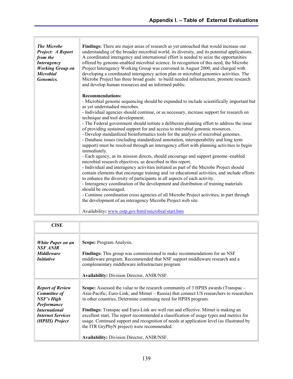| <b>The Microbe</b><br>Project: A Report<br>from the<br><b>Interagency</b><br><b>Working Group on</b><br><b>Microbial</b><br><b>Genomics.</b> | Findings: There are major areas of research as yet untouched that would increase our<br>understanding of the broader microbial world, its diversity, and its potential applications.<br>A coordinated interagency and international effort is needed to seize the opportunities<br>offered by genome-enabled microbial science. In recognition of this need, the Microbe<br>Project Interagency Working Group was convened in August 2000, and charged with<br>developing a coordinated interagency action plan or microbial genomics activities. The<br>Microbe Project has three broad goals: to build needed infrastructure, promote research<br>and develop human resources and an informed public. |
|----------------------------------------------------------------------------------------------------------------------------------------------|---------------------------------------------------------------------------------------------------------------------------------------------------------------------------------------------------------------------------------------------------------------------------------------------------------------------------------------------------------------------------------------------------------------------------------------------------------------------------------------------------------------------------------------------------------------------------------------------------------------------------------------------------------------------------------------------------------|
|                                                                                                                                              | <b>Recommendations:</b>                                                                                                                                                                                                                                                                                                                                                                                                                                                                                                                                                                                                                                                                                 |
|                                                                                                                                              | - Microbial genome sequencing should be expanded to include scientifically important but<br>as yet understudied microbes.                                                                                                                                                                                                                                                                                                                                                                                                                                                                                                                                                                               |
|                                                                                                                                              | - Individual agencies should continue, or as necessary, increase support for research on<br>technique and tool development.                                                                                                                                                                                                                                                                                                                                                                                                                                                                                                                                                                             |
|                                                                                                                                              | - The Federal government should initiate a deliberate planning effort to address the issue<br>of providing sustained support for and access to microbial genomic resources.                                                                                                                                                                                                                                                                                                                                                                                                                                                                                                                             |
|                                                                                                                                              | - Develop standardized bioinformatics tools for the analysis of microbial genomes.                                                                                                                                                                                                                                                                                                                                                                                                                                                                                                                                                                                                                      |
|                                                                                                                                              | - Database issues (including standardized annotation, interoperability and long term<br>support) must be resolved through an interagency effort with planning activities to begin<br>immediately.                                                                                                                                                                                                                                                                                                                                                                                                                                                                                                       |
|                                                                                                                                              | - Each agency, as its mission directs, should encourage and support genome-enabled<br>microbial research objectives, as described in this report.                                                                                                                                                                                                                                                                                                                                                                                                                                                                                                                                                       |
|                                                                                                                                              | - Individual and interagency activities initiated as part of the Microbe Project should<br>contain elements that encourage training and /or educational activities, and include efforts                                                                                                                                                                                                                                                                                                                                                                                                                                                                                                                 |
|                                                                                                                                              | to enhance the diversity of participants in all aspects of each activity.<br>- Interagency coordination of the development and distribution of training materials                                                                                                                                                                                                                                                                                                                                                                                                                                                                                                                                       |
|                                                                                                                                              | should be encouraged.                                                                                                                                                                                                                                                                                                                                                                                                                                                                                                                                                                                                                                                                                   |
|                                                                                                                                              | - Continue coordination cross agencies of all Microbe Project activities, in part through<br>the development of an interagency Microbe Project web site.                                                                                                                                                                                                                                                                                                                                                                                                                                                                                                                                                |
|                                                                                                                                              | Availability: www.ostp.gov/html/microbial/start.htm                                                                                                                                                                                                                                                                                                                                                                                                                                                                                                                                                                                                                                                     |

| <b>CISE</b>                                                                                                                                        |                                                                                                                                                                                                                                                                                                                                                                                                                                                                                                                                                                                           |
|----------------------------------------------------------------------------------------------------------------------------------------------------|-------------------------------------------------------------------------------------------------------------------------------------------------------------------------------------------------------------------------------------------------------------------------------------------------------------------------------------------------------------------------------------------------------------------------------------------------------------------------------------------------------------------------------------------------------------------------------------------|
| <b>White Paper on an</b><br>NSF ANIR<br><b>Middleware</b><br><i>Initiative</i>                                                                     | Scope: Program Analysis.<br><b>Findings:</b> This group was commissioned to make recommendations for an NSF<br>middleware program. Recommended that NSF support middleware research and a<br>complementary middleware infrastructure program.                                                                                                                                                                                                                                                                                                                                             |
|                                                                                                                                                    | <b>Availability: Division Director, ANIR/NSF.</b>                                                                                                                                                                                                                                                                                                                                                                                                                                                                                                                                         |
| <b>Report of Review</b><br><b>Committee of</b><br>NSF's High<br>Performance<br><b>International</b><br><b>Internet Services</b><br>(HPIIS) Project | <b>Scope:</b> Assessed the value to the research community of 3 HPIIS awards (Transpac –<br>Asia-Pacific; Euro-Link; and Mirnet – Russia) that connect US researchers to researchers<br>in other countries. Determine continuing need for HPIIS program.<br><b>Findings:</b> Transpac and Euro-Link are well run and effective. Mirnet is making an<br>excellent start. The report recommended a classification of usage types and metrics for<br>usage. Continued support and recognition of needs at application level (as illustrated by<br>the ITR GryPhyN project) were recommended. |
|                                                                                                                                                    | <b>Availability:</b> Division Director, ANIR/NSF.                                                                                                                                                                                                                                                                                                                                                                                                                                                                                                                                         |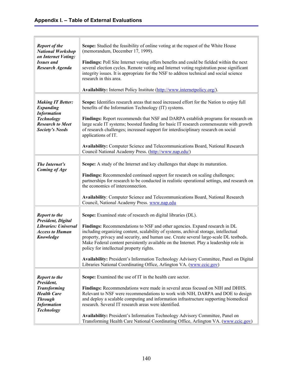| <b>Report of the</b><br><b>National Workshop</b><br>on Internet Voting:<br><b>Issues and</b><br>Research Agenda | Scope: Studied the feasibility of online voting at the request of the White House<br>(memorandum, December 17, 1999).<br>Findings: Poll Site Internet voting offers benefits and could be fielded within the next<br>several election cycles. Remote voting and Internet voting registration pose significant<br>integrity issues. It is appropriate for the NSF to address technical and social science<br>research in this area.<br>Availability: Internet Policy Institute (http://www.internetpolicy.org/). |
|-----------------------------------------------------------------------------------------------------------------|-----------------------------------------------------------------------------------------------------------------------------------------------------------------------------------------------------------------------------------------------------------------------------------------------------------------------------------------------------------------------------------------------------------------------------------------------------------------------------------------------------------------|
|                                                                                                                 |                                                                                                                                                                                                                                                                                                                                                                                                                                                                                                                 |
| <b>Making IT Better:</b><br><b>Expanding</b><br><b>Information</b>                                              | Scope: Identifies research areas that need increased effort for the Nation to enjoy full<br>benefits of the Information Technology (IT) systems.                                                                                                                                                                                                                                                                                                                                                                |
| <b>Technology</b><br><b>Research to Meet</b><br><b>Society's Needs</b>                                          | Findings: Report recommends that NSF and DARPA establish programs for research on<br>large scale IT systems; boosted funding for basic IT research commensurate with growth<br>of research challenges; increased support for interdisciplinary research on social<br>applications of IT.                                                                                                                                                                                                                        |
|                                                                                                                 | Availability: Computer Science and Telecommunications Board, National Research<br>Council National Academy Press. (http://www.nap.edu/)                                                                                                                                                                                                                                                                                                                                                                         |
| The Internet's<br><b>Coming of Age</b>                                                                          | Scope: A study of the Internet and key challenges that shape its maturation.                                                                                                                                                                                                                                                                                                                                                                                                                                    |
|                                                                                                                 | Findings: Recommended continued support for research on scaling challenges;<br>partnerships for research to be conducted in realistic operational settings, and research on<br>the economics of interconnection.                                                                                                                                                                                                                                                                                                |
|                                                                                                                 | Availability: Computer Science and Telecommunications Board, National Research<br>Council, National Academy Press. www.nap.edu                                                                                                                                                                                                                                                                                                                                                                                  |
| <b>Report to the</b><br>President, Digital                                                                      | Scope: Examined state of research on digital libraries (DL).                                                                                                                                                                                                                                                                                                                                                                                                                                                    |
| <b>Libraries: Universal</b><br><b>Access to Human</b><br>Knowledge                                              | Findings: Recommendations to NSF and other agencies. Expand research in DL<br>including organizing content, scalability of systems, archival storage, intellectual<br>property, privacy and security, and human use. Create several large-scale DL testbeds.<br>Make Federal content persistently available on the Internet. Play a leadership role in<br>policy for intellectual property rights.                                                                                                              |
|                                                                                                                 | Availability: President's Information Technology Advisory Committee, Panel on Digital<br>Libraries National Coordinating Office, Arlington VA. (www.ccic.gov)                                                                                                                                                                                                                                                                                                                                                   |
| <b>Report to the</b><br>President,                                                                              | Scope: Examined the use of IT in the health care sector.                                                                                                                                                                                                                                                                                                                                                                                                                                                        |
| <b>Transforming</b><br><b>Health Care</b><br><b>Through</b><br><b>Information</b>                               | Findings: Recommendations were made in several areas focused on NIH and DHHS.<br>Relevant to NSF were recommendations to work with NIH, DARPA and DOE to design<br>and deploy a scalable computing and information infrastructure supporting biomedical<br>research. Several IT research areas were identified.                                                                                                                                                                                                 |
| <b>Technology</b>                                                                                               | Availability: President's Information Technology Advisory Committee, Panel on<br>Transforming Health Care National Coordinating Office, Arlington VA. (www.ccic.gov)                                                                                                                                                                                                                                                                                                                                            |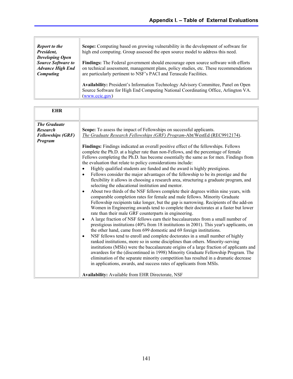| <b>Report to the</b><br>President,<br><b>Developing Open</b>             | <b>Scope:</b> Computing based on growing vulnerability in the development of software for<br>high end computing. Group assessed the open source model to address this need.                                                                               |
|--------------------------------------------------------------------------|-----------------------------------------------------------------------------------------------------------------------------------------------------------------------------------------------------------------------------------------------------------|
| <b>Source Software to</b><br><b>Advance High End</b><br><b>Computing</b> | <b>Findings:</b> The Federal government should encourage open source software with efforts<br>on technical assessment, management plans, policy studies, etc. These recommendations<br>are particularly pertinent to NSF's PACI and Terascale Facilities. |
|                                                                          | Availability: President's Information Technology Advisory Committee, Panel on Open<br>Source Software for High End Computing National Coordinating Office, Arlington VA.<br>(www.ccic.gov)                                                                |

| <b>EHR</b>                                                                    |                                                                                                                                                                                                                                                                                                                                                                                                                                                                                                                                                                                                                                                                                                                                                                                                                                                                                                                                                                                                                                                                                                                                                                                                                                                                                                                                                                                                                                                                                                                                                                                                                                                                                                                                                                                                                                                                                                                                                                                                                                                   |
|-------------------------------------------------------------------------------|---------------------------------------------------------------------------------------------------------------------------------------------------------------------------------------------------------------------------------------------------------------------------------------------------------------------------------------------------------------------------------------------------------------------------------------------------------------------------------------------------------------------------------------------------------------------------------------------------------------------------------------------------------------------------------------------------------------------------------------------------------------------------------------------------------------------------------------------------------------------------------------------------------------------------------------------------------------------------------------------------------------------------------------------------------------------------------------------------------------------------------------------------------------------------------------------------------------------------------------------------------------------------------------------------------------------------------------------------------------------------------------------------------------------------------------------------------------------------------------------------------------------------------------------------------------------------------------------------------------------------------------------------------------------------------------------------------------------------------------------------------------------------------------------------------------------------------------------------------------------------------------------------------------------------------------------------------------------------------------------------------------------------------------------------|
| <b>The Graduate</b><br><b>Research</b><br><b>Fellowships (GRF)</b><br>Program | Scope: To assess the impact of Fellowships on successful applicants.<br>The Graduate Research Fellowships (GRF) Program-Abt/WestEd (REC9912174).<br>Findings: Findings indicated an overall positive effect of the fellowships. Fellows<br>complete the Ph.D. at a higher rate than non-Fellows, and the percentage of female<br>Fellows completing the Ph.D. has become essentially the same as for men. Findings from<br>the evaluation that relate to policy considerations include:<br>Highly qualified students are funded and the award is highly prestigious.<br>$\bullet$<br>Fellows consider the major advantages of the fellowship to be its prestige and the<br>$\bullet$<br>flexibility it allows in choosing a research area, structuring a graduate program, and<br>selecting the educational institution and mentor.<br>About two thirds of the NSF fellows complete their degrees within nine years, with<br>٠<br>comparable completion rates for female and male fellows. Minority Graduate<br>Fellowship recipients take longer, but the gap is narrowing. Recipients of the add-on<br>Women in Engineering awards tend to complete their doctorates at a faster but lower<br>rate than their male GRF counterparts in engineering.<br>A large fraction of NSF fellows earn their baccalaureates from a small number of<br>$\bullet$<br>prestigious institutions (40% from 18 institutions in 2001). This year's applicants, on<br>the other hand, came from 699 domestic and 69 foreign institutions.<br>NSF fellows tend to enroll and complete doctorates in a small number of highly<br>٠<br>ranked institutions, more so in some disciplines than others. Minority-serving<br>institutions (MSIs) were the baccalaureate origins of a large fraction of applicants and<br>awardees for the (discontinued in 1998) Minority Graduate Fellowship Program. The<br>elimination of the separate minority competition has resulted in a dramatic decrease<br>in applications, awards, and success rates of applicants from MSIs. |
|                                                                               | Availability: Available from EHR Directorate, NSF                                                                                                                                                                                                                                                                                                                                                                                                                                                                                                                                                                                                                                                                                                                                                                                                                                                                                                                                                                                                                                                                                                                                                                                                                                                                                                                                                                                                                                                                                                                                                                                                                                                                                                                                                                                                                                                                                                                                                                                                 |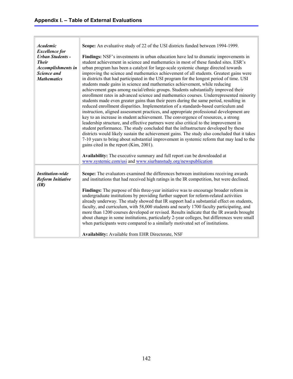| <b>Academic</b><br><b>Excellence</b> for<br><b>Urban Students -</b><br><b>Their</b><br><b>Accomplishments in</b><br><b>Science and</b><br><b>Mathematics</b> | Scope: An evaluative study of 22 of the USI districts funded between 1994-1999.<br>Findings: NSF's investments in urban education have led to dramatic improvements in<br>student achievement in science and mathematics in most of these funded sites. ESR's<br>urban program has been a catalyst for large-scale systemic change directed towards<br>improving the science and mathematics achievement of all students. Greatest gains were<br>in districts that had participated in the USI program for the longest period of time. USI<br>students made gains in science and mathematics achievement, while reducing<br>achievement gaps among racial/ethnic groups. Students substantially improved their<br>enrollment rates in advanced science and mathematics courses. Underrepresented minority<br>students made even greater gains than their peers during the same period, resulting in<br>reduced enrollment disparities. Implementation of a standards-based curriculum and<br>instruction, aligned assessment practices, and appropriate professional development are<br>key to an increase in student achievement. The convergence of resources, a strong<br>leadership structure, and effective partners were also critical to the improvement in<br>student performance. The study concluded that the infrastructure developed by these<br>districts would likely sustain the achievement gains. The study also concluded that it takes<br>7-10 years to bring about substantial improvement in systemic reform that may lead to the<br>gains cited in the report (Kim, 2001). |
|--------------------------------------------------------------------------------------------------------------------------------------------------------------|--------------------------------------------------------------------------------------------------------------------------------------------------------------------------------------------------------------------------------------------------------------------------------------------------------------------------------------------------------------------------------------------------------------------------------------------------------------------------------------------------------------------------------------------------------------------------------------------------------------------------------------------------------------------------------------------------------------------------------------------------------------------------------------------------------------------------------------------------------------------------------------------------------------------------------------------------------------------------------------------------------------------------------------------------------------------------------------------------------------------------------------------------------------------------------------------------------------------------------------------------------------------------------------------------------------------------------------------------------------------------------------------------------------------------------------------------------------------------------------------------------------------------------------------------------------------------------------------------|
|                                                                                                                                                              | Availability: The executive summary and full report can be downloaded at<br>www.systemic.com/usi and www.siurbanstudy.org/newspublication                                                                                                                                                                                                                                                                                                                                                                                                                                                                                                                                                                                                                                                                                                                                                                                                                                                                                                                                                                                                                                                                                                                                                                                                                                                                                                                                                                                                                                                        |
| <b>Institution-wide</b><br><b>Reform Initiative</b><br>(IR)                                                                                                  | Scope: The evaluators examined the differences between institutions receiving awards<br>and institutions that had received high ratings in the IR competition, but were declined.<br>Findings: The purpose of this three-year initiative was to encourage broader reform in<br>undergraduate institutions by providing further support for reform-related activities<br>already underway. The study showed that IR support had a substantial effect on students,<br>faculty, and curriculum, with 58,000 students and nearly 1700 faculty participating, and<br>more than 1200 courses developed or revised. Results indicate that the IR awards brought<br>about change in some institutions, particularly 2-year colleges, but differences were small<br>when participants were compared to a similarly motivated set of institutions.<br>Availability: Available from EHR Directorate, NSF                                                                                                                                                                                                                                                                                                                                                                                                                                                                                                                                                                                                                                                                                                    |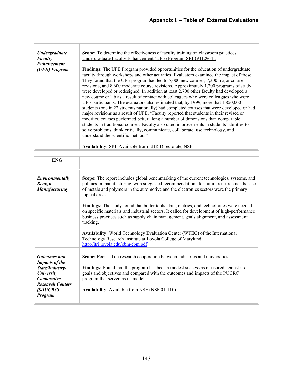| <b>Undergraduate</b><br>Faculty<br><b>Enhancement</b> | Scope: To determine the effectiveness of faculty training on classroom practices.<br>Undergraduate Faculty Enhancement (UFE) Program-SRI (9412964).                                                                                                                                                                                                                                                                                                                                                                                                                                                                                                                                                                                                                                                                                                                                                                                                                                                                                                                                                                                           |
|-------------------------------------------------------|-----------------------------------------------------------------------------------------------------------------------------------------------------------------------------------------------------------------------------------------------------------------------------------------------------------------------------------------------------------------------------------------------------------------------------------------------------------------------------------------------------------------------------------------------------------------------------------------------------------------------------------------------------------------------------------------------------------------------------------------------------------------------------------------------------------------------------------------------------------------------------------------------------------------------------------------------------------------------------------------------------------------------------------------------------------------------------------------------------------------------------------------------|
| (UFE) Program                                         | <b>Findings:</b> The UFE Program provided opportunities for the education of undergraduate<br>faculty through workshops and other activities. Evaluators examined the impact of these.<br>They found that the UFE program had led to 5,000 new courses, 7,300 major course<br>revisions, and 8,600 moderate course revisions. Approximately 1,200 programs of study<br>were developed or redesigned. In addition at least 2,700 other faculty had developed a<br>new course or lab as a result of contact with colleagues who were colleagues who were<br>UFE participants. The evaluators also estimated that, by 1999, more that 1,850,000<br>students (one in 22 students nationally) had completed courses that were developed or had<br>major revisions as a result of UFE. "Faculty reported that students in their revised or<br>modified courses performed better along a number of dimensions than comparable<br>students in traditional courses. Faculty also cited improvements in students' abilities to<br>solve problems, think critically, communicate, collaborate, use technology, and<br>understand the scientific method." |
|                                                       | <b>Availability: SRI.</b> Available from EHR Directorate, NSF                                                                                                                                                                                                                                                                                                                                                                                                                                                                                                                                                                                                                                                                                                                                                                                                                                                                                                                                                                                                                                                                                 |

| <b>ENG</b>                                                                                                                                             |                                                                                                                                                                                                                                                                                                                                                 |
|--------------------------------------------------------------------------------------------------------------------------------------------------------|-------------------------------------------------------------------------------------------------------------------------------------------------------------------------------------------------------------------------------------------------------------------------------------------------------------------------------------------------|
| Environmentally<br><b>Benign</b><br><b>Manufacturing</b>                                                                                               | Scope: The report includes global benchmarking of the current technologies, systems, and<br>policies in manufacturing, with suggested recommendations for future research needs. Use<br>of metals and polymers in the automotive and the electronics sectors were the primary<br>topical areas.                                                 |
|                                                                                                                                                        | <b>Findings:</b> The study found that better tools, data, metrics, and technologies were needed<br>on specific materials and industrial sectors. It called for development of high-performance<br>business practices such as supply chain management, goals alignment, and assessment<br>tracking.                                              |
|                                                                                                                                                        | Availability: World Technology Evaluation Center (WTEC) of the International<br>Technology Research Institute at Loyola College of Maryland.<br>http://itri.loyola.edu/ebm/ebm.pdf                                                                                                                                                              |
| <b>Outcomes</b> and<br><b>Impacts of the</b><br>State/Industry-<br><b>University</b><br>Cooperative<br><b>Research Centers</b><br>(S/IUCRC)<br>Program | Scope: Focused on research cooperation between industries and universities.<br><b>Findings:</b> Found that the program has been a modest success as measured against its<br>goals and objectives and compared with the outcomes and impacts of the I/UCRC<br>program that served as its model.<br>Availability: Available from NSF (NSF 01-110) |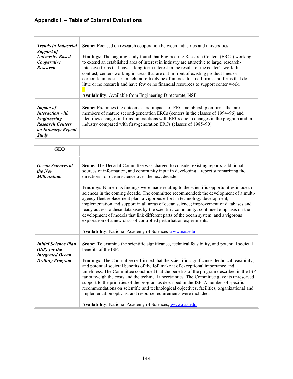| <b>Trends in Industrial</b><br><b>Support of</b><br><b>University-Based</b><br>Cooperative<br><b>Research</b>                       | Scope: Focused on research cooperation between industries and universities<br><b>Findings:</b> The ongoing study found that Engineering Research Centers (ERCs) working<br>to extend an established area of interest in industry are attractive to large, research-<br>intensive firms that have a long-term interest in the results of the center's work. In<br>contrast, centers working in areas that are out in front of existing product lines or<br>corporate interests are much more likely be of interest to small firms and firms that do<br>little or no research and have few or no financial resources to support center work.<br><b>Availability:</b> Available from Engineering Directorate, NSF |
|-------------------------------------------------------------------------------------------------------------------------------------|----------------------------------------------------------------------------------------------------------------------------------------------------------------------------------------------------------------------------------------------------------------------------------------------------------------------------------------------------------------------------------------------------------------------------------------------------------------------------------------------------------------------------------------------------------------------------------------------------------------------------------------------------------------------------------------------------------------|
| <b>Impact of</b><br><b>Interaction with</b><br><b>Engineering</b><br><b>Research Centers</b><br>on Industry: Repeat<br><b>Study</b> | Scope: Examines the outcomes and impacts of ERC membership on firms that are<br>members of mature second-generation ERCs (centers in the classes of 1994–96) and<br>identifies changes in firms' interactions with ERCs due to changes in the program and in<br>industry compared with first-generation ERCs (classes of 1985–90).                                                                                                                                                                                                                                                                                                                                                                             |

| <b>GEO</b>                                                                                         |                                                                                                                                                                                                                                                                                                                                                                                                                                                                                                                                                                                                                                                                                                                                                                                                                                 |
|----------------------------------------------------------------------------------------------------|---------------------------------------------------------------------------------------------------------------------------------------------------------------------------------------------------------------------------------------------------------------------------------------------------------------------------------------------------------------------------------------------------------------------------------------------------------------------------------------------------------------------------------------------------------------------------------------------------------------------------------------------------------------------------------------------------------------------------------------------------------------------------------------------------------------------------------|
| <b>Ocean Sciences at</b><br>the New<br>Millennium.                                                 | Scope: The Decadal Committee was charged to consider existing reports, additional<br>sources of information, and community input in developing a report summarizing the<br>directions for ocean science over the next decade.                                                                                                                                                                                                                                                                                                                                                                                                                                                                                                                                                                                                   |
|                                                                                                    | <b>Findings:</b> Numerous findings were made relating to the scientific opportunities in ocean<br>sciences in the coming decade. The committee recommended: the development of a multi-<br>agency fleet replacement plan; a vigorous effort in technology development,<br>implementation and support in all areas of ocean science; improvement of databases and<br>ready access to these databases by the scientific community; continued emphasis on the<br>development of models that link different parts of the ocean system; and a vigorous<br>exploration of a new class of controlled perturbation experiments.<br>Availability: National Academy of Sciences www.nas.edu                                                                                                                                               |
| <b>Initial Science Plan</b><br>(ISP) for the<br><b>Integrated Ocean</b><br><b>Drilling Program</b> | Scope: To examine the scientific significance, technical feasibility, and potential societal<br>benefits of the ISP.<br><b>Findings:</b> The Committee reaffirmed that the scientific significance, technical feasibility,<br>and potential societal benefits of the ISP make it of exceptional importance and<br>timeliness. The Committee concluded that the benefits of the program described in the ISP<br>far outweigh the costs and the technical uncertainties. The Committee gave its unreserved<br>support to the priorities of the program as described in the ISP. A number of specific<br>recommendations on scientific and technological objectives, facilities, organizational and<br>implementation options, and resource requirements were included.<br>Availability: National Academy of Sciences, www.nas.edu |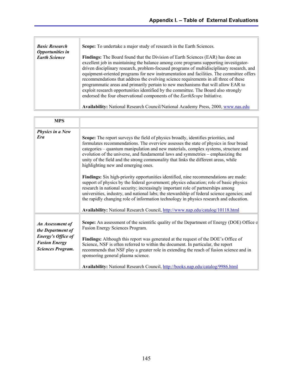| <b>Basic Research</b><br>Opportunities in | Scope: To undertake a major study of research in the Earth Sciences.                                                                                                                                                                                                                                                                                                                                                                                                                                                                                                                                                                                                                                                            |
|-------------------------------------------|---------------------------------------------------------------------------------------------------------------------------------------------------------------------------------------------------------------------------------------------------------------------------------------------------------------------------------------------------------------------------------------------------------------------------------------------------------------------------------------------------------------------------------------------------------------------------------------------------------------------------------------------------------------------------------------------------------------------------------|
| <b>Earth Science</b>                      | <b>Findings:</b> The Board found that the Division of Earth Sciences (EAR) has done an<br>excellent job in maintaining the balance among core programs supporting investigator-<br>driven disciplinary research, problem-focused programs of multidisciplinary research, and<br>equipment-oriented programs for new instrumentation and facilities. The committee offers<br>recommendations that address the evolving science requirements in all three of these<br>programmatic areas and primarily pertain to new mechanisms that will allow EAR to<br>exploit research opportunities identified by the committee. The Board also strongly<br>endorsed the four observational components of the <i>EarthScope</i> Initiative. |
|                                           | <b>Availability:</b> National Research Council/National Academy Press, 2000, www.nas.edu                                                                                                                                                                                                                                                                                                                                                                                                                                                                                                                                                                                                                                        |

| <b>MPS</b>                                                                                                      |                                                                                                                                                                                                                                                                                                                                                                                                                                                                                                                                               |
|-----------------------------------------------------------------------------------------------------------------|-----------------------------------------------------------------------------------------------------------------------------------------------------------------------------------------------------------------------------------------------------------------------------------------------------------------------------------------------------------------------------------------------------------------------------------------------------------------------------------------------------------------------------------------------|
| Physics in a New<br>Era                                                                                         | Scope: The report surveys the field of physics broadly, identifies priorities, and<br>formulates recommendations. The overview assesses the state of physics in four broad<br>categories - quantum manipulation and new materials, complex systems, structure and<br>evolution of the universe, and fundamental laws and symmetries – emphasizing the<br>unity of the field and the strong commonality that links the different areas, while<br>highlighting new and emerging ones.                                                           |
|                                                                                                                 | Findings: Six high-priority opportunities identified, nine recommendations are made:<br>support of physics by the federal government; physics education; role of basic physics<br>research in national security; increasingly important role of partnerships among<br>universities, industry, and national labs; the stewardship of federal science agencies; and<br>the rapidly changing role of information technology in physics research and education.<br>Availability: National Research Council, http://www.nap.edu/catalog/10118.html |
| An Assessment of<br>the Department of<br>Energy's Office of<br><b>Fusion Energy</b><br><b>Sciences Program.</b> | Scope: An assessment of the scientific quality of the Department of Energy (DOE) Office of<br>Fusion Energy Sciences Program.<br>Findings: Although this report was generated at the request of the DOE's Office of<br>Science, NSF is often referred to within the document. In particular, the report<br>recommends that NSF play a greater role in extending the reach of fusion science and in<br>sponsoring general plasma science.                                                                                                      |
|                                                                                                                 | Availability: National Research Council, http://books.nap.edu/catalog/9986.html                                                                                                                                                                                                                                                                                                                                                                                                                                                               |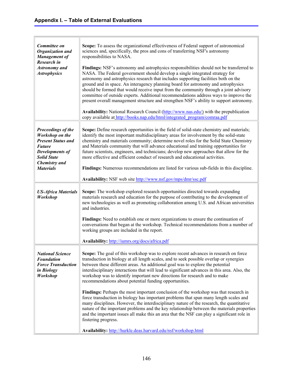| ground and in space. An interagency planning board for astronomy and astrophysics<br>should be formed that would receive input from the community through a joint advisory<br>committee of outside experts. Additional recommendations address ways to improve the<br>present overall management structure and strengthen NSF's ability to support astronomy.<br><b>Availability:</b> National Research Council $(\frac{http://www.nas.edu/}{http://www.nas.edu/})$ with the prepublication<br>copy available at http://books.nap.edu/html/integrated_program/comraa.pdf                                                                                                                                                                                                                                                                                                                                                                                                                                                                                      |
|---------------------------------------------------------------------------------------------------------------------------------------------------------------------------------------------------------------------------------------------------------------------------------------------------------------------------------------------------------------------------------------------------------------------------------------------------------------------------------------------------------------------------------------------------------------------------------------------------------------------------------------------------------------------------------------------------------------------------------------------------------------------------------------------------------------------------------------------------------------------------------------------------------------------------------------------------------------------------------------------------------------------------------------------------------------|
| Scope: Define research opportunities in the field of solid-state chemistry and materials;<br>identify the most important multidisciplinary areas for involvement by the solid-state<br>chemistry and materials community; determine novel roles for the Solid State Chemistry<br>and Materials community that will advance educational and training opportunities for<br>future scientists, engineers, and technicians; develop new approaches that allow for the<br>more effective and efficient conduct of research and educational activities.<br>Findings: Numerous recommendations are listed for various sub-fields in this discipline.<br>Availability: NSF web site http://www.nsf.gov/mps/dmr/ssc.pdf                                                                                                                                                                                                                                                                                                                                                |
| Scope: The workshop explored research opportunities directed towards expanding<br>materials research and education for the purpose of contributing to the development of<br>new technologies as well as promoting collaboration among U.S. and African universities<br>Findings: Need to establish one or more organizations to ensure the continuation of<br>conversations that began at the workshop. Technical recommendations from a number of<br>working groups are included in the report.<br>Availability: http://iumrs.org/docs/africa.pdf                                                                                                                                                                                                                                                                                                                                                                                                                                                                                                            |
| Scope: The goal of this workshop was to explore recent advances in research on force<br>transduction in biology at all length scales, and to seek possible overlap or synergies<br>between these different areas. An additional goal was to explore the potential<br>interdisciplinary interactions that will lead to significant advances in this area. Also, the<br>workshop was to identify important new directions for research and to make<br>recommendations about potential funding opportunities.<br><b>Findings:</b> Perhaps the most important conclusion of the workshop was that research in<br>force transduction in biology has important problems that span many length scales and<br>many disciplines. However, the interdisciplinary nature of the research, the quantitative<br>nature of the important problems and the key relationship between the materials properties<br>and the important issues all make this an area that the NSF can play a significant role in<br>Availability: http://hurkle.deas.harvard.edu/nsf/workshop.html |
|                                                                                                                                                                                                                                                                                                                                                                                                                                                                                                                                                                                                                                                                                                                                                                                                                                                                                                                                                                                                                                                               |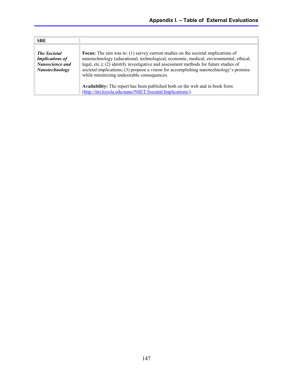| <b>SBE</b>                                                                                |                                                                                                                                                                                                                                                                                                                                                                                                                       |
|-------------------------------------------------------------------------------------------|-----------------------------------------------------------------------------------------------------------------------------------------------------------------------------------------------------------------------------------------------------------------------------------------------------------------------------------------------------------------------------------------------------------------------|
| <b>The Societal</b><br><b>Implications of</b><br>Nanoscience and<br><b>Nanotechnology</b> | <b>Focus:</b> The aim was to: $(1)$ survey current studies on the societal implications of<br>nanotechnology (educational, technological, economic, medical, environmental, ethical,<br>legal, etc.); (2) identify investigative and assessment methods for future studies of<br>societal implications; (3) propose a vision for accomplishing nanotechnology's promise<br>while minimizing undesirable consequences. |
|                                                                                           | <b>Availability:</b> The report has been published both on the web and in book form<br>(http://itri.loyola.edu/nano/NSET.Societal.Implications/).                                                                                                                                                                                                                                                                     |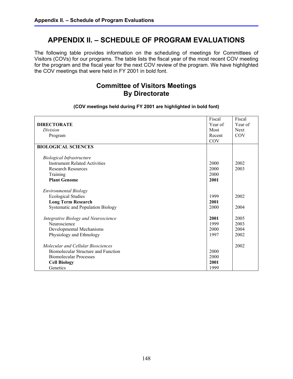# **APPENDIX II. – SCHEDULE OF PROGRAM EVALUATIONS**

The following table provides information on the scheduling of meetings for Committees of Visitors (COVs) for our programs. The table lists the fiscal year of the most recent COV meeting for the program and the fiscal year for the next COV review of the program. We have highlighted the COV meetings that were held in FY 2001 in bold font.

## **Committee of Visitors Meetings By Directorate**

|                                             | Fiscal  | Fiscal      |
|---------------------------------------------|---------|-------------|
| <b>DIRECTORATE</b>                          | Year of | Year of     |
| Division                                    | Most    | <b>Next</b> |
| Program                                     | Recent  | <b>COV</b>  |
|                                             | COV     |             |
| <b>BIOLOGICAL SCIENCES</b>                  |         |             |
| <b>Biological Infrastructure</b>            |         |             |
| <b>Instrument Related Activities</b>        | 2000    | 2002        |
| <b>Research Resources</b>                   | 2000    | 2003        |
| Training                                    | 2000    |             |
| <b>Plant Genome</b>                         | 2001    |             |
| Environmental Biology                       |         |             |
| <b>Ecological Studies</b>                   | 1999    | 2002        |
| <b>Long Term Research</b>                   | 2001    |             |
| <b>Systematic and Population Biology</b>    | 2000    | 2004        |
| <b>Integrative Biology and Neuroscience</b> | 2001    | 2005        |
| Neuroscience                                | 1999    | 2003        |
| Developmental Mechanisms                    | 2000    | 2004        |
| Physiology and Ethnology                    | 1997    | 2002        |
| Molecular and Cellular Biosciences          |         | 2002        |
| Biomolecular Structure and Function         | 2000    |             |
| <b>Biomolecular Processes</b>               | 2000    |             |
| <b>Cell Biology</b>                         | 2001    |             |
| Genetics                                    | 1999    |             |

### **(COV meetings held during FY 2001 are highlighted in bold font)**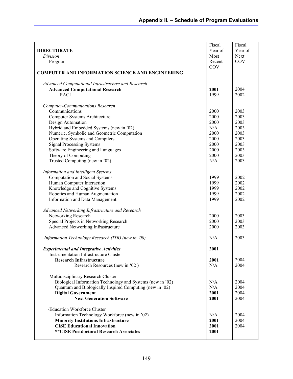|                                                            | Fiscal        | Fiscal  |
|------------------------------------------------------------|---------------|---------|
| <b>DIRECTORATE</b>                                         | Year of       | Year of |
| Division                                                   | Most          | Next    |
| Program                                                    | Recent<br>COV | COV     |
| <b>COMPUTER AND INFORMATION SCIENCE AND ENGINEERING</b>    |               |         |
| Advanced Computational Infrastructure and Research         |               |         |
| <b>Advanced Computational Research</b>                     | 2001          | 2004    |
| <b>PACI</b>                                                | 1999          | 2002    |
| <b>Computer-Communications Research</b>                    |               |         |
| Communications                                             | 2000          | 2003    |
| Computer Systems Architecture                              | 2000          | 2003    |
| Design Automation                                          | 2000          | 2003    |
| Hybrid and Embedded Systems (new in '02)                   | N/A           | 2003    |
| Numeric, Symbolic and Geometric Computation                | 2000          | 2003    |
| Operating Systems and Compilers                            | 2000          | 2003    |
| <b>Signal Processing Systems</b>                           | 2000          | 2003    |
| Software Engineering and Languages                         | 2000          | 2003    |
| Theory of Computing                                        | 2000          | 2003    |
| Trusted Computing (new in '02)                             | N/A           | 2003    |
| Information and Intelligent Systems                        |               |         |
| Computation and Social Systems                             | 1999          | 2002    |
| Human Computer Interaction                                 | 1999          | 2002    |
| Knowledge and Cognitive Systems                            | 1999          | 2002    |
| Robotics and Human Augmentation                            | 1999          | 2002    |
| Information and Data Management                            | 1999          | 2002    |
| Advanced Networking Infrastructure and Research            |               |         |
| Networking Research                                        | 2000          | 2003    |
| Special Projects in Networking Research                    | 2000          | 2003    |
| Advanced Networking Infrastructure                         | 2000          | 2003    |
| Information Technology Research (ITR) (new in '00)         | N/A           | 2003    |
| <b>Experimental and Integrative Activities</b>             | 2001          |         |
| -Instrumentation Infrastructure Cluster                    |               |         |
| <b>Research Infrastructure</b>                             | 2001          | 2004    |
| Research Resources (new in '02)                            | N/A           | 2004    |
| -Multidisciplinary Research Cluster                        |               |         |
| Biological Information Technology and Systems (new in '02) | N/A           | 2004    |
| Quantum and Biologically Inspired Computing (new in '02)   | N/A           | 2004    |
| <b>Digital Government</b>                                  | 2001          | 2004    |
| <b>Next Generation Software</b>                            | 2001          | 2004    |
| -Education Workforce Cluster                               |               |         |
| Information Technology Workforce (new in '02)              | N/A           | 2004    |
| <b>Minority Institutions Infrastructure</b>                | 2001          | 2004    |
| <b>CISE Educational Innovation</b>                         | 2001          | 2004    |
| <b>**CISE Postdoctoral Research Associates</b>             | 2001          |         |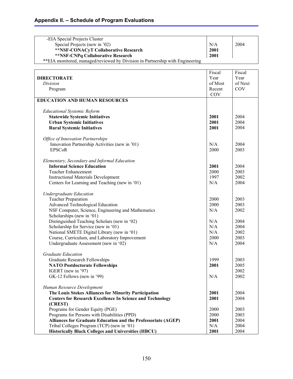| -EIA Special Projects Cluster                                                 |              |              |
|-------------------------------------------------------------------------------|--------------|--------------|
| Special Projects (new in '02)                                                 | N/A          | 2004         |
| **NSF-CONACyT Collaborative Research                                          | 2001         |              |
| **NSF-CNPq Collaborative Research                                             | 2001         |              |
| **EIA monitored, managed/reviewed by Division in Partnership with Engineering |              |              |
|                                                                               |              |              |
|                                                                               | Fiscal       | Fiscal       |
| <b>DIRECTORATE</b>                                                            | Year         | Year         |
| Division                                                                      | of Most      | of Next      |
| Program                                                                       | Recent       | COV          |
|                                                                               | COV          |              |
| <b>EDUCATION AND HUMAN RESOURCES</b>                                          |              |              |
|                                                                               |              |              |
| <b>Educational Systemic Reform</b>                                            |              |              |
| <b>Statewide Systemic Initiatives</b>                                         | 2001         | 2004         |
| <b>Urban Systemic Initiatives</b>                                             | 2001         | 2004         |
| <b>Rural Systemic Initiatives</b>                                             | 2001         | 2004         |
|                                                                               |              |              |
| <b>Office of Innovation Partnerships</b>                                      |              |              |
| Innovation Partnership Activities (new in '01)                                | N/A          | 2004         |
| <b>EPSCoR</b>                                                                 | 2000         | 2003         |
| Elementary, Secondary and Informal Education                                  |              |              |
| <b>Informal Science Education</b>                                             | 2001         | 2004         |
| <b>Teacher Enhancement</b>                                                    | 2000         | 2003         |
| <b>Instructional Materials Development</b>                                    | 1997         | 2002         |
| Centers for Learning and Teaching (new in '01)                                | N/A          | 2004         |
|                                                                               |              |              |
| <b>Undergraduate Education</b>                                                |              |              |
| <b>Teacher Preparation</b>                                                    | 2000         | 2003         |
| <b>Advanced Technological Education</b>                                       | 2000         | 2003         |
| NSF Computer, Science, Engineering and Mathematics                            | N/A          | 2002         |
| Scholarships (new in '01)                                                     |              |              |
| Distinguished Teaching Scholars (new in '02)                                  | N/A          | 2004         |
| Scholarship for Service (new in '01)                                          | N/A          | 2004         |
| National SMETE Digital Library (new in '01)                                   | N/A          | 2002         |
| Course, Curriculum, and Laboratory Improvement                                | 2000         | 2003         |
| Undergraduate Assessment (new in '02)                                         | N/A          | 2004         |
|                                                                               |              |              |
| <b>Graduate Education</b>                                                     |              |              |
| <b>Graduate Research Fellowships</b>                                          | 1999         | 2003         |
| <b>NATO Postdoctorate Fellowships</b>                                         | 2001         | 2005         |
| IGERT (new in '97)                                                            |              | 2002         |
| GK-12 Fellows (new in '99)                                                    | N/A          | 2002         |
|                                                                               |              |              |
| Human Resource Development                                                    |              |              |
| The Louis Stokes Alliances for Minority Participation                         | 2001<br>2001 | 2004<br>2004 |
| <b>Centers for Research Excellence In Science and Technology</b><br>(CREST)   |              |              |
| Programs for Gender Equity (PGE)                                              | 2000         | 2003         |
| Programs for Persons with Disabilities (PPD)                                  | 2000         | 2003         |
| Alliances for Graduate Education and the Professoriate (AGEP)                 | 2001         | 2004         |
| Tribal Colleges Program (TCP) (new in '01)                                    | N/A          | 2004         |
| <b>Historically Black Colleges and Universities (HBCU)</b>                    | 2001         | 2004         |
|                                                                               |              |              |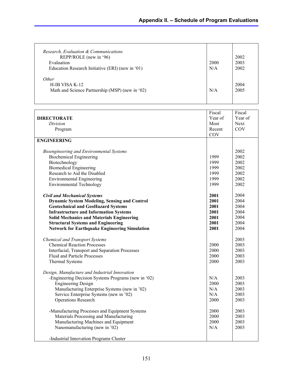| Research, Evaluation & Communications<br>REPP/ROLE (new in '96)<br>Evaluation<br>Education Research Initiative (ERI) (new in '01) | 2000<br>N/A | 2002<br>2003<br>2002 |
|-----------------------------------------------------------------------------------------------------------------------------------|-------------|----------------------|
| <i>Other</i><br>$H$ -IB VISA K-12<br>Math and Science Partnership (MSP) (new in '02)                                              | N/A         | 2004<br>2005         |

|                                                      | Fiscal  | Fiscal     |
|------------------------------------------------------|---------|------------|
| <b>DIRECTORATE</b>                                   | Year of | Year of    |
| Division                                             | Most    | Next       |
| Program                                              | Recent  | <b>COV</b> |
|                                                      | COV     |            |
| <b>ENGINEERING</b>                                   |         |            |
| Bioengineering and Environmental Systems             |         | 2002       |
| <b>Biochemical Engineering</b>                       | 1999    | 2002       |
| Biotechnology                                        | 1999    | 2002       |
| <b>Biomedical Engineering</b>                        | 1999    | 2002       |
| Research to Aid the Disabled                         | 1999    | 2002       |
| <b>Environmental Engineering</b>                     | 1999    | 2002       |
| <b>Environmental Technology</b>                      | 1999    | 2002       |
|                                                      |         |            |
| <b>Civil and Mechanical Systems</b>                  | 2001    | 2004       |
| <b>Dynamic System Modeling, Sensing and Control</b>  | 2001    | 2004       |
| <b>Geotechnical and GeoHazard Systems</b>            | 2001    | 2004       |
| <b>Infrastructure and Information Systems</b>        | 2001    | 2004       |
| <b>Solid Mechanics and Materials Engineering</b>     | 2001    | 2004       |
| <b>Structural Systems and Engineering</b>            | 2001    | 2004       |
| <b>Network for Earthquake Engineering Simulation</b> | 2001    | 2004       |
| <b>Chemical and Transport Systems</b>                |         | 2003       |
| <b>Chemical Reaction Processes</b>                   | 2000    | 2003       |
| Interfacial, Transport and Separation Processes      | 2000    | 2003       |
| <b>Fluid and Particle Processes</b>                  | 2000    | 2003       |
| Thermal Systems                                      | 2000    | 2003       |
|                                                      |         |            |
| Design, Manufacture and Industrial Innovation        |         |            |
| -Engineering Decision Systems Programs (new in '02)  | N/A     | 2003       |
| <b>Engineering Design</b>                            | 2000    | 2003       |
| Manufacturing Enterprise Systems (new in '02)        | N/A     | 2003       |
| Service Enterprise Systems (new in '02)              | N/A     | 2003       |
| <b>Operations Research</b>                           | 2000    | 2003       |
| -Manufacturing Processes and Equipment Systems       | 2000    | 2003       |
| Materials Processing and Manufacturing               | 2000    | 2003       |
| Manufacturing Machines and Equipment                 | 2000    | 2003       |
| Nanomanufacturing (new in '02)                       | N/A     | 2003       |
| -Industrial Innovation Programs Cluster              |         |            |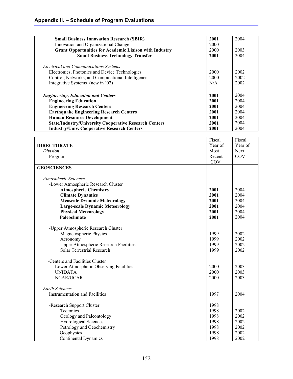| <b>Small Business Innovation Research (SBIR)</b>              | 2001 | 2004 |
|---------------------------------------------------------------|------|------|
| Innovation and Organizational Change<br>2000                  |      |      |
| <b>Grant Opportunities for Academic Liaison with Industry</b> | 2000 | 2003 |
| <b>Small Business Technology Transfer</b>                     | 2001 | 2004 |
| Electrical and Communications Systems                         |      |      |
| Electronics, Photonics and Device Technologies                | 2000 | 2002 |
| Control, Networks, and Computational Intelligence             | 2000 | 2002 |
| Integrative Systems (new in '02)                              | N/A  | 2002 |
| <b>Engineering, Education and Centers</b>                     | 2001 | 2004 |
| <b>Engineering Education</b>                                  | 2001 | 2004 |
| <b>Engineering Research Centers</b>                           | 2001 | 2004 |
| <b>Earthquake Engineering Research Centers</b>                | 2001 | 2004 |
| <b>Human Resource Development</b>                             |      | 2004 |
| <b>State/Industry/University Cooperative Research Centers</b> | 2001 | 2004 |
| <b>Industry/Univ. Cooperative Research Centers</b>            | 2001 | 2004 |

|                                              | Fiscal  | Fiscal      |
|----------------------------------------------|---------|-------------|
| <b>DIRECTORATE</b>                           | Year of | Year of     |
| Division                                     | Most    | <b>Next</b> |
| Program                                      | Recent  | COV         |
|                                              | COV     |             |
| <b>GEOSCIENCES</b>                           |         |             |
| Atmospheric Sciences                         |         |             |
| -Lower Atmospheric Research Cluster          |         |             |
| <b>Atmospheric Chemistry</b>                 | 2001    | 2004        |
| <b>Climate Dynamics</b>                      | 2001    | 2004        |
| <b>Meoscale Dynamic Meteorology</b>          | 2001    | 2004        |
| <b>Large-scale Dynamic Meteorology</b>       | 2001    | 2004        |
| <b>Physical Meteorology</b>                  | 2001    | 2004        |
| Paleoclimate                                 | 2001    | 2004        |
| -Upper Atmospheric Research Cluster          |         |             |
| Magnetospheric Physics                       | 1999    | 2002        |
| Aeronomy                                     | 1999    | 2002        |
| <b>Upper Atmospheric Research Facilities</b> | 1999    | 2002        |
| <b>Solar Terrestrial Research</b>            | 1999    | 2002        |
| -Centers and Facilities Cluster              |         |             |
| Lower Atmospheric Observing Facilities       | 2000    | 2003        |
| <b>UNIDATA</b>                               | 2000    | 2003        |
| NCAR/UCAR                                    | 2000    | 2003        |
| <b>Earth Sciences</b>                        |         |             |
| <b>Instrumentation and Facilities</b>        | 1997    | 2004        |
| -Research Support Cluster                    | 1998    |             |
| Tectonics                                    | 1998    | 2002        |
| Geology and Paleontology                     | 1998    | 2002        |
| <b>Hydrological Sciences</b>                 | 1998    | 2002        |
| Petrology and Geochemistry                   | 1998    | 2002        |
| Geophysics                                   | 1998    | 2002        |
| <b>Continental Dynamics</b>                  | 1998    | 2002        |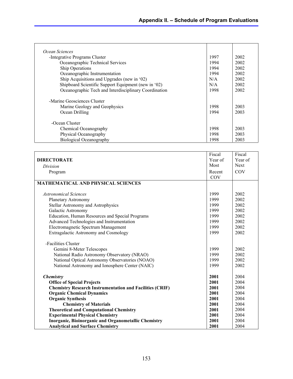| Ocean Sciences                                        |      |      |
|-------------------------------------------------------|------|------|
| -Integrative Programs Cluster                         | 1997 | 2002 |
| Oceanographic Technical Services                      | 1994 | 2002 |
| Ship Operations                                       | 1994 | 2002 |
| Oceanographic Instrumentation                         | 1994 | 2002 |
| Ship Acquisitions and Upgrades (new in '02)           | N/A  | 2002 |
| Shipboard Scientific Support Equipment (new in '02)   | N/A  | 2002 |
| Oceanographic Tech and Interdisciplinary Coordination | 1998 | 2002 |
| -Marine Geosciences Cluster                           |      |      |
| Marine Geology and Geophysics                         | 1998 | 2003 |
| Ocean Drilling                                        | 1994 | 2003 |
| -Ocean Cluster                                        |      |      |
| Chemical Oceanography                                 | 1998 | 2003 |
| Physical Oceanography                                 | 1998 | 2003 |
| <b>Biological Oceanography</b>                        | 1998 | 2003 |

|                                                                 | Fiscal     | Fiscal     |
|-----------------------------------------------------------------|------------|------------|
| <b>DIRECTORATE</b>                                              | Year of    | Year of    |
| Division                                                        | Most       | Next       |
| Program                                                         | Recent     | <b>COV</b> |
|                                                                 | <b>COV</b> |            |
| MATHEMATICAL AND PHYSICAL SCIENCES                              |            |            |
|                                                                 |            |            |
| <b>Astronomical Sciences</b>                                    | 1999       | 2002       |
| <b>Planetary Astronomy</b>                                      | 1999       | 2002       |
| <b>Stellar Astronomy and Astrophysics</b>                       | 1999       | 2002       |
| Galactic Astronomy                                              | 1999       | 2002       |
| Education, Human Resources and Special Programs                 | 1999       | 2002       |
| Advanced Technologies and Instrumentation                       | 1999       | 2002       |
| Electromagnetic Spectrum Management                             | 1999       | 2002       |
| <b>Extragalactic Astronomy and Cosmology</b>                    | 1999       | 2002       |
| -Facilities Cluster                                             |            |            |
| Gemini 8-Meter Telescopes                                       | 1999       | 2002       |
| National Radio Astronomy Observatory (NRAO)                     | 1999       | 2002       |
| National Optical Astronomy Observatories (NOAO)                 | 1999       | 2002       |
| National Astronomy and Ionosphere Center (NAIC)                 | 1999       | 2002       |
|                                                                 |            |            |
| Chemistry                                                       | 2001       | 2004       |
| <b>Office of Special Projects</b>                               | 2001       | 2004       |
| <b>Chemistry Research Instrumentation and Facilities (CRIF)</b> | 2001       | 2004       |
| <b>Organic Chemical Dynamics</b>                                | 2001       | 2004       |
| <b>Organic Synthesis</b>                                        | 2001       | 2004       |
| <b>Chemistry of Materials</b>                                   | 2001       | 2004       |
| <b>Theoretical and Computational Chemistry</b>                  | 2001       | 2004       |
| <b>Experimental Physical Chemistry</b>                          | 2001       | 2004       |
| Inorganic, Bioinorganic and Organometallic Chemistry            | 2001       | 2004       |
| <b>Analytical and Surface Chemistry</b>                         | 2001       | 2004       |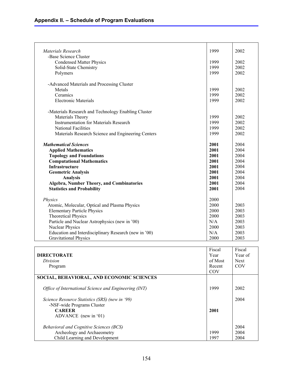| Materials Research                                    | 1999    | 2002    |
|-------------------------------------------------------|---------|---------|
| -Base Science Cluster                                 |         |         |
| <b>Condensed Matter Physics</b>                       | 1999    | 2002    |
| Solid-State Chemistry                                 | 1999    | 2002    |
| Polymers                                              | 1999    | 2002    |
|                                                       |         |         |
| -Advanced Materials and Processing Cluster            |         |         |
| Metals                                                | 1999    | 2002    |
| Ceramics                                              | 1999    | 2002    |
| <b>Electronic Materials</b>                           | 1999    | 2002    |
| -Materials Research and Technology Enabling Cluster   |         |         |
| Materials Theory                                      | 1999    | 2002    |
| <b>Instrumentation for Materials Research</b>         | 1999    | 2002    |
| <b>National Facilities</b>                            | 1999    | 2002    |
|                                                       | 1999    | 2002    |
| Materials Research Science and Engineering Centers    |         |         |
| <b>Mathematical Sciences</b>                          | 2001    | 2004    |
| <b>Applied Mathematics</b>                            | 2001    | 2004    |
| <b>Topology and Foundations</b>                       | 2001    | 2004    |
| <b>Computational Mathematics</b>                      | 2001    | 2004    |
| Infrastructure                                        | 2001    | 2004    |
|                                                       | 2001    | 2004    |
| <b>Geometric Analysis</b>                             | 2001    | 2004    |
| <b>Analysis</b>                                       |         |         |
| Algebra, Number Theory, and Combinatories             | 2001    | 2004    |
| <b>Statistics and Probability</b>                     | 2001    | 2004    |
|                                                       | 2000    |         |
| Physics                                               | 2000    | 2003    |
| Atomic, Molecular, Optical and Plasma Physics         | 2000    |         |
| <b>Elementary Particle Physics</b>                    |         | 2003    |
| <b>Theoretical Physics</b>                            | 2000    | 2003    |
| Particle and Nuclear Astrophysics (new in '00)        | N/A     | 2003    |
| <b>Nuclear Physics</b>                                | 2000    | 2003    |
| Education and Interdisciplinary Research (new in '00) | N/A     | 2003    |
| <b>Gravitational Physics</b>                          | 2000    | 2003    |
|                                                       |         |         |
|                                                       | Fiscal  | Fiscal  |
| <b>DIRECTORATE</b>                                    | Year    | Year of |
| Division                                              | of Most | Next    |
| Program                                               | Recent  | COV     |
|                                                       | COV     |         |
| SOCIAL, BEHAVIORAL, AND ECONOMIC SCIENCES             |         |         |
| Office of International Science and Engineering (INT) | 1999    | 2002    |
|                                                       |         |         |
| Science Resource Statistics (SRS) (new in '99)        |         | 2004    |
| -NSF-wide Programs Cluster                            |         |         |
| <b>CAREER</b>                                         | 2001    |         |

| <b>CAREER</b><br>ADVANCE (new in '01)   | 2001 |      |
|-----------------------------------------|------|------|
| Behavioral and Cognitive Sciences (BCS) |      | 2004 |
| Archeology and Archaeometry             | 1999 | 2004 |
| Child Learning and Development          | 1997 | 2004 |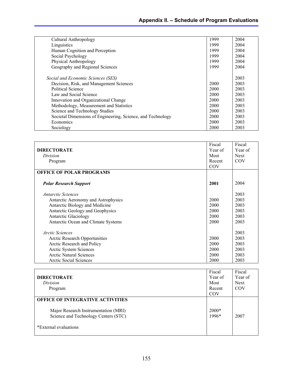| Cultural Anthropology                                       | 1999 | 2004 |
|-------------------------------------------------------------|------|------|
| Linguistics                                                 | 1999 | 2004 |
| Human Cognition and Perception                              | 1999 | 2004 |
| Social Psychology                                           | 1999 | 2004 |
| Physical Anthropology                                       | 1999 | 2004 |
| Geography and Regional Sciences                             | 1999 | 2004 |
| Social and Economic Sciences (SES)                          |      | 2003 |
| Decision, Risk, and Management Sciences                     | 2000 | 2003 |
| Political Science                                           | 2000 | 2003 |
| Law and Social Science                                      |      | 2003 |
| Innovation and Organizational Change                        | 2000 | 2003 |
| Methodology, Measurement and Statistics                     |      | 2003 |
| Science and Technology Studies                              | 2000 | 2003 |
| Societal Dimensions of Engineering, Science, and Technology | 2000 | 2003 |
| Economics                                                   | 2000 | 2003 |
| Sociology                                                   | 2000 | 2003 |

| <b>DIRECTORATE</b><br>Division<br>Program                                                                                                                                                                    | Fiscal<br>Year of<br>Most<br>Recent<br>COV | Fiscal<br>Year of<br><b>Next</b><br>COV      |
|--------------------------------------------------------------------------------------------------------------------------------------------------------------------------------------------------------------|--------------------------------------------|----------------------------------------------|
| <b>OFFICE OF POLAR PROGRAMS</b>                                                                                                                                                                              |                                            |                                              |
| <b>Polar Research Support</b>                                                                                                                                                                                | 2001                                       | 2004                                         |
| <i>Antarctic Sciences</i><br>Antarctic Aeronomy and Astrophysics<br>Antarctic Biology and Medicine<br>Antarctic Geology and Geophysics<br><b>Antarctic Glaciology</b><br>Antarctic Ocean and Climate Systems | 2000<br>2000<br>2000<br>2000<br>2000       | 2003<br>2003<br>2003<br>2003<br>2003<br>2003 |
| <b>Arctic Sciences</b><br>Arctic Research Opportunities<br>Arctic Research and Policy<br>Arctic System Sciences<br><b>Arctic Natural Sciences</b><br>Arctic Social Sciences                                  | 2000<br>2000<br>2000<br>2000<br>2000       | 2003<br>2003<br>2003<br>2003<br>2003<br>2003 |

|                                                                              | Fiscal           | Fiscal  |
|------------------------------------------------------------------------------|------------------|---------|
| <b>DIRECTORATE</b>                                                           | Year of          | Year of |
| Division                                                                     | Most             | Next    |
| Program                                                                      | Recent           | COV     |
|                                                                              | COV              |         |
| <b>OFFICE OF INTEGRATIVE ACTIVITIES</b>                                      |                  |         |
| Major Research Instrumentation (MRI)<br>Science and Technology Centers (STC) | $2000*$<br>1996* | 2007    |
| *External evaluations                                                        |                  |         |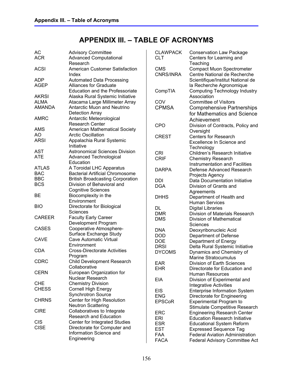# **APPENDIX III. – TABLE OF ACRONYMS**

| AC            | <b>Advisory Committee</b>                               |
|---------------|---------------------------------------------------------|
| <b>ACR</b>    | <b>Advanced Computational</b><br>Research               |
| <b>ACSI</b>   | American Customer Satisfaction<br>Index                 |
| ADP           | <b>Automated Data Processing</b>                        |
| <b>AGEP</b>   | <b>Alliances for Graduate</b>                           |
|               | <b>Education and the Professoriate</b>                  |
| <b>AKRSI</b>  | Alaska Rural Systemic Initiative                        |
| <b>ALMA</b>   | Atacama Large Millimeter Array                          |
| <b>AMANDA</b> | <b>Antarctic Muon and Neutrino</b>                      |
|               | <b>Detection Array</b>                                  |
| <b>AMRC</b>   | Antarctic Meteorological                                |
|               | <b>Research Center</b>                                  |
| AMS           | <b>American Mathematical Society</b>                    |
| AO.           | <b>Arctic Oscillation</b>                               |
| <b>ARSI</b>   | Appalachia Rural Systemic                               |
|               | Initiative                                              |
| <b>AST</b>    | <b>Astronomical Sciences Division</b>                   |
| <b>ATE</b>    | <b>Advanced Technological</b>                           |
|               | Education                                               |
| <b>ATLAS</b>  | A Toroidal LHC Apparatus                                |
| <b>BAC</b>    | <b>Bacterial Artificial Chromosome</b>                  |
| <b>BBC</b>    | <b>British Broadcasting Corporation</b>                 |
| <b>BCS</b>    | Division of Behavioral and                              |
|               | <b>Cognitive Sciences</b>                               |
| ВE            | Biocomplexity in the                                    |
|               | Environment                                             |
| <b>BIO</b>    | Directorate for Biological                              |
|               | Sciences                                                |
| <b>CAREER</b> | <b>Faculty Early Career</b>                             |
|               | Development Program                                     |
| <b>CASES</b>  | Cooperative Atmosphere-                                 |
|               | Surface Exchange Study                                  |
| <b>CAVE</b>   | Cave Automatic Virtual                                  |
|               | Environment                                             |
| <b>CDA</b>    | <b>Cross-Directorate Activities</b>                     |
|               | Program                                                 |
| <b>CDRC</b>   | <b>Child Development Research</b>                       |
|               | Collaborative                                           |
| <b>CERN</b>   | European Organization for                               |
| <b>CHE</b>    | <b>Nuclear Research</b>                                 |
| <b>CHESS</b>  | <b>Chemistry Division</b>                               |
|               | Cornell High Energy                                     |
|               | <b>Synchrotron Source</b>                               |
| <b>CHRNS</b>  | Center for High Resolution                              |
|               | <b>Neutron Scattering</b>                               |
| <b>CIRE</b>   | Collaboratives to Integrate                             |
| <b>CIS</b>    | <b>Research and Education</b>                           |
| <b>CISE</b>   | Center for Integrated Studies                           |
|               | Directorate for Computer and<br>Information Science and |
|               | Engineering                                             |
|               |                                                         |

| <b>CLAWPACK</b><br>CLT                                          | <b>Conservation Law Package</b><br>Centers for Learning and<br>Teaching                                                                                                                   |
|-----------------------------------------------------------------|-------------------------------------------------------------------------------------------------------------------------------------------------------------------------------------------|
| <b>CMS</b><br><b>CNRS/INRA</b>                                  | <b>Compact Muon Spectrometer</b><br>Centre National de Recherche<br>Scientifique/Institut National de<br>la Recherche Agronomique                                                         |
| CompTIA                                                         | <b>Computing Technology Industry</b><br>Association                                                                                                                                       |
| COV<br><b>CPMSA</b>                                             | <b>Committee of Visitors</b><br><b>Comprehensive Partnerships</b><br>for Mathematics and Science                                                                                          |
| CPO                                                             | Achievement<br>Division of Contracts, Policy and<br>Oversight                                                                                                                             |
| CREST                                                           | <b>Centers for Research</b><br><b>Excellence In Science and</b><br>Technology                                                                                                             |
| CRI<br><b>CRIF</b>                                              | Children's Research Initiative<br><b>Chemistry Research</b>                                                                                                                               |
| <b>DARPA</b>                                                    | <b>Instrumentation and Facilities</b><br>Defense Advanced Research<br>Projects Agency                                                                                                     |
| <b>DDI</b><br><b>DGA</b>                                        | Data Documentation Initiative<br>Division of Grants and                                                                                                                                   |
| <b>DHHS</b>                                                     | Agreements<br>Department of Health and                                                                                                                                                    |
| DL<br><b>DMR</b><br><b>DMS</b>                                  | <b>Human Services</b><br><b>Digital Libraries</b><br>Division of Materials Research<br>Division of Mathematical<br>Sciences                                                               |
| DNA<br><b>DOD</b><br><b>DOE</b><br><b>DRSI</b><br><b>DYCOMS</b> | Deoxyribonucleic Acid<br>Department of Defense<br>Department of Energy<br>Delta Rural Systemic Initiative<br>Dynamics and Chemistry of                                                    |
| EAR<br><b>EHR</b>                                               | Marine Stratocumulus<br><b>Division of Earth Sciences</b><br>Directorate for Education and<br><b>Human Resources</b>                                                                      |
| EIA                                                             | Division of Experimental and                                                                                                                                                              |
| <b>EIS</b><br><b>ENG</b><br><b>EPSCoR</b>                       | <b>Integrative Activities</b><br><b>Enterprise Information System</b><br>Directorate for Engineering<br><b>Experimental Program to</b><br>Stimulate Competitive Research                  |
| ERC<br><b>ERI</b><br><b>ESR</b><br><b>EST</b><br><b>FAA</b>     | <b>Engineering Research Center</b><br><b>Education Research Initiative</b><br><b>Educational System Reform</b><br><b>Expressed Sequence Tag</b><br><b>Federal Aviation Administration</b> |
| <b>FACA</b>                                                     | Federal Advisory Committee Act                                                                                                                                                            |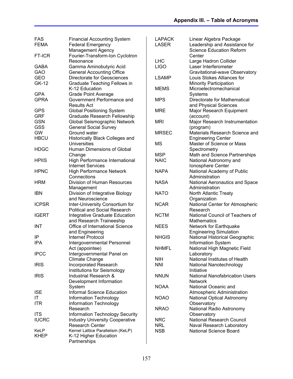| <b>FAS</b><br><b>FEMA</b> | <b>Financial Accounting System</b><br><b>Federal Emergency</b> |
|---------------------------|----------------------------------------------------------------|
| FT-ICR                    | Management Agency<br>Fourier-Transform-Ion Cyclotron           |
|                           | Resonance                                                      |
| GABA                      | Gamma Aminobutyric Acid                                        |
| <b>GAO</b>                | <b>General Accounting Office</b>                               |
| <b>GEO</b>                | <b>Directorate for Geosciences</b>                             |
| <b>GK-12</b>              | Graduate Teaching Fellows in                                   |
|                           | K-12 Education                                                 |
| <b>GPA</b>                | <b>Grade Point Average</b>                                     |
| <b>GPRA</b>               | Government Performance and                                     |
|                           | <b>Results Act</b>                                             |
| <b>GPS</b>                | <b>Global Positioning System</b>                               |
| <b>GRF</b>                | Graduate Research Fellowship                                   |
| <b>GSN</b>                | Global Seismographic Network                                   |
| <b>GSS</b>                | <b>General Social Survey</b>                                   |
| <b>GW</b>                 | Ground water                                                   |
| <b>HBCU</b>               | Historically Black Colleges and                                |
|                           | Universities                                                   |
| <b>HDGC</b>               | Human Dimensions of Global                                     |
|                           | Change                                                         |
| <b>HPIIS</b>              | High Performance International                                 |
|                           | <b>Internet Services</b>                                       |
| <b>HPNC</b>               | <b>High Performance Network</b>                                |
| <b>HRM</b>                | Connections<br>Division of Human Resources                     |
|                           |                                                                |
| <b>IBN</b>                | Management<br>Division of Integrative Biology                  |
|                           | and Neuroscience                                               |
| <b>ICPSR</b>              | Inter-University Consortium for                                |
|                           | <b>Political and Social Research</b>                           |
| <b>IGERT</b>              | Integrative Graduate Education                                 |
|                           | and Research Traineeship                                       |
| <b>INT</b>                | Office of International Science                                |
|                           | and Engineering                                                |
| IP                        | <b>Internet Protocol</b>                                       |
| <b>IPA</b>                | <b>Intergovernmental Personnel</b>                             |
|                           | Act (appointee)                                                |
| <b>IPCC</b>               | Intergovernmental Panel on                                     |
|                           | Climate Change                                                 |
| <b>IRIS</b>               | <b>Incorporated Research</b>                                   |
|                           | Institutions for Seismology                                    |
| <b>IRIS</b>               | Industrial Research &                                          |
|                           | Development Information                                        |
|                           | System                                                         |
| <b>ISE</b>                | <b>Informal Science Education</b>                              |
| IT                        | Information Technology                                         |
| <b>ITR</b>                | Information Technology                                         |
|                           | Research                                                       |
| <b>ITS</b>                | <b>Information Technology Security</b>                         |
| <b>IUCRC</b>              | <b>Industry University Cooperative</b>                         |
|                           | <b>Research Center</b>                                         |
| KeLP                      | Kernel Lattice Parallelism (KeLP)                              |
| <b>KHEP</b>               | K-12 Higher Education                                          |
|                           | Partnerships                                                   |

| <b>LAPACK</b><br>LASER | Linear Algebra Package<br>Leadership and Assistance for<br><b>Science Education Reform</b> |
|------------------------|--------------------------------------------------------------------------------------------|
|                        | Center                                                                                     |
| LHC                    | Large Hadron Collider                                                                      |
| <b>LIGO</b>            | Laser Interferometer                                                                       |
|                        | Gravitational-wave Observatory                                                             |
| LSAMP                  | Louis Stokes Alliances for                                                                 |
|                        | <b>Minority Participation</b>                                                              |
| <b>MEMS</b>            | Microelectromechanical                                                                     |
|                        | Systems                                                                                    |
| MPS                    | Directorate for Mathematical                                                               |
|                        | and Physical Sciences                                                                      |
| MRE                    | Major Research Equipment                                                                   |
|                        | (account)                                                                                  |
| MRI                    | Major Research Instrumentation                                                             |
|                        | (program)                                                                                  |
| MRSEC                  | Materials Research Science and                                                             |
|                        | <b>Engineering Center</b>                                                                  |
| ΜS                     | Master of Science or Mass                                                                  |
|                        | Spectrometry                                                                               |
| MSP                    | Math and Science Partnerships                                                              |
| NAIC                   | National Astronomy and                                                                     |
|                        | Ionosphere Center                                                                          |
| <b>NAPA</b>            | National Academy of Public                                                                 |
|                        | Administration                                                                             |
| NASA                   | National Aeronautics and Space                                                             |
|                        | Administration                                                                             |
| NATO                   | North Atlantic Treaty                                                                      |
|                        | Organization                                                                               |
| <b>NCAR</b>            | National Center for Atmospheric                                                            |
|                        | Research                                                                                   |
| <b>NCTM</b>            | National Council of Teachers of                                                            |
|                        | <b>Mathematics</b>                                                                         |
| <b>NEES</b>            | Network for Earthquake                                                                     |
|                        | <b>Engineering Simulation</b>                                                              |
| NHGIS                  | National Historical Geographic                                                             |
|                        | <b>Information System</b>                                                                  |
| NHMFL                  | National High Magnetic Field                                                               |
|                        | Laboratory                                                                                 |
| NIH                    | National Institutes of Health                                                              |
| NNI                    | National Nanotechnology                                                                    |
|                        | Initiative                                                                                 |
| NNUN                   | <b>National Nanofabrication Users</b>                                                      |
|                        | <b>Network</b>                                                                             |
| NOAA                   | National Oceanic and                                                                       |
|                        | Atmospheric Administration                                                                 |
| NOAO                   | <b>National Optical Astronomy</b>                                                          |
|                        | Observatory                                                                                |
| NRAO                   | National Radio Astronomy                                                                   |
|                        | Observatory                                                                                |
| NRC                    | <b>National Research Council</b>                                                           |
| <b>NRL</b>             | Naval Research Laboratory                                                                  |
| NSB                    | <b>National Science Board</b>                                                              |
|                        |                                                                                            |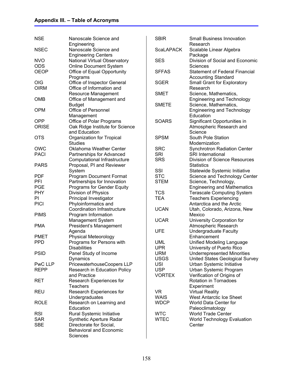| <b>NSE</b>               | Nanoscale Science and                                         | SI             |
|--------------------------|---------------------------------------------------------------|----------------|
| <b>NSEC</b>              | Engineering<br>Nanoscale Science and                          | S <sub>c</sub> |
|                          | <b>Engineering Centers</b>                                    |                |
| <b>NVO</b><br><b>ODS</b> | National Virtual Observatory<br><b>Online Document System</b> | SI             |
| <b>OEOP</b>              |                                                               | SI             |
|                          | Office of Equal Opportunity                                   |                |
| <b>OIG</b>               | Programs<br>Office of Inspector General                       | S(             |
| <b>OIRM</b>              | Office of Information and                                     |                |
|                          |                                                               | SI             |
| <b>OMB</b>               | <b>Resource Management</b>                                    |                |
|                          | Office of Management and<br><b>Budget</b>                     | SI             |
| <b>OPM</b>               | Office of Personnel                                           |                |
|                          |                                                               |                |
| <b>OPP</b>               | Management                                                    | S(             |
| <b>ORISE</b>             | Office of Polar Programs<br>Oak Ridge Institute for Science   |                |
|                          | and Education                                                 |                |
| <b>OTS</b>               | Organization for Tropical                                     | SI             |
|                          | <b>Studies</b>                                                |                |
| <b>OWC</b>               | <b>Oklahoma Weather Center</b>                                | SI             |
| <b>PACI</b>              |                                                               | SI             |
|                          | Partnerships for Advanced                                     | SI             |
|                          | Computational Infrastructure                                  |                |
| <b>PARS</b>              | Proposal, PI and Reviewer                                     | S.             |
| <b>PDF</b>               | System                                                        |                |
| PFI                      | <b>Program Document Format</b>                                | $S^-$<br>$S^-$ |
| <b>PGE</b>               | Partnerships for Innovation                                   |                |
| <b>PHY</b>               | Programs for Gender Equity                                    | T(             |
| PI                       | Division of Physics                                           | ΤE             |
| <b>PICI</b>              | Principal Investigator<br>Phyloinformatics and                |                |
|                          | Coordination Infrastructure                                   | U              |
| <b>PIMS</b>              | Program Information                                           |                |
|                          | Management System                                             | U              |
| <b>PMA</b>               | President's Management                                        |                |
|                          | Agenda                                                        | Ul             |
| <b>PMET</b>              | Physical Meteorology                                          |                |
| <b>PPD</b>               | Programs for Persons with                                     | UI             |
|                          | <b>Disabilities</b>                                           | UI             |
| <b>PSID</b>              | Panel Study of Income                                         | Ul             |
|                          | Dynamics                                                      | U.             |
| PwC LLP                  | PricewaterhouseCoopers LLP                                    | U.             |
| <b>REPP</b>              | <b>Research in Education Policy</b>                           | U.             |
|                          | and Practice                                                  | V(             |
| RET                      | Research Experiences for                                      |                |
|                          | <b>Teachers</b>                                               |                |
| <b>REU</b>               | Research Experiences for                                      | VI             |
|                          | Undergraduates                                                | W              |
| <b>ROLE</b>              | Research on Learning and                                      | W              |
|                          | Education                                                     |                |
| <b>RSI</b>               | Rural Systemic Initiative                                     | W              |
| <b>SAR</b>               | Synthetic Aperture Radar                                      | W              |
| <b>SBE</b>               | Directorate for Social,                                       |                |
|                          | <b>Behavioral and Economic</b>                                |                |
|                          | Sciences                                                      |                |
|                          |                                                               |                |

| SBIR                                                           | <b>Small Business Innovation</b><br>Research                                                                                                                                                                                                                                                 |
|----------------------------------------------------------------|----------------------------------------------------------------------------------------------------------------------------------------------------------------------------------------------------------------------------------------------------------------------------------------------|
| ScaLAPACK                                                      | Scalable Linear Algebra<br>Package                                                                                                                                                                                                                                                           |
| SES                                                            | Division of Social and Economic<br>Sciences                                                                                                                                                                                                                                                  |
| <b>SFFAS</b>                                                   | <b>Statement of Federal Financial</b><br><b>Accounting Standard</b>                                                                                                                                                                                                                          |
| <b>SGER</b>                                                    | Small Grant for Exploratory<br>Research                                                                                                                                                                                                                                                      |
| <b>SMET</b>                                                    | Science, Mathematics,                                                                                                                                                                                                                                                                        |
| <b>SMETE</b>                                                   | <b>Engineering and Technology</b><br>Science, Mathematics,<br><b>Engineering and Technology</b>                                                                                                                                                                                              |
| <b>SOARS</b>                                                   | Education<br>Significant Opportunities in<br>Atmospheric Research and<br>Science                                                                                                                                                                                                             |
| <b>SPSM</b>                                                    | South Pole Station<br>Modernization                                                                                                                                                                                                                                                          |
| SRC<br><b>SRI</b><br><b>SRS</b>                                | <b>Synchrotron Radiation Center</b><br><b>SRI</b> International<br><b>Division of Science Resources</b><br><b>Statistics</b>                                                                                                                                                                 |
| SSI<br><b>STC</b><br><b>STEM</b>                               | Statewide Systemic Initiative<br>Science and Technology Center<br>Science, Technology,                                                                                                                                                                                                       |
| TCS<br>TEA                                                     | <b>Engineering and Mathematics</b><br><b>Terascale Computing System</b><br><b>Teachers Experiencing</b><br>Antarctica and the Arctic                                                                                                                                                         |
| <b>UCAN</b>                                                    | Utah, Colorado, Arizona, New<br>Mexico                                                                                                                                                                                                                                                       |
| <b>UCAR</b>                                                    | University Corporation for                                                                                                                                                                                                                                                                   |
| UFE                                                            | Atmospheric Research<br><b>Undergraduate Faculty</b><br>Enhancement                                                                                                                                                                                                                          |
| UML<br>UPR<br>URM<br>USGS<br>USI<br>USP<br><b>VORTEX</b><br>VR | Unified Modeling Language<br>University of Puerto Rico<br><b>Underrepresented Minorities</b><br>United States Geological Survey<br>Urban Systemic Initiative<br>Urban Systemic Program<br>Verification of Origins of<br><b>Rotation in Tornadoes</b><br>Experiment<br><b>Virtual Reality</b> |
| <b>WAIS</b><br><b>WDCP</b>                                     | <b>West Antarctic Ice Sheet</b><br>World Data Center for<br>Paleoclimatology                                                                                                                                                                                                                 |
| WTC<br><b>WTEC</b>                                             | <b>World Trade Center</b><br><b>World Technology Evaluation</b><br>Center                                                                                                                                                                                                                    |
|                                                                |                                                                                                                                                                                                                                                                                              |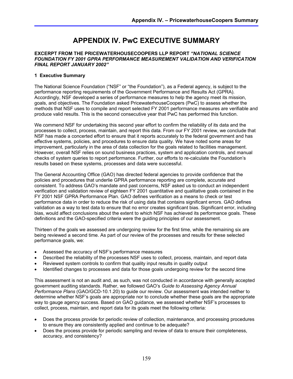# **APPENDIX IV. PwC EXECUTIVE SUMMARY**

### **EXCERPT FROM THE PRICEWATERHOUSECOOPERS LLP REPORT** *"NATIONAL SCIENCE FOUNDATION FY 2001 GPRA PERFORMANCE MEASUREMENT VALIDATION AND VERIFICATION FINAL REPORT JANUARY 2002"*

### **1 Executive Summary**

The National Science Foundation ("NSF" or "the Foundation"), as a Federal agency, is subject to the performance reporting requirements of the Government Performance and Results Act (GPRA). Accordingly, NSF developed a series of performance measures to help the agency meet its mission, goals, and objectives. The Foundation asked PricewaterhouseCoopers (PwC) to assess whether the methods that NSF uses to compile and report selected FY 2001 performance measures are verifiable and produce valid results. This is the second consecutive year that PwC has performed this function.

We commend NSF for undertaking this second year effort to confirm the reliability of its data and the processes to collect, process, maintain, and report this data. From our FY 2001 review, we conclude that NSF has made a concerted effort to ensure that it reports accurately to the federal government and has effective systems, policies, and procedures to ensure data quality. We have noted some areas for improvement, particularly in the area of data collection for the goals related to facilities management. However, overall NSF relies on sound business practices, system and application controls, and manual checks of system queries to report performance. Further, our efforts to re-calculate the Foundation's results based on these systems, processes and data were successful.

The General Accounting Office (GAO) has directed federal agencies to provide confidence that the policies and procedures that underlie GPRA performance reporting are complete, accurate and consistent. To address GAO's mandate and past concerns, NSF asked us to conduct an independent verification and validation review of eighteen FY 2001 quantitative and qualitative goals contained in the FY 2001 NSF GPRA Performance Plan. GAO defines verification as a means to check or test performance data in order to reduce the risk of using data that contains significant errors. GAO defines validation as a way to test data to ensure that no error creates significant bias. Significant error, including bias, would affect conclusions about the extent to which NSF has achieved its performance goals. These definitions and the GAO-specified criteria were the guiding principles of our assessment.

Thirteen of the goals we assessed are undergoing review for the first time, while the remaining six are being reviewed a second time. As part of our review of the processes and results for these selected performance goals, we:

- Assessed the accuracy of NSF's performance measures
- Described the reliability of the processes NSF uses to collect, process, maintain, and report data
- Reviewed system controls to confirm that quality input results in quality output
- Identified changes to processes and data for those goals undergoing review for the second time

This assessment is not an audit and, as such, was not conducted in accordance with generally accepted government auditing standards. Rather, we followed GAO's *Guide to Assessing Agency Annual Performance Plans* (GAO/GCD-10.1.20) to guide our review. Our assessment was intended neither to determine whether NSF's goals are appropriate nor to conclude whether these goals are the appropriate way to gauge agency success. Based on GAO guidance, we assessed whether NSF's processes to collect, process, maintain, and report data for its goals meet the following criteria:

- Does the process provide for periodic review of collection, maintenance, and processing procedures to ensure they are consistently applied and continue to be adequate?
- Does the process provide for periodic sampling and review of data to ensure their completeness, accuracy, and consistency?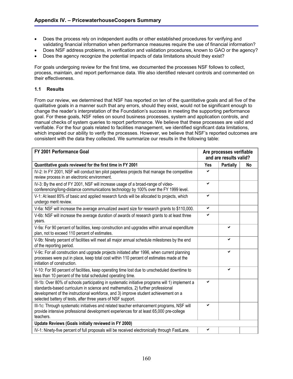- Does the process rely on independent audits or other established procedures for verifying and validating financial information when performance measures require the use of financial information?
- Does NSF address problems, in verification and validation procedures, known to GAO or the agency?
- Does the agency recognize the potential impacts of data limitations should they exist?

For goals undergoing review for the first time, we documented the processes NSF follows to collect, process, maintain, and report performance data. We also identified relevant controls and commented on their effectiveness.

### **1.1 Results**

From our review, we determined that NSF has reported on ten of the quantitative goals and all five of the qualitative goals in a manner such that any errors, should they exist, would not be significant enough to change the reader's interpretation of the Foundation's success in meeting the supporting performance goal. For these goals, NSF relies on sound business processes, system and application controls, and manual checks of system queries to report performance. We believe that these processes are valid and verifiable. For the four goals related to facilities management, we identified significant data limitations, which impaired our ability to verify the processes. However, we believe that NSF's reported outcomes are consistent with the data they collected. We summarize our results in the following table:

| FY 2001 Performance Goal                                                                                                                                                                                                                                                                                                                 | Are processes verifiable<br>and are results valid? |                  |    |
|------------------------------------------------------------------------------------------------------------------------------------------------------------------------------------------------------------------------------------------------------------------------------------------------------------------------------------------|----------------------------------------------------|------------------|----|
| Quantitative goals reviewed for the first time in FY 2001                                                                                                                                                                                                                                                                                | <b>Yes</b>                                         | <b>Partially</b> | No |
| IV-2: In FY 2001, NSF will conduct ten pilot paperless projects that manage the competitive<br>review process in an electronic environment.                                                                                                                                                                                              | ✓                                                  |                  |    |
| IV-3: By the end of FY 2001, NSF will increase usage of a broad-range of video-<br>conferencing/long-distance communications technology by 100% over the FY 1999 level.                                                                                                                                                                  | ✔                                                  |                  |    |
| V-1: At least 85% of basic and applied research funds will be allocated to projects, which<br>undergo merit review.                                                                                                                                                                                                                      | ✔                                                  |                  |    |
| V-6a: NSF will increase the average annualized award size for research grants to \$110,000.                                                                                                                                                                                                                                              | ✔                                                  |                  |    |
| V-6b: NSF will increase the average duration of awards of research grants to at least three<br>years.                                                                                                                                                                                                                                    | ✔                                                  |                  |    |
| V-9a: For 90 percent of facilities, keep construction and upgrades within annual expenditure<br>plan, not to exceed 110 percent of estimates.                                                                                                                                                                                            |                                                    | ✓                |    |
| V-9b: Ninety percent of facilities will meet all major annual schedule milestones by the end<br>of the reporting period.                                                                                                                                                                                                                 |                                                    | ✓                |    |
| V-9c: For all construction and upgrade projects initiated after 1996, when current planning<br>processes were put in place, keep total cost within 110 percent of estimates made at the<br>initiation of construction.                                                                                                                   |                                                    | ✓                |    |
| V-10: For 90 percent of facilities, keep operating time lost due to unscheduled downtime to<br>less than 10 percent of the total scheduled operating time.                                                                                                                                                                               |                                                    | ✓                |    |
| III-1b: Over 80% of schools participating in systematic initiative programs will 1) implement a<br>standards-based curriculum in science and mathematics, 2) further professional<br>development of the instructional workforce, and 3) improve student achievement on a<br>selected battery of tests, after three years of NSF support. | ✓                                                  |                  |    |
| III-1c: Through systematic initiatives and related teacher enhancement programs, NSF will<br>provide intensive professional development experiences for at least 65,000 pre-college<br>teachers.                                                                                                                                         | ✔                                                  |                  |    |
| Update Reviews (Goals initially reviewed in FY 2000)                                                                                                                                                                                                                                                                                     |                                                    |                  |    |
| IV-1: Ninety-five percent of full proposals will be received electronically through FastLane.                                                                                                                                                                                                                                            | ✔                                                  |                  |    |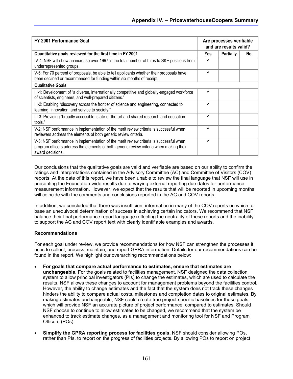| FY 2001 Performance Goal                                                                                                                                                                              | Are processes verifiable<br>and are results valid? |                  |     |
|-------------------------------------------------------------------------------------------------------------------------------------------------------------------------------------------------------|----------------------------------------------------|------------------|-----|
| Quantitative goals reviewed for the first time in FY 2001                                                                                                                                             | Yes                                                | <b>Partially</b> | No. |
| IV-4: NSF will show an increase over 1997 in the total number of hires to S&E positions from<br>underrepresented groups.                                                                              | ✔                                                  |                  |     |
| V-5: For 70 percent of proposals, be able to tell applicants whether their proposals have<br>been declined or recommended for funding within six months of receipt.                                   | ✔                                                  |                  |     |
| <b>Qualitative Goals</b>                                                                                                                                                                              |                                                    |                  |     |
| III-1: Development of "a diverse, internationally competitive and globally-engaged workforce<br>of scientists, engineers, and well-prepared citizens."                                                | ✔                                                  |                  |     |
| III-2: Enabling "discovery across the frontier of science and engineering, connected to<br>learning, innovation, and service to society."                                                             | ✔                                                  |                  |     |
| III-3: Providing "broadly accessible, state-of-the-art and shared research and education<br>tools."                                                                                                   |                                                    |                  |     |
| V-2: NSF performance in implementation of the merit review criteria is successful when<br>reviewers address the elements of both generic review criteria.                                             | ✔                                                  |                  |     |
| V-3: NSF performance in implementation of the merit review criteria is successful when<br>program officers address the elements of both generic review criteria when making their<br>award decisions. | ✔                                                  |                  |     |

Our conclusions that the qualitative goals are valid and verifiable are based on our ability to confirm the ratings and interpretations contained in the Advisory Committee (AC) and Committee of Visitors (COV) reports. At the date of this report, we have been unable to review the final language that NSF will use in presenting the Foundation-wide results due to varying external reporting due dates for performance measurement information. However, we expect that the results that will be reported in upcoming months will coincide with the comments and conclusions reported in the AC and COV reports.

In addition, we concluded that there was insufficient information in many of the COV reports on which to base an unequivocal determination of success in achieving certain indicators. We recommend that NSF balance their final performance report language reflecting the neutrality of these reports and the inability to support the AC and COV report text with clearly identifiable examples and awards.

### **Recommendations**

For each goal under review, we provide recommendations for how NSF can strengthen the processes it uses to collect, process, maintain, and report GPRA information. Details for our recommendations can be found in the report. We highlight our overarching recommendations below:

- **For goals that compare actual performance to estimates, ensure that estimates are unchangeable.** For the goals related to facilities management, NSF designed the data collection system to allow principal investigators (PIs) to change the estimates, which are used to calculate the results. NSF allows these changes to account for management problems beyond the facilities control. However, the ability to change estimates and the fact that the system does not track these changes hinders the ability to compare actual costs, milestones and completion dates to original estimates. By making estimates unchangeable, NSF could create true project-specific baselines for these goals, which will provide NSF an accurate picture of project performance, compared to estimates. Should NSF choose to continue to allow estimates to be changed, we recommend that the system be enhanced to track estimate changes, as a management and monitoring tool for NSF and Program Officers (POs).
- **Simplify the GPRA reporting process for facilities goals.** NSF should consider allowing POs, rather than PIs, to report on the progress of facilities projects. By allowing POs to report on project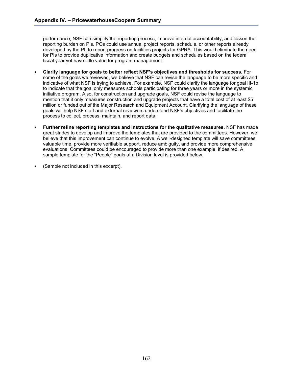performance, NSF can simplify the reporting process, improve internal accountability, and lessen the reporting burden on PIs. POs could use annual project reports, schedule. or other reports already developed by the PI, to report progress on facilities projects for GPRA. This would eliminate the need for PIs to provide duplicative information and create budgets and schedules based on the federal fiscal year yet have little value for program management.

- **Clarify language for goals to better reflect NSF's objectives and thresholds for success.** For some of the goals we reviewed, we believe that NSF can revise the language to be more specific and indicative of what NSF is trying to achieve. For example, NSF could clarify the language for goal III-1b to indicate that the goal only measures schools participating for three years or more in the systemic initiative program. Also, for construction and upgrade goals, NSF could revise the language to mention that it only measures construction and upgrade projects that have a total cost of at least \$5 million or funded out of the Major Research and Equipment Account. Clarifying the language of these goals will help NSF staff and external reviewers understand NSF's objectives and facilitate the process to collect, process, maintain, and report data.
- **Further refine reporting templates and instructions for the qualitative measures.** NSF has made great strides to develop and improve the templates that are provided to the committees. However, we believe that this improvement can continue to evolve. A well-designed template will save committees valuable time, provide more verifiable support, reduce ambiguity, and provide more comprehensive evaluations. Committees could be encouraged to provide more than one example, if desired. A sample template for the "People" goals at a Division level is provided below.
- (Sample not included in this excerpt).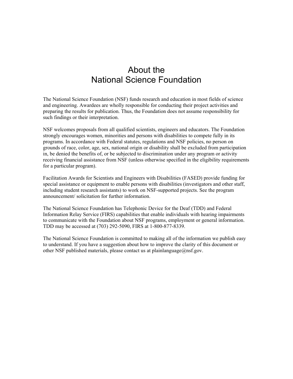# About the National Science Foundation

The National Science Foundation (NSF) funds research and education in most fields of science and engineering. Awardees are wholly responsible for conducting their project activities and preparing the results for publication. Thus, the Foundation does not assume responsibility for such findings or their interpretation.

NSF welcomes proposals from all qualified scientists, engineers and educators. The Foundation strongly encourages women, minorities and persons with disabilities to compete fully in its programs. In accordance with Federal statutes, regulations and NSF policies, no person on grounds of race, color, age, sex, national origin or disability shall be excluded from participation in, be denied the benefits of, or be subjected to discrimination under any program or activity receiving financial assistance from NSF (unless otherwise specified in the eligibility requirements for a particular program).

Facilitation Awards for Scientists and Engineers with Disabilities (FASED) provide funding for special assistance or equipment to enable persons with disabilities (investigators and other staff, including student research assistants) to work on NSF-supported projects. See the program announcement/ solicitation for further information.

The National Science Foundation has Telephonic Device for the Deaf (TDD) and Federal Information Relay Service (FIRS) capabilities that enable individuals with hearing impairments to communicate with the Foundation about NSF programs, employment or general information. TDD may be accessed at (703) 292-5090, FIRS at 1-800-877-8339.

The National Science Foundation is committed to making all of the information we publish easy to understand. If you have a suggestion about how to improve the clarity of this document or other NSF published materials, please contact us at plainlanguage $(\partial \rho n s f_{\text{.}})$